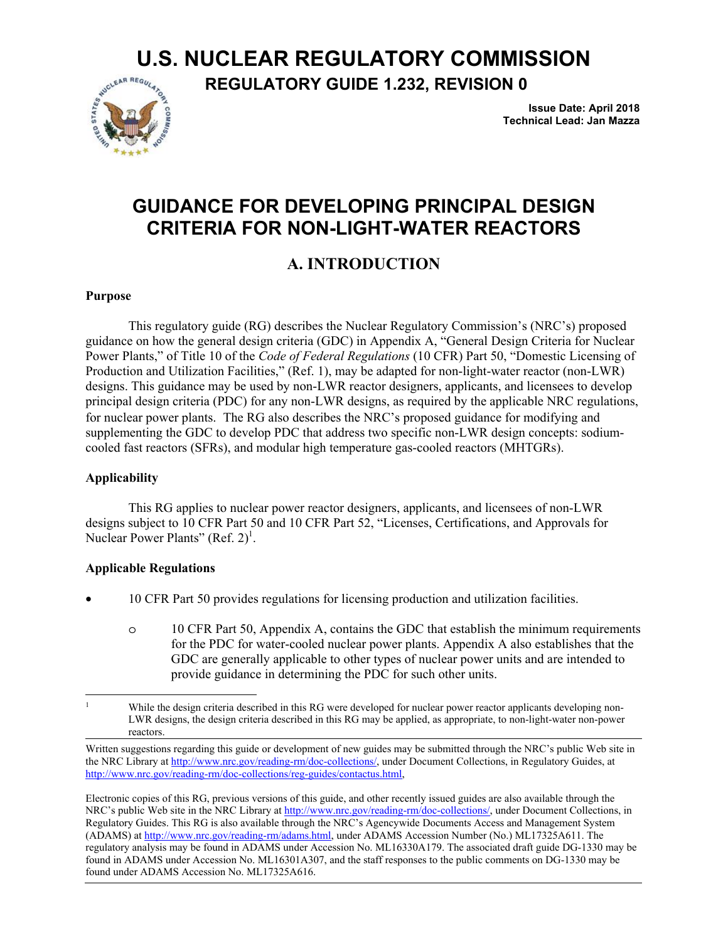# **U.S. NUCLEAR REGULATORY COMMISSION**



**REGULATORY GUIDE 1.232, REVISION 0**

**Issue Date: April 2018 Technical Lead: Jan Mazza**

# **GUIDANCE FOR DEVELOPING PRINCIPAL DESIGN CRITERIA FOR NON-LIGHT-WATER REACTORS**

# **A. INTRODUCTION**

### **Purpose**

This regulatory guide (RG) describes the Nuclear Regulatory Commission's (NRC's) proposed guidance on how the general design criteria (GDC) in Appendix A, "General Design Criteria for Nuclear Power Plants," of Title 10 of the *Code of Federal Regulations* (10 CFR) Part 50, "Domestic Licensing of Production and Utilization Facilities," (Ref. 1), may be adapted for non-light-water reactor (non-LWR) designs. This guidance may be used by non-LWR reactor designers, applicants, and licensees to develop principal design criteria (PDC) for any non-LWR designs, as required by the applicable NRC regulations, for nuclear power plants. The RG also describes the NRC's proposed guidance for modifying and supplementing the GDC to develop PDC that address two specific non-LWR design concepts: sodiumcooled fast reactors (SFRs), and modular high temperature gas-cooled reactors (MHTGRs).

### **Applicability**

This RG applies to nuclear power reactor designers, applicants, and licensees of non-LWR designs subject to 10 CFR Part 50 and 10 CFR Part 52, "Licenses, Certifications, and Approvals for Nuclear Power Plants" (Ref.  $2)^{1}$ .

### **Applicable Regulations**

- 10 CFR Part 50 provides regulations for licensing production and utilization facilities.
	- o 10 CFR Part 50, Appendix A, contains the GDC that establish the minimum requirements for the PDC for water-cooled nuclear power plants. Appendix A also establishes that the GDC are generally applicable to other types of nuclear power units and are intended to provide guidance in determining the PDC for such other units.

 $\overline{a}$ <sup>1</sup> While the design criteria described in this RG were developed for nuclear power reactor applicants developing non-LWR designs, the design criteria described in this RG may be applied, as appropriate, to non-light-water non-power reactors.

Written suggestions regarding this guide or development of new guides may be submitted through the NRC's public Web site in the NRC Library at http://www.nrc.gov/reading-rm/doc-collections/, under Document Collections, in Regulatory Guides, at http://www.nrc.gov/reading-rm/doc-collections/reg-guides/contactus.html,

Electronic copies of this RG, previous versions of this guide, and other recently issued guides are also available through the NRC's public Web site in the NRC Library at http://www.nrc.gov/reading-rm/doc-collections/, under Document Collections, in Regulatory Guides. This RG is also available through the NRC's Agencywide Documents Access and Management System (ADAMS) at http://www.nrc.gov/reading-rm/adams.html, under ADAMS Accession Number (No.) ML17325A611. The regulatory analysis may be found in ADAMS under Accession No. ML16330A179. The associated draft guide DG-1330 may be found in ADAMS under Accession No. ML16301A307, and the staff responses to the public comments on DG-1330 may be found under ADAMS Accession No. ML17325A616.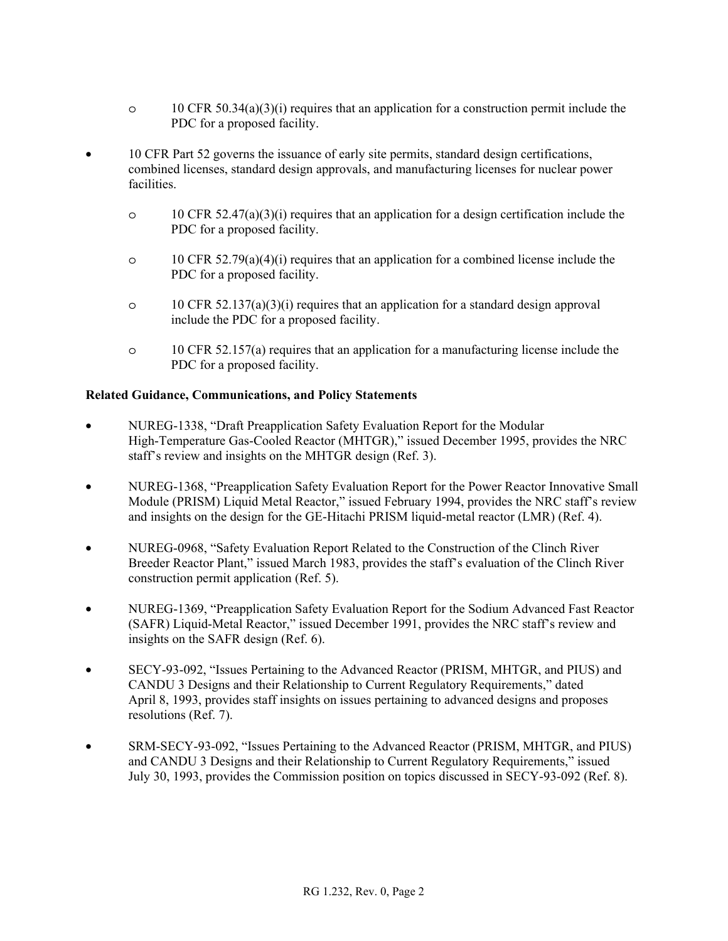- o 10 CFR 50.34(a)(3)(i) requires that an application for a construction permit include the PDC for a proposed facility.
- 10 CFR Part 52 governs the issuance of early site permits, standard design certifications, combined licenses, standard design approvals, and manufacturing licenses for nuclear power facilities.
	- o 10 CFR 52.47(a)(3)(i) requires that an application for a design certification include the PDC for a proposed facility.
	- $\circ$  10 CFR 52.79(a)(4)(i) requires that an application for a combined license include the PDC for a proposed facility.
	- $\circ$  10 CFR 52.137(a)(3)(i) requires that an application for a standard design approval include the PDC for a proposed facility.
	- o 10 CFR 52.157(a) requires that an application for a manufacturing license include the PDC for a proposed facility.

### **Related Guidance, Communications, and Policy Statements**

- NUREG-1338, "Draft Preapplication Safety Evaluation Report for the Modular High-Temperature Gas-Cooled Reactor (MHTGR)," issued December 1995, provides the NRC staff's review and insights on the MHTGR design (Ref. 3).
- NUREG-1368, "Preapplication Safety Evaluation Report for the Power Reactor Innovative Small Module (PRISM) Liquid Metal Reactor," issued February 1994, provides the NRC staff's review and insights on the design for the GE-Hitachi PRISM liquid-metal reactor (LMR) (Ref. 4).
- NUREG-0968, "Safety Evaluation Report Related to the Construction of the Clinch River Breeder Reactor Plant," issued March 1983, provides the staff's evaluation of the Clinch River construction permit application (Ref. 5).
- NUREG-1369, "Preapplication Safety Evaluation Report for the Sodium Advanced Fast Reactor (SAFR) Liquid-Metal Reactor," issued December 1991, provides the NRC staff's review and insights on the SAFR design (Ref. 6).
- SECY-93-092, "Issues Pertaining to the Advanced Reactor (PRISM, MHTGR, and PIUS) and CANDU 3 Designs and their Relationship to Current Regulatory Requirements," dated April 8, 1993, provides staff insights on issues pertaining to advanced designs and proposes resolutions (Ref. 7).
- SRM-SECY-93-092, "Issues Pertaining to the Advanced Reactor (PRISM, MHTGR, and PIUS) and CANDU 3 Designs and their Relationship to Current Regulatory Requirements," issued July 30, 1993, provides the Commission position on topics discussed in SECY-93-092 (Ref. 8).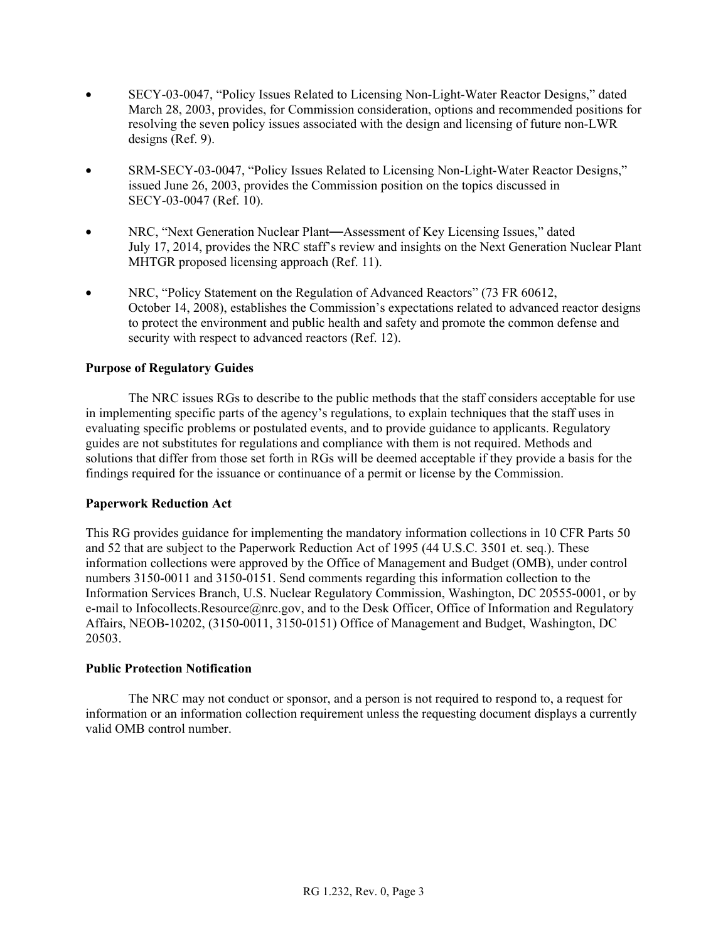- SECY-03-0047, "Policy Issues Related to Licensing Non-Light-Water Reactor Designs," dated March 28, 2003, provides, for Commission consideration, options and recommended positions for resolving the seven policy issues associated with the design and licensing of future non-LWR designs (Ref. 9).
- SRM-SECY-03-0047, "Policy Issues Related to Licensing Non-Light-Water Reactor Designs," issued June 26, 2003, provides the Commission position on the topics discussed in SECY-03-0047 (Ref. 10).
- NRC, "Next Generation Nuclear Plant—Assessment of Key Licensing Issues," dated July 17, 2014, provides the NRC staff's review and insights on the Next Generation Nuclear Plant MHTGR proposed licensing approach (Ref. 11).
- NRC, "Policy Statement on the Regulation of Advanced Reactors" (73 FR 60612, October 14, 2008), establishes the Commission's expectations related to advanced reactor designs to protect the environment and public health and safety and promote the common defense and security with respect to advanced reactors (Ref. 12).

### **Purpose of Regulatory Guides**

 The NRC issues RGs to describe to the public methods that the staff considers acceptable for use in implementing specific parts of the agency's regulations, to explain techniques that the staff uses in evaluating specific problems or postulated events, and to provide guidance to applicants. Regulatory guides are not substitutes for regulations and compliance with them is not required. Methods and solutions that differ from those set forth in RGs will be deemed acceptable if they provide a basis for the findings required for the issuance or continuance of a permit or license by the Commission.

### **Paperwork Reduction Act**

This RG provides guidance for implementing the mandatory information collections in 10 CFR Parts 50 and 52 that are subject to the Paperwork Reduction Act of 1995 (44 U.S.C. 3501 et. seq.). These information collections were approved by the Office of Management and Budget (OMB), under control numbers 3150-0011 and 3150-0151. Send comments regarding this information collection to the Information Services Branch, U.S. Nuclear Regulatory Commission, Washington, DC 20555-0001, or by e-mail to Infocollects.Resource@nrc.gov, and to the Desk Officer, Office of Information and Regulatory Affairs, NEOB-10202, (3150-0011, 3150-0151) Office of Management and Budget, Washington, DC 20503.

#### **Public Protection Notification**

The NRC may not conduct or sponsor, and a person is not required to respond to, a request for information or an information collection requirement unless the requesting document displays a currently valid OMB control number.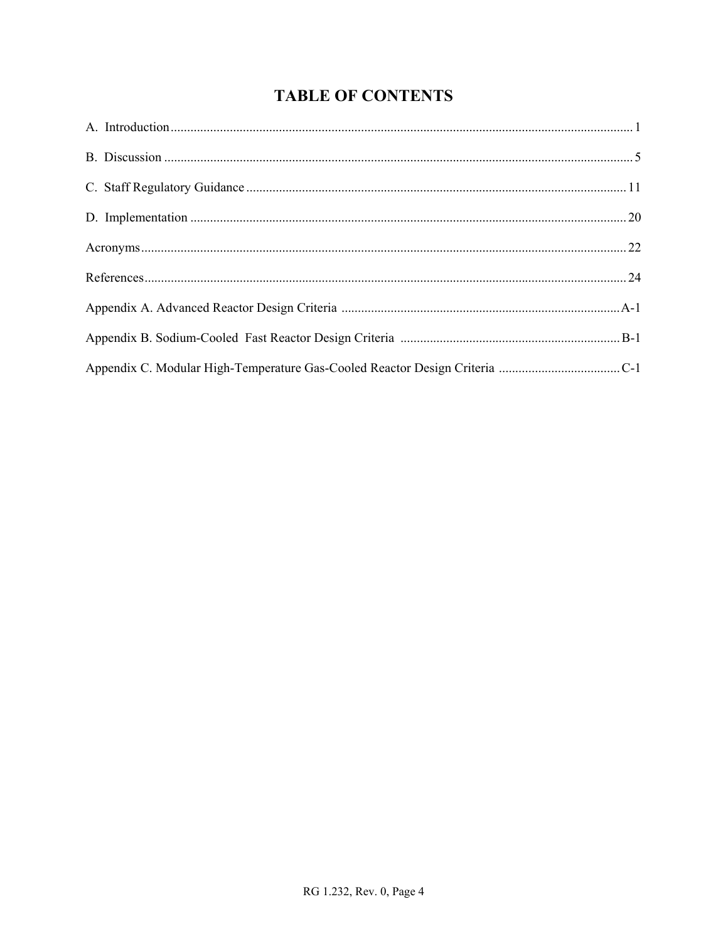# **TABLE OF CONTENTS**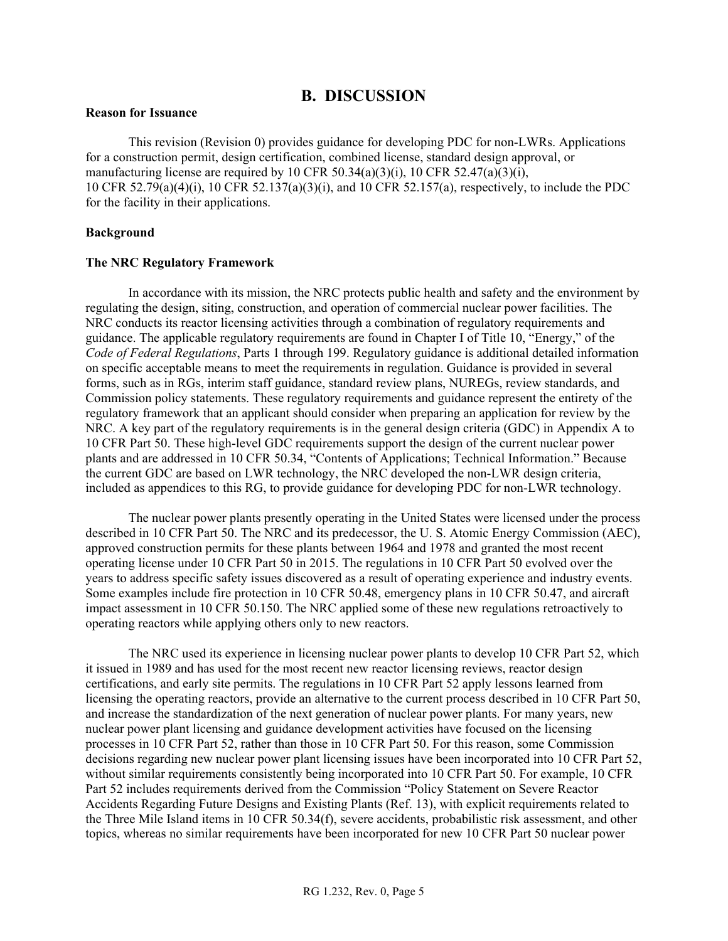### **B. DISCUSSION**

#### **Reason for Issuance**

This revision (Revision 0) provides guidance for developing PDC for non-LWRs. Applications for a construction permit, design certification, combined license, standard design approval, or manufacturing license are required by 10 CFR 50.34(a)(3)(i), 10 CFR 52.47(a)(3)(i), 10 CFR 52.79(a)(4)(i), 10 CFR 52.137(a)(3)(i), and 10 CFR 52.157(a), respectively, to include the PDC for the facility in their applications.

#### **Background**

#### **The NRC Regulatory Framework**

In accordance with its mission, the NRC protects public health and safety and the environment by regulating the design, siting, construction, and operation of commercial nuclear power facilities. The NRC conducts its reactor licensing activities through a combination of regulatory requirements and guidance. The applicable regulatory requirements are found in Chapter I of Title 10, "Energy," of the *Code of Federal Regulations*, Parts 1 through 199. Regulatory guidance is additional detailed information on specific acceptable means to meet the requirements in regulation. Guidance is provided in several forms, such as in RGs, interim staff guidance, standard review plans, NUREGs, review standards, and Commission policy statements. These regulatory requirements and guidance represent the entirety of the regulatory framework that an applicant should consider when preparing an application for review by the NRC. A key part of the regulatory requirements is in the general design criteria (GDC) in Appendix A to 10 CFR Part 50. These high-level GDC requirements support the design of the current nuclear power plants and are addressed in 10 CFR 50.34, "Contents of Applications; Technical Information." Because the current GDC are based on LWR technology, the NRC developed the non-LWR design criteria, included as appendices to this RG, to provide guidance for developing PDC for non-LWR technology.

The nuclear power plants presently operating in the United States were licensed under the process described in 10 CFR Part 50. The NRC and its predecessor, the U. S. Atomic Energy Commission (AEC), approved construction permits for these plants between 1964 and 1978 and granted the most recent operating license under 10 CFR Part 50 in 2015. The regulations in 10 CFR Part 50 evolved over the years to address specific safety issues discovered as a result of operating experience and industry events. Some examples include fire protection in 10 CFR 50.48, emergency plans in 10 CFR 50.47, and aircraft impact assessment in 10 CFR 50.150. The NRC applied some of these new regulations retroactively to operating reactors while applying others only to new reactors.

The NRC used its experience in licensing nuclear power plants to develop 10 CFR Part 52, which it issued in 1989 and has used for the most recent new reactor licensing reviews, reactor design certifications, and early site permits. The regulations in 10 CFR Part 52 apply lessons learned from licensing the operating reactors, provide an alternative to the current process described in 10 CFR Part 50, and increase the standardization of the next generation of nuclear power plants. For many years, new nuclear power plant licensing and guidance development activities have focused on the licensing processes in 10 CFR Part 52, rather than those in 10 CFR Part 50. For this reason, some Commission decisions regarding new nuclear power plant licensing issues have been incorporated into 10 CFR Part 52, without similar requirements consistently being incorporated into 10 CFR Part 50. For example, 10 CFR Part 52 includes requirements derived from the Commission "Policy Statement on Severe Reactor Accidents Regarding Future Designs and Existing Plants (Ref. 13), with explicit requirements related to the Three Mile Island items in 10 CFR 50.34(f), severe accidents, probabilistic risk assessment, and other topics, whereas no similar requirements have been incorporated for new 10 CFR Part 50 nuclear power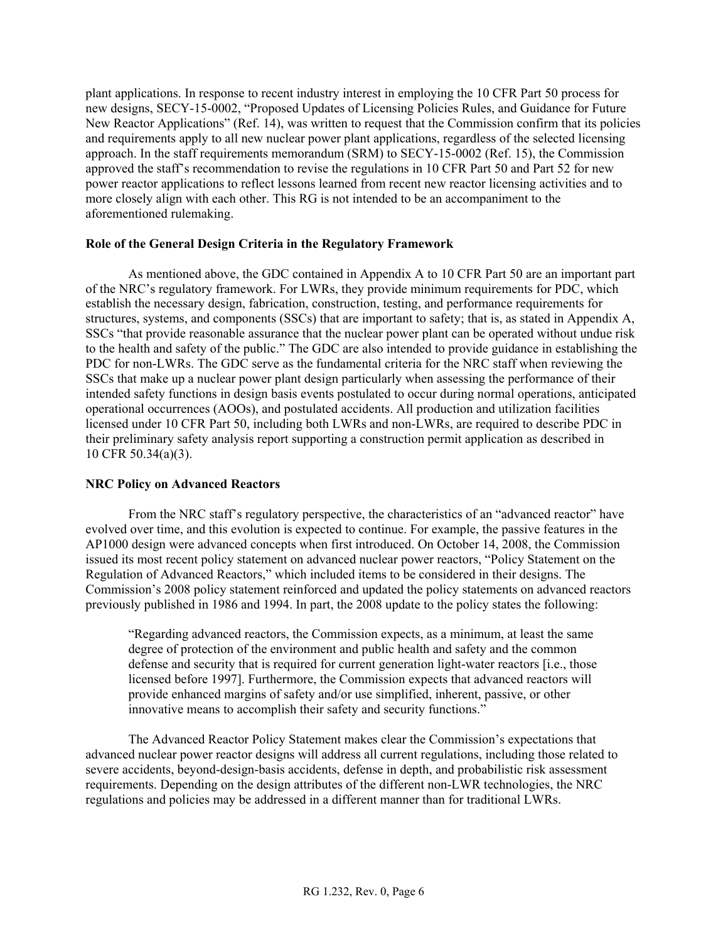plant applications. In response to recent industry interest in employing the 10 CFR Part 50 process for new designs, SECY-15-0002, "Proposed Updates of Licensing Policies Rules, and Guidance for Future New Reactor Applications" (Ref. 14), was written to request that the Commission confirm that its policies and requirements apply to all new nuclear power plant applications, regardless of the selected licensing approach. In the staff requirements memorandum (SRM) to SECY-15-0002 (Ref. 15), the Commission approved the staff's recommendation to revise the regulations in 10 CFR Part 50 and Part 52 for new power reactor applications to reflect lessons learned from recent new reactor licensing activities and to more closely align with each other. This RG is not intended to be an accompaniment to the aforementioned rulemaking.

#### **Role of the General Design Criteria in the Regulatory Framework**

As mentioned above, the GDC contained in Appendix A to 10 CFR Part 50 are an important part of the NRC's regulatory framework. For LWRs, they provide minimum requirements for PDC, which establish the necessary design, fabrication, construction, testing, and performance requirements for structures, systems, and components (SSCs) that are important to safety; that is, as stated in Appendix A, SSCs "that provide reasonable assurance that the nuclear power plant can be operated without undue risk to the health and safety of the public." The GDC are also intended to provide guidance in establishing the PDC for non-LWRs. The GDC serve as the fundamental criteria for the NRC staff when reviewing the SSCs that make up a nuclear power plant design particularly when assessing the performance of their intended safety functions in design basis events postulated to occur during normal operations, anticipated operational occurrences (AOOs), and postulated accidents. All production and utilization facilities licensed under 10 CFR Part 50, including both LWRs and non-LWRs, are required to describe PDC in their preliminary safety analysis report supporting a construction permit application as described in 10 CFR 50.34(a)(3).

### **NRC Policy on Advanced Reactors**

From the NRC staff's regulatory perspective, the characteristics of an "advanced reactor" have evolved over time, and this evolution is expected to continue. For example, the passive features in the AP1000 design were advanced concepts when first introduced. On October 14, 2008, the Commission issued its most recent policy statement on advanced nuclear power reactors, "Policy Statement on the Regulation of Advanced Reactors," which included items to be considered in their designs. The Commission's 2008 policy statement reinforced and updated the policy statements on advanced reactors previously published in 1986 and 1994. In part, the 2008 update to the policy states the following:

"Regarding advanced reactors, the Commission expects, as a minimum, at least the same degree of protection of the environment and public health and safety and the common defense and security that is required for current generation light-water reactors [i.e., those licensed before 1997]. Furthermore, the Commission expects that advanced reactors will provide enhanced margins of safety and/or use simplified, inherent, passive, or other innovative means to accomplish their safety and security functions."

The Advanced Reactor Policy Statement makes clear the Commission's expectations that advanced nuclear power reactor designs will address all current regulations, including those related to severe accidents, beyond-design-basis accidents, defense in depth, and probabilistic risk assessment requirements. Depending on the design attributes of the different non-LWR technologies, the NRC regulations and policies may be addressed in a different manner than for traditional LWRs.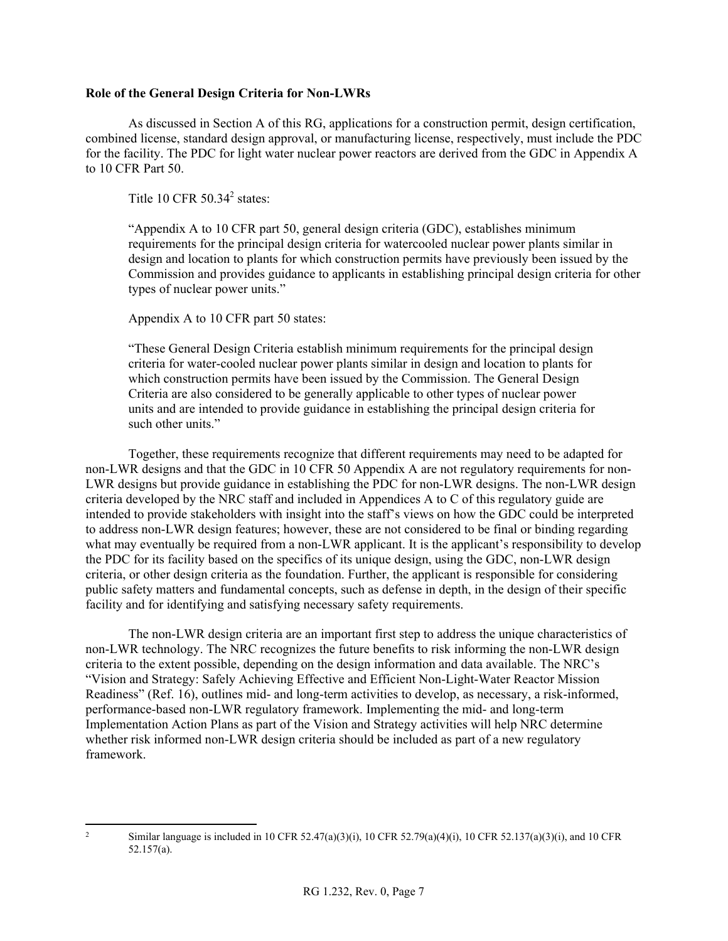#### **Role of the General Design Criteria for Non-LWRs**

As discussed in Section A of this RG, applications for a construction permit, design certification, combined license, standard design approval, or manufacturing license, respectively, must include the PDC for the facility. The PDC for light water nuclear power reactors are derived from the GDC in Appendix A to 10 CFR Part 50.

Title 10 CFR  $50.34<sup>2</sup>$  states:

"Appendix A to 10 CFR part 50, general design criteria (GDC), establishes minimum requirements for the principal design criteria for watercooled nuclear power plants similar in design and location to plants for which construction permits have previously been issued by the Commission and provides guidance to applicants in establishing principal design criteria for other types of nuclear power units."

Appendix A to 10 CFR part 50 states:

"These General Design Criteria establish minimum requirements for the principal design criteria for water-cooled nuclear power plants similar in design and location to plants for which construction permits have been issued by the Commission. The General Design Criteria are also considered to be generally applicable to other types of nuclear power units and are intended to provide guidance in establishing the principal design criteria for such other units."

Together, these requirements recognize that different requirements may need to be adapted for non-LWR designs and that the GDC in 10 CFR 50 Appendix A are not regulatory requirements for non-LWR designs but provide guidance in establishing the PDC for non-LWR designs. The non-LWR design criteria developed by the NRC staff and included in Appendices A to C of this regulatory guide are intended to provide stakeholders with insight into the staff's views on how the GDC could be interpreted to address non-LWR design features; however, these are not considered to be final or binding regarding what may eventually be required from a non-LWR applicant. It is the applicant's responsibility to develop the PDC for its facility based on the specifics of its unique design, using the GDC, non-LWR design criteria, or other design criteria as the foundation. Further, the applicant is responsible for considering public safety matters and fundamental concepts, such as defense in depth, in the design of their specific facility and for identifying and satisfying necessary safety requirements.

The non-LWR design criteria are an important first step to address the unique characteristics of non-LWR technology. The NRC recognizes the future benefits to risk informing the non-LWR design criteria to the extent possible, depending on the design information and data available. The NRC's "Vision and Strategy: Safely Achieving Effective and Efficient Non-Light-Water Reactor Mission Readiness" (Ref. 16), outlines mid- and long-term activities to develop, as necessary, a risk-informed, performance-based non-LWR regulatory framework. Implementing the mid- and long-term Implementation Action Plans as part of the Vision and Strategy activities will help NRC determine whether risk informed non-LWR design criteria should be included as part of a new regulatory framework.

 $\overline{2}$ 2 Similar language is included in 10 CFR 52.47(a)(3)(i), 10 CFR 52.79(a)(4)(i), 10 CFR 52.137(a)(3)(i), and 10 CFR 52.157(a).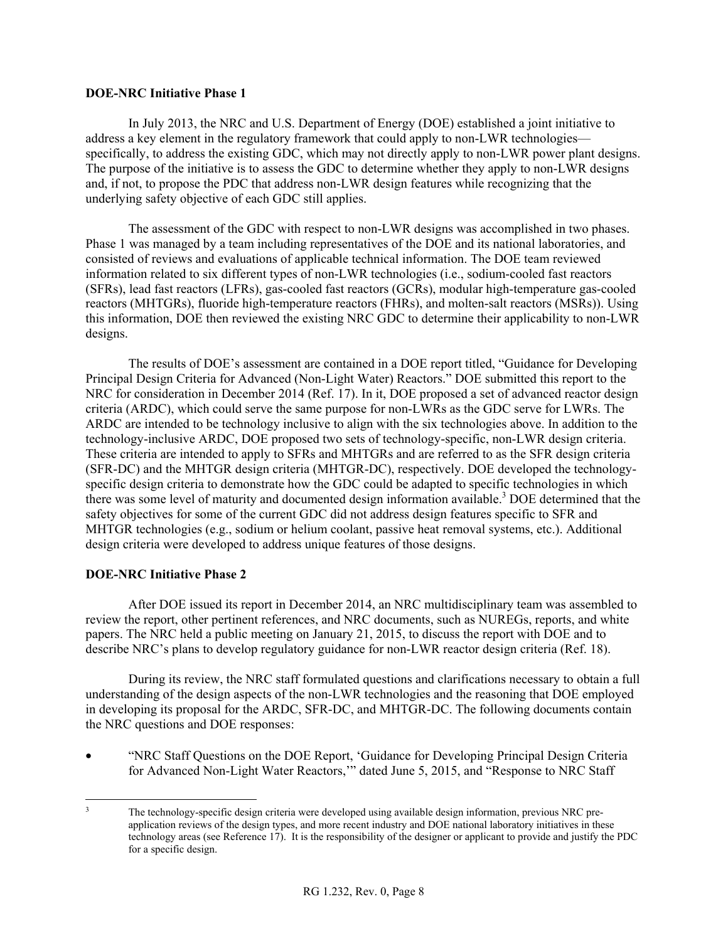#### **DOE-NRC Initiative Phase 1**

In July 2013, the NRC and U.S. Department of Energy (DOE) established a joint initiative to address a key element in the regulatory framework that could apply to non-LWR technologies specifically, to address the existing GDC, which may not directly apply to non-LWR power plant designs. The purpose of the initiative is to assess the GDC to determine whether they apply to non-LWR designs and, if not, to propose the PDC that address non-LWR design features while recognizing that the underlying safety objective of each GDC still applies.

The assessment of the GDC with respect to non-LWR designs was accomplished in two phases. Phase 1 was managed by a team including representatives of the DOE and its national laboratories, and consisted of reviews and evaluations of applicable technical information. The DOE team reviewed information related to six different types of non-LWR technologies (i.e., sodium-cooled fast reactors (SFRs), lead fast reactors (LFRs), gas-cooled fast reactors (GCRs), modular high-temperature gas-cooled reactors (MHTGRs), fluoride high-temperature reactors (FHRs), and molten-salt reactors (MSRs)). Using this information, DOE then reviewed the existing NRC GDC to determine their applicability to non-LWR designs.

The results of DOE's assessment are contained in a DOE report titled, "Guidance for Developing Principal Design Criteria for Advanced (Non-Light Water) Reactors." DOE submitted this report to the NRC for consideration in December 2014 (Ref. 17). In it, DOE proposed a set of advanced reactor design criteria (ARDC), which could serve the same purpose for non-LWRs as the GDC serve for LWRs. The ARDC are intended to be technology inclusive to align with the six technologies above. In addition to the technology-inclusive ARDC, DOE proposed two sets of technology-specific, non-LWR design criteria. These criteria are intended to apply to SFRs and MHTGRs and are referred to as the SFR design criteria (SFR-DC) and the MHTGR design criteria (MHTGR-DC), respectively. DOE developed the technologyspecific design criteria to demonstrate how the GDC could be adapted to specific technologies in which there was some level of maturity and documented design information available.<sup>3</sup> DOE determined that the safety objectives for some of the current GDC did not address design features specific to SFR and MHTGR technologies (e.g., sodium or helium coolant, passive heat removal systems, etc.). Additional design criteria were developed to address unique features of those designs.

#### **DOE-NRC Initiative Phase 2**

After DOE issued its report in December 2014, an NRC multidisciplinary team was assembled to review the report, other pertinent references, and NRC documents, such as NUREGs, reports, and white papers. The NRC held a public meeting on January 21, 2015, to discuss the report with DOE and to describe NRC's plans to develop regulatory guidance for non-LWR reactor design criteria (Ref. 18).

During its review, the NRC staff formulated questions and clarifications necessary to obtain a full understanding of the design aspects of the non-LWR technologies and the reasoning that DOE employed in developing its proposal for the ARDC, SFR-DC, and MHTGR-DC. The following documents contain the NRC questions and DOE responses:

• "NRC Staff Questions on the DOE Report, 'Guidance for Developing Principal Design Criteria for Advanced Non-Light Water Reactors,'" dated June 5, 2015, and "Response to NRC Staff

 $\overline{a}$ The technology-specific design criteria were developed using available design information, previous NRC preapplication reviews of the design types, and more recent industry and DOE national laboratory initiatives in these technology areas (see Reference 17). It is the responsibility of the designer or applicant to provide and justify the PDC for a specific design.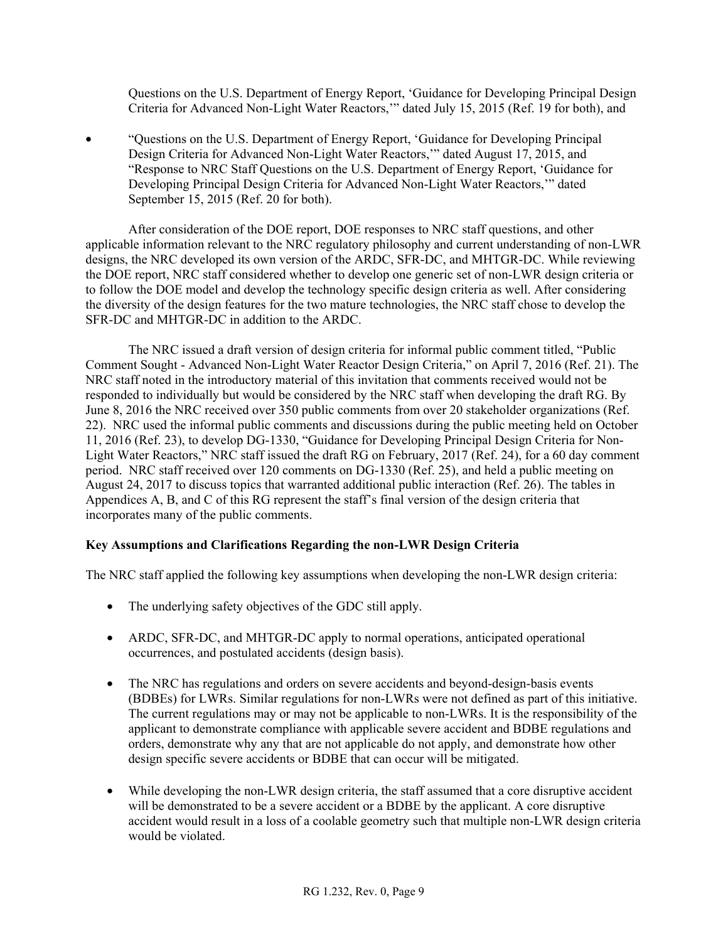Questions on the U.S. Department of Energy Report, 'Guidance for Developing Principal Design Criteria for Advanced Non-Light Water Reactors,'" dated July 15, 2015 (Ref. 19 for both), and

• "Questions on the U.S. Department of Energy Report, 'Guidance for Developing Principal Design Criteria for Advanced Non-Light Water Reactors,'" dated August 17, 2015, and "Response to NRC Staff Questions on the U.S. Department of Energy Report, 'Guidance for Developing Principal Design Criteria for Advanced Non-Light Water Reactors,'" dated September 15, 2015 (Ref. 20 for both).

After consideration of the DOE report, DOE responses to NRC staff questions, and other applicable information relevant to the NRC regulatory philosophy and current understanding of non-LWR designs, the NRC developed its own version of the ARDC, SFR-DC, and MHTGR-DC. While reviewing the DOE report, NRC staff considered whether to develop one generic set of non-LWR design criteria or to follow the DOE model and develop the technology specific design criteria as well. After considering the diversity of the design features for the two mature technologies, the NRC staff chose to develop the SFR-DC and MHTGR-DC in addition to the ARDC.

The NRC issued a draft version of design criteria for informal public comment titled, "Public Comment Sought - Advanced Non-Light Water Reactor Design Criteria," on April 7, 2016 (Ref. 21). The NRC staff noted in the introductory material of this invitation that comments received would not be responded to individually but would be considered by the NRC staff when developing the draft RG. By June 8, 2016 the NRC received over 350 public comments from over 20 stakeholder organizations (Ref. 22). NRC used the informal public comments and discussions during the public meeting held on October 11, 2016 (Ref. 23), to develop DG-1330, "Guidance for Developing Principal Design Criteria for Non-Light Water Reactors," NRC staff issued the draft RG on February, 2017 (Ref. 24), for a 60 day comment period. NRC staff received over 120 comments on DG-1330 (Ref. 25), and held a public meeting on August 24, 2017 to discuss topics that warranted additional public interaction (Ref. 26). The tables in Appendices A, B, and C of this RG represent the staff's final version of the design criteria that incorporates many of the public comments.

### **Key Assumptions and Clarifications Regarding the non-LWR Design Criteria**

The NRC staff applied the following key assumptions when developing the non-LWR design criteria:

- The underlying safety objectives of the GDC still apply.
- ARDC, SFR-DC, and MHTGR-DC apply to normal operations, anticipated operational occurrences, and postulated accidents (design basis).
- The NRC has regulations and orders on severe accidents and beyond-design-basis events (BDBEs) for LWRs. Similar regulations for non-LWRs were not defined as part of this initiative. The current regulations may or may not be applicable to non-LWRs. It is the responsibility of the applicant to demonstrate compliance with applicable severe accident and BDBE regulations and orders, demonstrate why any that are not applicable do not apply, and demonstrate how other design specific severe accidents or BDBE that can occur will be mitigated.
- While developing the non-LWR design criteria, the staff assumed that a core disruptive accident will be demonstrated to be a severe accident or a BDBE by the applicant. A core disruptive accident would result in a loss of a coolable geometry such that multiple non-LWR design criteria would be violated.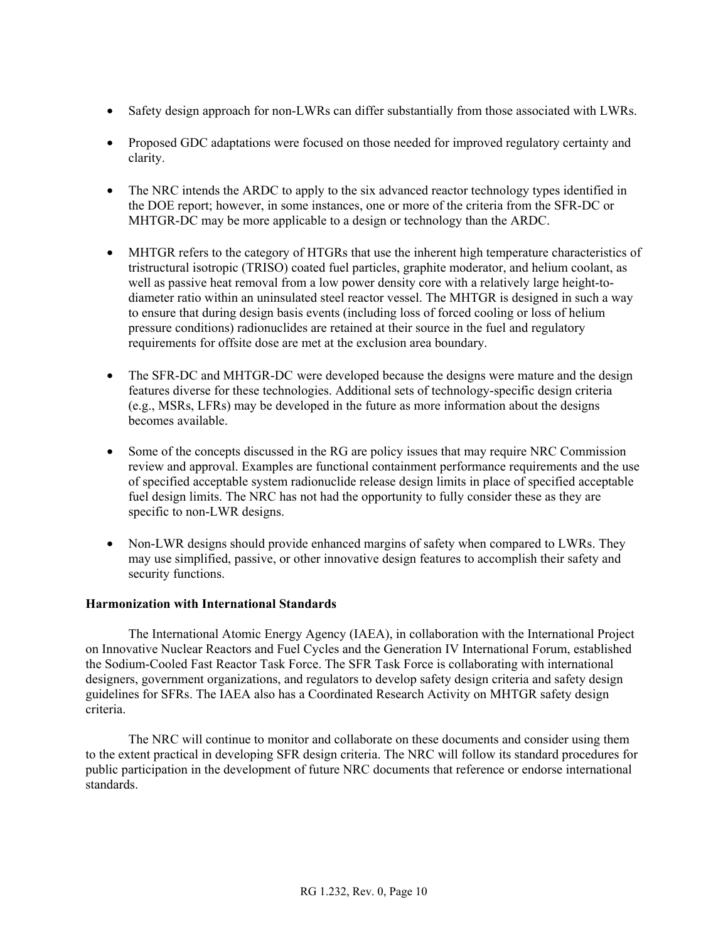- Safety design approach for non-LWRs can differ substantially from those associated with LWRs.
- Proposed GDC adaptations were focused on those needed for improved regulatory certainty and clarity.
- The NRC intends the ARDC to apply to the six advanced reactor technology types identified in the DOE report; however, in some instances, one or more of the criteria from the SFR-DC or MHTGR-DC may be more applicable to a design or technology than the ARDC.
- MHTGR refers to the category of HTGRs that use the inherent high temperature characteristics of tristructural isotropic (TRISO) coated fuel particles, graphite moderator, and helium coolant, as well as passive heat removal from a low power density core with a relatively large height-todiameter ratio within an uninsulated steel reactor vessel. The MHTGR is designed in such a way to ensure that during design basis events (including loss of forced cooling or loss of helium pressure conditions) radionuclides are retained at their source in the fuel and regulatory requirements for offsite dose are met at the exclusion area boundary.
- The SFR-DC and MHTGR-DC were developed because the designs were mature and the design features diverse for these technologies. Additional sets of technology-specific design criteria (e.g., MSRs, LFRs) may be developed in the future as more information about the designs becomes available.
- Some of the concepts discussed in the RG are policy issues that may require NRC Commission review and approval. Examples are functional containment performance requirements and the use of specified acceptable system radionuclide release design limits in place of specified acceptable fuel design limits. The NRC has not had the opportunity to fully consider these as they are specific to non-LWR designs.
- Non-LWR designs should provide enhanced margins of safety when compared to LWRs. They may use simplified, passive, or other innovative design features to accomplish their safety and security functions.

### **Harmonization with International Standards**

The International Atomic Energy Agency (IAEA), in collaboration with the International Project on Innovative Nuclear Reactors and Fuel Cycles and the Generation IV International Forum, established the Sodium-Cooled Fast Reactor Task Force. The SFR Task Force is collaborating with international designers, government organizations, and regulators to develop safety design criteria and safety design guidelines for SFRs. The IAEA also has a Coordinated Research Activity on MHTGR safety design criteria.

The NRC will continue to monitor and collaborate on these documents and consider using them to the extent practical in developing SFR design criteria. The NRC will follow its standard procedures for public participation in the development of future NRC documents that reference or endorse international standards.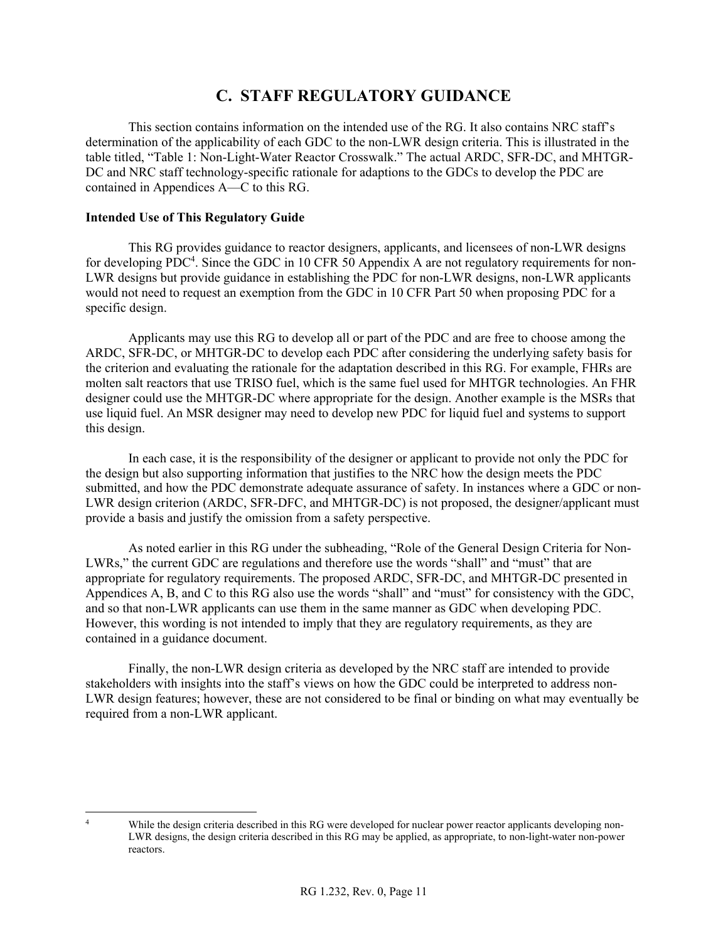### **C. STAFF REGULATORY GUIDANCE**

This section contains information on the intended use of the RG. It also contains NRC staff's determination of the applicability of each GDC to the non-LWR design criteria. This is illustrated in the table titled, "Table 1: Non-Light-Water Reactor Crosswalk." The actual ARDC, SFR-DC, and MHTGR-DC and NRC staff technology-specific rationale for adaptions to the GDCs to develop the PDC are contained in Appendices A—C to this RG.

### **Intended Use of This Regulatory Guide**

This RG provides guidance to reactor designers, applicants, and licensees of non-LWR designs for developing PDC<sup>4</sup>. Since the GDC in 10 CFR 50 Appendix A are not regulatory requirements for non-LWR designs but provide guidance in establishing the PDC for non-LWR designs, non-LWR applicants would not need to request an exemption from the GDC in 10 CFR Part 50 when proposing PDC for a specific design.

Applicants may use this RG to develop all or part of the PDC and are free to choose among the ARDC, SFR-DC, or MHTGR-DC to develop each PDC after considering the underlying safety basis for the criterion and evaluating the rationale for the adaptation described in this RG. For example, FHRs are molten salt reactors that use TRISO fuel, which is the same fuel used for MHTGR technologies. An FHR designer could use the MHTGR-DC where appropriate for the design. Another example is the MSRs that use liquid fuel. An MSR designer may need to develop new PDC for liquid fuel and systems to support this design.

In each case, it is the responsibility of the designer or applicant to provide not only the PDC for the design but also supporting information that justifies to the NRC how the design meets the PDC submitted, and how the PDC demonstrate adequate assurance of safety. In instances where a GDC or non-LWR design criterion (ARDC, SFR-DFC, and MHTGR-DC) is not proposed, the designer/applicant must provide a basis and justify the omission from a safety perspective.

As noted earlier in this RG under the subheading, "Role of the General Design Criteria for Non-LWRs," the current GDC are regulations and therefore use the words "shall" and "must" that are appropriate for regulatory requirements. The proposed ARDC, SFR-DC, and MHTGR-DC presented in Appendices A, B, and C to this RG also use the words "shall" and "must" for consistency with the GDC, and so that non-LWR applicants can use them in the same manner as GDC when developing PDC. However, this wording is not intended to imply that they are regulatory requirements, as they are contained in a guidance document.

Finally, the non-LWR design criteria as developed by the NRC staff are intended to provide stakeholders with insights into the staff's views on how the GDC could be interpreted to address non-LWR design features; however, these are not considered to be final or binding on what may eventually be required from a non-LWR applicant.

 $\frac{1}{4}$ While the design criteria described in this RG were developed for nuclear power reactor applicants developing non-LWR designs, the design criteria described in this RG may be applied, as appropriate, to non-light-water non-power reactors.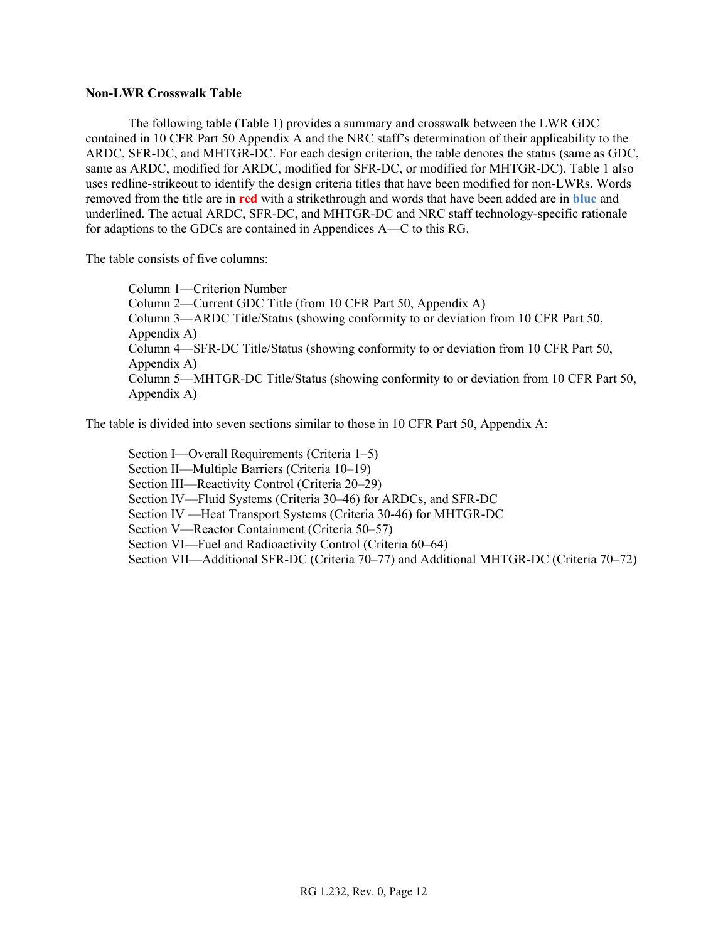#### **Non-LWR Crosswalk Table**

 The following table (Table 1) provides a summary and crosswalk between the LWR GDC contained in 10 CFR Part 50 Appendix A and the NRC staff's determination of their applicability to the ARDC, SFR-DC, and MHTGR-DC. For each design criterion, the table denotes the status (same as GDC, same as ARDC, modified for ARDC, modified for SFR-DC, or modified for MHTGR-DC). Table 1 also uses redline-strikeout to identify the design criteria titles that have been modified for non-LWRs. Words removed from the title are in **red** with a strikethrough and words that have been added are in **blue** and underlined. The actual ARDC, SFR-DC, and MHTGR-DC and NRC staff technology-specific rationale for adaptions to the GDCs are contained in Appendices A—C to this RG.

The table consists of five columns:

Column 1—Criterion Number Column 2—Current GDC Title (from 10 CFR Part 50, Appendix A) Column 3—ARDC Title/Status (showing conformity to or deviation from 10 CFR Part 50, Appendix A**)**  Column 4—SFR-DC Title/Status (showing conformity to or deviation from 10 CFR Part 50, Appendix A**)**  Column 5—MHTGR-DC Title/Status (showing conformity to or deviation from 10 CFR Part 50, Appendix A**)** 

The table is divided into seven sections similar to those in 10 CFR Part 50, Appendix A:

Section I—Overall Requirements (Criteria 1–5) Section II—Multiple Barriers (Criteria 10–19) Section III—Reactivity Control (Criteria 20–29) Section IV—Fluid Systems (Criteria 30–46) for ARDCs, and SFR-DC Section IV —Heat Transport Systems (Criteria 30-46) for MHTGR-DC Section V—Reactor Containment (Criteria 50–57) Section VI—Fuel and Radioactivity Control (Criteria 60–64) Section VII—Additional SFR-DC (Criteria 70–77) and Additional MHTGR-DC (Criteria 70–72)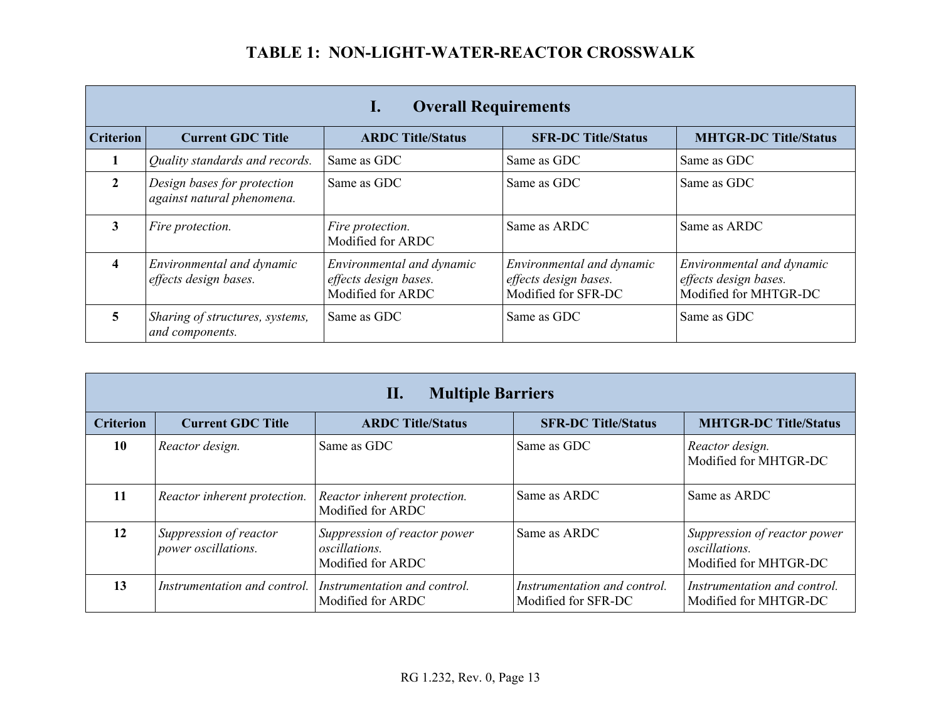|                  | <b>Overall Requirements</b><br>Ι.                         |                                                                         |                                                                           |                                                                             |
|------------------|-----------------------------------------------------------|-------------------------------------------------------------------------|---------------------------------------------------------------------------|-----------------------------------------------------------------------------|
| <b>Criterion</b> | <b>Current GDC Title</b>                                  | <b>ARDC Title/Status</b>                                                | <b>SFR-DC Title/Status</b>                                                | <b>MHTGR-DC Title/Status</b>                                                |
|                  | Quality standards and records.                            | Same as GDC                                                             | Same as GDC                                                               | Same as GDC                                                                 |
| $\mathbf{2}$     | Design bases for protection<br>against natural phenomena. | Same as GDC                                                             | Same as GDC                                                               | Same as GDC                                                                 |
| 3                | Fire protection.                                          | Fire protection.<br>Modified for ARDC                                   | Same as ARDC                                                              | Same as ARDC                                                                |
| 4                | Environmental and dynamic<br>effects design bases.        | Environmental and dynamic<br>effects design bases.<br>Modified for ARDC | Environmental and dynamic<br>effects design bases.<br>Modified for SFR-DC | Environmental and dynamic<br>effects design bases.<br>Modified for MHTGR-DC |
| 5.               | Sharing of structures, systems,<br>and components.        | Same as GDC                                                             | Same as GDC                                                               | Same as GDC                                                                 |

|                  | $\Pi$ .<br><b>Multiple Barriers</b>           |                                                                           |                                                     |                                                                               |
|------------------|-----------------------------------------------|---------------------------------------------------------------------------|-----------------------------------------------------|-------------------------------------------------------------------------------|
| <b>Criterion</b> | <b>Current GDC Title</b>                      | <b>ARDC Title/Status</b>                                                  | <b>SFR-DC Title/Status</b>                          | <b>MHTGR-DC Title/Status</b>                                                  |
| 10               | Reactor design.                               | Same as GDC                                                               | Same as GDC                                         | Reactor design.<br>Modified for MHTGR-DC                                      |
| 11               | Reactor inherent protection.                  | Reactor inherent protection.<br>Modified for ARDC                         | Same as ARDC                                        | Same as ARDC                                                                  |
| 12               | Suppression of reactor<br>power oscillations. | Suppression of reactor power<br><i>oscillations.</i><br>Modified for ARDC | Same as ARDC                                        | Suppression of reactor power<br><i>oscillations.</i><br>Modified for MHTGR-DC |
| 13               | Instrumentation and control.                  | Instrumentation and control.<br>Modified for ARDC                         | Instrumentation and control.<br>Modified for SFR-DC | Instrumentation and control.<br>Modified for MHTGR-DC                         |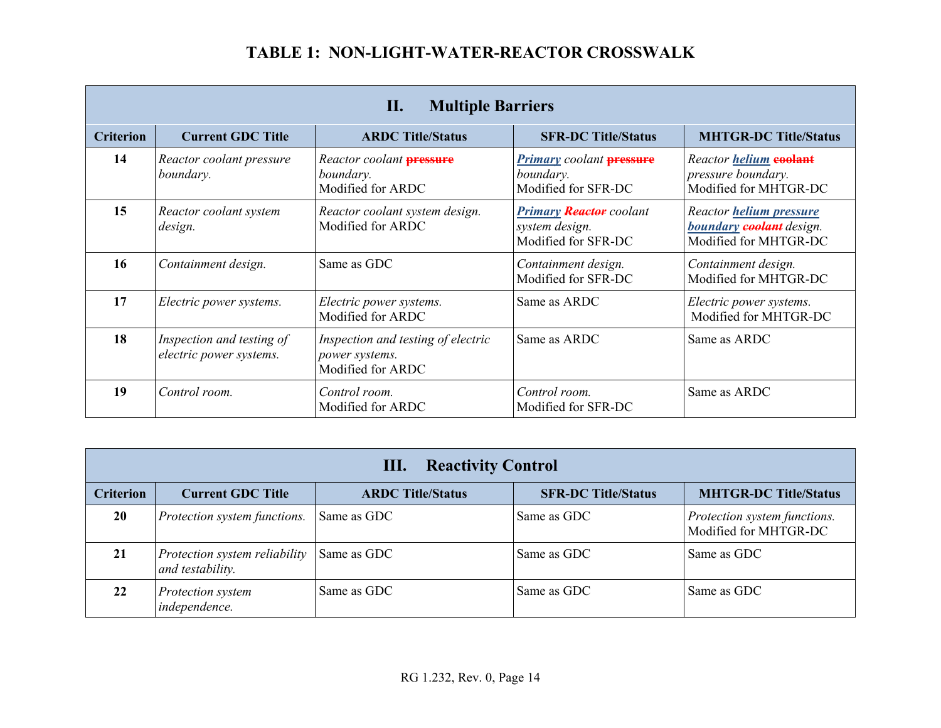|                  | <b>Multiple Barriers</b><br>П.                       |                                                                           |                                                                            |                                                                                     |
|------------------|------------------------------------------------------|---------------------------------------------------------------------------|----------------------------------------------------------------------------|-------------------------------------------------------------------------------------|
| <b>Criterion</b> | <b>Current GDC Title</b>                             | <b>ARDC Title/Status</b>                                                  | <b>SFR-DC Title/Status</b>                                                 | <b>MHTGR-DC Title/Status</b>                                                        |
| 14               | Reactor coolant pressure<br>boundary.                | Reactor coolant <b>pressure</b><br>boundary.<br>Modified for ARDC         | <b>Primary</b> coolant <b>pressure</b><br>boundary.<br>Modified for SFR-DC | Reactor helium coolant<br>pressure boundary.<br>Modified for MHTGR-DC               |
| 15               | Reactor coolant system<br>design.                    | Reactor coolant system design.<br>Modified for ARDC                       | Primary Reactor coolant<br>system design.<br>Modified for SFR-DC           | Reactor helium pressure<br>boundary <b>coolant</b> design.<br>Modified for MHTGR-DC |
| 16               | Containment design.                                  | Same as GDC                                                               | Containment design.<br>Modified for SFR-DC                                 | Containment design.<br>Modified for MHTGR-DC                                        |
| 17               | Electric power systems.                              | Electric power systems.<br>Modified for ARDC                              | Same as ARDC                                                               | Electric power systems.<br>Modified for MHTGR-DC                                    |
| 18               | Inspection and testing of<br>electric power systems. | Inspection and testing of electric<br>power systems.<br>Modified for ARDC | Same as ARDC                                                               | Same as ARDC                                                                        |
| 19               | Control room.                                        | Control room.<br>Modified for ARDC                                        | Control room.<br>Modified for SFR-DC                                       | Same as ARDC                                                                        |

|                  | <b>Reactivity Control</b><br>Ш.                   |                          |                            |                                                       |
|------------------|---------------------------------------------------|--------------------------|----------------------------|-------------------------------------------------------|
| <b>Criterion</b> | <b>Current GDC Title</b>                          | <b>ARDC Title/Status</b> | <b>SFR-DC Title/Status</b> | <b>MHTGR-DC Title/Status</b>                          |
| 20               | Protection system functions.                      | Same as GDC              | Same as GDC                | Protection system functions.<br>Modified for MHTGR-DC |
| 21               | Protection system reliability<br>and testability. | Same as GDC              | Same as GDC                | Same as GDC                                           |
| 22               | Protection system<br>independence.                | Same as GDC              | Same as GDC                | Same as GDC                                           |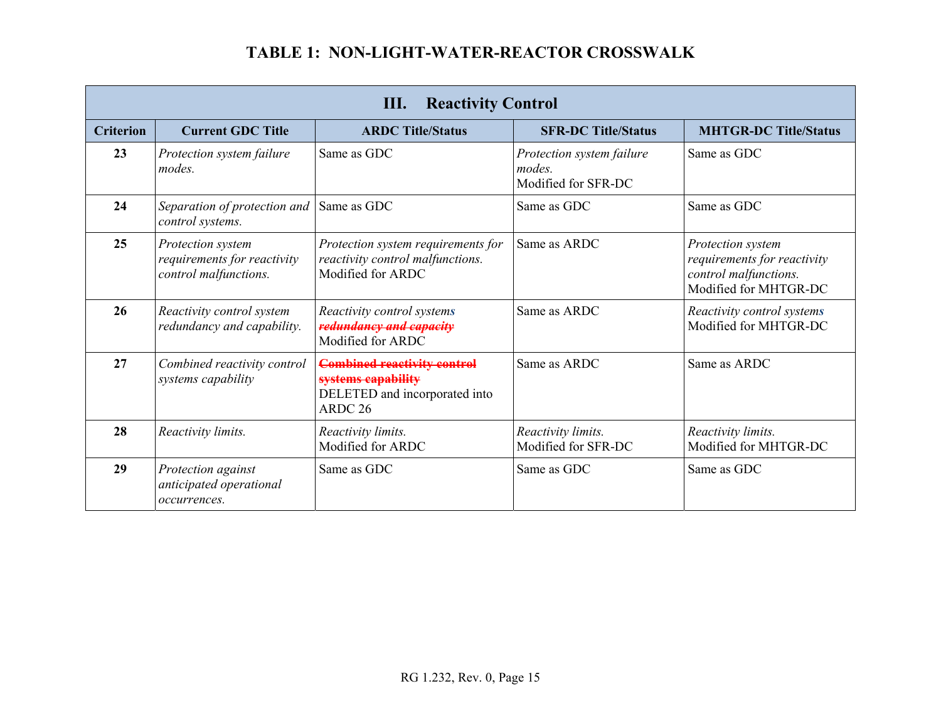|                  | Ш.<br><b>Reactivity Control</b>                                           |                                                                                                                 |                                                            |                                                                                                    |
|------------------|---------------------------------------------------------------------------|-----------------------------------------------------------------------------------------------------------------|------------------------------------------------------------|----------------------------------------------------------------------------------------------------|
| <b>Criterion</b> | <b>Current GDC Title</b>                                                  | <b>ARDC Title/Status</b>                                                                                        | <b>SFR-DC Title/Status</b>                                 | <b>MHTGR-DC Title/Status</b>                                                                       |
| 23               | Protection system failure<br>modes.                                       | Same as GDC                                                                                                     | Protection system failure<br>modes.<br>Modified for SFR-DC | Same as GDC                                                                                        |
| 24               | Separation of protection and<br>control systems.                          | Same as GDC                                                                                                     | Same as GDC                                                | Same as GDC                                                                                        |
| 25               | Protection system<br>requirements for reactivity<br>control malfunctions. | Protection system requirements for<br>reactivity control malfunctions.<br>Modified for ARDC                     | Same as ARDC                                               | Protection system<br>requirements for reactivity<br>control malfunctions.<br>Modified for MHTGR-DC |
| 26               | Reactivity control system<br>redundancy and capability.                   | Reactivity control systems<br>redundancy and capacity<br>Modified for ARDC                                      | Same as ARDC                                               | Reactivity control systems<br>Modified for MHTGR-DC                                                |
| 27               | Combined reactivity control<br>systems capability                         | <b>Combined reactivity control</b><br>systems capability<br>DELETED and incorporated into<br>ARDC <sub>26</sub> | Same as ARDC                                               | Same as ARDC                                                                                       |
| 28               | Reactivity limits.                                                        | Reactivity limits.<br>Modified for ARDC                                                                         | Reactivity limits.<br>Modified for SFR-DC                  | Reactivity limits.<br>Modified for MHTGR-DC                                                        |
| 29               | Protection against<br>anticipated operational<br>occurrences.             | Same as GDC                                                                                                     | Same as GDC                                                | Same as GDC                                                                                        |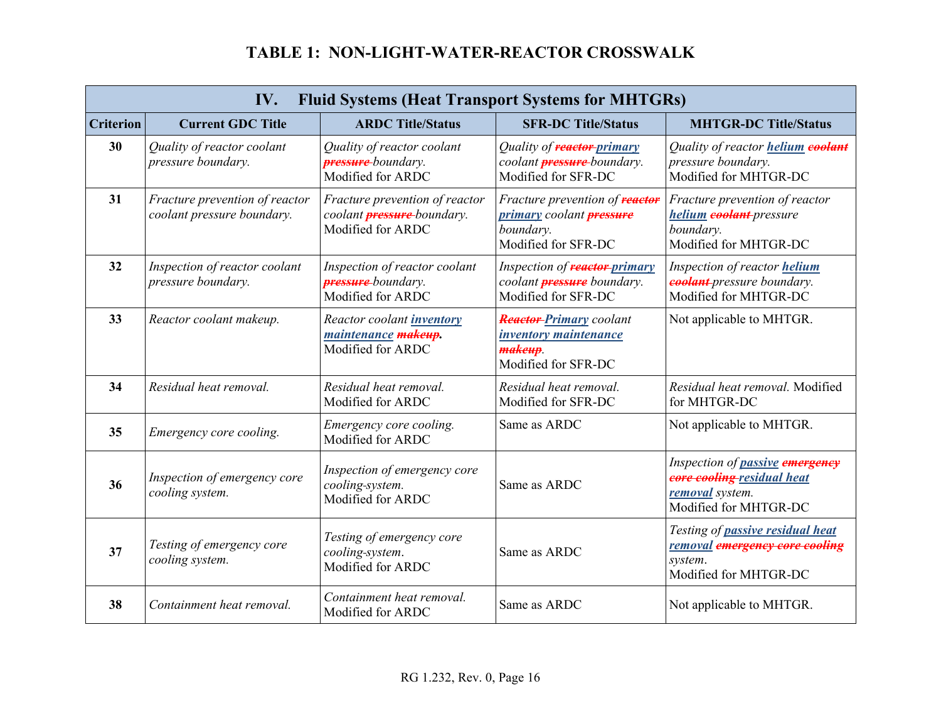|                  | IV.<br><b>Fluid Systems (Heat Transport Systems for MHTGRs)</b> |                                                                                          |                                                                                                              |                                                                                                           |
|------------------|-----------------------------------------------------------------|------------------------------------------------------------------------------------------|--------------------------------------------------------------------------------------------------------------|-----------------------------------------------------------------------------------------------------------|
| <b>Criterion</b> | <b>Current GDC Title</b>                                        | <b>ARDC Title/Status</b>                                                                 | <b>SFR-DC Title/Status</b>                                                                                   | <b>MHTGR-DC Title/Status</b>                                                                              |
| 30               | Quality of reactor coolant<br>pressure boundary.                | Quality of reactor coolant<br><b>pressure</b> -boundary.<br>Modified for ARDC            | Quality of reactor-primary<br>coolant <b>pressure</b> -boundary.<br>Modified for SFR-DC                      | Quality of reactor helium coolant<br>pressure boundary.<br>Modified for MHTGR-DC                          |
| 31               | Fracture prevention of reactor<br>coolant pressure boundary.    | Fracture prevention of reactor<br>coolant <b>pressure</b> boundary.<br>Modified for ARDC | Fracture prevention of <b>reactor</b><br>primary coolant <b>pressure</b><br>boundary.<br>Modified for SFR-DC | Fracture prevention of reactor<br>helium coolant-pressure<br>boundary.<br>Modified for MHTGR-DC           |
| 32               | Inspection of reactor coolant<br>pressure boundary.             | Inspection of reactor coolant<br><b>pressure</b> -boundary.<br>Modified for ARDC         | Inspection of <b>reactor</b> -primary<br>coolant <b>pressure</b> boundary.<br>Modified for SFR-DC            | Inspection of reactor helium<br>coolant-pressure boundary.<br>Modified for MHTGR-DC                       |
| 33               | Reactor coolant makeup.                                         | Reactor coolant <i>inventory</i><br>maintenance makeup.<br>Modified for ARDC             | <b>Reactor-Primary coolant</b><br><i>inventory maintenance</i><br>makeup.<br>Modified for SFR-DC             | Not applicable to MHTGR.                                                                                  |
| 34               | Residual heat removal.                                          | Residual heat removal.<br>Modified for ARDC                                              | Residual heat removal.<br>Modified for SFR-DC                                                                | Residual heat removal. Modified<br>for MHTGR-DC                                                           |
| 35               | Emergency core cooling.                                         | Emergency core cooling.<br>Modified for ARDC                                             | Same as ARDC                                                                                                 | Not applicable to MHTGR.                                                                                  |
| 36               | Inspection of emergency core<br>cooling system.                 | Inspection of emergency core<br>cooling-system.<br>Modified for ARDC                     | Same as ARDC                                                                                                 | Inspection of passive emergency<br>core cooling residual heat<br>removal system.<br>Modified for MHTGR-DC |
| 37               | Testing of emergency core<br>cooling system.                    | Testing of emergency core<br>cooling-system.<br>Modified for ARDC                        | Same as ARDC                                                                                                 | Testing of passive residual heat<br>removal emergency core cooling<br>system.<br>Modified for MHTGR-DC    |
| 38               | Containment heat removal.                                       | Containment heat removal.<br>Modified for ARDC                                           | Same as ARDC                                                                                                 | Not applicable to MHTGR.                                                                                  |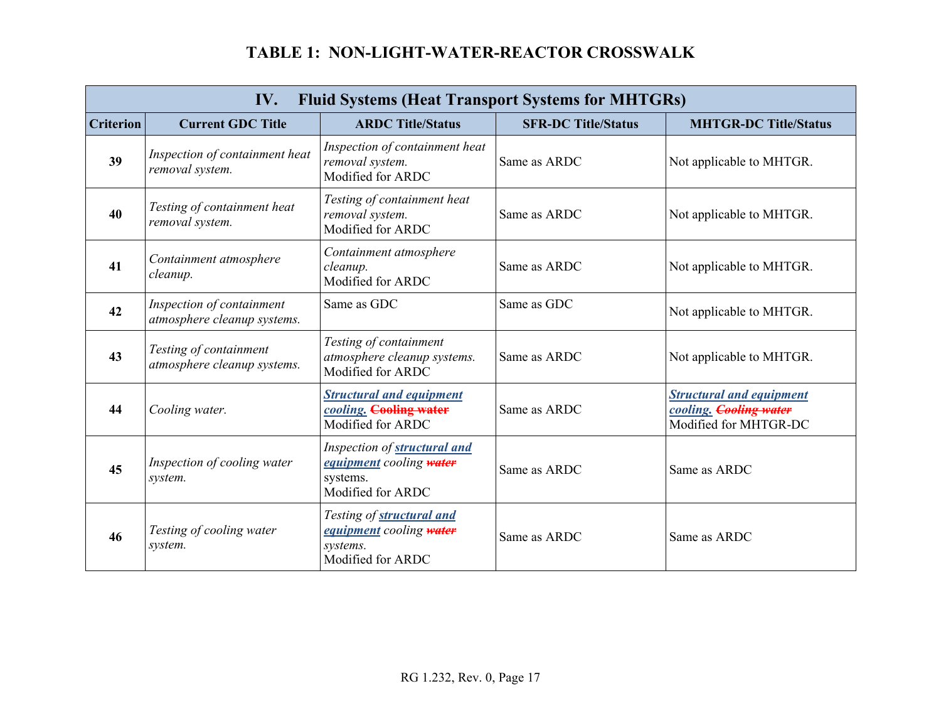|                  | <b>Fluid Systems (Heat Transport Systems for MHTGRs)</b><br>IV. |                                                                                          |                            |                                                                                    |
|------------------|-----------------------------------------------------------------|------------------------------------------------------------------------------------------|----------------------------|------------------------------------------------------------------------------------|
| <b>Criterion</b> | <b>Current GDC Title</b>                                        | <b>ARDC Title/Status</b>                                                                 | <b>SFR-DC Title/Status</b> | <b>MHTGR-DC Title/Status</b>                                                       |
| 39               | Inspection of containment heat<br>removal system.               | Inspection of containment heat<br>removal system.<br>Modified for ARDC                   | Same as ARDC               | Not applicable to MHTGR.                                                           |
| 40               | Testing of containment heat<br>removal system.                  | Testing of containment heat<br>removal system.<br>Modified for ARDC                      | Same as ARDC               | Not applicable to MHTGR.                                                           |
| 41               | Containment atmosphere<br>cleanup.                              | Containment atmosphere<br>cleanup.<br>Modified for ARDC                                  | Same as ARDC               | Not applicable to MHTGR.                                                           |
| 42               | Inspection of containment<br>atmosphere cleanup systems.        | Same as GDC                                                                              | Same as GDC                | Not applicable to MHTGR.                                                           |
| 43               | Testing of containment<br>atmosphere cleanup systems.           | Testing of containment<br>atmosphere cleanup systems.<br>Modified for ARDC               | Same as ARDC               | Not applicable to MHTGR.                                                           |
| 44               | Cooling water.                                                  | <b>Structural and equipment</b><br>cooling. Cooling water<br>Modified for ARDC           | Same as ARDC               | <b>Structural and equipment</b><br>cooling. Cooling water<br>Modified for MHTGR-DC |
| 45               | Inspection of cooling water<br>system.                          | Inspection of structural and<br>equipment cooling water<br>systems.<br>Modified for ARDC | Same as ARDC               | Same as ARDC                                                                       |
| 46               | Testing of cooling water<br>system.                             | Testing of structural and<br>equipment cooling water<br>systems.<br>Modified for ARDC    | Same as ARDC               | Same as ARDC                                                                       |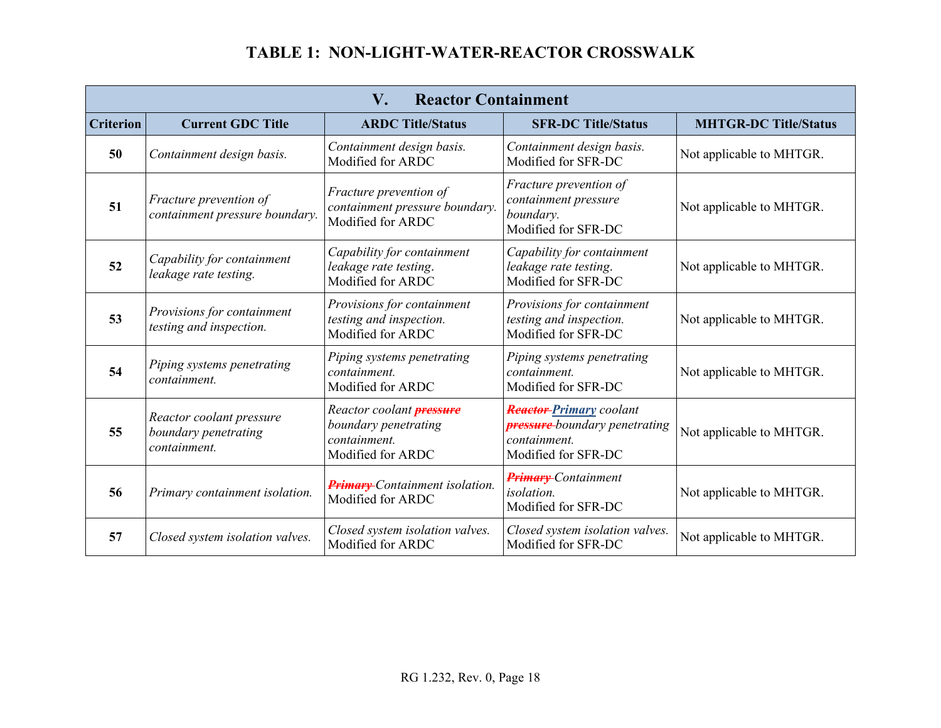| V.<br><b>Reactor Containment</b> |                                                                  |                                                                                              |                                                                                                                |                              |
|----------------------------------|------------------------------------------------------------------|----------------------------------------------------------------------------------------------|----------------------------------------------------------------------------------------------------------------|------------------------------|
| <b>Criterion</b>                 | <b>Current GDC Title</b>                                         | <b>ARDC Title/Status</b>                                                                     | <b>SFR-DC Title/Status</b>                                                                                     | <b>MHTGR-DC Title/Status</b> |
| 50                               | Containment design basis.                                        | Containment design basis.<br>Modified for ARDC                                               | Containment design basis.<br>Modified for SFR-DC                                                               | Not applicable to MHTGR.     |
| 51                               | Fracture prevention of<br>containment pressure boundary.         | Fracture prevention of<br>containment pressure boundary.<br>Modified for ARDC                | Fracture prevention of<br>containment pressure<br>boundary.<br>Modified for SFR-DC                             | Not applicable to MHTGR.     |
| 52                               | Capability for containment<br>leakage rate testing.              | Capability for containment<br>leakage rate testing.<br>Modified for ARDC                     | Capability for containment<br>leakage rate testing.<br>Modified for SFR-DC                                     | Not applicable to MHTGR.     |
| 53                               | Provisions for containment<br>testing and inspection.            | Provisions for containment<br>testing and inspection.<br>Modified for ARDC                   | Provisions for containment<br>testing and inspection.<br>Modified for SFR-DC                                   | Not applicable to MHTGR.     |
| 54                               | Piping systems penetrating<br>containment.                       | Piping systems penetrating<br>containment.<br>Modified for ARDC                              | Piping systems penetrating<br>containment.<br>Modified for SFR-DC                                              | Not applicable to MHTGR.     |
| 55                               | Reactor coolant pressure<br>boundary penetrating<br>containment. | Reactor coolant <b>pressure</b><br>boundary penetrating<br>containment.<br>Modified for ARDC | <b>Reactor-Primary</b> coolant<br><b>pressure</b> -boundary penetrating<br>containment.<br>Modified for SFR-DC | Not applicable to MHTGR.     |
| 56                               | Primary containment isolation.                                   | <b>Primary</b> -Containment isolation.<br>Modified for ARDC                                  | <b>Primary</b> -Containment<br>isolation.<br>Modified for SFR-DC                                               | Not applicable to MHTGR.     |
| 57                               | Closed system isolation valves.                                  | Closed system isolation valves.<br>Modified for ARDC                                         | Closed system isolation valves.<br>Modified for SFR-DC                                                         | Not applicable to MHTGR.     |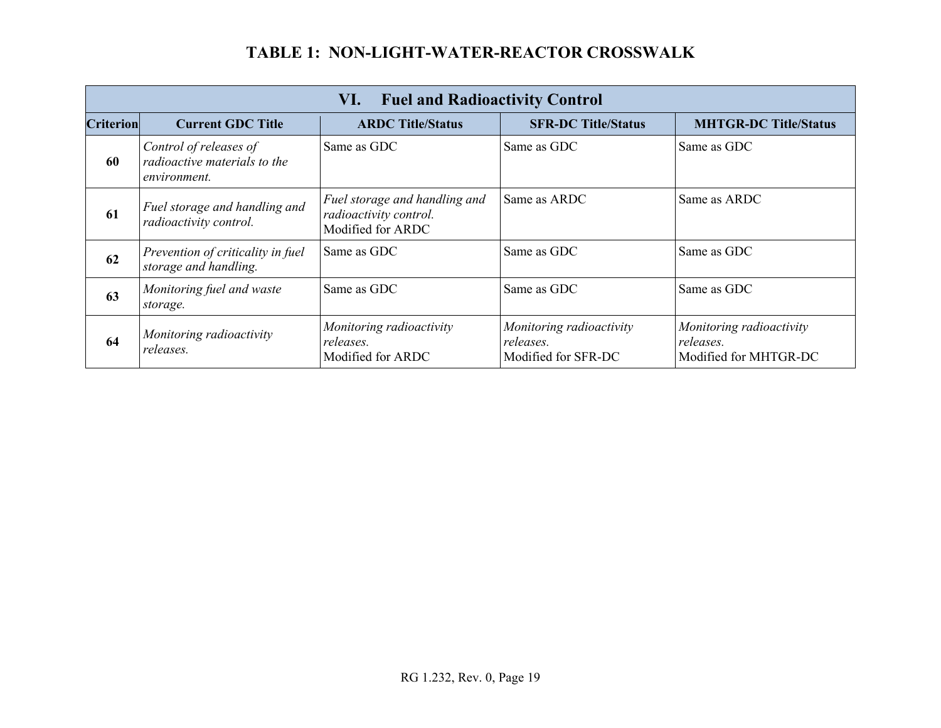|                  | <b>Fuel and Radioactivity Control</b><br>VI.                           |                                                                              |                                                              |                                                                |
|------------------|------------------------------------------------------------------------|------------------------------------------------------------------------------|--------------------------------------------------------------|----------------------------------------------------------------|
| <b>Criterion</b> | <b>Current GDC Title</b>                                               | <b>ARDC Title/Status</b>                                                     | <b>SFR-DC Title/Status</b>                                   | <b>MHTGR-DC Title/Status</b>                                   |
| 60               | Control of releases of<br>radioactive materials to the<br>environment. | Same as GDC                                                                  | Same as GDC                                                  | Same as GDC                                                    |
| 61               | Fuel storage and handling and<br>radioactivity control.                | Fuel storage and handling and<br>radioactivity control.<br>Modified for ARDC | Same as ARDC                                                 | Same as ARDC                                                   |
| 62               | Prevention of criticality in fuel<br>storage and handling.             | Same as GDC                                                                  | Same as GDC                                                  | Same as GDC                                                    |
| 63               | Monitoring fuel and waste<br>storage.                                  | Same as GDC                                                                  | Same as GDC                                                  | Same as GDC                                                    |
| 64               | Monitoring radioactivity<br>releases.                                  | Monitoring radioactivity<br>releases.<br>Modified for ARDC                   | Monitoring radioactivity<br>releases.<br>Modified for SFR-DC | Monitoring radioactivity<br>releases.<br>Modified for MHTGR-DC |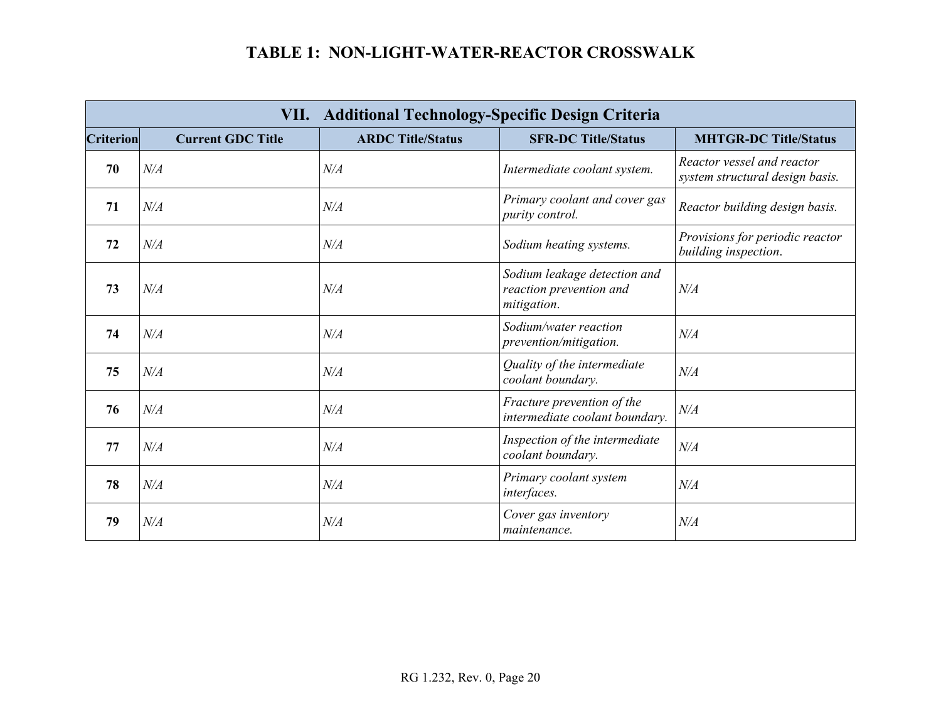|                  | VII. Additional Technology-Specific Design Criteria |                          |                                                                        |                                                               |
|------------------|-----------------------------------------------------|--------------------------|------------------------------------------------------------------------|---------------------------------------------------------------|
| <b>Criterion</b> | <b>Current GDC Title</b>                            | <b>ARDC Title/Status</b> | <b>SFR-DC Title/Status</b>                                             | <b>MHTGR-DC Title/Status</b>                                  |
| 70               | N/A                                                 | N/A                      | Intermediate coolant system.                                           | Reactor vessel and reactor<br>system structural design basis. |
| 71               | N/A                                                 | N/A                      | Primary coolant and cover gas<br>purity control.                       | Reactor building design basis.                                |
| 72               | N/A                                                 | N/A                      | Sodium heating systems.                                                | Provisions for periodic reactor<br>building inspection.       |
| 73               | N/A                                                 | N/A                      | Sodium leakage detection and<br>reaction prevention and<br>mitigation. | N/A                                                           |
| 74               | N/A                                                 | N/A                      | Sodium/water reaction<br><i>prevention/mitigation.</i>                 | N/A                                                           |
| 75               | N/A                                                 | N/A                      | Quality of the intermediate<br>coolant boundary.                       | N/A                                                           |
| 76               | N/A                                                 | N/A                      | Fracture prevention of the<br>intermediate coolant boundary.           | N/A                                                           |
| 77               | N/A                                                 | N/A                      | Inspection of the intermediate<br>coolant boundary.                    | N/A                                                           |
| 78               | N/A                                                 | N/A                      | Primary coolant system<br>interfaces.                                  | N/A                                                           |
| 79               | N/A                                                 | N/A                      | Cover gas inventory<br>maintenance.                                    | N/A                                                           |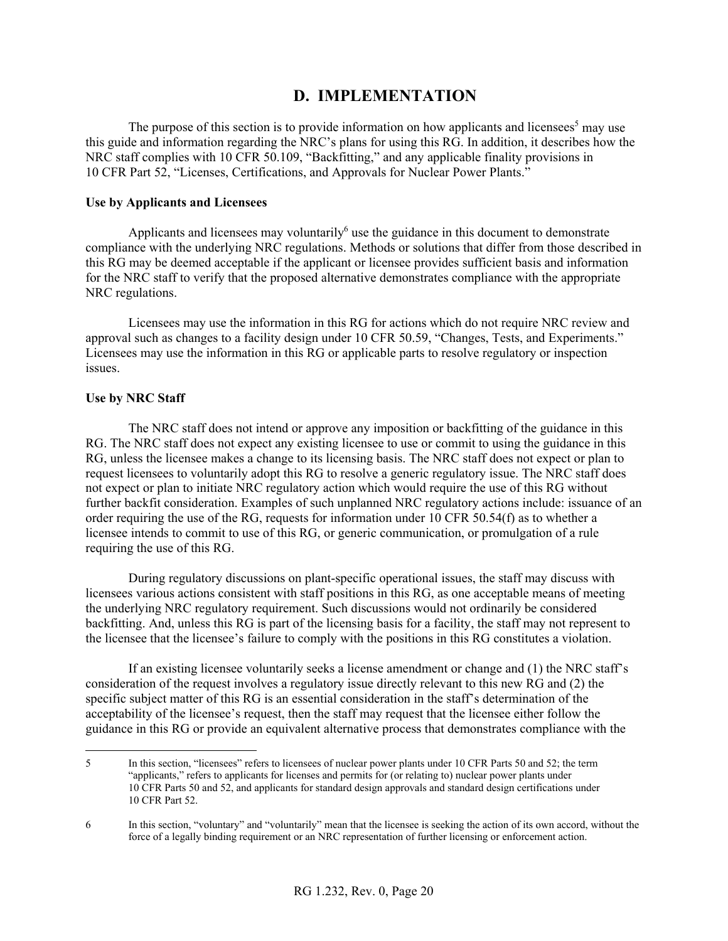### **D. IMPLEMENTATION**

The purpose of this section is to provide information on how applicants and licensees<sup>5</sup> may use this guide and information regarding the NRC's plans for using this RG. In addition, it describes how the NRC staff complies with 10 CFR 50.109, "Backfitting," and any applicable finality provisions in 10 CFR Part 52, "Licenses, Certifications, and Approvals for Nuclear Power Plants."

### **Use by Applicants and Licensees**

Applicants and licensees may voluntarily $<sup>6</sup>$  use the guidance in this document to demonstrate</sup> compliance with the underlying NRC regulations. Methods or solutions that differ from those described in this RG may be deemed acceptable if the applicant or licensee provides sufficient basis and information for the NRC staff to verify that the proposed alternative demonstrates compliance with the appropriate NRC regulations.

Licensees may use the information in this RG for actions which do not require NRC review and approval such as changes to a facility design under 10 CFR 50.59, "Changes, Tests, and Experiments." Licensees may use the information in this RG or applicable parts to resolve regulatory or inspection issues.

#### **Use by NRC Staff**

The NRC staff does not intend or approve any imposition or backfitting of the guidance in this RG. The NRC staff does not expect any existing licensee to use or commit to using the guidance in this RG, unless the licensee makes a change to its licensing basis. The NRC staff does not expect or plan to request licensees to voluntarily adopt this RG to resolve a generic regulatory issue. The NRC staff does not expect or plan to initiate NRC regulatory action which would require the use of this RG without further backfit consideration. Examples of such unplanned NRC regulatory actions include: issuance of an order requiring the use of the RG, requests for information under 10 CFR 50.54(f) as to whether a licensee intends to commit to use of this RG, or generic communication, or promulgation of a rule requiring the use of this RG.

During regulatory discussions on plant-specific operational issues, the staff may discuss with licensees various actions consistent with staff positions in this RG, as one acceptable means of meeting the underlying NRC regulatory requirement. Such discussions would not ordinarily be considered backfitting. And, unless this RG is part of the licensing basis for a facility, the staff may not represent to the licensee that the licensee's failure to comply with the positions in this RG constitutes a violation.

If an existing licensee voluntarily seeks a license amendment or change and (1) the NRC staff's consideration of the request involves a regulatory issue directly relevant to this new RG and (2) the specific subject matter of this RG is an essential consideration in the staff's determination of the acceptability of the licensee's request, then the staff may request that the licensee either follow the guidance in this RG or provide an equivalent alternative process that demonstrates compliance with the

 $\overline{a}$ 5 In this section, "licensees" refers to licensees of nuclear power plants under 10 CFR Parts 50 and 52; the term "applicants," refers to applicants for licenses and permits for (or relating to) nuclear power plants under 10 CFR Parts 50 and 52, and applicants for standard design approvals and standard design certifications under 10 CFR Part 52.

<sup>6</sup> In this section, "voluntary" and "voluntarily" mean that the licensee is seeking the action of its own accord, without the force of a legally binding requirement or an NRC representation of further licensing or enforcement action.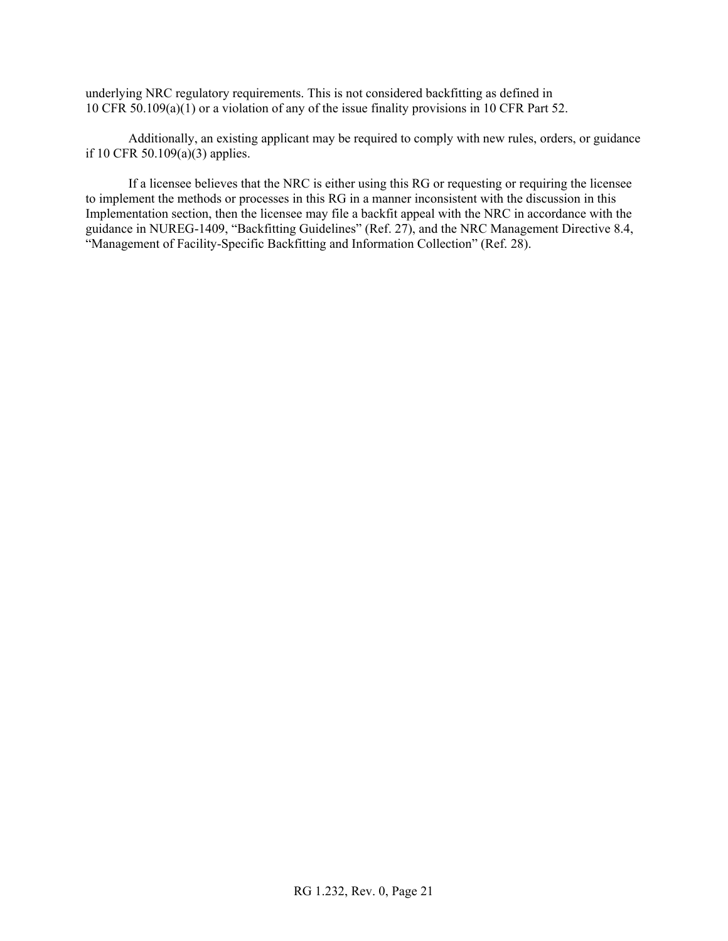underlying NRC regulatory requirements. This is not considered backfitting as defined in 10 CFR 50.109(a)(1) or a violation of any of the issue finality provisions in 10 CFR Part 52.

Additionally, an existing applicant may be required to comply with new rules, orders, or guidance if 10 CFR 50.109(a)(3) applies.

If a licensee believes that the NRC is either using this RG or requesting or requiring the licensee to implement the methods or processes in this RG in a manner inconsistent with the discussion in this Implementation section, then the licensee may file a backfit appeal with the NRC in accordance with the guidance in NUREG-1409, "Backfitting Guidelines" (Ref. 27), and the NRC Management Directive 8.4, "Management of Facility-Specific Backfitting and Information Collection" (Ref. 28).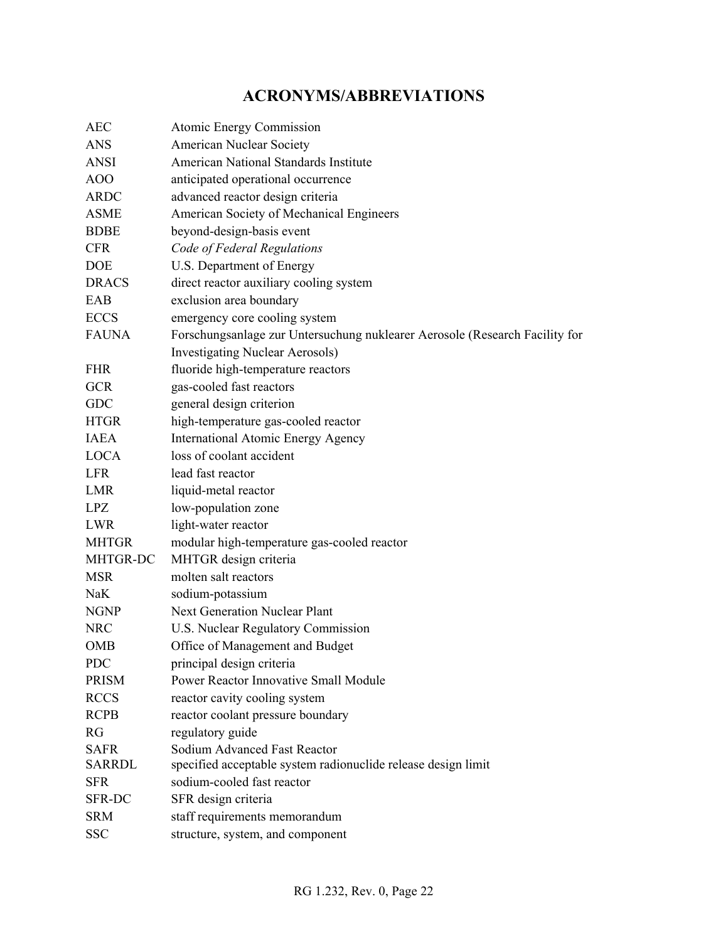# **ACRONYMS/ABBREVIATIONS**

|                                                                    | Atomic Energy Commission                                                                                                                                                                                                                                                                                            |
|--------------------------------------------------------------------|---------------------------------------------------------------------------------------------------------------------------------------------------------------------------------------------------------------------------------------------------------------------------------------------------------------------|
|                                                                    | <b>American Nuclear Society</b>                                                                                                                                                                                                                                                                                     |
|                                                                    | <b>American National Standards Institute</b>                                                                                                                                                                                                                                                                        |
|                                                                    | anticipated operational occurrence                                                                                                                                                                                                                                                                                  |
|                                                                    | advanced reactor design criteria                                                                                                                                                                                                                                                                                    |
|                                                                    | American Society of Mechanical Engineers                                                                                                                                                                                                                                                                            |
|                                                                    | beyond-design-basis event                                                                                                                                                                                                                                                                                           |
|                                                                    | Code of Federal Regulations                                                                                                                                                                                                                                                                                         |
|                                                                    | U.S. Department of Energy                                                                                                                                                                                                                                                                                           |
|                                                                    | direct reactor auxiliary cooling system                                                                                                                                                                                                                                                                             |
|                                                                    | exclusion area boundary                                                                                                                                                                                                                                                                                             |
|                                                                    | emergency core cooling system                                                                                                                                                                                                                                                                                       |
|                                                                    | Forschungsanlage zur Untersuchung nuklearer Aerosole (Research Facility for                                                                                                                                                                                                                                         |
|                                                                    | <b>Investigating Nuclear Aerosols)</b>                                                                                                                                                                                                                                                                              |
|                                                                    | fluoride high-temperature reactors                                                                                                                                                                                                                                                                                  |
|                                                                    | gas-cooled fast reactors                                                                                                                                                                                                                                                                                            |
|                                                                    | general design criterion                                                                                                                                                                                                                                                                                            |
|                                                                    | high-temperature gas-cooled reactor                                                                                                                                                                                                                                                                                 |
|                                                                    | <b>International Atomic Energy Agency</b>                                                                                                                                                                                                                                                                           |
|                                                                    | loss of coolant accident                                                                                                                                                                                                                                                                                            |
|                                                                    | lead fast reactor                                                                                                                                                                                                                                                                                                   |
|                                                                    | liquid-metal reactor                                                                                                                                                                                                                                                                                                |
|                                                                    | low-population zone                                                                                                                                                                                                                                                                                                 |
|                                                                    | light-water reactor                                                                                                                                                                                                                                                                                                 |
|                                                                    | modular high-temperature gas-cooled reactor                                                                                                                                                                                                                                                                         |
|                                                                    | MHTGR design criteria                                                                                                                                                                                                                                                                                               |
|                                                                    | molten salt reactors                                                                                                                                                                                                                                                                                                |
|                                                                    | sodium-potassium                                                                                                                                                                                                                                                                                                    |
|                                                                    | <b>Next Generation Nuclear Plant</b>                                                                                                                                                                                                                                                                                |
|                                                                    | U.S. Nuclear Regulatory Commission                                                                                                                                                                                                                                                                                  |
|                                                                    | Office of Management and Budget                                                                                                                                                                                                                                                                                     |
|                                                                    | principal design criteria                                                                                                                                                                                                                                                                                           |
|                                                                    | Power Reactor Innovative Small Module                                                                                                                                                                                                                                                                               |
|                                                                    | reactor cavity cooling system                                                                                                                                                                                                                                                                                       |
|                                                                    | reactor coolant pressure boundary                                                                                                                                                                                                                                                                                   |
|                                                                    | regulatory guide                                                                                                                                                                                                                                                                                                    |
|                                                                    | Sodium Advanced Fast Reactor                                                                                                                                                                                                                                                                                        |
|                                                                    | specified acceptable system radionuclide release design limit                                                                                                                                                                                                                                                       |
|                                                                    | sodium-cooled fast reactor                                                                                                                                                                                                                                                                                          |
|                                                                    | SFR design criteria                                                                                                                                                                                                                                                                                                 |
|                                                                    | staff requirements memorandum                                                                                                                                                                                                                                                                                       |
|                                                                    | structure, system, and component                                                                                                                                                                                                                                                                                    |
| AOO<br><b>GCR</b><br><b>GDC</b><br><b>MSR</b><br>OMB<br><b>SRM</b> | <b>ANSI</b><br><b>ARDC</b><br><b>ASME</b><br><b>BDBE</b><br><b>DRACS</b><br><b>ECCS</b><br><b>FAUNA</b><br><b>HTGR</b><br><b>IAEA</b><br><b>LOCA</b><br><b>LMR</b><br><b>LWR</b><br><b>MHTGR</b><br>MHTGR-DC<br><b>NGNP</b><br><b>PRISM</b><br><b>RCCS</b><br><b>RCPB</b><br><b>SAFR</b><br><b>SARRDL</b><br>SFR-DC |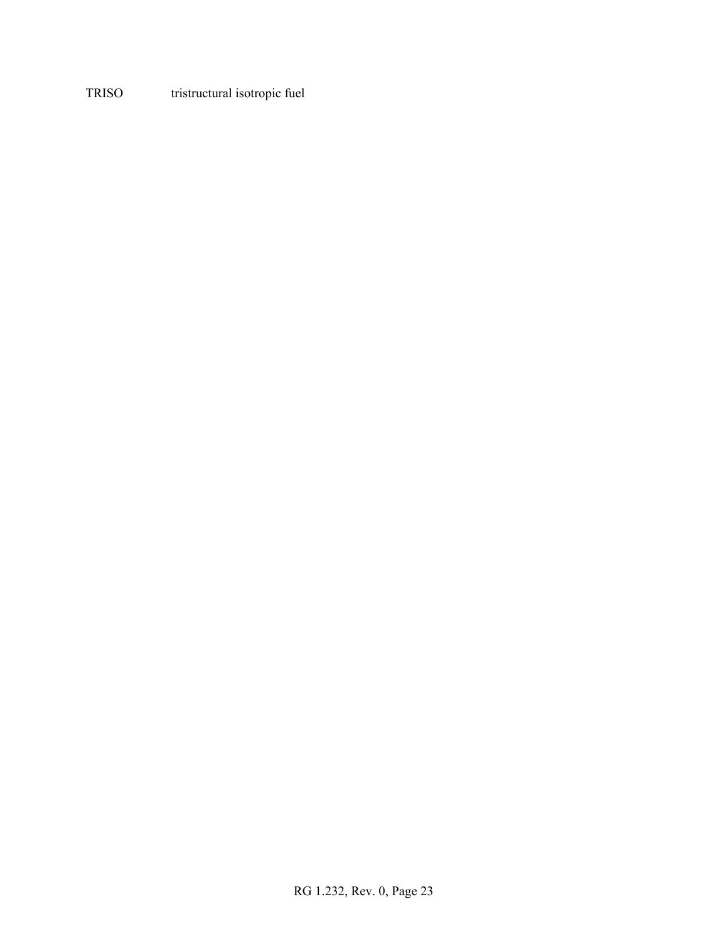### TRISO tristructural isotropic fuel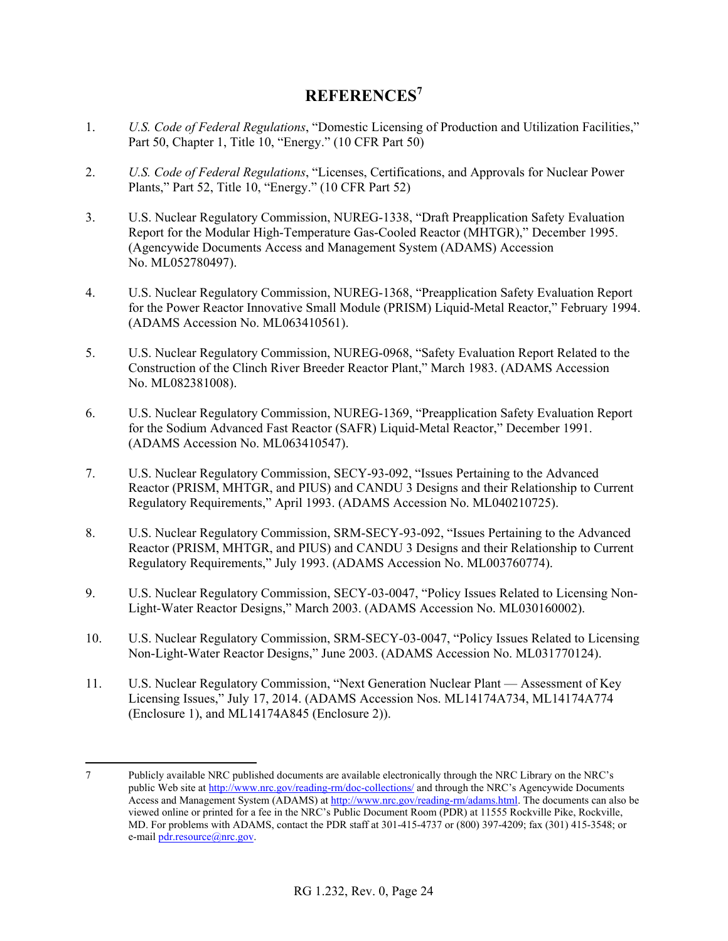### **REFERENCES<sup>7</sup>**

- 1. *U.S. Code of Federal Regulations*, "Domestic Licensing of Production and Utilization Facilities," Part 50, Chapter 1, Title 10, "Energy." (10 CFR Part 50)
- 2. *U.S. Code of Federal Regulations*, "Licenses, Certifications, and Approvals for Nuclear Power Plants," Part 52, Title 10, "Energy." (10 CFR Part 52)
- 3. U.S. Nuclear Regulatory Commission, NUREG-1338, "Draft Preapplication Safety Evaluation Report for the Modular High-Temperature Gas-Cooled Reactor (MHTGR)," December 1995. (Agencywide Documents Access and Management System (ADAMS) Accession No. ML052780497).
- 4. U.S. Nuclear Regulatory Commission, NUREG-1368, "Preapplication Safety Evaluation Report for the Power Reactor Innovative Small Module (PRISM) Liquid-Metal Reactor," February 1994. (ADAMS Accession No. ML063410561).
- 5. U.S. Nuclear Regulatory Commission, NUREG-0968, "Safety Evaluation Report Related to the Construction of the Clinch River Breeder Reactor Plant," March 1983. (ADAMS Accession No. ML082381008).
- 6. U.S. Nuclear Regulatory Commission, NUREG-1369, "Preapplication Safety Evaluation Report for the Sodium Advanced Fast Reactor (SAFR) Liquid-Metal Reactor," December 1991. (ADAMS Accession No. ML063410547).
- 7. U.S. Nuclear Regulatory Commission, SECY-93-092, "Issues Pertaining to the Advanced Reactor (PRISM, MHTGR, and PIUS) and CANDU 3 Designs and their Relationship to Current Regulatory Requirements," April 1993. (ADAMS Accession No. ML040210725).
- 8. U.S. Nuclear Regulatory Commission, SRM-SECY-93-092, "Issues Pertaining to the Advanced Reactor (PRISM, MHTGR, and PIUS) and CANDU 3 Designs and their Relationship to Current Regulatory Requirements," July 1993. (ADAMS Accession No. ML003760774).
- 9. U.S. Nuclear Regulatory Commission, SECY-03-0047, "Policy Issues Related to Licensing Non-Light-Water Reactor Designs," March 2003. (ADAMS Accession No. ML030160002).
- 10. U.S. Nuclear Regulatory Commission, SRM-SECY-03-0047, "Policy Issues Related to Licensing Non-Light-Water Reactor Designs," June 2003. (ADAMS Accession No. ML031770124).
- 11. U.S. Nuclear Regulatory Commission, "Next Generation Nuclear Plant Assessment of Key Licensing Issues," July 17, 2014. (ADAMS Accession Nos. ML14174A734, ML14174A774 (Enclosure 1), and ML14174A845 (Enclosure 2)).

 $\overline{a}$ 

<sup>7</sup> Publicly available NRC published documents are available electronically through the NRC Library on the NRC's public Web site at http://www.nrc.gov/reading-rm/doc-collections/ and through the NRC's Agencywide Documents Access and Management System (ADAMS) at http://www.nrc.gov/reading-rm/adams.html. The documents can also be viewed online or printed for a fee in the NRC's Public Document Room (PDR) at 11555 Rockville Pike, Rockville, MD. For problems with ADAMS, contact the PDR staff at 301-415-4737 or (800) 397-4209; fax (301) 415-3548; or e-mail pdr.resource@nrc.gov.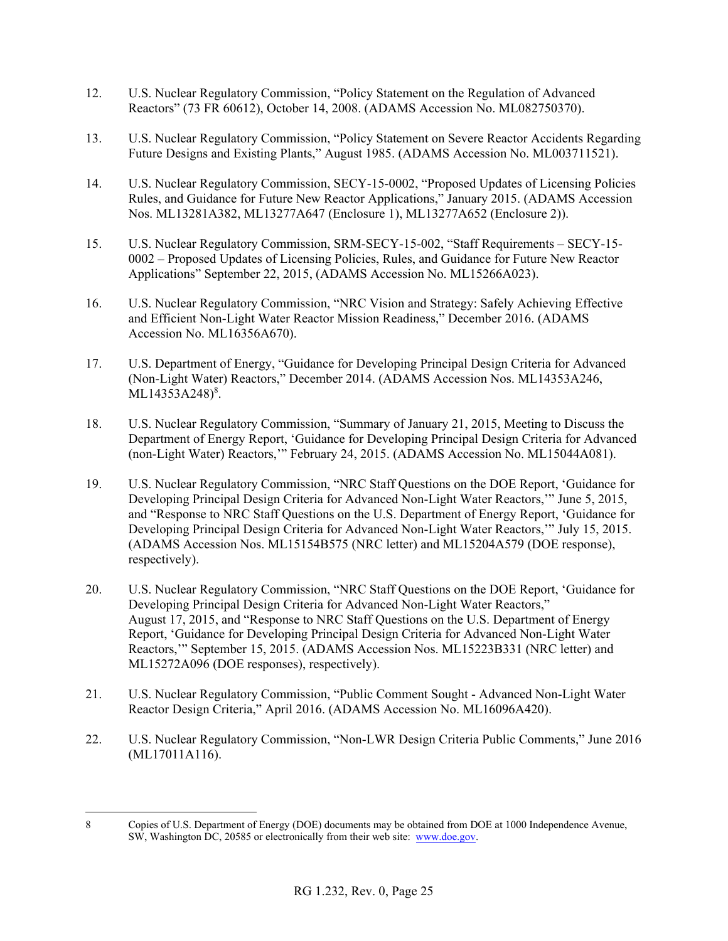- 12. U.S. Nuclear Regulatory Commission, "Policy Statement on the Regulation of Advanced Reactors" (73 FR 60612), October 14, 2008. (ADAMS Accession No. ML082750370).
- 13. U.S. Nuclear Regulatory Commission, "Policy Statement on Severe Reactor Accidents Regarding Future Designs and Existing Plants," August 1985. (ADAMS Accession No. ML003711521).
- 14. U.S. Nuclear Regulatory Commission, SECY-15-0002, "Proposed Updates of Licensing Policies Rules, and Guidance for Future New Reactor Applications," January 2015. (ADAMS Accession Nos. ML13281A382, ML13277A647 (Enclosure 1), ML13277A652 (Enclosure 2)).
- 15. U.S. Nuclear Regulatory Commission, SRM-SECY-15-002, "Staff Requirements SECY-15- 0002 – Proposed Updates of Licensing Policies, Rules, and Guidance for Future New Reactor Applications" September 22, 2015, (ADAMS Accession No. ML15266A023).
- 16. U.S. Nuclear Regulatory Commission, "NRC Vision and Strategy: Safely Achieving Effective and Efficient Non-Light Water Reactor Mission Readiness," December 2016. (ADAMS Accession No. ML16356A670).
- 17. U.S. Department of Energy, "Guidance for Developing Principal Design Criteria for Advanced (Non-Light Water) Reactors," December 2014. (ADAMS Accession Nos. ML14353A246, ML14353A248)<sup>8</sup>.
- 18. U.S. Nuclear Regulatory Commission, "Summary of January 21, 2015, Meeting to Discuss the Department of Energy Report, 'Guidance for Developing Principal Design Criteria for Advanced (non-Light Water) Reactors,'" February 24, 2015. (ADAMS Accession No. ML15044A081).
- 19. U.S. Nuclear Regulatory Commission, "NRC Staff Questions on the DOE Report, 'Guidance for Developing Principal Design Criteria for Advanced Non-Light Water Reactors,'" June 5, 2015, and "Response to NRC Staff Questions on the U.S. Department of Energy Report, 'Guidance for Developing Principal Design Criteria for Advanced Non-Light Water Reactors,'" July 15, 2015. (ADAMS Accession Nos. ML15154B575 (NRC letter) and ML15204A579 (DOE response), respectively).
- 20. U.S. Nuclear Regulatory Commission, "NRC Staff Questions on the DOE Report, 'Guidance for Developing Principal Design Criteria for Advanced Non-Light Water Reactors," August 17, 2015, and "Response to NRC Staff Questions on the U.S. Department of Energy Report, 'Guidance for Developing Principal Design Criteria for Advanced Non-Light Water Reactors,'" September 15, 2015. (ADAMS Accession Nos. ML15223B331 (NRC letter) and ML15272A096 (DOE responses), respectively).
- 21. U.S. Nuclear Regulatory Commission, "Public Comment Sought Advanced Non-Light Water Reactor Design Criteria," April 2016. (ADAMS Accession No. ML16096A420).
- 22. U.S. Nuclear Regulatory Commission, "Non-LWR Design Criteria Public Comments," June 2016 (ML17011A116).

 $\overline{a}$ 8 Copies of U.S. Department of Energy (DOE) documents may be obtained from DOE at 1000 Independence Avenue, SW, Washington DC, 20585 or electronically from their web site: www.doe.gov.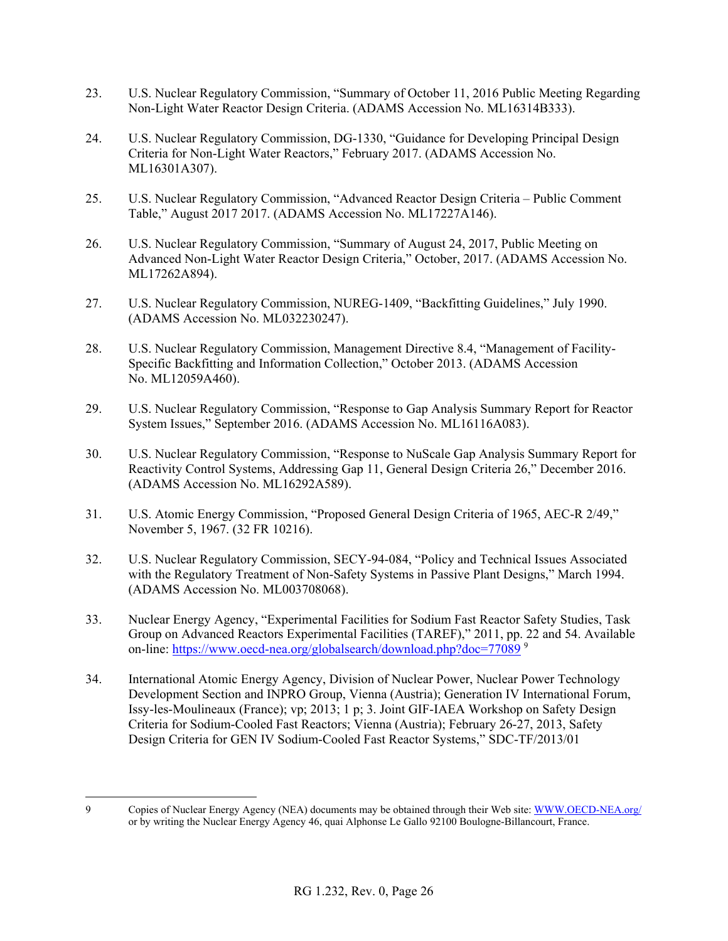- 23. U.S. Nuclear Regulatory Commission, "Summary of October 11, 2016 Public Meeting Regarding Non-Light Water Reactor Design Criteria. (ADAMS Accession No. ML16314B333).
- 24. U.S. Nuclear Regulatory Commission, DG-1330, "Guidance for Developing Principal Design Criteria for Non-Light Water Reactors," February 2017. (ADAMS Accession No. ML16301A307).
- 25. U.S. Nuclear Regulatory Commission, "Advanced Reactor Design Criteria Public Comment Table," August 2017 2017. (ADAMS Accession No. ML17227A146).
- 26. U.S. Nuclear Regulatory Commission, "Summary of August 24, 2017, Public Meeting on Advanced Non-Light Water Reactor Design Criteria," October, 2017. (ADAMS Accession No. ML17262A894).
- 27. U.S. Nuclear Regulatory Commission, NUREG-1409, "Backfitting Guidelines," July 1990. (ADAMS Accession No. ML032230247).
- 28. U.S. Nuclear Regulatory Commission, Management Directive 8.4, "Management of Facility-Specific Backfitting and Information Collection," October 2013. (ADAMS Accession No. ML12059A460).
- 29. U.S. Nuclear Regulatory Commission, "Response to Gap Analysis Summary Report for Reactor System Issues," September 2016. (ADAMS Accession No. ML16116A083).
- 30. U.S. Nuclear Regulatory Commission, "Response to NuScale Gap Analysis Summary Report for Reactivity Control Systems, Addressing Gap 11, General Design Criteria 26," December 2016. (ADAMS Accession No. ML16292A589).
- 31. U.S. Atomic Energy Commission, "Proposed General Design Criteria of 1965, AEC-R 2/49," November 5, 1967. (32 FR 10216).
- 32. U.S. Nuclear Regulatory Commission, SECY-94-084, "Policy and Technical Issues Associated with the Regulatory Treatment of Non-Safety Systems in Passive Plant Designs," March 1994. (ADAMS Accession No. ML003708068).
- 33. Nuclear Energy Agency, "Experimental Facilities for Sodium Fast Reactor Safety Studies, Task Group on Advanced Reactors Experimental Facilities (TAREF)," 2011, pp. 22 and 54. Available on-line: https://www.oecd-nea.org/globalsearch/download.php?doc=77089<sup>9</sup>
- 34. International Atomic Energy Agency, Division of Nuclear Power, Nuclear Power Technology Development Section and INPRO Group, Vienna (Austria); Generation IV International Forum, Issy-les-Moulineaux (France); vp; 2013; 1 p; 3. Joint GIF-IAEA Workshop on Safety Design Criteria for Sodium-Cooled Fast Reactors; Vienna (Austria); February 26-27, 2013, Safety Design Criteria for GEN IV Sodium-Cooled Fast Reactor Systems," SDC-TF/2013/01
- $\overline{a}$ 9 Copies of Nuclear Energy Agency (NEA) documents may be obtained through their Web site: WWW.OECD-NEA.org/ or by writing the Nuclear Energy Agency 46, quai Alphonse Le Gallo 92100 Boulogne-Billancourt, France.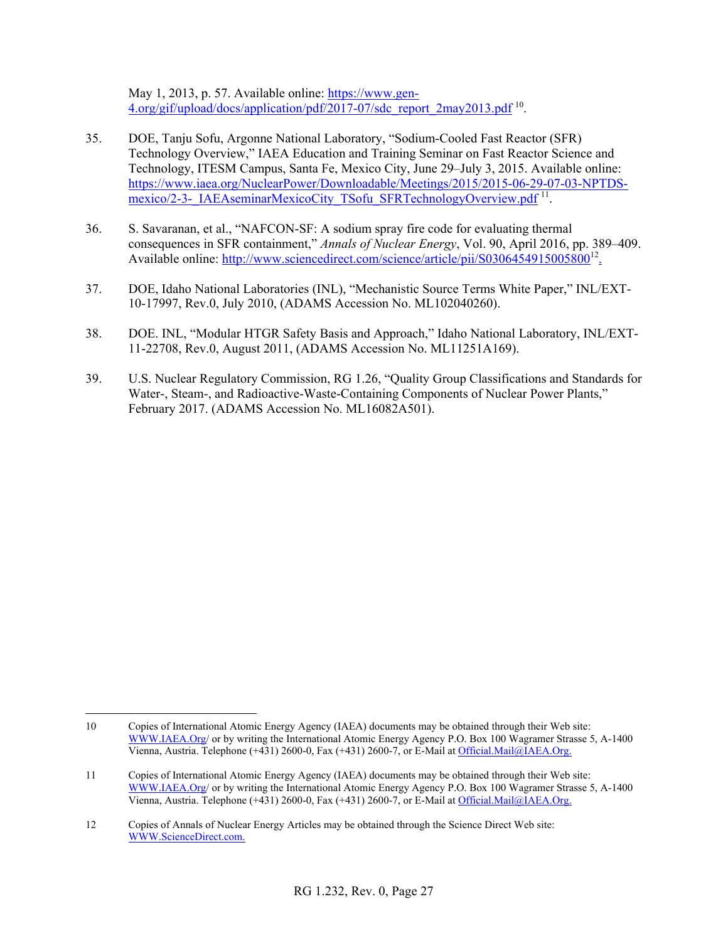May 1, 2013, p. 57. Available online: https://www.gen-4.org/gif/upload/docs/application/pdf/2017-07/sdc\_report\_2may2013.pdf<sup>10</sup>.

- 35. DOE, Tanju Sofu, Argonne National Laboratory, "Sodium-Cooled Fast Reactor (SFR) Technology Overview," IAEA Education and Training Seminar on Fast Reactor Science and Technology, ITESM Campus, Santa Fe, Mexico City, June 29–July 3, 2015. Available online: https://www.iaea.org/NuclearPower/Downloadable/Meetings/2015/2015-06-29-07-03-NPTDSmexico/2-3-\_IAEAseminarMexicoCity\_TSofu\_SFRTechnologyOverview.pdf<sup>11</sup>.
- 36. S. Savaranan, et al., "NAFCON-SF: A sodium spray fire code for evaluating thermal consequences in SFR containment," *Annals of Nuclear Energy*, Vol. 90, April 2016, pp. 389–409. Available online: http://www.sciencedirect.com/science/article/pii/S0306454915005800<sup>12</sup>.
- 37. DOE, Idaho National Laboratories (INL), "Mechanistic Source Terms White Paper," INL/EXT-10-17997, Rev.0, July 2010, (ADAMS Accession No. ML102040260).
- 38. DOE. INL, "Modular HTGR Safety Basis and Approach," Idaho National Laboratory, INL/EXT-11-22708, Rev.0, August 2011, (ADAMS Accession No. ML11251A169).
- 39. U.S. Nuclear Regulatory Commission, RG 1.26, "Quality Group Classifications and Standards for Water-, Steam-, and Radioactive-Waste-Containing Components of Nuclear Power Plants," February 2017. (ADAMS Accession No. ML16082A501).

 $\overline{a}$ 10 Copies of International Atomic Energy Agency (IAEA) documents may be obtained through their Web site: WWW.IAEA.Org/ or by writing the International Atomic Energy Agency P.O. Box 100 Wagramer Strasse 5, A-1400 Vienna, Austria. Telephone (+431) 2600-0, Fax (+431) 2600-7, or E-Mail at Official.Mail@IAEA.Org.

<sup>11</sup> Copies of International Atomic Energy Agency (IAEA) documents may be obtained through their Web site: WWW.IAEA.Org/ or by writing the International Atomic Energy Agency P.O. Box 100 Wagramer Strasse 5, A-1400 Vienna, Austria. Telephone (+431) 2600-0, Fax (+431) 2600-7, or E-Mail at Official.Mail@IAEA.Org.

<sup>12</sup> Copies of Annals of Nuclear Energy Articles may be obtained through the Science Direct Web site: WWW.ScienceDirect.com.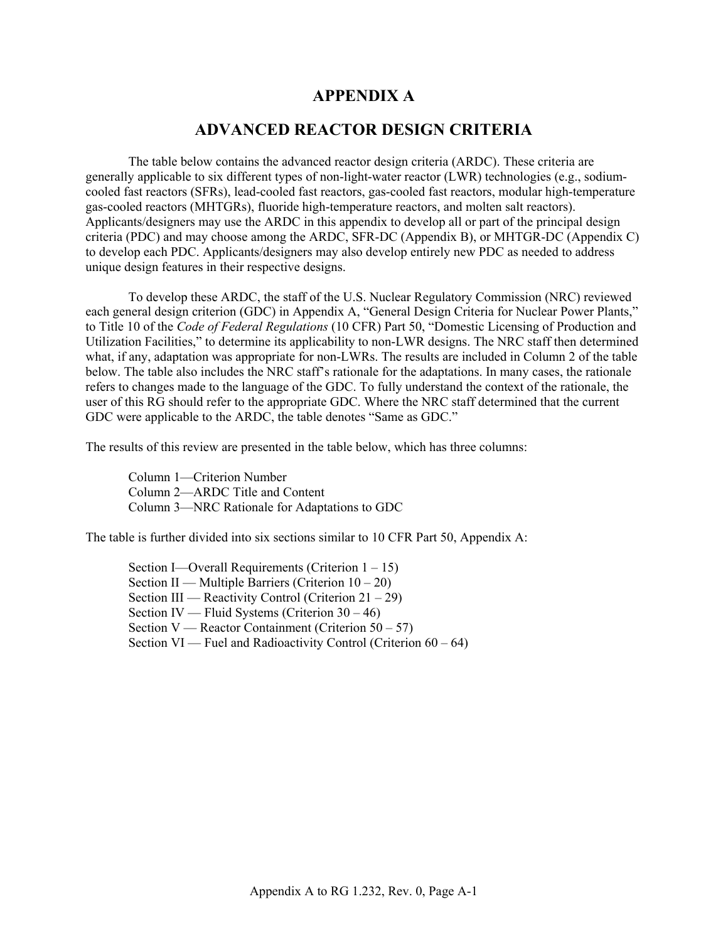### **APPENDIX A**

### **ADVANCED REACTOR DESIGN CRITERIA**

The table below contains the advanced reactor design criteria (ARDC). These criteria are generally applicable to six different types of non-light-water reactor (LWR) technologies (e.g., sodiumcooled fast reactors (SFRs), lead-cooled fast reactors, gas-cooled fast reactors, modular high-temperature gas-cooled reactors (MHTGRs), fluoride high-temperature reactors, and molten salt reactors). Applicants/designers may use the ARDC in this appendix to develop all or part of the principal design criteria (PDC) and may choose among the ARDC, SFR-DC (Appendix B), or MHTGR-DC (Appendix C) to develop each PDC. Applicants/designers may also develop entirely new PDC as needed to address unique design features in their respective designs.

To develop these ARDC, the staff of the U.S. Nuclear Regulatory Commission (NRC) reviewed each general design criterion (GDC) in Appendix A, "General Design Criteria for Nuclear Power Plants," to Title 10 of the *Code of Federal Regulations* (10 CFR) Part 50, "Domestic Licensing of Production and Utilization Facilities," to determine its applicability to non-LWR designs. The NRC staff then determined what, if any, adaptation was appropriate for non-LWRs. The results are included in Column 2 of the table below. The table also includes the NRC staff's rationale for the adaptations. In many cases, the rationale refers to changes made to the language of the GDC. To fully understand the context of the rationale, the user of this RG should refer to the appropriate GDC. Where the NRC staff determined that the current GDC were applicable to the ARDC, the table denotes "Same as GDC."

The results of this review are presented in the table below, which has three columns:

Column 1—Criterion Number Column 2—ARDC Title and Content Column 3—NRC Rationale for Adaptations to GDC

The table is further divided into six sections similar to 10 CFR Part 50, Appendix A:

Section I—Overall Requirements (Criterion 1 – 15) Section II — Multiple Barriers (Criterion 10 – 20) Section III — Reactivity Control (Criterion  $21 - 29$ ) Section IV — Fluid Systems (Criterion 30 – 46) Section V — Reactor Containment (Criterion  $50 - 57$ ) Section  $VI$  — Fuel and Radioactivity Control (Criterion  $60 - 64$ )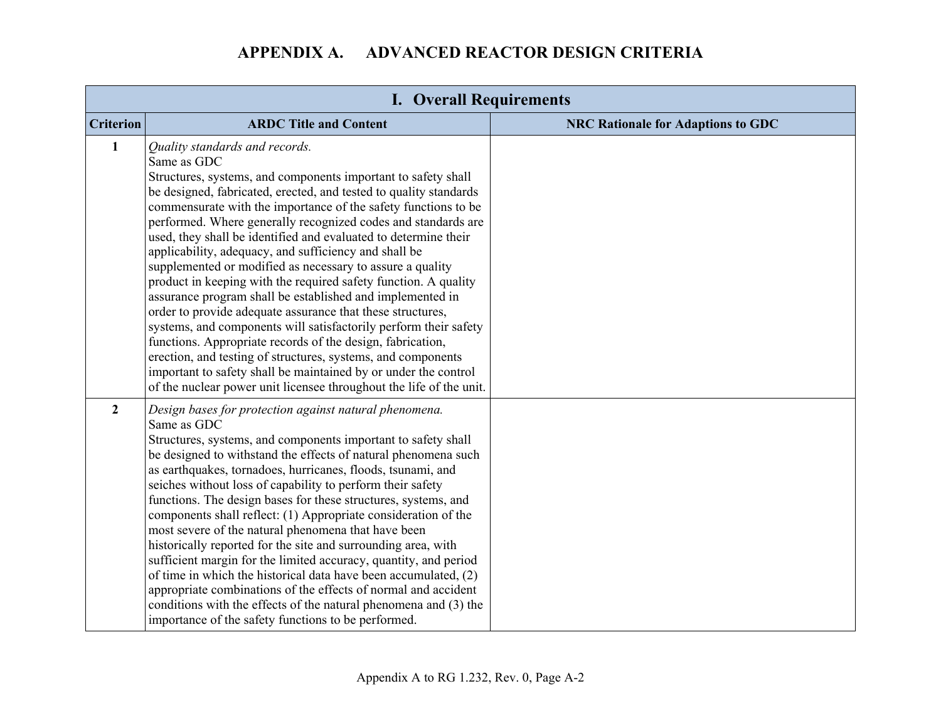| <b>I. Overall Requirements</b> |                                                                                                                                                                                                                                                                                                                                                                                                                                                                                                                                                                                                                                                                                                                                                                                                                                                                                                                                                                                                                                                           |                                           |
|--------------------------------|-----------------------------------------------------------------------------------------------------------------------------------------------------------------------------------------------------------------------------------------------------------------------------------------------------------------------------------------------------------------------------------------------------------------------------------------------------------------------------------------------------------------------------------------------------------------------------------------------------------------------------------------------------------------------------------------------------------------------------------------------------------------------------------------------------------------------------------------------------------------------------------------------------------------------------------------------------------------------------------------------------------------------------------------------------------|-------------------------------------------|
| <b>Criterion</b>               | <b>ARDC Title and Content</b>                                                                                                                                                                                                                                                                                                                                                                                                                                                                                                                                                                                                                                                                                                                                                                                                                                                                                                                                                                                                                             | <b>NRC Rationale for Adaptions to GDC</b> |
| $\mathbf{1}$                   | Quality standards and records.<br>Same as GDC<br>Structures, systems, and components important to safety shall<br>be designed, fabricated, erected, and tested to quality standards<br>commensurate with the importance of the safety functions to be<br>performed. Where generally recognized codes and standards are<br>used, they shall be identified and evaluated to determine their<br>applicability, adequacy, and sufficiency and shall be<br>supplemented or modified as necessary to assure a quality<br>product in keeping with the required safety function. A quality<br>assurance program shall be established and implemented in<br>order to provide adequate assurance that these structures,<br>systems, and components will satisfactorily perform their safety<br>functions. Appropriate records of the design, fabrication,<br>erection, and testing of structures, systems, and components<br>important to safety shall be maintained by or under the control<br>of the nuclear power unit licensee throughout the life of the unit. |                                           |
| $\overline{2}$                 | Design bases for protection against natural phenomena.<br>Same as GDC<br>Structures, systems, and components important to safety shall<br>be designed to withstand the effects of natural phenomena such<br>as earthquakes, tornadoes, hurricanes, floods, tsunami, and<br>seiches without loss of capability to perform their safety<br>functions. The design bases for these structures, systems, and<br>components shall reflect: (1) Appropriate consideration of the<br>most severe of the natural phenomena that have been<br>historically reported for the site and surrounding area, with<br>sufficient margin for the limited accuracy, quantity, and period<br>of time in which the historical data have been accumulated, (2)<br>appropriate combinations of the effects of normal and accident<br>conditions with the effects of the natural phenomena and (3) the<br>importance of the safety functions to be performed.                                                                                                                     |                                           |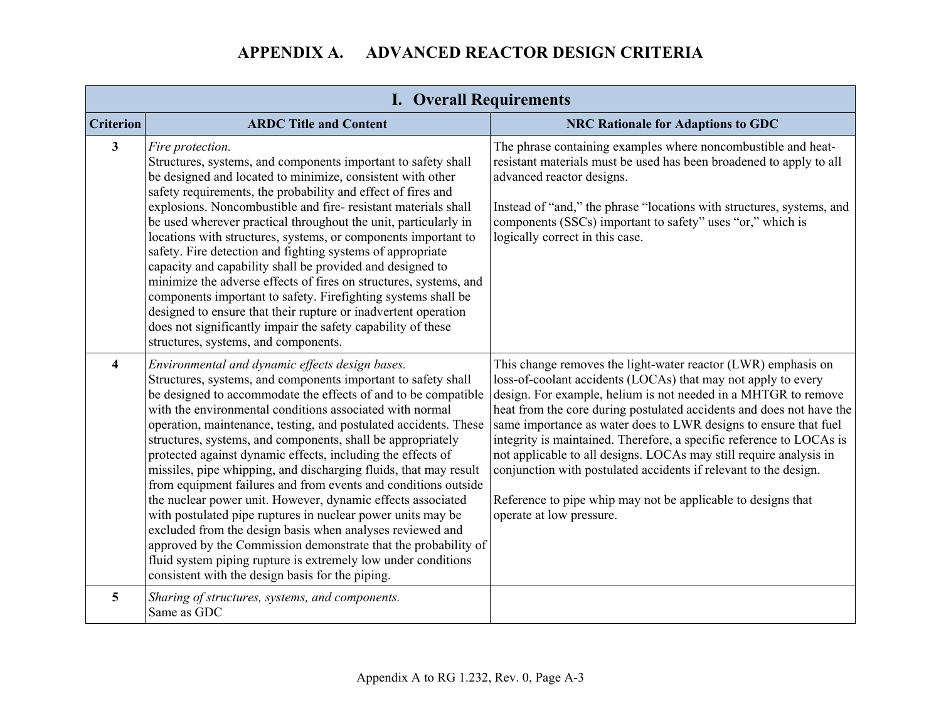| <b>I. Overall Requirements</b> |                                                                                                                                                                                                                                                                                                                                                                                                                                                                                                                                                                                                                                                                                                                                                                                                                                                                                                                                                                          |                                                                                                                                                                                                                                                                                                                                                                                                                                                                                                                                                                                                                                                            |
|--------------------------------|--------------------------------------------------------------------------------------------------------------------------------------------------------------------------------------------------------------------------------------------------------------------------------------------------------------------------------------------------------------------------------------------------------------------------------------------------------------------------------------------------------------------------------------------------------------------------------------------------------------------------------------------------------------------------------------------------------------------------------------------------------------------------------------------------------------------------------------------------------------------------------------------------------------------------------------------------------------------------|------------------------------------------------------------------------------------------------------------------------------------------------------------------------------------------------------------------------------------------------------------------------------------------------------------------------------------------------------------------------------------------------------------------------------------------------------------------------------------------------------------------------------------------------------------------------------------------------------------------------------------------------------------|
| <b>Criterion</b>               | <b>ARDC Title and Content</b>                                                                                                                                                                                                                                                                                                                                                                                                                                                                                                                                                                                                                                                                                                                                                                                                                                                                                                                                            | <b>NRC Rationale for Adaptions to GDC</b>                                                                                                                                                                                                                                                                                                                                                                                                                                                                                                                                                                                                                  |
| $\mathbf{3}$                   | Fire protection.<br>Structures, systems, and components important to safety shall<br>be designed and located to minimize, consistent with other<br>safety requirements, the probability and effect of fires and<br>explosions. Noncombustible and fire-resistant materials shall<br>be used wherever practical throughout the unit, particularly in<br>locations with structures, systems, or components important to<br>safety. Fire detection and fighting systems of appropriate<br>capacity and capability shall be provided and designed to<br>minimize the adverse effects of fires on structures, systems, and<br>components important to safety. Firefighting systems shall be<br>designed to ensure that their rupture or inadvertent operation<br>does not significantly impair the safety capability of these<br>structures, systems, and components.                                                                                                         | The phrase containing examples where noncombustible and heat-<br>resistant materials must be used has been broadened to apply to all<br>advanced reactor designs.<br>Instead of "and," the phrase "locations with structures, systems, and<br>components (SSCs) important to safety" uses "or," which is<br>logically correct in this case.                                                                                                                                                                                                                                                                                                                |
| $\overline{\mathbf{4}}$        | Environmental and dynamic effects design bases.<br>Structures, systems, and components important to safety shall<br>be designed to accommodate the effects of and to be compatible<br>with the environmental conditions associated with normal<br>operation, maintenance, testing, and postulated accidents. These<br>structures, systems, and components, shall be appropriately<br>protected against dynamic effects, including the effects of<br>missiles, pipe whipping, and discharging fluids, that may result<br>from equipment failures and from events and conditions outside<br>the nuclear power unit. However, dynamic effects associated<br>with postulated pipe ruptures in nuclear power units may be<br>excluded from the design basis when analyses reviewed and<br>approved by the Commission demonstrate that the probability of<br>fluid system piping rupture is extremely low under conditions<br>consistent with the design basis for the piping. | This change removes the light-water reactor (LWR) emphasis on<br>loss-of-coolant accidents (LOCAs) that may not apply to every<br>design. For example, helium is not needed in a MHTGR to remove<br>heat from the core during postulated accidents and does not have the<br>same importance as water does to LWR designs to ensure that fuel<br>integrity is maintained. Therefore, a specific reference to LOCAs is<br>not applicable to all designs. LOCAs may still require analysis in<br>conjunction with postulated accidents if relevant to the design.<br>Reference to pipe whip may not be applicable to designs that<br>operate at low pressure. |
| 5                              | Sharing of structures, systems, and components.<br>Same as GDC                                                                                                                                                                                                                                                                                                                                                                                                                                                                                                                                                                                                                                                                                                                                                                                                                                                                                                           |                                                                                                                                                                                                                                                                                                                                                                                                                                                                                                                                                                                                                                                            |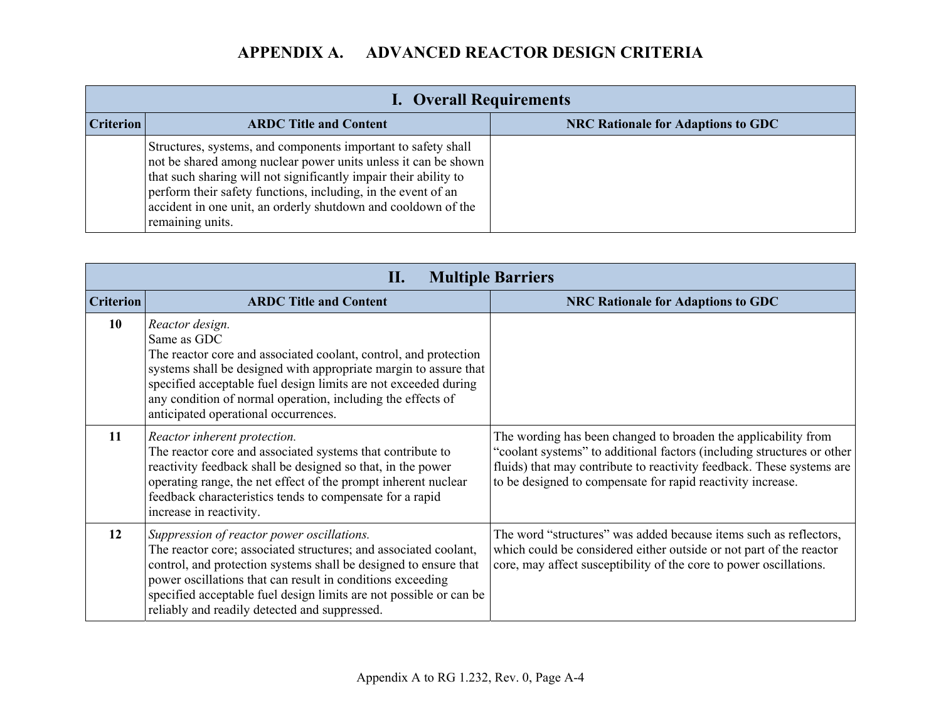|                  | <b>I. Overall Requirements</b>                                                                                                                                                                                                                                                                                                                            |                                           |  |
|------------------|-----------------------------------------------------------------------------------------------------------------------------------------------------------------------------------------------------------------------------------------------------------------------------------------------------------------------------------------------------------|-------------------------------------------|--|
| <b>Criterion</b> | <b>ARDC Title and Content</b>                                                                                                                                                                                                                                                                                                                             | <b>NRC Rationale for Adaptions to GDC</b> |  |
|                  | Structures, systems, and components important to safety shall<br>not be shared among nuclear power units unless it can be shown<br>that such sharing will not significantly impair their ability to<br>perform their safety functions, including, in the event of an<br>accident in one unit, an orderly shutdown and cooldown of the<br>remaining units. |                                           |  |

|                  | П.                                                                                                                                                                                                                                                                                                                                                                      | <b>Multiple Barriers</b>                                                                                                                                                                                                                                                         |
|------------------|-------------------------------------------------------------------------------------------------------------------------------------------------------------------------------------------------------------------------------------------------------------------------------------------------------------------------------------------------------------------------|----------------------------------------------------------------------------------------------------------------------------------------------------------------------------------------------------------------------------------------------------------------------------------|
| <b>Criterion</b> | <b>ARDC Title and Content</b>                                                                                                                                                                                                                                                                                                                                           | <b>NRC Rationale for Adaptions to GDC</b>                                                                                                                                                                                                                                        |
| 10               | Reactor design.<br>Same as GDC<br>The reactor core and associated coolant, control, and protection<br>systems shall be designed with appropriate margin to assure that<br>specified acceptable fuel design limits are not exceeded during<br>any condition of normal operation, including the effects of<br>anticipated operational occurrences.                        |                                                                                                                                                                                                                                                                                  |
| 11               | Reactor inherent protection.<br>The reactor core and associated systems that contribute to<br>reactivity feedback shall be designed so that, in the power<br>operating range, the net effect of the prompt inherent nuclear<br>feedback characteristics tends to compensate for a rapid<br>increase in reactivity.                                                      | The wording has been changed to broaden the applicability from<br>"coolant systems" to additional factors (including structures or other<br>fluids) that may contribute to reactivity feedback. These systems are<br>to be designed to compensate for rapid reactivity increase. |
| 12               | Suppression of reactor power oscillations.<br>The reactor core; associated structures; and associated coolant,<br>control, and protection systems shall be designed to ensure that<br>power oscillations that can result in conditions exceeding<br>specified acceptable fuel design limits are not possible or can be<br>reliably and readily detected and suppressed. | The word "structures" was added because items such as reflectors,<br>which could be considered either outside or not part of the reactor<br>core, may affect susceptibility of the core to power oscillations.                                                                   |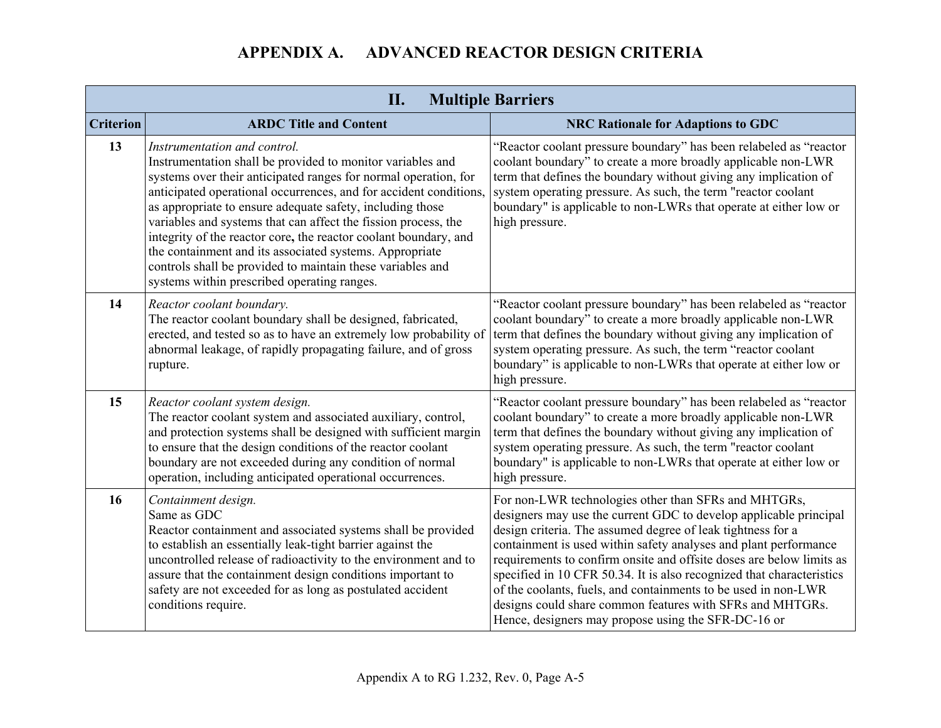| II.<br><b>Multiple Barriers</b> |                                                                                                                                                                                                                                                                                                                                                                                                                                                                                                                                                                                                               |                                                                                                                                                                                                                                                                                                                                                                                                                                                                                                                                                                                                     |  |
|---------------------------------|---------------------------------------------------------------------------------------------------------------------------------------------------------------------------------------------------------------------------------------------------------------------------------------------------------------------------------------------------------------------------------------------------------------------------------------------------------------------------------------------------------------------------------------------------------------------------------------------------------------|-----------------------------------------------------------------------------------------------------------------------------------------------------------------------------------------------------------------------------------------------------------------------------------------------------------------------------------------------------------------------------------------------------------------------------------------------------------------------------------------------------------------------------------------------------------------------------------------------------|--|
| <b>Criterion</b>                | <b>ARDC Title and Content</b>                                                                                                                                                                                                                                                                                                                                                                                                                                                                                                                                                                                 | <b>NRC Rationale for Adaptions to GDC</b>                                                                                                                                                                                                                                                                                                                                                                                                                                                                                                                                                           |  |
| 13                              | Instrumentation and control.<br>Instrumentation shall be provided to monitor variables and<br>systems over their anticipated ranges for normal operation, for<br>anticipated operational occurrences, and for accident conditions,<br>as appropriate to ensure adequate safety, including those<br>variables and systems that can affect the fission process, the<br>integrity of the reactor core, the reactor coolant boundary, and<br>the containment and its associated systems. Appropriate<br>controls shall be provided to maintain these variables and<br>systems within prescribed operating ranges. | "Reactor coolant pressure boundary" has been relabeled as "reactor<br>coolant boundary" to create a more broadly applicable non-LWR<br>term that defines the boundary without giving any implication of<br>system operating pressure. As such, the term "reactor coolant<br>boundary" is applicable to non-LWRs that operate at either low or<br>high pressure.                                                                                                                                                                                                                                     |  |
| 14                              | Reactor coolant boundary.<br>The reactor coolant boundary shall be designed, fabricated,<br>erected, and tested so as to have an extremely low probability of<br>abnormal leakage, of rapidly propagating failure, and of gross<br>rupture.                                                                                                                                                                                                                                                                                                                                                                   | "Reactor coolant pressure boundary" has been relabeled as "reactor<br>coolant boundary" to create a more broadly applicable non-LWR<br>term that defines the boundary without giving any implication of<br>system operating pressure. As such, the term "reactor coolant<br>boundary" is applicable to non-LWRs that operate at either low or<br>high pressure.                                                                                                                                                                                                                                     |  |
| 15                              | Reactor coolant system design.<br>The reactor coolant system and associated auxiliary, control,<br>and protection systems shall be designed with sufficient margin<br>to ensure that the design conditions of the reactor coolant<br>boundary are not exceeded during any condition of normal<br>operation, including anticipated operational occurrences.                                                                                                                                                                                                                                                    | "Reactor coolant pressure boundary" has been relabeled as "reactor<br>coolant boundary" to create a more broadly applicable non-LWR<br>term that defines the boundary without giving any implication of<br>system operating pressure. As such, the term "reactor coolant<br>boundary" is applicable to non-LWRs that operate at either low or<br>high pressure.                                                                                                                                                                                                                                     |  |
| 16                              | Containment design.<br>Same as GDC<br>Reactor containment and associated systems shall be provided<br>to establish an essentially leak-tight barrier against the<br>uncontrolled release of radioactivity to the environment and to<br>assure that the containment design conditions important to<br>safety are not exceeded for as long as postulated accident<br>conditions require.                                                                                                                                                                                                                        | For non-LWR technologies other than SFRs and MHTGRs,<br>designers may use the current GDC to develop applicable principal<br>design criteria. The assumed degree of leak tightness for a<br>containment is used within safety analyses and plant performance<br>requirements to confirm onsite and offsite doses are below limits as<br>specified in 10 CFR 50.34. It is also recognized that characteristics<br>of the coolants, fuels, and containments to be used in non-LWR<br>designs could share common features with SFRs and MHTGRs.<br>Hence, designers may propose using the SFR-DC-16 or |  |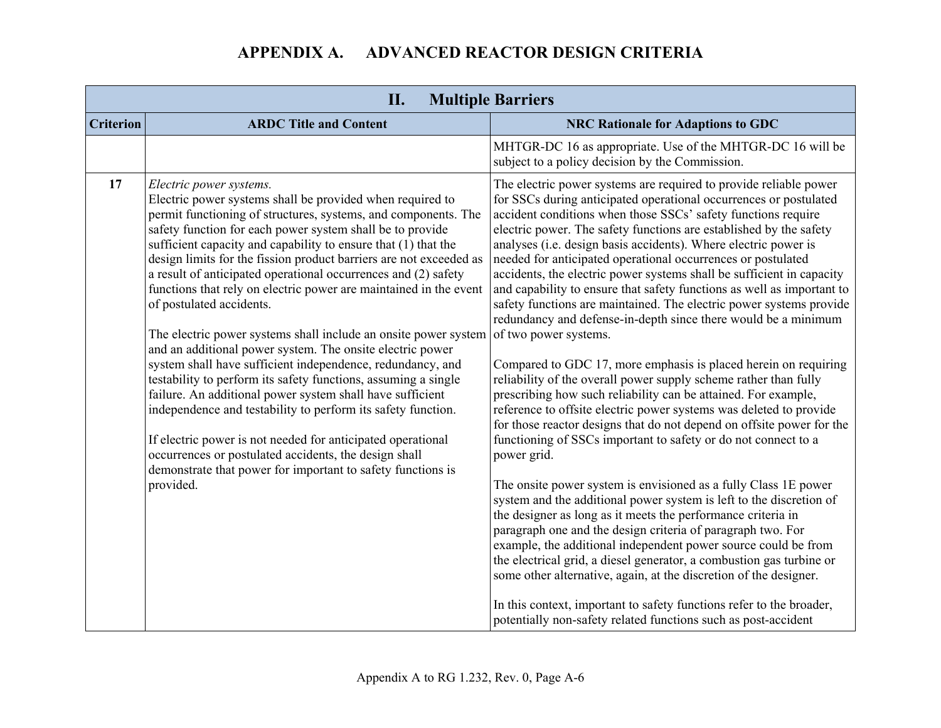| <b>Multiple Barriers</b><br>II. |                                                                                                                                                                                                                                                                                                                                                                                                                                                                                                                                                                                                                                                                                                                                                                                                                                                                                                                                                                                                                                                                                                                                 |                                                                                                                                                                                                                                                                                                                                                                                                                                                                                                                                                                                                                                                                                                                                                                                                                                                                                                                                                                                                                                                                                                                                                                                                                                                                                                                                                                                                                                                                                                                                                                                                                                                                                                                                                                                                                  |
|---------------------------------|---------------------------------------------------------------------------------------------------------------------------------------------------------------------------------------------------------------------------------------------------------------------------------------------------------------------------------------------------------------------------------------------------------------------------------------------------------------------------------------------------------------------------------------------------------------------------------------------------------------------------------------------------------------------------------------------------------------------------------------------------------------------------------------------------------------------------------------------------------------------------------------------------------------------------------------------------------------------------------------------------------------------------------------------------------------------------------------------------------------------------------|------------------------------------------------------------------------------------------------------------------------------------------------------------------------------------------------------------------------------------------------------------------------------------------------------------------------------------------------------------------------------------------------------------------------------------------------------------------------------------------------------------------------------------------------------------------------------------------------------------------------------------------------------------------------------------------------------------------------------------------------------------------------------------------------------------------------------------------------------------------------------------------------------------------------------------------------------------------------------------------------------------------------------------------------------------------------------------------------------------------------------------------------------------------------------------------------------------------------------------------------------------------------------------------------------------------------------------------------------------------------------------------------------------------------------------------------------------------------------------------------------------------------------------------------------------------------------------------------------------------------------------------------------------------------------------------------------------------------------------------------------------------------------------------------------------------|
| <b>Criterion</b>                | <b>ARDC Title and Content</b>                                                                                                                                                                                                                                                                                                                                                                                                                                                                                                                                                                                                                                                                                                                                                                                                                                                                                                                                                                                                                                                                                                   | <b>NRC Rationale for Adaptions to GDC</b>                                                                                                                                                                                                                                                                                                                                                                                                                                                                                                                                                                                                                                                                                                                                                                                                                                                                                                                                                                                                                                                                                                                                                                                                                                                                                                                                                                                                                                                                                                                                                                                                                                                                                                                                                                        |
|                                 |                                                                                                                                                                                                                                                                                                                                                                                                                                                                                                                                                                                                                                                                                                                                                                                                                                                                                                                                                                                                                                                                                                                                 | MHTGR-DC 16 as appropriate. Use of the MHTGR-DC 16 will be<br>subject to a policy decision by the Commission.                                                                                                                                                                                                                                                                                                                                                                                                                                                                                                                                                                                                                                                                                                                                                                                                                                                                                                                                                                                                                                                                                                                                                                                                                                                                                                                                                                                                                                                                                                                                                                                                                                                                                                    |
| 17                              | Electric power systems.<br>Electric power systems shall be provided when required to<br>permit functioning of structures, systems, and components. The<br>safety function for each power system shall be to provide<br>sufficient capacity and capability to ensure that (1) that the<br>design limits for the fission product barriers are not exceeded as<br>a result of anticipated operational occurrences and (2) safety<br>functions that rely on electric power are maintained in the event<br>of postulated accidents.<br>The electric power systems shall include an onsite power system<br>and an additional power system. The onsite electric power<br>system shall have sufficient independence, redundancy, and<br>testability to perform its safety functions, assuming a single<br>failure. An additional power system shall have sufficient<br>independence and testability to perform its safety function.<br>If electric power is not needed for anticipated operational<br>occurrences or postulated accidents, the design shall<br>demonstrate that power for important to safety functions is<br>provided. | The electric power systems are required to provide reliable power<br>for SSCs during anticipated operational occurrences or postulated<br>accident conditions when those SSCs' safety functions require<br>electric power. The safety functions are established by the safety<br>analyses (i.e. design basis accidents). Where electric power is<br>needed for anticipated operational occurrences or postulated<br>accidents, the electric power systems shall be sufficient in capacity<br>and capability to ensure that safety functions as well as important to<br>safety functions are maintained. The electric power systems provide<br>redundancy and defense-in-depth since there would be a minimum<br>of two power systems.<br>Compared to GDC 17, more emphasis is placed herein on requiring<br>reliability of the overall power supply scheme rather than fully<br>prescribing how such reliability can be attained. For example,<br>reference to offsite electric power systems was deleted to provide<br>for those reactor designs that do not depend on offsite power for the<br>functioning of SSCs important to safety or do not connect to a<br>power grid.<br>The onsite power system is envisioned as a fully Class 1E power<br>system and the additional power system is left to the discretion of<br>the designer as long as it meets the performance criteria in<br>paragraph one and the design criteria of paragraph two. For<br>example, the additional independent power source could be from<br>the electrical grid, a diesel generator, a combustion gas turbine or<br>some other alternative, again, at the discretion of the designer.<br>In this context, important to safety functions refer to the broader,<br>potentially non-safety related functions such as post-accident |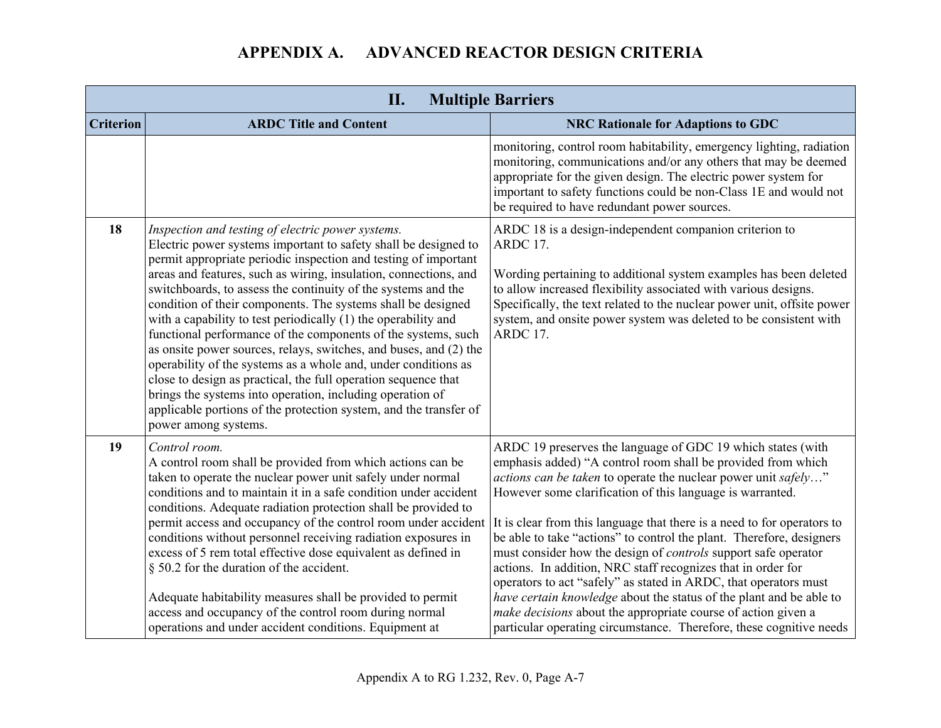| II.<br><b>Multiple Barriers</b> |                                                                                                                                                                                                                                                                                                                                                                                                                                                                                                                                                                                                                                                                                                                                                                                                                                                                                                    |                                                                                                                                                                                                                                                                                                                                                                                                                                                                                                                                                                                                                                                                                                                                                                                                                                                  |
|---------------------------------|----------------------------------------------------------------------------------------------------------------------------------------------------------------------------------------------------------------------------------------------------------------------------------------------------------------------------------------------------------------------------------------------------------------------------------------------------------------------------------------------------------------------------------------------------------------------------------------------------------------------------------------------------------------------------------------------------------------------------------------------------------------------------------------------------------------------------------------------------------------------------------------------------|--------------------------------------------------------------------------------------------------------------------------------------------------------------------------------------------------------------------------------------------------------------------------------------------------------------------------------------------------------------------------------------------------------------------------------------------------------------------------------------------------------------------------------------------------------------------------------------------------------------------------------------------------------------------------------------------------------------------------------------------------------------------------------------------------------------------------------------------------|
| <b>Criterion</b>                | <b>ARDC Title and Content</b>                                                                                                                                                                                                                                                                                                                                                                                                                                                                                                                                                                                                                                                                                                                                                                                                                                                                      | <b>NRC Rationale for Adaptions to GDC</b>                                                                                                                                                                                                                                                                                                                                                                                                                                                                                                                                                                                                                                                                                                                                                                                                        |
|                                 |                                                                                                                                                                                                                                                                                                                                                                                                                                                                                                                                                                                                                                                                                                                                                                                                                                                                                                    | monitoring, control room habitability, emergency lighting, radiation<br>monitoring, communications and/or any others that may be deemed<br>appropriate for the given design. The electric power system for<br>important to safety functions could be non-Class 1E and would not<br>be required to have redundant power sources.                                                                                                                                                                                                                                                                                                                                                                                                                                                                                                                  |
| 18                              | Inspection and testing of electric power systems.<br>Electric power systems important to safety shall be designed to<br>permit appropriate periodic inspection and testing of important<br>areas and features, such as wiring, insulation, connections, and<br>switchboards, to assess the continuity of the systems and the<br>condition of their components. The systems shall be designed<br>with a capability to test periodically (1) the operability and<br>functional performance of the components of the systems, such<br>as onsite power sources, relays, switches, and buses, and (2) the<br>operability of the systems as a whole and, under conditions as<br>close to design as practical, the full operation sequence that<br>brings the systems into operation, including operation of<br>applicable portions of the protection system, and the transfer of<br>power among systems. | ARDC 18 is a design-independent companion criterion to<br>ARDC 17.<br>Wording pertaining to additional system examples has been deleted<br>to allow increased flexibility associated with various designs.<br>Specifically, the text related to the nuclear power unit, offsite power<br>system, and onsite power system was deleted to be consistent with<br>ARDC 17.                                                                                                                                                                                                                                                                                                                                                                                                                                                                           |
| 19                              | Control room.<br>A control room shall be provided from which actions can be<br>taken to operate the nuclear power unit safely under normal<br>conditions and to maintain it in a safe condition under accident<br>conditions. Adequate radiation protection shall be provided to<br>permit access and occupancy of the control room under accident<br>conditions without personnel receiving radiation exposures in<br>excess of 5 rem total effective dose equivalent as defined in<br>§ 50.2 for the duration of the accident.<br>Adequate habitability measures shall be provided to permit<br>access and occupancy of the control room during normal<br>operations and under accident conditions. Equipment at                                                                                                                                                                                 | ARDC 19 preserves the language of GDC 19 which states (with<br>emphasis added) "A control room shall be provided from which<br><i>actions can be taken</i> to operate the nuclear power unit safely"<br>However some clarification of this language is warranted.<br>It is clear from this language that there is a need to for operators to<br>be able to take "actions" to control the plant. Therefore, designers<br>must consider how the design of <i>controls</i> support safe operator<br>actions. In addition, NRC staff recognizes that in order for<br>operators to act "safely" as stated in ARDC, that operators must<br>have certain knowledge about the status of the plant and be able to<br>make decisions about the appropriate course of action given a<br>particular operating circumstance. Therefore, these cognitive needs |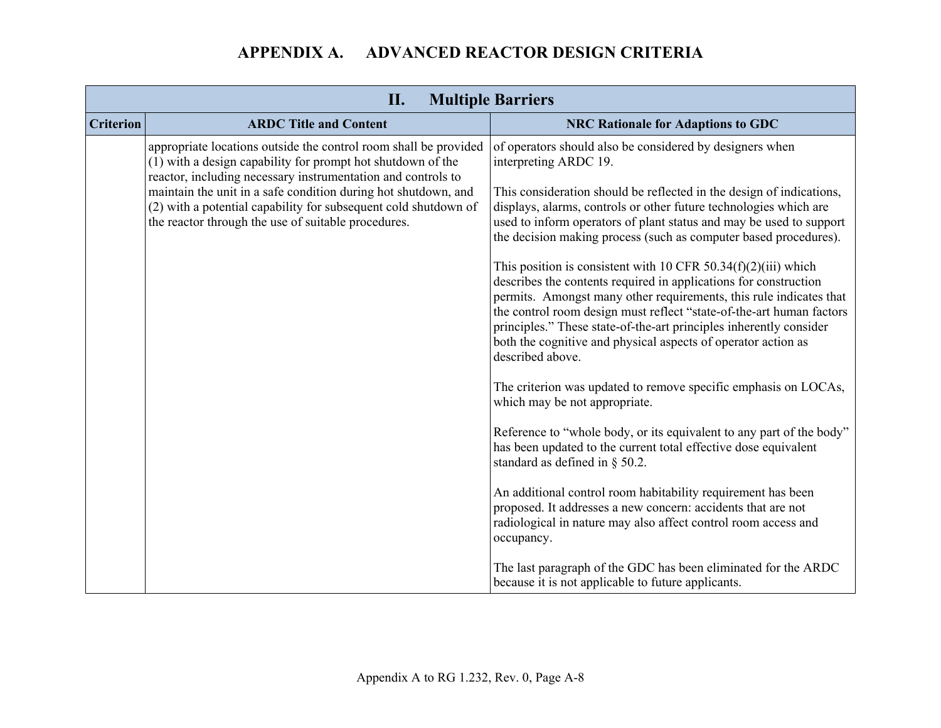|                  | II.<br><b>Multiple Barriers</b>                                                                                                                                                                 |                                                                                                                                                                                                                                                                                                                                                                                                                                                |  |
|------------------|-------------------------------------------------------------------------------------------------------------------------------------------------------------------------------------------------|------------------------------------------------------------------------------------------------------------------------------------------------------------------------------------------------------------------------------------------------------------------------------------------------------------------------------------------------------------------------------------------------------------------------------------------------|--|
| <b>Criterion</b> | <b>ARDC Title and Content</b>                                                                                                                                                                   | <b>NRC Rationale for Adaptions to GDC</b>                                                                                                                                                                                                                                                                                                                                                                                                      |  |
|                  | appropriate locations outside the control room shall be provided<br>(1) with a design capability for prompt hot shutdown of the<br>reactor, including necessary instrumentation and controls to | of operators should also be considered by designers when<br>interpreting ARDC 19.                                                                                                                                                                                                                                                                                                                                                              |  |
|                  | maintain the unit in a safe condition during hot shutdown, and<br>(2) with a potential capability for subsequent cold shutdown of<br>the reactor through the use of suitable procedures.        | This consideration should be reflected in the design of indications,<br>displays, alarms, controls or other future technologies which are<br>used to inform operators of plant status and may be used to support<br>the decision making process (such as computer based procedures).                                                                                                                                                           |  |
|                  |                                                                                                                                                                                                 | This position is consistent with 10 CFR $50.34(f)(2)(iii)$ which<br>describes the contents required in applications for construction<br>permits. Amongst many other requirements, this rule indicates that<br>the control room design must reflect "state-of-the-art human factors"<br>principles." These state-of-the-art principles inherently consider<br>both the cognitive and physical aspects of operator action as<br>described above. |  |
|                  |                                                                                                                                                                                                 | The criterion was updated to remove specific emphasis on LOCAs,<br>which may be not appropriate.                                                                                                                                                                                                                                                                                                                                               |  |
|                  |                                                                                                                                                                                                 | Reference to "whole body, or its equivalent to any part of the body"<br>has been updated to the current total effective dose equivalent<br>standard as defined in $\S$ 50.2.                                                                                                                                                                                                                                                                   |  |
|                  |                                                                                                                                                                                                 | An additional control room habitability requirement has been<br>proposed. It addresses a new concern: accidents that are not<br>radiological in nature may also affect control room access and<br>occupancy.                                                                                                                                                                                                                                   |  |
|                  |                                                                                                                                                                                                 | The last paragraph of the GDC has been eliminated for the ARDC<br>because it is not applicable to future applicants.                                                                                                                                                                                                                                                                                                                           |  |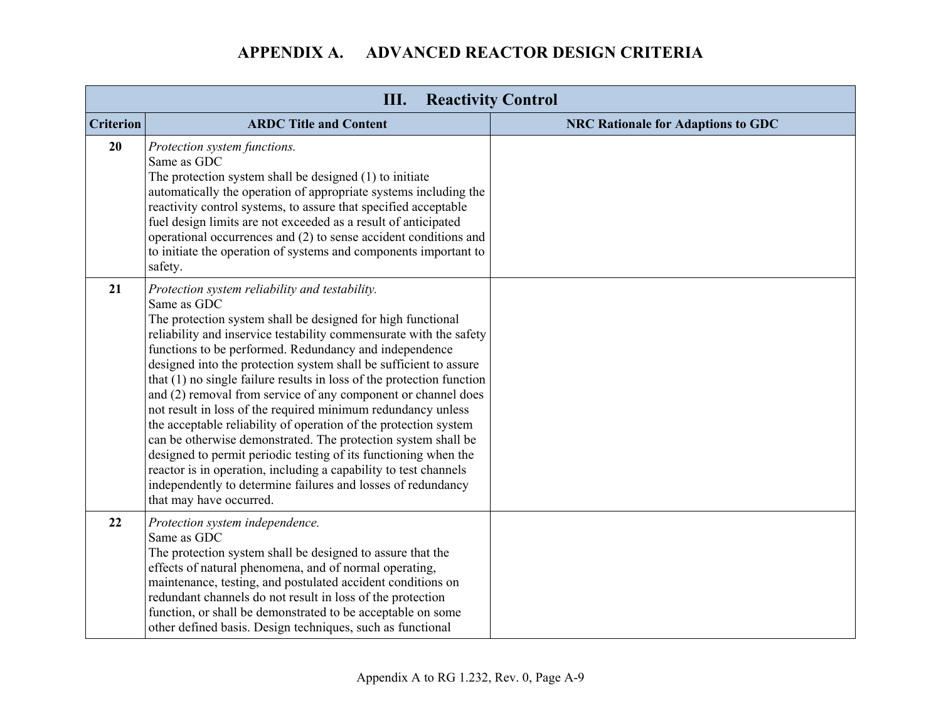| Ш.<br><b>Reactivity Control</b> |                                                                                                                                                                                                                                                                                                                                                                                                                                                                                                                                                                                                                                                                                                                                                                                                                                                                                                                    |                                           |
|---------------------------------|--------------------------------------------------------------------------------------------------------------------------------------------------------------------------------------------------------------------------------------------------------------------------------------------------------------------------------------------------------------------------------------------------------------------------------------------------------------------------------------------------------------------------------------------------------------------------------------------------------------------------------------------------------------------------------------------------------------------------------------------------------------------------------------------------------------------------------------------------------------------------------------------------------------------|-------------------------------------------|
| <b>Criterion</b>                | <b>ARDC Title and Content</b>                                                                                                                                                                                                                                                                                                                                                                                                                                                                                                                                                                                                                                                                                                                                                                                                                                                                                      | <b>NRC Rationale for Adaptions to GDC</b> |
| 20                              | Protection system functions.<br>Same as GDC<br>The protection system shall be designed (1) to initiate<br>automatically the operation of appropriate systems including the<br>reactivity control systems, to assure that specified acceptable<br>fuel design limits are not exceeded as a result of anticipated<br>operational occurrences and (2) to sense accident conditions and<br>to initiate the operation of systems and components important to<br>safety.                                                                                                                                                                                                                                                                                                                                                                                                                                                 |                                           |
| 21                              | Protection system reliability and testability.<br>Same as GDC<br>The protection system shall be designed for high functional<br>reliability and inservice testability commensurate with the safety<br>functions to be performed. Redundancy and independence<br>designed into the protection system shall be sufficient to assure<br>that (1) no single failure results in loss of the protection function<br>and (2) removal from service of any component or channel does<br>not result in loss of the required minimum redundancy unless<br>the acceptable reliability of operation of the protection system<br>can be otherwise demonstrated. The protection system shall be<br>designed to permit periodic testing of its functioning when the<br>reactor is in operation, including a capability to test channels<br>independently to determine failures and losses of redundancy<br>that may have occurred. |                                           |
| 22                              | Protection system independence.<br>Same as GDC<br>The protection system shall be designed to assure that the<br>effects of natural phenomena, and of normal operating,<br>maintenance, testing, and postulated accident conditions on<br>redundant channels do not result in loss of the protection<br>function, or shall be demonstrated to be acceptable on some<br>other defined basis. Design techniques, such as functional                                                                                                                                                                                                                                                                                                                                                                                                                                                                                   |                                           |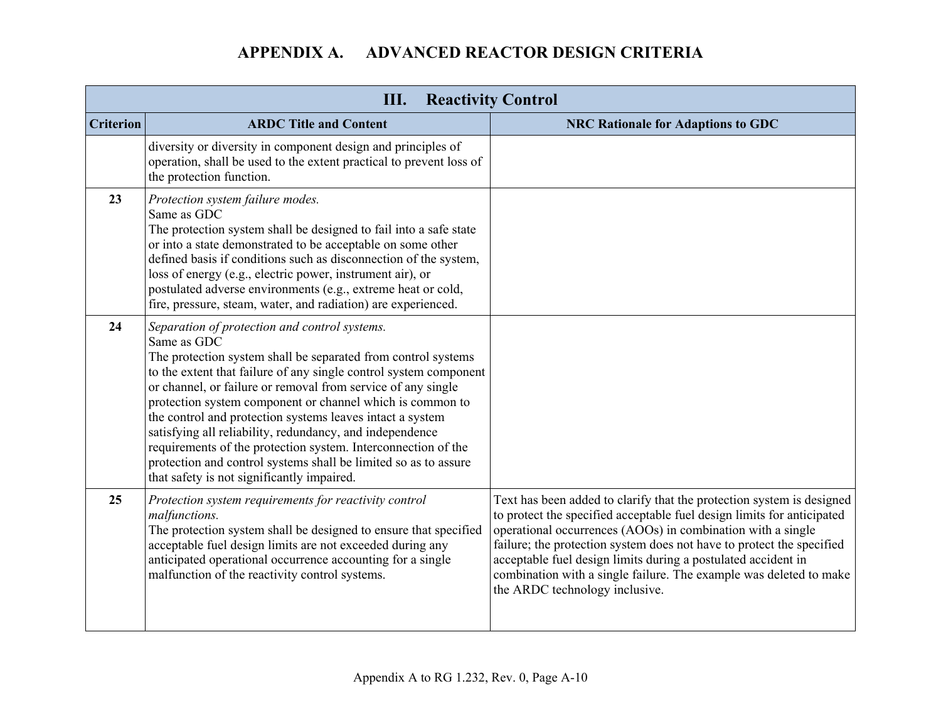| III.<br><b>Reactivity Control</b> |                                                                                                                                                                                                                                                                                                                                                                                                                                                                                                                                                                                                                                            |                                                                                                                                                                                                                                                                                                                                                                                                                                                                  |
|-----------------------------------|--------------------------------------------------------------------------------------------------------------------------------------------------------------------------------------------------------------------------------------------------------------------------------------------------------------------------------------------------------------------------------------------------------------------------------------------------------------------------------------------------------------------------------------------------------------------------------------------------------------------------------------------|------------------------------------------------------------------------------------------------------------------------------------------------------------------------------------------------------------------------------------------------------------------------------------------------------------------------------------------------------------------------------------------------------------------------------------------------------------------|
| <b>Criterion</b>                  | <b>ARDC Title and Content</b>                                                                                                                                                                                                                                                                                                                                                                                                                                                                                                                                                                                                              | <b>NRC Rationale for Adaptions to GDC</b>                                                                                                                                                                                                                                                                                                                                                                                                                        |
|                                   | diversity or diversity in component design and principles of<br>operation, shall be used to the extent practical to prevent loss of<br>the protection function.                                                                                                                                                                                                                                                                                                                                                                                                                                                                            |                                                                                                                                                                                                                                                                                                                                                                                                                                                                  |
| 23                                | Protection system failure modes.<br>Same as GDC<br>The protection system shall be designed to fail into a safe state<br>or into a state demonstrated to be acceptable on some other<br>defined basis if conditions such as disconnection of the system,<br>loss of energy (e.g., electric power, instrument air), or<br>postulated adverse environments (e.g., extreme heat or cold,<br>fire, pressure, steam, water, and radiation) are experienced.                                                                                                                                                                                      |                                                                                                                                                                                                                                                                                                                                                                                                                                                                  |
| 24                                | Separation of protection and control systems.<br>Same as GDC<br>The protection system shall be separated from control systems<br>to the extent that failure of any single control system component<br>or channel, or failure or removal from service of any single<br>protection system component or channel which is common to<br>the control and protection systems leaves intact a system<br>satisfying all reliability, redundancy, and independence<br>requirements of the protection system. Interconnection of the<br>protection and control systems shall be limited so as to assure<br>that safety is not significantly impaired. |                                                                                                                                                                                                                                                                                                                                                                                                                                                                  |
| 25                                | Protection system requirements for reactivity control<br>malfunctions.<br>The protection system shall be designed to ensure that specified<br>acceptable fuel design limits are not exceeded during any<br>anticipated operational occurrence accounting for a single<br>malfunction of the reactivity control systems.                                                                                                                                                                                                                                                                                                                    | Text has been added to clarify that the protection system is designed<br>to protect the specified acceptable fuel design limits for anticipated<br>operational occurrences (AOOs) in combination with a single<br>failure; the protection system does not have to protect the specified<br>acceptable fuel design limits during a postulated accident in<br>combination with a single failure. The example was deleted to make<br>the ARDC technology inclusive. |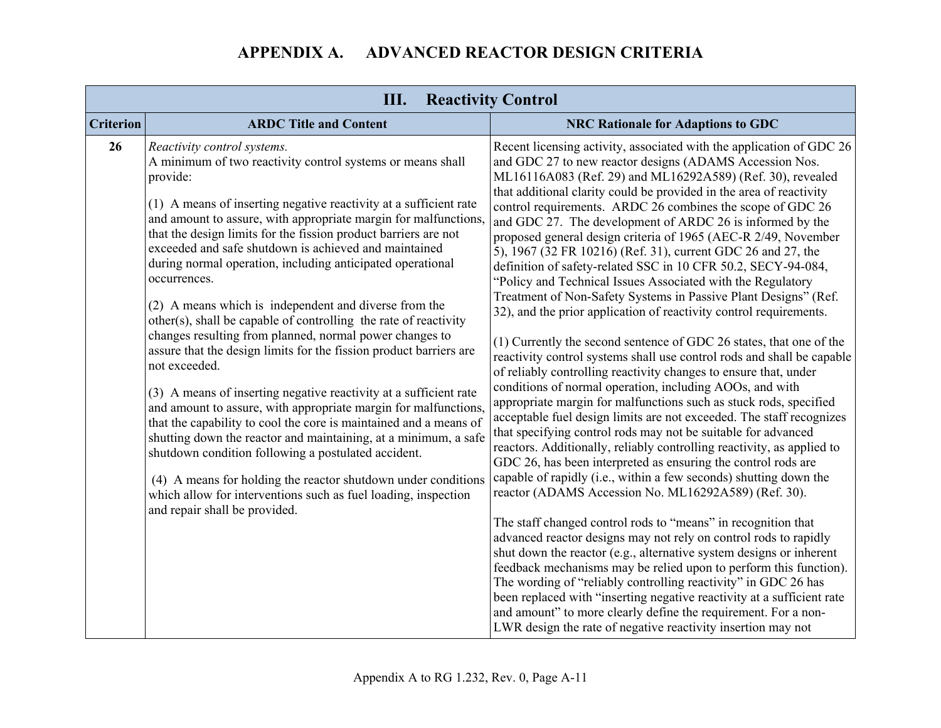| Ш.<br><b>Reactivity Control</b> |                                                                                                                                                                                                                                                                                                                                                                                                                                                                                                                                                                                                                                                                                                                                                                                                                                                                                                                                                                                                                                                                                                                                                                                                                                                   |                                                                                                                                                                                                                                                                                                                                                                                                                                                                                                                                                                                                                                                                                                                                                                                                                                                                                                                                                                                                                                                                                                                                                                                                                                                                                                                                                                                                                                                                                                                                                                                                                                                                                                                                                                                                                                                                                                                                                                                                                                                                                                                                                  |
|---------------------------------|---------------------------------------------------------------------------------------------------------------------------------------------------------------------------------------------------------------------------------------------------------------------------------------------------------------------------------------------------------------------------------------------------------------------------------------------------------------------------------------------------------------------------------------------------------------------------------------------------------------------------------------------------------------------------------------------------------------------------------------------------------------------------------------------------------------------------------------------------------------------------------------------------------------------------------------------------------------------------------------------------------------------------------------------------------------------------------------------------------------------------------------------------------------------------------------------------------------------------------------------------|--------------------------------------------------------------------------------------------------------------------------------------------------------------------------------------------------------------------------------------------------------------------------------------------------------------------------------------------------------------------------------------------------------------------------------------------------------------------------------------------------------------------------------------------------------------------------------------------------------------------------------------------------------------------------------------------------------------------------------------------------------------------------------------------------------------------------------------------------------------------------------------------------------------------------------------------------------------------------------------------------------------------------------------------------------------------------------------------------------------------------------------------------------------------------------------------------------------------------------------------------------------------------------------------------------------------------------------------------------------------------------------------------------------------------------------------------------------------------------------------------------------------------------------------------------------------------------------------------------------------------------------------------------------------------------------------------------------------------------------------------------------------------------------------------------------------------------------------------------------------------------------------------------------------------------------------------------------------------------------------------------------------------------------------------------------------------------------------------------------------------------------------------|
| <b>Criterion</b>                | <b>ARDC Title and Content</b>                                                                                                                                                                                                                                                                                                                                                                                                                                                                                                                                                                                                                                                                                                                                                                                                                                                                                                                                                                                                                                                                                                                                                                                                                     | <b>NRC Rationale for Adaptions to GDC</b>                                                                                                                                                                                                                                                                                                                                                                                                                                                                                                                                                                                                                                                                                                                                                                                                                                                                                                                                                                                                                                                                                                                                                                                                                                                                                                                                                                                                                                                                                                                                                                                                                                                                                                                                                                                                                                                                                                                                                                                                                                                                                                        |
| 26                              | Reactivity control systems.<br>A minimum of two reactivity control systems or means shall<br>provide:<br>(1) A means of inserting negative reactivity at a sufficient rate<br>and amount to assure, with appropriate margin for malfunctions,<br>that the design limits for the fission product barriers are not<br>exceeded and safe shutdown is achieved and maintained<br>during normal operation, including anticipated operational<br>occurrences.<br>(2) A means which is independent and diverse from the<br>other(s), shall be capable of controlling the rate of reactivity<br>changes resulting from planned, normal power changes to<br>assure that the design limits for the fission product barriers are<br>not exceeded.<br>(3) A means of inserting negative reactivity at a sufficient rate<br>and amount to assure, with appropriate margin for malfunctions,<br>that the capability to cool the core is maintained and a means of<br>shutting down the reactor and maintaining, at a minimum, a safe<br>shutdown condition following a postulated accident.<br>(4) A means for holding the reactor shutdown under conditions<br>which allow for interventions such as fuel loading, inspection<br>and repair shall be provided. | Recent licensing activity, associated with the application of GDC 26<br>and GDC 27 to new reactor designs (ADAMS Accession Nos.<br>ML16116A083 (Ref. 29) and ML16292A589) (Ref. 30), revealed<br>that additional clarity could be provided in the area of reactivity<br>control requirements. ARDC 26 combines the scope of GDC 26<br>and GDC 27. The development of ARDC 26 is informed by the<br>proposed general design criteria of 1965 (AEC-R 2/49, November<br>5), 1967 (32 FR 10216) (Ref. 31), current GDC 26 and 27, the<br>definition of safety-related SSC in 10 CFR 50.2, SECY-94-084,<br>"Policy and Technical Issues Associated with the Regulatory<br>Treatment of Non-Safety Systems in Passive Plant Designs" (Ref.<br>32), and the prior application of reactivity control requirements.<br>(1) Currently the second sentence of GDC 26 states, that one of the<br>reactivity control systems shall use control rods and shall be capable<br>of reliably controlling reactivity changes to ensure that, under<br>conditions of normal operation, including AOOs, and with<br>appropriate margin for malfunctions such as stuck rods, specified<br>acceptable fuel design limits are not exceeded. The staff recognizes<br>that specifying control rods may not be suitable for advanced<br>reactors. Additionally, reliably controlling reactivity, as applied to<br>GDC 26, has been interpreted as ensuring the control rods are<br>capable of rapidly (i.e., within a few seconds) shutting down the<br>reactor (ADAMS Accession No. ML16292A589) (Ref. 30).<br>The staff changed control rods to "means" in recognition that<br>advanced reactor designs may not rely on control rods to rapidly<br>shut down the reactor (e.g., alternative system designs or inherent<br>feedback mechanisms may be relied upon to perform this function).<br>The wording of "reliably controlling reactivity" in GDC 26 has<br>been replaced with "inserting negative reactivity at a sufficient rate<br>and amount" to more clearly define the requirement. For a non-<br>LWR design the rate of negative reactivity insertion may not |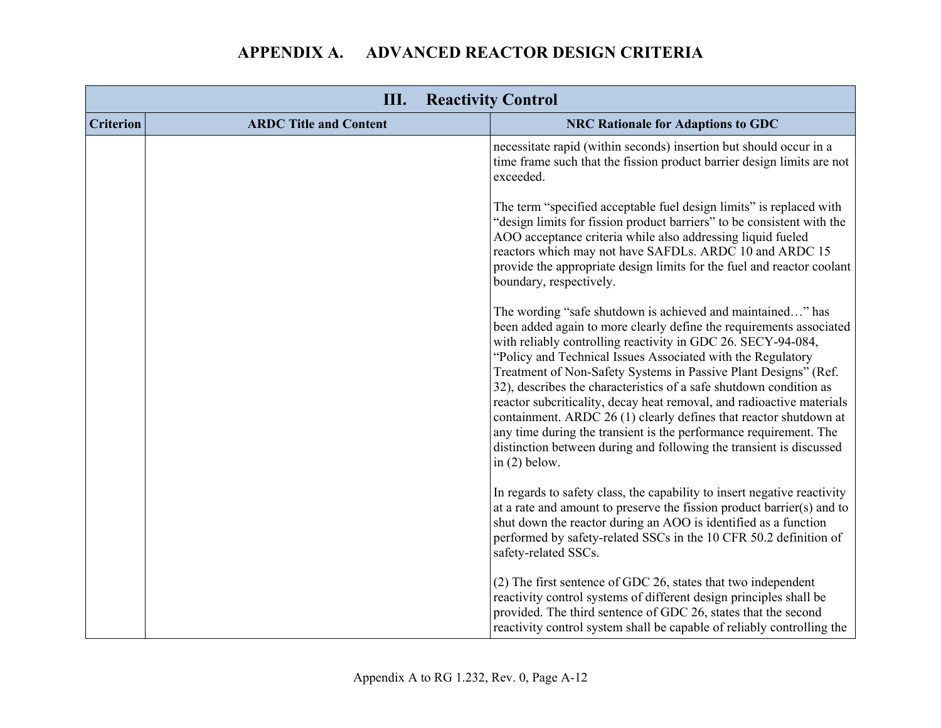|                  | Ш.<br><b>Reactivity Control</b> |                                                                                                                                                                                                                                                                                                                                                                                                                                                                                                                                                                                                                                                                                                                        |
|------------------|---------------------------------|------------------------------------------------------------------------------------------------------------------------------------------------------------------------------------------------------------------------------------------------------------------------------------------------------------------------------------------------------------------------------------------------------------------------------------------------------------------------------------------------------------------------------------------------------------------------------------------------------------------------------------------------------------------------------------------------------------------------|
| <b>Criterion</b> | <b>ARDC Title and Content</b>   | <b>NRC Rationale for Adaptions to GDC</b>                                                                                                                                                                                                                                                                                                                                                                                                                                                                                                                                                                                                                                                                              |
|                  |                                 | necessitate rapid (within seconds) insertion but should occur in a<br>time frame such that the fission product barrier design limits are not<br>exceeded.                                                                                                                                                                                                                                                                                                                                                                                                                                                                                                                                                              |
|                  |                                 | The term "specified acceptable fuel design limits" is replaced with<br>"design limits for fission product barriers" to be consistent with the<br>AOO acceptance criteria while also addressing liquid fueled<br>reactors which may not have SAFDLs. ARDC 10 and ARDC 15<br>provide the appropriate design limits for the fuel and reactor coolant<br>boundary, respectively.                                                                                                                                                                                                                                                                                                                                           |
|                  |                                 | The wording "safe shutdown is achieved and maintained" has<br>been added again to more clearly define the requirements associated<br>with reliably controlling reactivity in GDC 26. SECY-94-084,<br>"Policy and Technical Issues Associated with the Regulatory<br>Treatment of Non-Safety Systems in Passive Plant Designs" (Ref.<br>32), describes the characteristics of a safe shutdown condition as<br>reactor subcriticality, decay heat removal, and radioactive materials<br>containment. ARDC 26 (1) clearly defines that reactor shutdown at<br>any time during the transient is the performance requirement. The<br>distinction between during and following the transient is discussed<br>in $(2)$ below. |
|                  |                                 | In regards to safety class, the capability to insert negative reactivity<br>at a rate and amount to preserve the fission product barrier(s) and to<br>shut down the reactor during an AOO is identified as a function<br>performed by safety-related SSCs in the 10 CFR 50.2 definition of<br>safety-related SSCs.                                                                                                                                                                                                                                                                                                                                                                                                     |
|                  |                                 | (2) The first sentence of GDC 26, states that two independent<br>reactivity control systems of different design principles shall be<br>provided. The third sentence of GDC 26, states that the second<br>reactivity control system shall be capable of reliably controlling the                                                                                                                                                                                                                                                                                                                                                                                                                                        |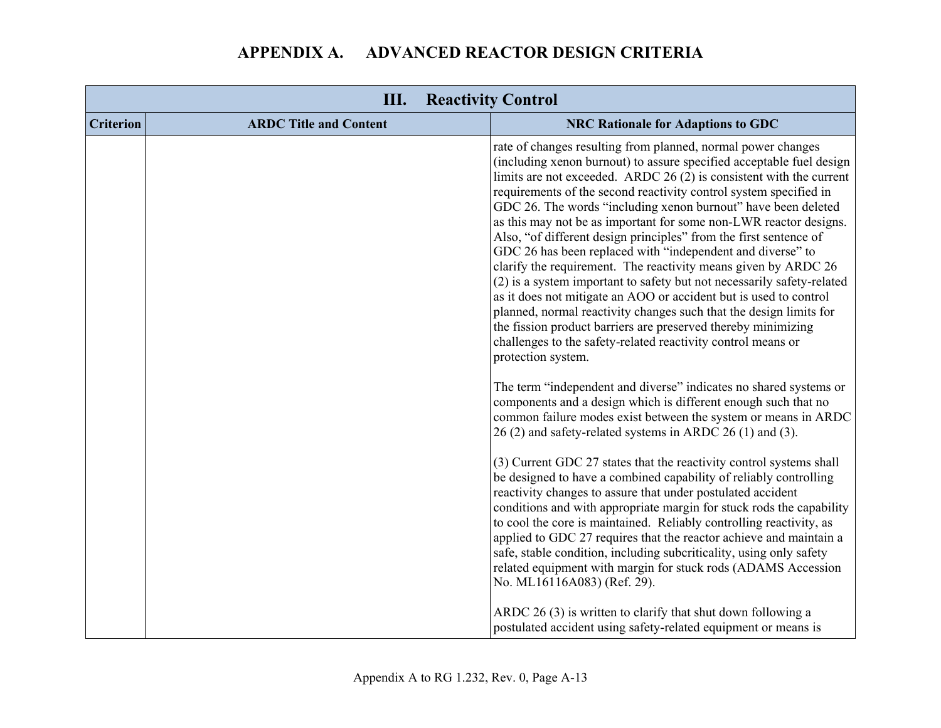| Ш.<br><b>Reactivity Control</b> |                               |                                                                                                                                                                                                                                                                                                                                                                                                                                                                                                                                                                                                                                                                                                                                                                                                                                                                                                                                                                                                                                                                                                                                                                                                                   |
|---------------------------------|-------------------------------|-------------------------------------------------------------------------------------------------------------------------------------------------------------------------------------------------------------------------------------------------------------------------------------------------------------------------------------------------------------------------------------------------------------------------------------------------------------------------------------------------------------------------------------------------------------------------------------------------------------------------------------------------------------------------------------------------------------------------------------------------------------------------------------------------------------------------------------------------------------------------------------------------------------------------------------------------------------------------------------------------------------------------------------------------------------------------------------------------------------------------------------------------------------------------------------------------------------------|
| <b>Criterion</b>                | <b>ARDC Title and Content</b> | <b>NRC Rationale for Adaptions to GDC</b>                                                                                                                                                                                                                                                                                                                                                                                                                                                                                                                                                                                                                                                                                                                                                                                                                                                                                                                                                                                                                                                                                                                                                                         |
|                                 |                               | rate of changes resulting from planned, normal power changes<br>(including xenon burnout) to assure specified acceptable fuel design<br>limits are not exceeded. ARDC $26(2)$ is consistent with the current<br>requirements of the second reactivity control system specified in<br>GDC 26. The words "including xenon burnout" have been deleted<br>as this may not be as important for some non-LWR reactor designs.<br>Also, "of different design principles" from the first sentence of<br>GDC 26 has been replaced with "independent and diverse" to<br>clarify the requirement. The reactivity means given by ARDC 26<br>(2) is a system important to safety but not necessarily safety-related<br>as it does not mitigate an AOO or accident but is used to control<br>planned, normal reactivity changes such that the design limits for<br>the fission product barriers are preserved thereby minimizing<br>challenges to the safety-related reactivity control means or<br>protection system.<br>The term "independent and diverse" indicates no shared systems or<br>components and a design which is different enough such that no<br>common failure modes exist between the system or means in ARDC |
|                                 |                               | 26 (2) and safety-related systems in ARDC 26 (1) and (3).                                                                                                                                                                                                                                                                                                                                                                                                                                                                                                                                                                                                                                                                                                                                                                                                                                                                                                                                                                                                                                                                                                                                                         |
|                                 |                               | (3) Current GDC 27 states that the reactivity control systems shall<br>be designed to have a combined capability of reliably controlling<br>reactivity changes to assure that under postulated accident<br>conditions and with appropriate margin for stuck rods the capability<br>to cool the core is maintained. Reliably controlling reactivity, as<br>applied to GDC 27 requires that the reactor achieve and maintain a<br>safe, stable condition, including subcriticality, using only safety<br>related equipment with margin for stuck rods (ADAMS Accession<br>No. ML16116A083) (Ref. 29).                                                                                                                                                                                                                                                                                                                                                                                                                                                                                                                                                                                                               |
|                                 |                               | ARDC 26 (3) is written to clarify that shut down following a<br>postulated accident using safety-related equipment or means is                                                                                                                                                                                                                                                                                                                                                                                                                                                                                                                                                                                                                                                                                                                                                                                                                                                                                                                                                                                                                                                                                    |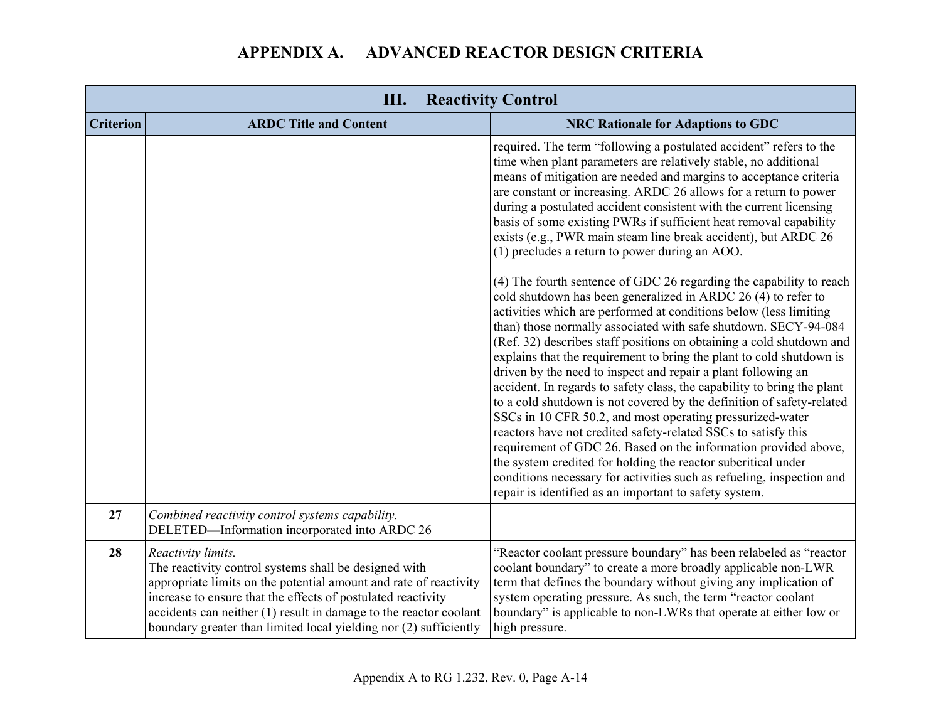| Ш.<br><b>Reactivity Control</b> |                                                                                                                                                                                                                                                                                                                                                              |                                                                                                                                                                                                                                                                                                                                                                                                                                                                                                                                                                                                                                                                                                                                                                                                                                                                                                                                                                                                                                                         |
|---------------------------------|--------------------------------------------------------------------------------------------------------------------------------------------------------------------------------------------------------------------------------------------------------------------------------------------------------------------------------------------------------------|---------------------------------------------------------------------------------------------------------------------------------------------------------------------------------------------------------------------------------------------------------------------------------------------------------------------------------------------------------------------------------------------------------------------------------------------------------------------------------------------------------------------------------------------------------------------------------------------------------------------------------------------------------------------------------------------------------------------------------------------------------------------------------------------------------------------------------------------------------------------------------------------------------------------------------------------------------------------------------------------------------------------------------------------------------|
| <b>Criterion</b>                | <b>ARDC Title and Content</b>                                                                                                                                                                                                                                                                                                                                | <b>NRC Rationale for Adaptions to GDC</b>                                                                                                                                                                                                                                                                                                                                                                                                                                                                                                                                                                                                                                                                                                                                                                                                                                                                                                                                                                                                               |
|                                 |                                                                                                                                                                                                                                                                                                                                                              | required. The term "following a postulated accident" refers to the<br>time when plant parameters are relatively stable, no additional<br>means of mitigation are needed and margins to acceptance criteria<br>are constant or increasing. ARDC 26 allows for a return to power<br>during a postulated accident consistent with the current licensing<br>basis of some existing PWRs if sufficient heat removal capability<br>exists (e.g., PWR main steam line break accident), but ARDC 26<br>(1) precludes a return to power during an AOO.                                                                                                                                                                                                                                                                                                                                                                                                                                                                                                           |
|                                 |                                                                                                                                                                                                                                                                                                                                                              | (4) The fourth sentence of GDC 26 regarding the capability to reach<br>cold shutdown has been generalized in ARDC 26 (4) to refer to<br>activities which are performed at conditions below (less limiting<br>than) those normally associated with safe shutdown. SECY-94-084<br>(Ref. 32) describes staff positions on obtaining a cold shutdown and<br>explains that the requirement to bring the plant to cold shutdown is<br>driven by the need to inspect and repair a plant following an<br>accident. In regards to safety class, the capability to bring the plant<br>to a cold shutdown is not covered by the definition of safety-related<br>SSCs in 10 CFR 50.2, and most operating pressurized-water<br>reactors have not credited safety-related SSCs to satisfy this<br>requirement of GDC 26. Based on the information provided above,<br>the system credited for holding the reactor subcritical under<br>conditions necessary for activities such as refueling, inspection and<br>repair is identified as an important to safety system. |
| 27                              | Combined reactivity control systems capability.<br>DELETED-Information incorporated into ARDC 26                                                                                                                                                                                                                                                             |                                                                                                                                                                                                                                                                                                                                                                                                                                                                                                                                                                                                                                                                                                                                                                                                                                                                                                                                                                                                                                                         |
| 28                              | Reactivity limits.<br>The reactivity control systems shall be designed with<br>appropriate limits on the potential amount and rate of reactivity<br>increase to ensure that the effects of postulated reactivity<br>accidents can neither $(1)$ result in damage to the reactor coolant<br>boundary greater than limited local yielding nor (2) sufficiently | "Reactor coolant pressure boundary" has been relabeled as "reactor<br>coolant boundary" to create a more broadly applicable non-LWR<br>term that defines the boundary without giving any implication of<br>system operating pressure. As such, the term "reactor coolant"<br>boundary" is applicable to non-LWRs that operate at either low or<br>high pressure.                                                                                                                                                                                                                                                                                                                                                                                                                                                                                                                                                                                                                                                                                        |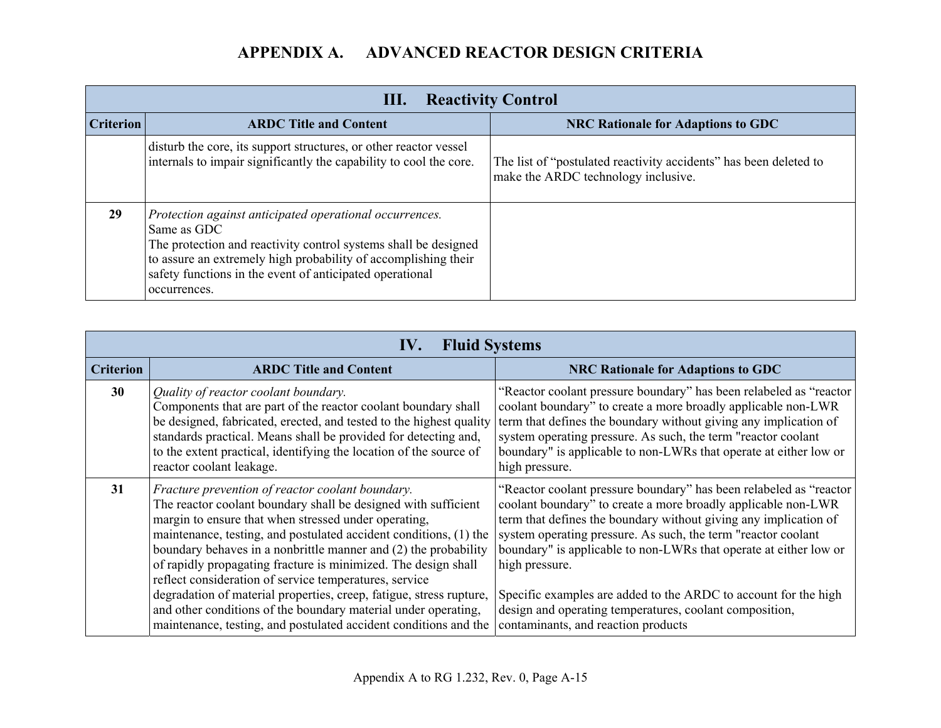|                  | <b>Reactivity Control</b><br>Ш.                                                                                                                                                                                                                                                         |                                                                                                          |  |
|------------------|-----------------------------------------------------------------------------------------------------------------------------------------------------------------------------------------------------------------------------------------------------------------------------------------|----------------------------------------------------------------------------------------------------------|--|
| <b>Criterion</b> | <b>ARDC Title and Content</b>                                                                                                                                                                                                                                                           | <b>NRC Rationale for Adaptions to GDC</b>                                                                |  |
|                  | disturb the core, its support structures, or other reactor vessel<br>internals to impair significantly the capability to cool the core.                                                                                                                                                 | The list of "postulated reactivity accidents" has been deleted to<br>make the ARDC technology inclusive. |  |
| 29               | Protection against anticipated operational occurrences.<br>Same as GDC<br>The protection and reactivity control systems shall be designed<br>to assure an extremely high probability of accomplishing their<br>safety functions in the event of anticipated operational<br>occurrences. |                                                                                                          |  |

| <b>Fluid Systems</b><br>IV. |                                                                                                                                                                                                                                                                                                                                                                                                                                                                                                                                                                                         |                                                                                                                                                                                                                                                                                                                                                                                                                                                                                                 |
|-----------------------------|-----------------------------------------------------------------------------------------------------------------------------------------------------------------------------------------------------------------------------------------------------------------------------------------------------------------------------------------------------------------------------------------------------------------------------------------------------------------------------------------------------------------------------------------------------------------------------------------|-------------------------------------------------------------------------------------------------------------------------------------------------------------------------------------------------------------------------------------------------------------------------------------------------------------------------------------------------------------------------------------------------------------------------------------------------------------------------------------------------|
| <b>Criterion</b>            | <b>ARDC Title and Content</b>                                                                                                                                                                                                                                                                                                                                                                                                                                                                                                                                                           | <b>NRC Rationale for Adaptions to GDC</b>                                                                                                                                                                                                                                                                                                                                                                                                                                                       |
| 30                          | Quality of reactor coolant boundary.<br>Components that are part of the reactor coolant boundary shall<br>be designed, fabricated, erected, and tested to the highest quality<br>standards practical. Means shall be provided for detecting and,<br>to the extent practical, identifying the location of the source of<br>reactor coolant leakage.                                                                                                                                                                                                                                      | "Reactor coolant pressure boundary" has been relabeled as "reactor"<br>coolant boundary" to create a more broadly applicable non-LWR<br>term that defines the boundary without giving any implication of<br>system operating pressure. As such, the term "reactor coolant"<br>boundary" is applicable to non-LWRs that operate at either low or<br>high pressure.                                                                                                                               |
| 31                          | Fracture prevention of reactor coolant boundary.<br>The reactor coolant boundary shall be designed with sufficient<br>margin to ensure that when stressed under operating,<br>maintenance, testing, and postulated accident conditions, (1) the<br>boundary behaves in a nonbrittle manner and (2) the probability<br>of rapidly propagating fracture is minimized. The design shall<br>reflect consideration of service temperatures, service<br>degradation of material properties, creep, fatigue, stress rupture,<br>and other conditions of the boundary material under operating, | "Reactor coolant pressure boundary" has been relabeled as "reactor"<br>coolant boundary" to create a more broadly applicable non-LWR<br>term that defines the boundary without giving any implication of<br>system operating pressure. As such, the term "reactor coolant"<br>boundary" is applicable to non-LWRs that operate at either low or<br>high pressure.<br>Specific examples are added to the ARDC to account for the high<br>design and operating temperatures, coolant composition, |
|                             | maintenance, testing, and postulated accident conditions and the                                                                                                                                                                                                                                                                                                                                                                                                                                                                                                                        | contaminants, and reaction products                                                                                                                                                                                                                                                                                                                                                                                                                                                             |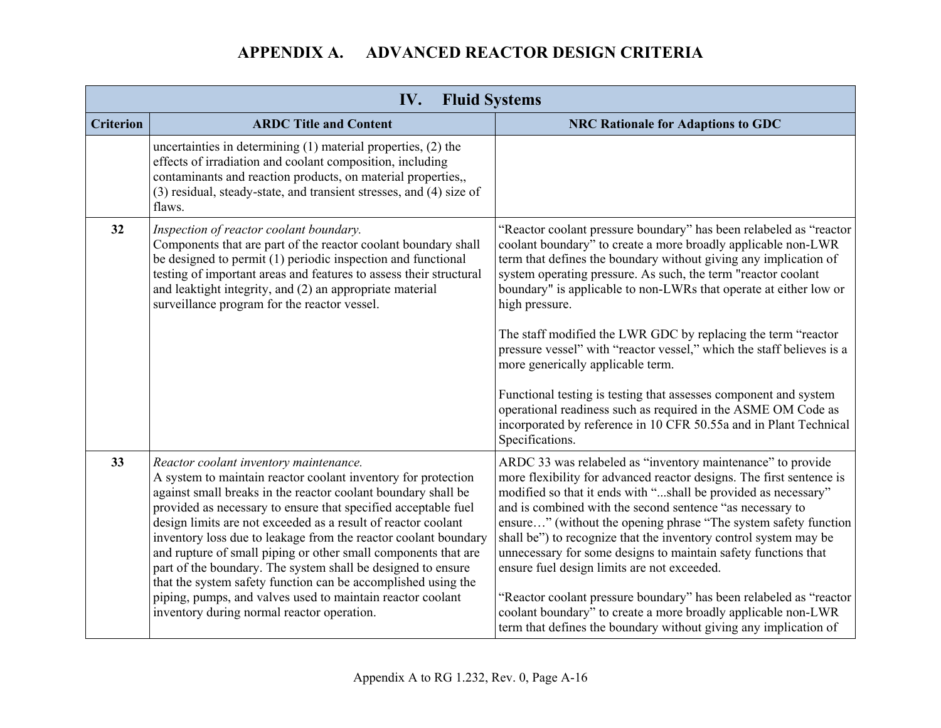| IV.<br><b>Fluid Systems</b> |                                                                                                                                                                                                                                                                                                                                                                                                                                                                                                                                                                                                                                                 |                                                                                                                                                                                                                                                                                                                                                                                                                                                                                                                                                                                                                     |
|-----------------------------|-------------------------------------------------------------------------------------------------------------------------------------------------------------------------------------------------------------------------------------------------------------------------------------------------------------------------------------------------------------------------------------------------------------------------------------------------------------------------------------------------------------------------------------------------------------------------------------------------------------------------------------------------|---------------------------------------------------------------------------------------------------------------------------------------------------------------------------------------------------------------------------------------------------------------------------------------------------------------------------------------------------------------------------------------------------------------------------------------------------------------------------------------------------------------------------------------------------------------------------------------------------------------------|
| <b>Criterion</b>            | <b>ARDC Title and Content</b>                                                                                                                                                                                                                                                                                                                                                                                                                                                                                                                                                                                                                   | <b>NRC Rationale for Adaptions to GDC</b>                                                                                                                                                                                                                                                                                                                                                                                                                                                                                                                                                                           |
|                             | uncertainties in determining (1) material properties, (2) the<br>effects of irradiation and coolant composition, including<br>contaminants and reaction products, on material properties,,<br>(3) residual, steady-state, and transient stresses, and (4) size of<br>flaws.                                                                                                                                                                                                                                                                                                                                                                     |                                                                                                                                                                                                                                                                                                                                                                                                                                                                                                                                                                                                                     |
| 32                          | Inspection of reactor coolant boundary.<br>Components that are part of the reactor coolant boundary shall<br>be designed to permit (1) periodic inspection and functional<br>testing of important areas and features to assess their structural<br>and leaktight integrity, and (2) an appropriate material<br>surveillance program for the reactor vessel.                                                                                                                                                                                                                                                                                     | "Reactor coolant pressure boundary" has been relabeled as "reactor"<br>coolant boundary" to create a more broadly applicable non-LWR<br>term that defines the boundary without giving any implication of<br>system operating pressure. As such, the term "reactor coolant<br>boundary" is applicable to non-LWRs that operate at either low or<br>high pressure.<br>The staff modified the LWR GDC by replacing the term "reactor<br>pressure vessel" with "reactor vessel," which the staff believes is a<br>more generically applicable term.<br>Functional testing is testing that assesses component and system |
|                             |                                                                                                                                                                                                                                                                                                                                                                                                                                                                                                                                                                                                                                                 | operational readiness such as required in the ASME OM Code as<br>incorporated by reference in 10 CFR 50.55a and in Plant Technical<br>Specifications.                                                                                                                                                                                                                                                                                                                                                                                                                                                               |
| 33                          | Reactor coolant inventory maintenance.<br>A system to maintain reactor coolant inventory for protection<br>against small breaks in the reactor coolant boundary shall be<br>provided as necessary to ensure that specified acceptable fuel<br>design limits are not exceeded as a result of reactor coolant<br>inventory loss due to leakage from the reactor coolant boundary<br>and rupture of small piping or other small components that are<br>part of the boundary. The system shall be designed to ensure<br>that the system safety function can be accomplished using the<br>piping, pumps, and valves used to maintain reactor coolant | ARDC 33 was relabeled as "inventory maintenance" to provide<br>more flexibility for advanced reactor designs. The first sentence is<br>modified so that it ends with "shall be provided as necessary"<br>and is combined with the second sentence "as necessary to<br>ensure" (without the opening phrase "The system safety function<br>shall be") to recognize that the inventory control system may be<br>unnecessary for some designs to maintain safety functions that<br>ensure fuel design limits are not exceeded.<br>"Reactor coolant pressure boundary" has been relabeled as "reactor                    |
|                             | inventory during normal reactor operation.                                                                                                                                                                                                                                                                                                                                                                                                                                                                                                                                                                                                      | coolant boundary" to create a more broadly applicable non-LWR<br>term that defines the boundary without giving any implication of                                                                                                                                                                                                                                                                                                                                                                                                                                                                                   |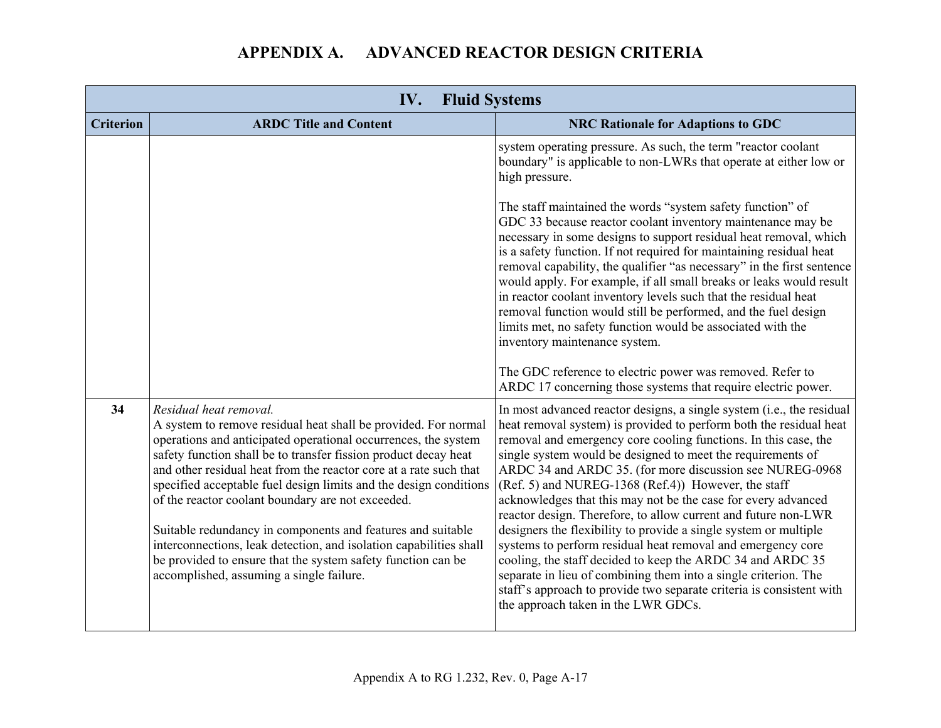| IV.<br><b>Fluid Systems</b> |                                                                                                                                                                                                                                                                                                                                                                                                                                                                                                                                                                                                                                                                               |                                                                                                                                                                                                                                                                                                                                                                                                                                                                                                                                                                                                                                                                                                                                                                                                                                                                                                                        |
|-----------------------------|-------------------------------------------------------------------------------------------------------------------------------------------------------------------------------------------------------------------------------------------------------------------------------------------------------------------------------------------------------------------------------------------------------------------------------------------------------------------------------------------------------------------------------------------------------------------------------------------------------------------------------------------------------------------------------|------------------------------------------------------------------------------------------------------------------------------------------------------------------------------------------------------------------------------------------------------------------------------------------------------------------------------------------------------------------------------------------------------------------------------------------------------------------------------------------------------------------------------------------------------------------------------------------------------------------------------------------------------------------------------------------------------------------------------------------------------------------------------------------------------------------------------------------------------------------------------------------------------------------------|
| <b>Criterion</b>            | <b>ARDC Title and Content</b>                                                                                                                                                                                                                                                                                                                                                                                                                                                                                                                                                                                                                                                 | <b>NRC Rationale for Adaptions to GDC</b>                                                                                                                                                                                                                                                                                                                                                                                                                                                                                                                                                                                                                                                                                                                                                                                                                                                                              |
|                             |                                                                                                                                                                                                                                                                                                                                                                                                                                                                                                                                                                                                                                                                               | system operating pressure. As such, the term "reactor coolant<br>boundary" is applicable to non-LWRs that operate at either low or<br>high pressure.                                                                                                                                                                                                                                                                                                                                                                                                                                                                                                                                                                                                                                                                                                                                                                   |
|                             |                                                                                                                                                                                                                                                                                                                                                                                                                                                                                                                                                                                                                                                                               | The staff maintained the words "system safety function" of<br>GDC 33 because reactor coolant inventory maintenance may be<br>necessary in some designs to support residual heat removal, which<br>is a safety function. If not required for maintaining residual heat<br>removal capability, the qualifier "as necessary" in the first sentence<br>would apply. For example, if all small breaks or leaks would result<br>in reactor coolant inventory levels such that the residual heat<br>removal function would still be performed, and the fuel design<br>limits met, no safety function would be associated with the<br>inventory maintenance system.                                                                                                                                                                                                                                                            |
|                             |                                                                                                                                                                                                                                                                                                                                                                                                                                                                                                                                                                                                                                                                               | The GDC reference to electric power was removed. Refer to<br>ARDC 17 concerning those systems that require electric power.                                                                                                                                                                                                                                                                                                                                                                                                                                                                                                                                                                                                                                                                                                                                                                                             |
| 34                          | Residual heat removal.<br>A system to remove residual heat shall be provided. For normal<br>operations and anticipated operational occurrences, the system<br>safety function shall be to transfer fission product decay heat<br>and other residual heat from the reactor core at a rate such that<br>specified acceptable fuel design limits and the design conditions<br>of the reactor coolant boundary are not exceeded.<br>Suitable redundancy in components and features and suitable<br>interconnections, leak detection, and isolation capabilities shall<br>be provided to ensure that the system safety function can be<br>accomplished, assuming a single failure. | In most advanced reactor designs, a single system (i.e., the residual<br>heat removal system) is provided to perform both the residual heat<br>removal and emergency core cooling functions. In this case, the<br>single system would be designed to meet the requirements of<br>ARDC 34 and ARDC 35. (for more discussion see NUREG-0968<br>(Ref. 5) and NUREG-1368 (Ref.4)) However, the staff<br>acknowledges that this may not be the case for every advanced<br>reactor design. Therefore, to allow current and future non-LWR<br>designers the flexibility to provide a single system or multiple<br>systems to perform residual heat removal and emergency core<br>cooling, the staff decided to keep the ARDC 34 and ARDC 35<br>separate in lieu of combining them into a single criterion. The<br>staff's approach to provide two separate criteria is consistent with<br>the approach taken in the LWR GDCs. |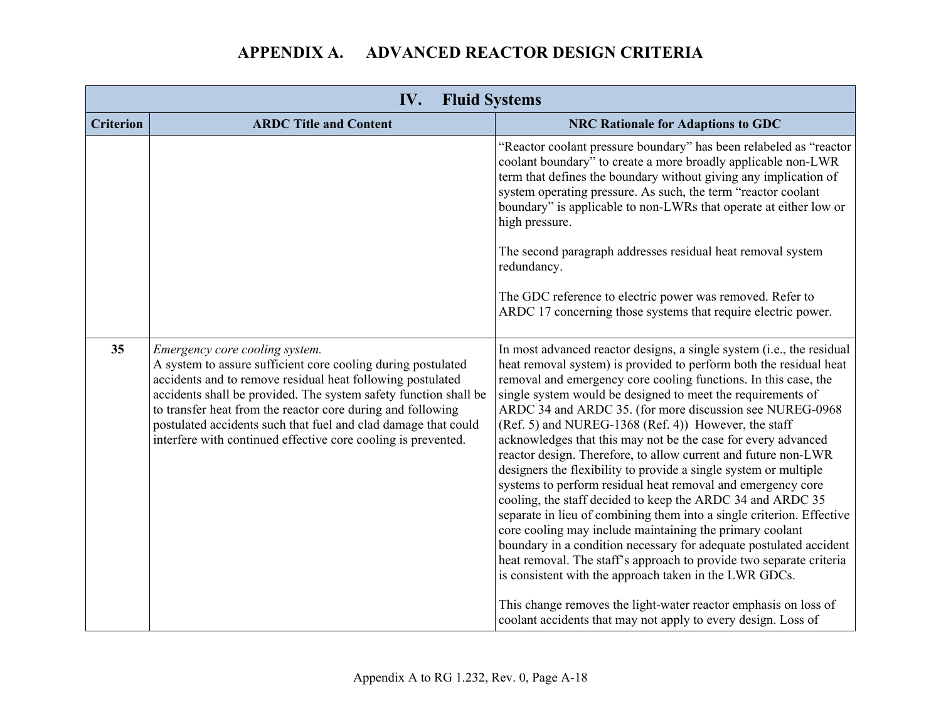| IV.<br><b>Fluid Systems</b> |                                                                                                                                                                                                                                                                                                                                                                                                                                    |                                                                                                                                                                                                                                                                                                                                                                                                                                                                                                                                                                                                                                                                                                                                                                                                                                                                                                                                                                                                                                                                                   |
|-----------------------------|------------------------------------------------------------------------------------------------------------------------------------------------------------------------------------------------------------------------------------------------------------------------------------------------------------------------------------------------------------------------------------------------------------------------------------|-----------------------------------------------------------------------------------------------------------------------------------------------------------------------------------------------------------------------------------------------------------------------------------------------------------------------------------------------------------------------------------------------------------------------------------------------------------------------------------------------------------------------------------------------------------------------------------------------------------------------------------------------------------------------------------------------------------------------------------------------------------------------------------------------------------------------------------------------------------------------------------------------------------------------------------------------------------------------------------------------------------------------------------------------------------------------------------|
| <b>Criterion</b>            | <b>ARDC Title and Content</b>                                                                                                                                                                                                                                                                                                                                                                                                      | <b>NRC Rationale for Adaptions to GDC</b>                                                                                                                                                                                                                                                                                                                                                                                                                                                                                                                                                                                                                                                                                                                                                                                                                                                                                                                                                                                                                                         |
|                             |                                                                                                                                                                                                                                                                                                                                                                                                                                    | "Reactor coolant pressure boundary" has been relabeled as "reactor<br>coolant boundary" to create a more broadly applicable non-LWR<br>term that defines the boundary without giving any implication of<br>system operating pressure. As such, the term "reactor coolant<br>boundary" is applicable to non-LWRs that operate at either low or<br>high pressure.                                                                                                                                                                                                                                                                                                                                                                                                                                                                                                                                                                                                                                                                                                                   |
|                             |                                                                                                                                                                                                                                                                                                                                                                                                                                    | The second paragraph addresses residual heat removal system<br>redundancy.                                                                                                                                                                                                                                                                                                                                                                                                                                                                                                                                                                                                                                                                                                                                                                                                                                                                                                                                                                                                        |
|                             |                                                                                                                                                                                                                                                                                                                                                                                                                                    | The GDC reference to electric power was removed. Refer to<br>ARDC 17 concerning those systems that require electric power.                                                                                                                                                                                                                                                                                                                                                                                                                                                                                                                                                                                                                                                                                                                                                                                                                                                                                                                                                        |
| 35                          | Emergency core cooling system.<br>A system to assure sufficient core cooling during postulated<br>accidents and to remove residual heat following postulated<br>accidents shall be provided. The system safety function shall be<br>to transfer heat from the reactor core during and following<br>postulated accidents such that fuel and clad damage that could<br>interfere with continued effective core cooling is prevented. | In most advanced reactor designs, a single system (i.e., the residual<br>heat removal system) is provided to perform both the residual heat<br>removal and emergency core cooling functions. In this case, the<br>single system would be designed to meet the requirements of<br>ARDC 34 and ARDC 35. (for more discussion see NUREG-0968<br>(Ref. 5) and NUREG-1368 (Ref. 4)) However, the staff<br>acknowledges that this may not be the case for every advanced<br>reactor design. Therefore, to allow current and future non-LWR<br>designers the flexibility to provide a single system or multiple<br>systems to perform residual heat removal and emergency core<br>cooling, the staff decided to keep the ARDC 34 and ARDC 35<br>separate in lieu of combining them into a single criterion. Effective<br>core cooling may include maintaining the primary coolant<br>boundary in a condition necessary for adequate postulated accident<br>heat removal. The staff's approach to provide two separate criteria<br>is consistent with the approach taken in the LWR GDCs. |
|                             |                                                                                                                                                                                                                                                                                                                                                                                                                                    | This change removes the light-water reactor emphasis on loss of<br>coolant accidents that may not apply to every design. Loss of                                                                                                                                                                                                                                                                                                                                                                                                                                                                                                                                                                                                                                                                                                                                                                                                                                                                                                                                                  |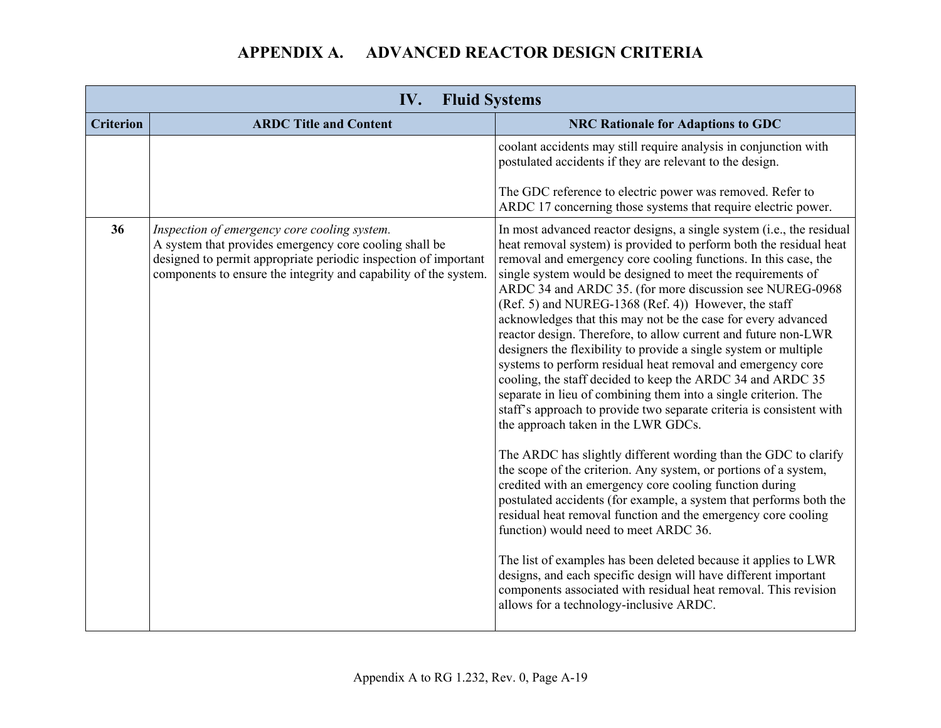| IV.<br><b>Fluid Systems</b>                                                                                                                                                                                                                         |                                                                                                                                                                                                                                                                                                                                                                                                                                                                                                                                                                                                                                                                                                                                                                                                                                                                                                                                                                                                                                                                                                                                                                                                                                                                                                                                                                                                                                                                                                                                                               |
|-----------------------------------------------------------------------------------------------------------------------------------------------------------------------------------------------------------------------------------------------------|---------------------------------------------------------------------------------------------------------------------------------------------------------------------------------------------------------------------------------------------------------------------------------------------------------------------------------------------------------------------------------------------------------------------------------------------------------------------------------------------------------------------------------------------------------------------------------------------------------------------------------------------------------------------------------------------------------------------------------------------------------------------------------------------------------------------------------------------------------------------------------------------------------------------------------------------------------------------------------------------------------------------------------------------------------------------------------------------------------------------------------------------------------------------------------------------------------------------------------------------------------------------------------------------------------------------------------------------------------------------------------------------------------------------------------------------------------------------------------------------------------------------------------------------------------------|
| <b>Criterion</b><br><b>ARDC Title and Content</b>                                                                                                                                                                                                   | <b>NRC Rationale for Adaptions to GDC</b>                                                                                                                                                                                                                                                                                                                                                                                                                                                                                                                                                                                                                                                                                                                                                                                                                                                                                                                                                                                                                                                                                                                                                                                                                                                                                                                                                                                                                                                                                                                     |
|                                                                                                                                                                                                                                                     | coolant accidents may still require analysis in conjunction with<br>postulated accidents if they are relevant to the design.                                                                                                                                                                                                                                                                                                                                                                                                                                                                                                                                                                                                                                                                                                                                                                                                                                                                                                                                                                                                                                                                                                                                                                                                                                                                                                                                                                                                                                  |
|                                                                                                                                                                                                                                                     | The GDC reference to electric power was removed. Refer to<br>ARDC 17 concerning those systems that require electric power.                                                                                                                                                                                                                                                                                                                                                                                                                                                                                                                                                                                                                                                                                                                                                                                                                                                                                                                                                                                                                                                                                                                                                                                                                                                                                                                                                                                                                                    |
| 36<br>Inspection of emergency core cooling system.<br>A system that provides emergency core cooling shall be<br>designed to permit appropriate periodic inspection of important<br>components to ensure the integrity and capability of the system. | In most advanced reactor designs, a single system (i.e., the residual<br>heat removal system) is provided to perform both the residual heat<br>removal and emergency core cooling functions. In this case, the<br>single system would be designed to meet the requirements of<br>ARDC 34 and ARDC 35. (for more discussion see NUREG-0968<br>(Ref. 5) and NUREG-1368 (Ref. 4)) However, the staff<br>acknowledges that this may not be the case for every advanced<br>reactor design. Therefore, to allow current and future non-LWR<br>designers the flexibility to provide a single system or multiple<br>systems to perform residual heat removal and emergency core<br>cooling, the staff decided to keep the ARDC 34 and ARDC 35<br>separate in lieu of combining them into a single criterion. The<br>staff's approach to provide two separate criteria is consistent with<br>the approach taken in the LWR GDCs.<br>The ARDC has slightly different wording than the GDC to clarify<br>the scope of the criterion. Any system, or portions of a system,<br>credited with an emergency core cooling function during<br>postulated accidents (for example, a system that performs both the<br>residual heat removal function and the emergency core cooling<br>function) would need to meet ARDC 36.<br>The list of examples has been deleted because it applies to LWR<br>designs, and each specific design will have different important<br>components associated with residual heat removal. This revision<br>allows for a technology-inclusive ARDC. |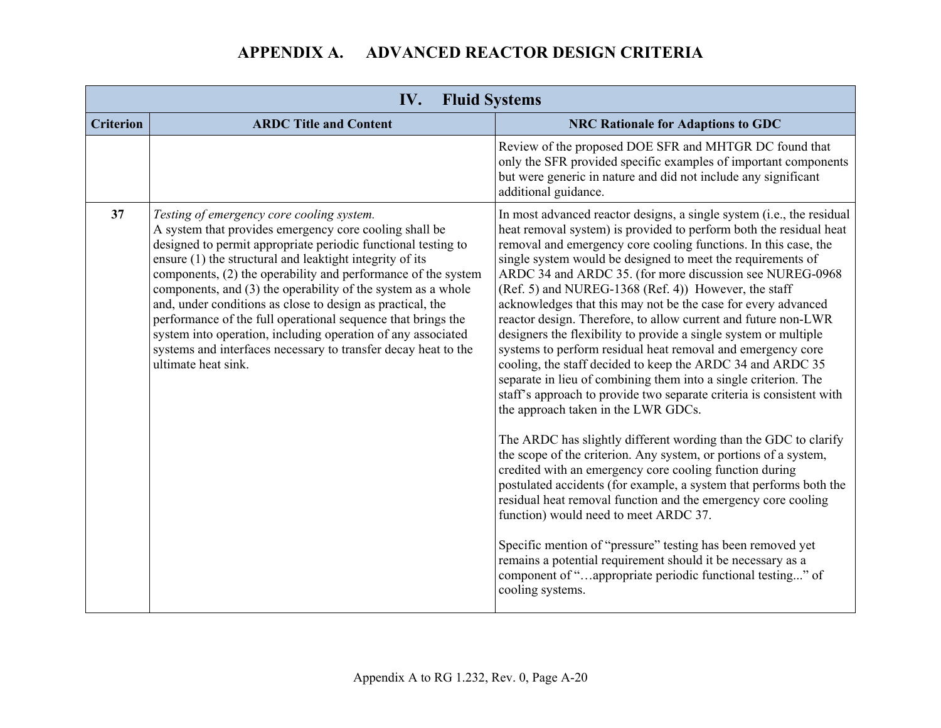|                  | <b>Fluid Systems</b><br>IV.                                                                                                                                                                                                                                                                                                                                                                                                                                                                                                                                                                                                                              |                                                                                                                                                                                                                                                                                                                                                                                                                                                                                                                                                                                                                                                                                                                                                                                                                                                                                                                                                                                                                                                                                                                                                                                                                                                                                                                                                                                                                                                                                                                          |  |
|------------------|----------------------------------------------------------------------------------------------------------------------------------------------------------------------------------------------------------------------------------------------------------------------------------------------------------------------------------------------------------------------------------------------------------------------------------------------------------------------------------------------------------------------------------------------------------------------------------------------------------------------------------------------------------|--------------------------------------------------------------------------------------------------------------------------------------------------------------------------------------------------------------------------------------------------------------------------------------------------------------------------------------------------------------------------------------------------------------------------------------------------------------------------------------------------------------------------------------------------------------------------------------------------------------------------------------------------------------------------------------------------------------------------------------------------------------------------------------------------------------------------------------------------------------------------------------------------------------------------------------------------------------------------------------------------------------------------------------------------------------------------------------------------------------------------------------------------------------------------------------------------------------------------------------------------------------------------------------------------------------------------------------------------------------------------------------------------------------------------------------------------------------------------------------------------------------------------|--|
| <b>Criterion</b> | <b>ARDC Title and Content</b>                                                                                                                                                                                                                                                                                                                                                                                                                                                                                                                                                                                                                            | <b>NRC Rationale for Adaptions to GDC</b>                                                                                                                                                                                                                                                                                                                                                                                                                                                                                                                                                                                                                                                                                                                                                                                                                                                                                                                                                                                                                                                                                                                                                                                                                                                                                                                                                                                                                                                                                |  |
|                  |                                                                                                                                                                                                                                                                                                                                                                                                                                                                                                                                                                                                                                                          | Review of the proposed DOE SFR and MHTGR DC found that<br>only the SFR provided specific examples of important components<br>but were generic in nature and did not include any significant<br>additional guidance.                                                                                                                                                                                                                                                                                                                                                                                                                                                                                                                                                                                                                                                                                                                                                                                                                                                                                                                                                                                                                                                                                                                                                                                                                                                                                                      |  |
| 37               | Testing of emergency core cooling system.<br>A system that provides emergency core cooling shall be<br>designed to permit appropriate periodic functional testing to<br>ensure (1) the structural and leaktight integrity of its<br>components, (2) the operability and performance of the system<br>components, and (3) the operability of the system as a whole<br>and, under conditions as close to design as practical, the<br>performance of the full operational sequence that brings the<br>system into operation, including operation of any associated<br>systems and interfaces necessary to transfer decay heat to the<br>ultimate heat sink. | In most advanced reactor designs, a single system (i.e., the residual<br>heat removal system) is provided to perform both the residual heat<br>removal and emergency core cooling functions. In this case, the<br>single system would be designed to meet the requirements of<br>ARDC 34 and ARDC 35. (for more discussion see NUREG-0968<br>(Ref. 5) and NUREG-1368 (Ref. 4)) However, the staff<br>acknowledges that this may not be the case for every advanced<br>reactor design. Therefore, to allow current and future non-LWR<br>designers the flexibility to provide a single system or multiple<br>systems to perform residual heat removal and emergency core<br>cooling, the staff decided to keep the ARDC 34 and ARDC 35<br>separate in lieu of combining them into a single criterion. The<br>staff's approach to provide two separate criteria is consistent with<br>the approach taken in the LWR GDCs.<br>The ARDC has slightly different wording than the GDC to clarify<br>the scope of the criterion. Any system, or portions of a system,<br>credited with an emergency core cooling function during<br>postulated accidents (for example, a system that performs both the<br>residual heat removal function and the emergency core cooling<br>function) would need to meet ARDC 37.<br>Specific mention of "pressure" testing has been removed yet<br>remains a potential requirement should it be necessary as a<br>component of "appropriate periodic functional testing" of<br>cooling systems. |  |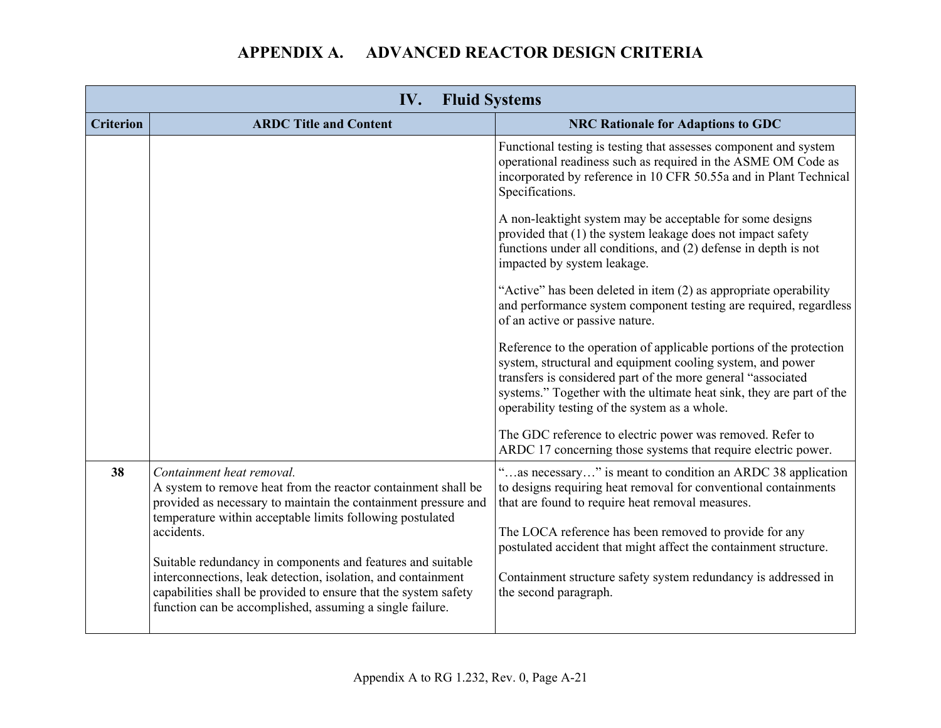| IV.<br><b>Fluid Systems</b> |                                                                                                                                                                                                                                                            |                                                                                                                                                                                                                                                                                                                            |  |
|-----------------------------|------------------------------------------------------------------------------------------------------------------------------------------------------------------------------------------------------------------------------------------------------------|----------------------------------------------------------------------------------------------------------------------------------------------------------------------------------------------------------------------------------------------------------------------------------------------------------------------------|--|
| <b>Criterion</b>            | <b>ARDC Title and Content</b>                                                                                                                                                                                                                              | <b>NRC Rationale for Adaptions to GDC</b>                                                                                                                                                                                                                                                                                  |  |
|                             |                                                                                                                                                                                                                                                            | Functional testing is testing that assesses component and system<br>operational readiness such as required in the ASME OM Code as<br>incorporated by reference in 10 CFR 50.55a and in Plant Technical<br>Specifications.                                                                                                  |  |
|                             |                                                                                                                                                                                                                                                            | A non-leaktight system may be acceptable for some designs<br>provided that (1) the system leakage does not impact safety<br>functions under all conditions, and (2) defense in depth is not<br>impacted by system leakage.                                                                                                 |  |
|                             |                                                                                                                                                                                                                                                            | "Active" has been deleted in item (2) as appropriate operability<br>and performance system component testing are required, regardless<br>of an active or passive nature.                                                                                                                                                   |  |
|                             |                                                                                                                                                                                                                                                            | Reference to the operation of applicable portions of the protection<br>system, structural and equipment cooling system, and power<br>transfers is considered part of the more general "associated<br>systems." Together with the ultimate heat sink, they are part of the<br>operability testing of the system as a whole. |  |
|                             |                                                                                                                                                                                                                                                            | The GDC reference to electric power was removed. Refer to<br>ARDC 17 concerning those systems that require electric power.                                                                                                                                                                                                 |  |
| 38                          | Containment heat removal.<br>A system to remove heat from the reactor containment shall be<br>provided as necessary to maintain the containment pressure and<br>temperature within acceptable limits following postulated                                  | "as necessary" is meant to condition an ARDC 38 application<br>to designs requiring heat removal for conventional containments<br>that are found to require heat removal measures.                                                                                                                                         |  |
|                             | accidents.                                                                                                                                                                                                                                                 | The LOCA reference has been removed to provide for any<br>postulated accident that might affect the containment structure.                                                                                                                                                                                                 |  |
|                             | Suitable redundancy in components and features and suitable<br>interconnections, leak detection, isolation, and containment<br>capabilities shall be provided to ensure that the system safety<br>function can be accomplished, assuming a single failure. | Containment structure safety system redundancy is addressed in<br>the second paragraph.                                                                                                                                                                                                                                    |  |
|                             |                                                                                                                                                                                                                                                            |                                                                                                                                                                                                                                                                                                                            |  |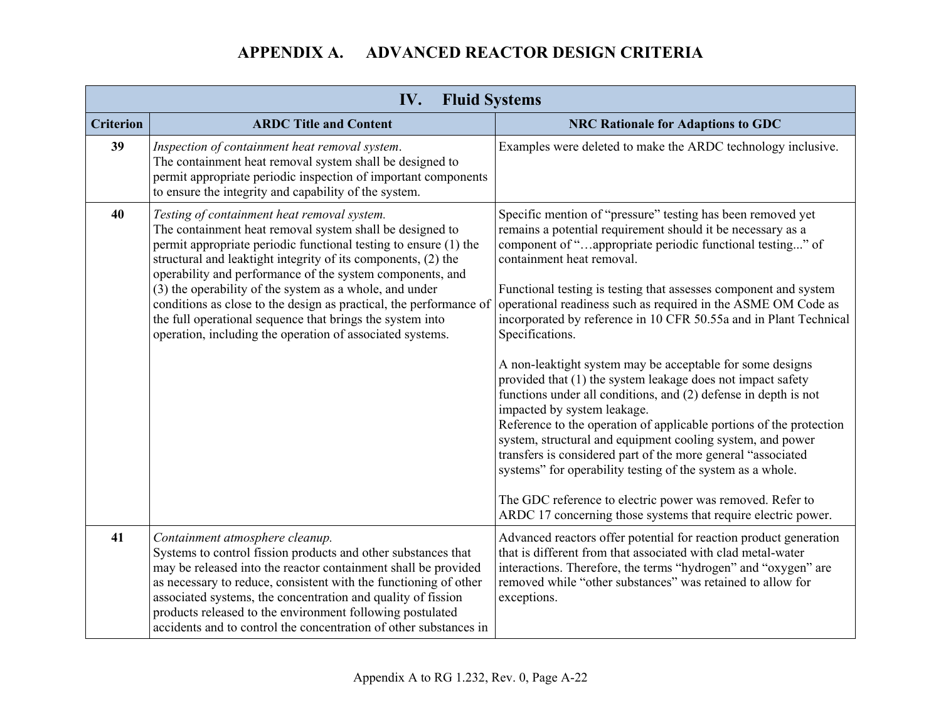| IV.<br><b>Fluid Systems</b> |                                                                                                                                                                                                                                                                                                                                                                                                                                                                                                                                                                      |                                                                                                                                                                                                                                                                                                                                                                                                                                                                                                                                                                                                                                                                                                                                                                                                                                                                                                                                                                                                                                                                                  |  |
|-----------------------------|----------------------------------------------------------------------------------------------------------------------------------------------------------------------------------------------------------------------------------------------------------------------------------------------------------------------------------------------------------------------------------------------------------------------------------------------------------------------------------------------------------------------------------------------------------------------|----------------------------------------------------------------------------------------------------------------------------------------------------------------------------------------------------------------------------------------------------------------------------------------------------------------------------------------------------------------------------------------------------------------------------------------------------------------------------------------------------------------------------------------------------------------------------------------------------------------------------------------------------------------------------------------------------------------------------------------------------------------------------------------------------------------------------------------------------------------------------------------------------------------------------------------------------------------------------------------------------------------------------------------------------------------------------------|--|
| <b>Criterion</b>            | <b>ARDC Title and Content</b>                                                                                                                                                                                                                                                                                                                                                                                                                                                                                                                                        | <b>NRC Rationale for Adaptions to GDC</b>                                                                                                                                                                                                                                                                                                                                                                                                                                                                                                                                                                                                                                                                                                                                                                                                                                                                                                                                                                                                                                        |  |
| 39                          | Inspection of containment heat removal system.<br>The containment heat removal system shall be designed to<br>permit appropriate periodic inspection of important components<br>to ensure the integrity and capability of the system.                                                                                                                                                                                                                                                                                                                                | Examples were deleted to make the ARDC technology inclusive.                                                                                                                                                                                                                                                                                                                                                                                                                                                                                                                                                                                                                                                                                                                                                                                                                                                                                                                                                                                                                     |  |
| 40                          | Testing of containment heat removal system.<br>The containment heat removal system shall be designed to<br>permit appropriate periodic functional testing to ensure (1) the<br>structural and leaktight integrity of its components, (2) the<br>operability and performance of the system components, and<br>(3) the operability of the system as a whole, and under<br>conditions as close to the design as practical, the performance of<br>the full operational sequence that brings the system into<br>operation, including the operation of associated systems. | Specific mention of "pressure" testing has been removed yet<br>remains a potential requirement should it be necessary as a<br>component of "appropriate periodic functional testing" of<br>containment heat removal.<br>Functional testing is testing that assesses component and system<br>operational readiness such as required in the ASME OM Code as<br>incorporated by reference in 10 CFR 50.55a and in Plant Technical<br>Specifications.<br>A non-leaktight system may be acceptable for some designs<br>provided that (1) the system leakage does not impact safety<br>functions under all conditions, and (2) defense in depth is not<br>impacted by system leakage.<br>Reference to the operation of applicable portions of the protection<br>system, structural and equipment cooling system, and power<br>transfers is considered part of the more general "associated<br>systems" for operability testing of the system as a whole.<br>The GDC reference to electric power was removed. Refer to<br>ARDC 17 concerning those systems that require electric power. |  |
| 41                          | Containment atmosphere cleanup.<br>Systems to control fission products and other substances that<br>may be released into the reactor containment shall be provided<br>as necessary to reduce, consistent with the functioning of other<br>associated systems, the concentration and quality of fission<br>products released to the environment following postulated<br>accidents and to control the concentration of other substances in                                                                                                                             | Advanced reactors offer potential for reaction product generation<br>that is different from that associated with clad metal-water<br>interactions. Therefore, the terms "hydrogen" and "oxygen" are<br>removed while "other substances" was retained to allow for<br>exceptions.                                                                                                                                                                                                                                                                                                                                                                                                                                                                                                                                                                                                                                                                                                                                                                                                 |  |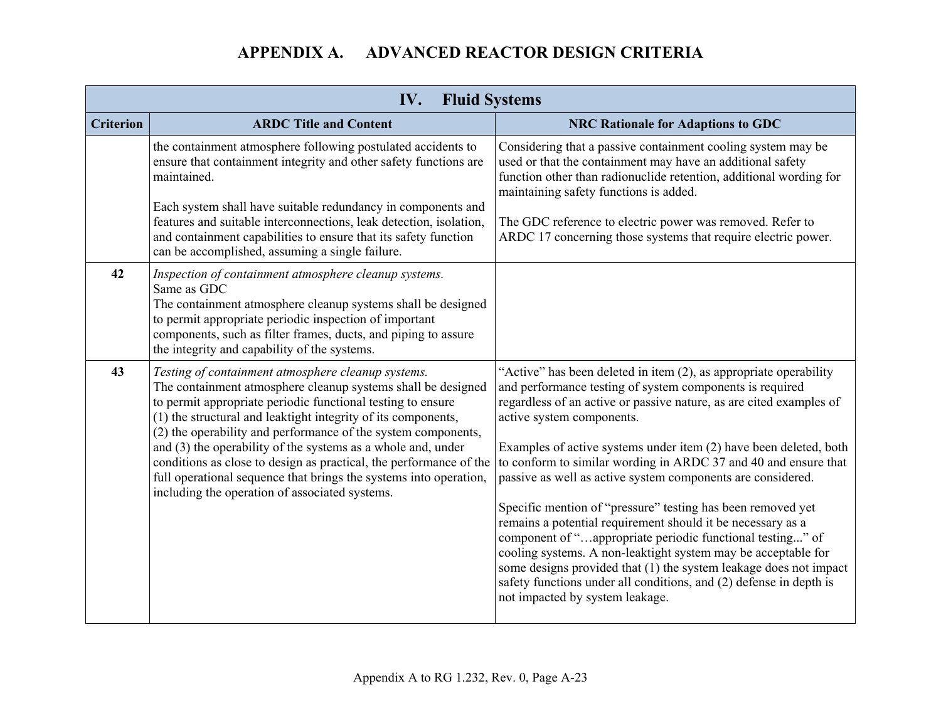| IV.<br><b>Fluid Systems</b> |                                                                                                                                                                                                                                                                                                                                                                                                                                                                                                                                                                                    |                                                                                                                                                                                                                                                                                                                                                                                                                                                                                                                                                                                                                                                                                                                                                                                                                                                                                    |  |
|-----------------------------|------------------------------------------------------------------------------------------------------------------------------------------------------------------------------------------------------------------------------------------------------------------------------------------------------------------------------------------------------------------------------------------------------------------------------------------------------------------------------------------------------------------------------------------------------------------------------------|------------------------------------------------------------------------------------------------------------------------------------------------------------------------------------------------------------------------------------------------------------------------------------------------------------------------------------------------------------------------------------------------------------------------------------------------------------------------------------------------------------------------------------------------------------------------------------------------------------------------------------------------------------------------------------------------------------------------------------------------------------------------------------------------------------------------------------------------------------------------------------|--|
| <b>Criterion</b>            | <b>ARDC Title and Content</b>                                                                                                                                                                                                                                                                                                                                                                                                                                                                                                                                                      | <b>NRC Rationale for Adaptions to GDC</b>                                                                                                                                                                                                                                                                                                                                                                                                                                                                                                                                                                                                                                                                                                                                                                                                                                          |  |
|                             | the containment atmosphere following postulated accidents to<br>ensure that containment integrity and other safety functions are<br>maintained.                                                                                                                                                                                                                                                                                                                                                                                                                                    | Considering that a passive containment cooling system may be<br>used or that the containment may have an additional safety<br>function other than radionuclide retention, additional wording for<br>maintaining safety functions is added.                                                                                                                                                                                                                                                                                                                                                                                                                                                                                                                                                                                                                                         |  |
|                             | Each system shall have suitable redundancy in components and<br>features and suitable interconnections, leak detection, isolation,<br>and containment capabilities to ensure that its safety function<br>can be accomplished, assuming a single failure.                                                                                                                                                                                                                                                                                                                           | The GDC reference to electric power was removed. Refer to<br>ARDC 17 concerning those systems that require electric power.                                                                                                                                                                                                                                                                                                                                                                                                                                                                                                                                                                                                                                                                                                                                                         |  |
| 42                          | Inspection of containment atmosphere cleanup systems.<br>Same as GDC<br>The containment atmosphere cleanup systems shall be designed<br>to permit appropriate periodic inspection of important<br>components, such as filter frames, ducts, and piping to assure<br>the integrity and capability of the systems.                                                                                                                                                                                                                                                                   |                                                                                                                                                                                                                                                                                                                                                                                                                                                                                                                                                                                                                                                                                                                                                                                                                                                                                    |  |
| 43                          | Testing of containment atmosphere cleanup systems.<br>The containment atmosphere cleanup systems shall be designed<br>to permit appropriate periodic functional testing to ensure<br>(1) the structural and leaktight integrity of its components,<br>(2) the operability and performance of the system components,<br>and $(3)$ the operability of the systems as a whole and, under<br>conditions as close to design as practical, the performance of the<br>full operational sequence that brings the systems into operation,<br>including the operation of associated systems. | "Active" has been deleted in item (2), as appropriate operability<br>and performance testing of system components is required<br>regardless of an active or passive nature, as are cited examples of<br>active system components.<br>Examples of active systems under item (2) have been deleted, both<br>to conform to similar wording in ARDC 37 and 40 and ensure that<br>passive as well as active system components are considered.<br>Specific mention of "pressure" testing has been removed yet<br>remains a potential requirement should it be necessary as a<br>component of "appropriate periodic functional testing" of<br>cooling systems. A non-leaktight system may be acceptable for<br>some designs provided that (1) the system leakage does not impact<br>safety functions under all conditions, and (2) defense in depth is<br>not impacted by system leakage. |  |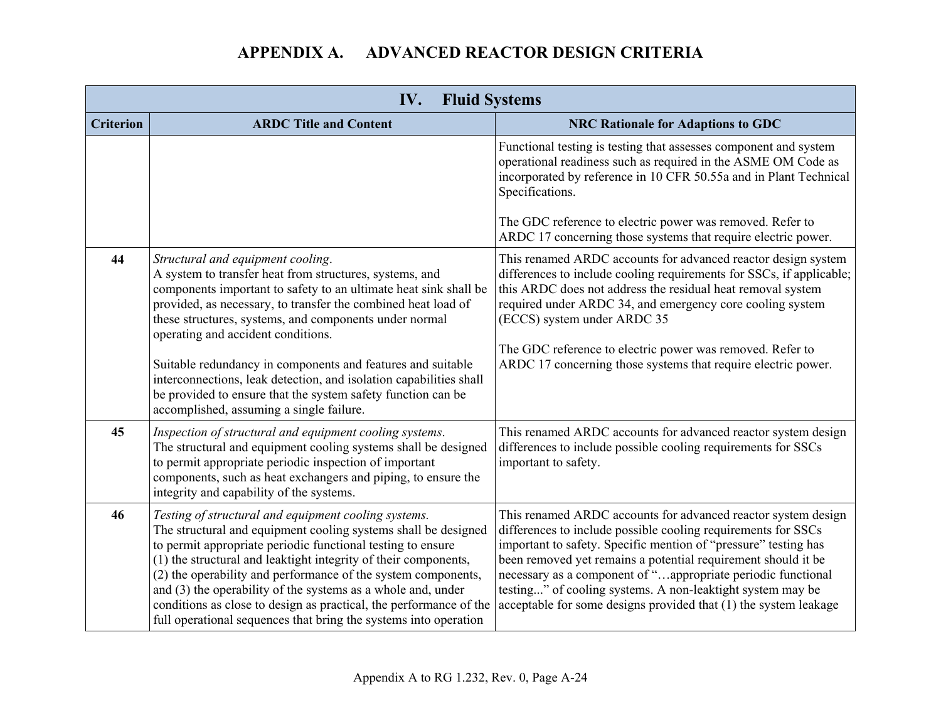| IV.<br><b>Fluid Systems</b> |                                                                                                                                                                                                                                                                                                                                                                                                                                                                                                                                                                                    |                                                                                                                                                                                                                                                                                                                                                                                                                                                                      |  |
|-----------------------------|------------------------------------------------------------------------------------------------------------------------------------------------------------------------------------------------------------------------------------------------------------------------------------------------------------------------------------------------------------------------------------------------------------------------------------------------------------------------------------------------------------------------------------------------------------------------------------|----------------------------------------------------------------------------------------------------------------------------------------------------------------------------------------------------------------------------------------------------------------------------------------------------------------------------------------------------------------------------------------------------------------------------------------------------------------------|--|
| <b>Criterion</b>            | <b>ARDC Title and Content</b>                                                                                                                                                                                                                                                                                                                                                                                                                                                                                                                                                      | <b>NRC Rationale for Adaptions to GDC</b>                                                                                                                                                                                                                                                                                                                                                                                                                            |  |
|                             |                                                                                                                                                                                                                                                                                                                                                                                                                                                                                                                                                                                    | Functional testing is testing that assesses component and system<br>operational readiness such as required in the ASME OM Code as<br>incorporated by reference in 10 CFR 50.55a and in Plant Technical<br>Specifications.<br>The GDC reference to electric power was removed. Refer to<br>ARDC 17 concerning those systems that require electric power.                                                                                                              |  |
| 44                          | Structural and equipment cooling.<br>A system to transfer heat from structures, systems, and<br>components important to safety to an ultimate heat sink shall be<br>provided, as necessary, to transfer the combined heat load of<br>these structures, systems, and components under normal<br>operating and accident conditions.<br>Suitable redundancy in components and features and suitable<br>interconnections, leak detection, and isolation capabilities shall<br>be provided to ensure that the system safety function can be<br>accomplished, assuming a single failure. | This renamed ARDC accounts for advanced reactor design system<br>differences to include cooling requirements for SSCs, if applicable;<br>this ARDC does not address the residual heat removal system<br>required under ARDC 34, and emergency core cooling system<br>(ECCS) system under ARDC 35<br>The GDC reference to electric power was removed. Refer to<br>ARDC 17 concerning those systems that require electric power.                                       |  |
| 45                          | Inspection of structural and equipment cooling systems.<br>The structural and equipment cooling systems shall be designed<br>to permit appropriate periodic inspection of important<br>components, such as heat exchangers and piping, to ensure the<br>integrity and capability of the systems.                                                                                                                                                                                                                                                                                   | This renamed ARDC accounts for advanced reactor system design<br>differences to include possible cooling requirements for SSCs<br>important to safety.                                                                                                                                                                                                                                                                                                               |  |
| 46                          | Testing of structural and equipment cooling systems.<br>The structural and equipment cooling systems shall be designed<br>to permit appropriate periodic functional testing to ensure<br>(1) the structural and leaktight integrity of their components,<br>(2) the operability and performance of the system components,<br>and $(3)$ the operability of the systems as a whole and, under<br>conditions as close to design as practical, the performance of the<br>full operational sequences that bring the systems into operation                                              | This renamed ARDC accounts for advanced reactor system design<br>differences to include possible cooling requirements for SSCs<br>important to safety. Specific mention of "pressure" testing has<br>been removed yet remains a potential requirement should it be<br>necessary as a component of "appropriate periodic functional<br>testing" of cooling systems. A non-leaktight system may be<br>acceptable for some designs provided that (1) the system leakage |  |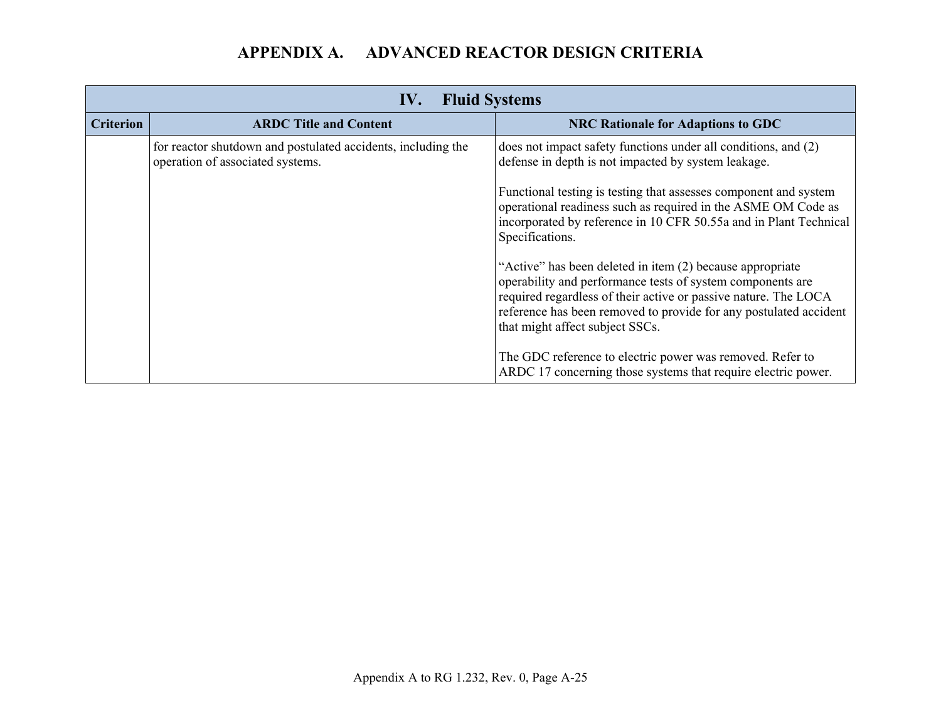| <b>Fluid Systems</b><br>IV. |                                                                                                  |                                                                                                                                                                                                                                                                                                    |
|-----------------------------|--------------------------------------------------------------------------------------------------|----------------------------------------------------------------------------------------------------------------------------------------------------------------------------------------------------------------------------------------------------------------------------------------------------|
| <b>Criterion</b>            | <b>ARDC Title and Content</b>                                                                    | <b>NRC Rationale for Adaptions to GDC</b>                                                                                                                                                                                                                                                          |
|                             | for reactor shutdown and postulated accidents, including the<br>operation of associated systems. | does not impact safety functions under all conditions, and (2)<br>defense in depth is not impacted by system leakage.                                                                                                                                                                              |
|                             |                                                                                                  | Functional testing is testing that assesses component and system<br>operational readiness such as required in the ASME OM Code as<br>incorporated by reference in 10 CFR 50.55a and in Plant Technical<br>Specifications.                                                                          |
|                             |                                                                                                  | "Active" has been deleted in item (2) because appropriate<br>operability and performance tests of system components are<br>required regardless of their active or passive nature. The LOCA<br>reference has been removed to provide for any postulated accident<br>that might affect subject SSCs. |
|                             |                                                                                                  | The GDC reference to electric power was removed. Refer to<br>ARDC 17 concerning those systems that require electric power.                                                                                                                                                                         |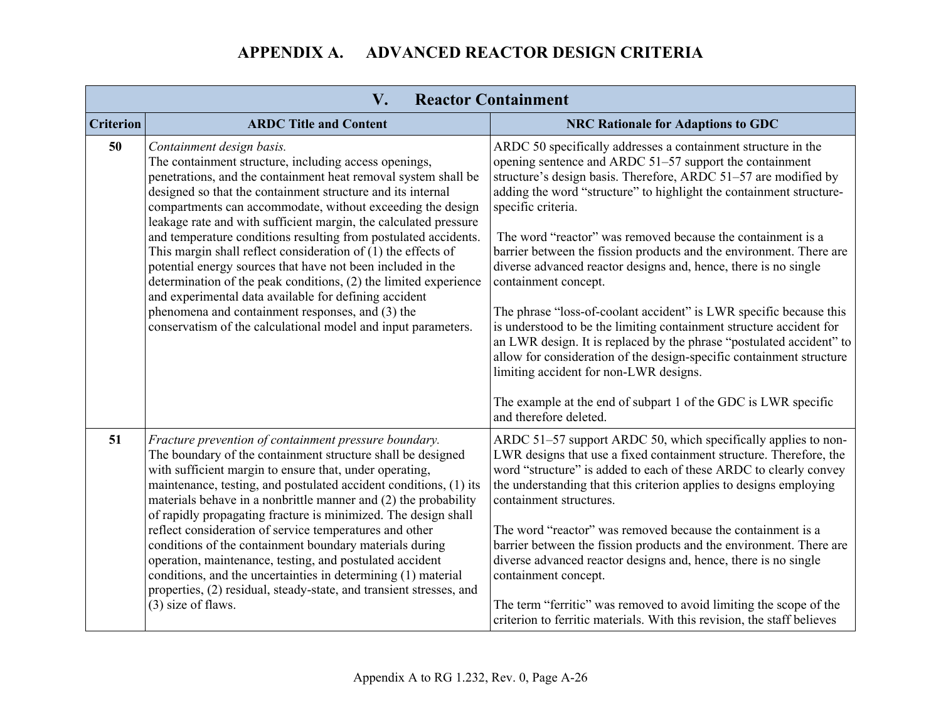| <b>Reactor Containment</b><br>V. |                                                                                                                                                                                                                                                                                                                                                                                                                          |                                                                                                                                                                                                                                                                                                                                                         |  |
|----------------------------------|--------------------------------------------------------------------------------------------------------------------------------------------------------------------------------------------------------------------------------------------------------------------------------------------------------------------------------------------------------------------------------------------------------------------------|---------------------------------------------------------------------------------------------------------------------------------------------------------------------------------------------------------------------------------------------------------------------------------------------------------------------------------------------------------|--|
| <b>Criterion</b>                 | <b>ARDC Title and Content</b>                                                                                                                                                                                                                                                                                                                                                                                            | <b>NRC Rationale for Adaptions to GDC</b>                                                                                                                                                                                                                                                                                                               |  |
| 50                               | Containment design basis.<br>The containment structure, including access openings,<br>penetrations, and the containment heat removal system shall be<br>designed so that the containment structure and its internal<br>compartments can accommodate, without exceeding the design<br>leakage rate and with sufficient margin, the calculated pressure<br>and temperature conditions resulting from postulated accidents. | ARDC 50 specifically addresses a containment structure in the<br>opening sentence and ARDC 51–57 support the containment<br>structure's design basis. Therefore, ARDC 51-57 are modified by<br>adding the word "structure" to highlight the containment structure-<br>specific criteria.<br>The word "reactor" was removed because the containment is a |  |
|                                  | This margin shall reflect consideration of $(1)$ the effects of<br>potential energy sources that have not been included in the<br>determination of the peak conditions, (2) the limited experience<br>and experimental data available for defining accident                                                                                                                                                              | barrier between the fission products and the environment. There are<br>diverse advanced reactor designs and, hence, there is no single<br>containment concept.                                                                                                                                                                                          |  |
|                                  | phenomena and containment responses, and (3) the<br>conservatism of the calculational model and input parameters.                                                                                                                                                                                                                                                                                                        | The phrase "loss-of-coolant accident" is LWR specific because this<br>is understood to be the limiting containment structure accident for<br>an LWR design. It is replaced by the phrase "postulated accident" to<br>allow for consideration of the design-specific containment structure<br>limiting accident for non-LWR designs.                     |  |
|                                  |                                                                                                                                                                                                                                                                                                                                                                                                                          | The example at the end of subpart 1 of the GDC is LWR specific<br>and therefore deleted.                                                                                                                                                                                                                                                                |  |
| 51                               | Fracture prevention of containment pressure boundary.<br>The boundary of the containment structure shall be designed<br>with sufficient margin to ensure that, under operating,<br>maintenance, testing, and postulated accident conditions, (1) its<br>materials behave in a nonbrittle manner and (2) the probability<br>of rapidly propagating fracture is minimized. The design shall                                | ARDC 51-57 support ARDC 50, which specifically applies to non-<br>LWR designs that use a fixed containment structure. Therefore, the<br>word "structure" is added to each of these ARDC to clearly convey<br>the understanding that this criterion applies to designs employing<br>containment structures.                                              |  |
|                                  | reflect consideration of service temperatures and other<br>conditions of the containment boundary materials during<br>operation, maintenance, testing, and postulated accident<br>conditions, and the uncertainties in determining (1) material<br>properties, (2) residual, steady-state, and transient stresses, and                                                                                                   | The word "reactor" was removed because the containment is a<br>barrier between the fission products and the environment. There are<br>diverse advanced reactor designs and, hence, there is no single<br>containment concept.                                                                                                                           |  |
|                                  | (3) size of flaws.                                                                                                                                                                                                                                                                                                                                                                                                       | The term "ferritic" was removed to avoid limiting the scope of the<br>criterion to ferritic materials. With this revision, the staff believes                                                                                                                                                                                                           |  |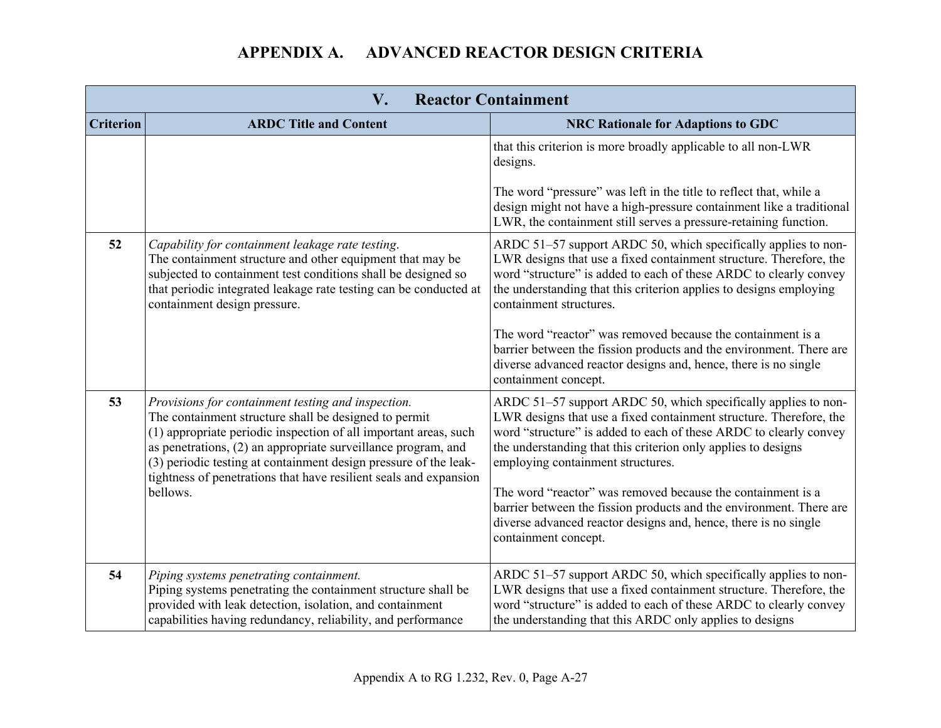| <b>Reactor Containment</b><br>$\mathbf{V}_{\bullet}$ |                                                                                                                                                                                                                                                                                                                                                                                                       |                                                                                                                                                                                                                                                                                                                                                                                                                                                                                                                                                  |
|------------------------------------------------------|-------------------------------------------------------------------------------------------------------------------------------------------------------------------------------------------------------------------------------------------------------------------------------------------------------------------------------------------------------------------------------------------------------|--------------------------------------------------------------------------------------------------------------------------------------------------------------------------------------------------------------------------------------------------------------------------------------------------------------------------------------------------------------------------------------------------------------------------------------------------------------------------------------------------------------------------------------------------|
| <b>Criterion</b>                                     | <b>ARDC Title and Content</b>                                                                                                                                                                                                                                                                                                                                                                         | <b>NRC Rationale for Adaptions to GDC</b>                                                                                                                                                                                                                                                                                                                                                                                                                                                                                                        |
|                                                      |                                                                                                                                                                                                                                                                                                                                                                                                       | that this criterion is more broadly applicable to all non-LWR<br>designs.<br>The word "pressure" was left in the title to reflect that, while a<br>design might not have a high-pressure containment like a traditional<br>LWR, the containment still serves a pressure-retaining function.                                                                                                                                                                                                                                                      |
| 52                                                   | Capability for containment leakage rate testing.<br>The containment structure and other equipment that may be<br>subjected to containment test conditions shall be designed so<br>that periodic integrated leakage rate testing can be conducted at<br>containment design pressure.                                                                                                                   | ARDC 51–57 support ARDC 50, which specifically applies to non-<br>LWR designs that use a fixed containment structure. Therefore, the<br>word "structure" is added to each of these ARDC to clearly convey<br>the understanding that this criterion applies to designs employing<br>containment structures.<br>The word "reactor" was removed because the containment is a<br>barrier between the fission products and the environment. There are<br>diverse advanced reactor designs and, hence, there is no single<br>containment concept.      |
| 53                                                   | Provisions for containment testing and inspection.<br>The containment structure shall be designed to permit<br>(1) appropriate periodic inspection of all important areas, such<br>as penetrations, (2) an appropriate surveillance program, and<br>(3) periodic testing at containment design pressure of the leak-<br>tightness of penetrations that have resilient seals and expansion<br>bellows. | ARDC 51–57 support ARDC 50, which specifically applies to non-<br>LWR designs that use a fixed containment structure. Therefore, the<br>word "structure" is added to each of these ARDC to clearly convey<br>the understanding that this criterion only applies to designs<br>employing containment structures.<br>The word "reactor" was removed because the containment is a<br>barrier between the fission products and the environment. There are<br>diverse advanced reactor designs and, hence, there is no single<br>containment concept. |
| 54                                                   | Piping systems penetrating containment.<br>Piping systems penetrating the containment structure shall be<br>provided with leak detection, isolation, and containment<br>capabilities having redundancy, reliability, and performance                                                                                                                                                                  | ARDC 51–57 support ARDC 50, which specifically applies to non-<br>LWR designs that use a fixed containment structure. Therefore, the<br>word "structure" is added to each of these ARDC to clearly convey<br>the understanding that this ARDC only applies to designs                                                                                                                                                                                                                                                                            |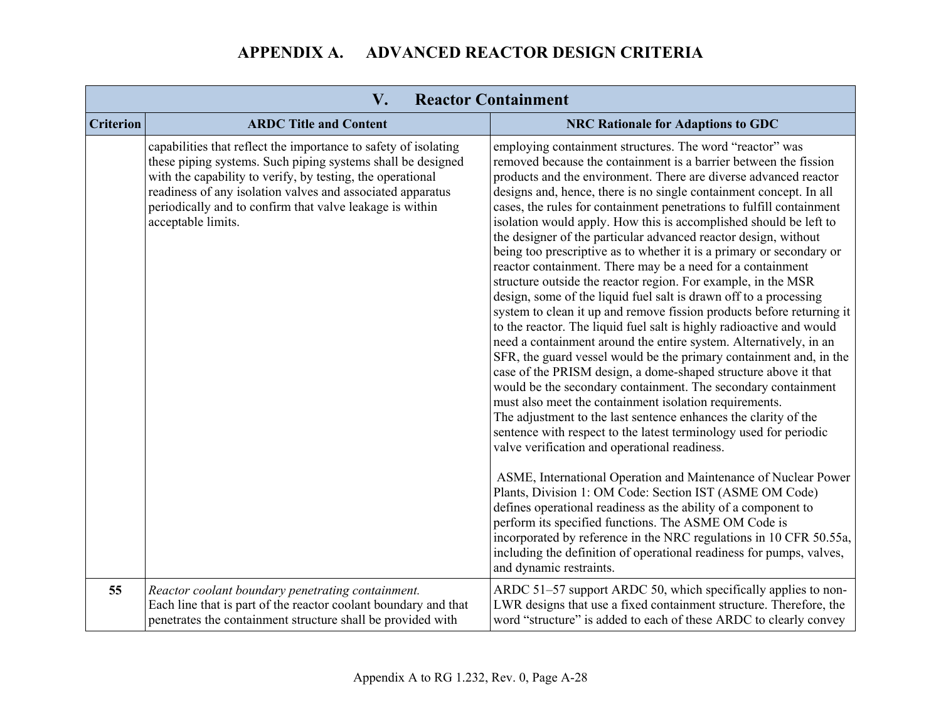l and

| V.<br><b>Reactor Containment</b> |                                                                                                                                                                                                                                                                                                                                              |                                                                                                                                                                                                                                                                                                                                                                                                                                                                                                                                                                                                                                                                                                                                                                                                                                                                                                                                                                                                                                                                                                                                                                                                                                                                                                                                                                                                                                                                                                                                                                                                                                                                                                                                                                                    |
|----------------------------------|----------------------------------------------------------------------------------------------------------------------------------------------------------------------------------------------------------------------------------------------------------------------------------------------------------------------------------------------|------------------------------------------------------------------------------------------------------------------------------------------------------------------------------------------------------------------------------------------------------------------------------------------------------------------------------------------------------------------------------------------------------------------------------------------------------------------------------------------------------------------------------------------------------------------------------------------------------------------------------------------------------------------------------------------------------------------------------------------------------------------------------------------------------------------------------------------------------------------------------------------------------------------------------------------------------------------------------------------------------------------------------------------------------------------------------------------------------------------------------------------------------------------------------------------------------------------------------------------------------------------------------------------------------------------------------------------------------------------------------------------------------------------------------------------------------------------------------------------------------------------------------------------------------------------------------------------------------------------------------------------------------------------------------------------------------------------------------------------------------------------------------------|
| <b>Criterion</b>                 | <b>ARDC Title and Content</b>                                                                                                                                                                                                                                                                                                                | <b>NRC Rationale for Adaptions to GDC</b>                                                                                                                                                                                                                                                                                                                                                                                                                                                                                                                                                                                                                                                                                                                                                                                                                                                                                                                                                                                                                                                                                                                                                                                                                                                                                                                                                                                                                                                                                                                                                                                                                                                                                                                                          |
|                                  | capabilities that reflect the importance to safety of isolating<br>these piping systems. Such piping systems shall be designed<br>with the capability to verify, by testing, the operational<br>readiness of any isolation valves and associated apparatus<br>periodically and to confirm that valve leakage is within<br>acceptable limits. | employing containment structures. The word "reactor" was<br>removed because the containment is a barrier between the fission<br>products and the environment. There are diverse advanced reactor<br>designs and, hence, there is no single containment concept. In all<br>cases, the rules for containment penetrations to fulfill containment<br>isolation would apply. How this is accomplished should be left to<br>the designer of the particular advanced reactor design, without<br>being too prescriptive as to whether it is a primary or secondary or<br>reactor containment. There may be a need for a containment<br>structure outside the reactor region. For example, in the MSR<br>design, some of the liquid fuel salt is drawn off to a processing<br>system to clean it up and remove fission products before returning it<br>to the reactor. The liquid fuel salt is highly radioactive and would<br>need a containment around the entire system. Alternatively, in an<br>SFR, the guard vessel would be the primary containment and, in the<br>case of the PRISM design, a dome-shaped structure above it that<br>would be the secondary containment. The secondary containment<br>must also meet the containment isolation requirements.<br>The adjustment to the last sentence enhances the clarity of the<br>sentence with respect to the latest terminology used for periodic<br>valve verification and operational readiness.<br>ASME, International Operation and Maintenance of Nuclear Power<br>Plants, Division 1: OM Code: Section IST (ASME OM Code)<br>defines operational readiness as the ability of a component to<br>perform its specified functions. The ASME OM Code is<br>incorporated by reference in the NRC regulations in 10 CFR 50.55a, |
|                                  |                                                                                                                                                                                                                                                                                                                                              | including the definition of operational readiness for pumps, valves,<br>and dynamic restraints.                                                                                                                                                                                                                                                                                                                                                                                                                                                                                                                                                                                                                                                                                                                                                                                                                                                                                                                                                                                                                                                                                                                                                                                                                                                                                                                                                                                                                                                                                                                                                                                                                                                                                    |
| 55                               | Reactor coolant boundary penetrating containment.<br>Each line that is part of the reactor coolant boundary and that<br>penetrates the containment structure shall be provided with                                                                                                                                                          | ARDC 51-57 support ARDC 50, which specifically applies to non-<br>LWR designs that use a fixed containment structure. Therefore, the<br>word "structure" is added to each of these ARDC to clearly convey                                                                                                                                                                                                                                                                                                                                                                                                                                                                                                                                                                                                                                                                                                                                                                                                                                                                                                                                                                                                                                                                                                                                                                                                                                                                                                                                                                                                                                                                                                                                                                          |

 $\sim$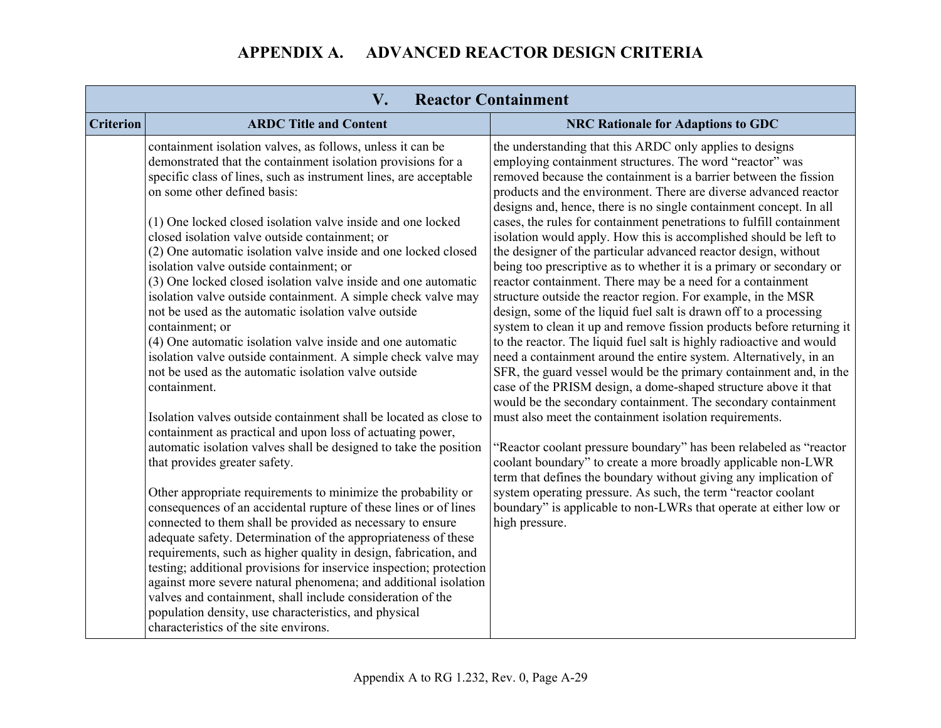| $V_{\cdot}$<br><b>Reactor Containment</b> |                                                                                                                                                                                                                                                                                                                                                                                                                                                                                                                                                                                                                                                                                                                                                                                                                                                                                    |                                                                                                                                                                                                                                                                                                                                                                                                                                                                                                                                                                                                                                                                                                                                                                                                                                                                                                                                                                                                                                                                                                                                                                                               |
|-------------------------------------------|------------------------------------------------------------------------------------------------------------------------------------------------------------------------------------------------------------------------------------------------------------------------------------------------------------------------------------------------------------------------------------------------------------------------------------------------------------------------------------------------------------------------------------------------------------------------------------------------------------------------------------------------------------------------------------------------------------------------------------------------------------------------------------------------------------------------------------------------------------------------------------|-----------------------------------------------------------------------------------------------------------------------------------------------------------------------------------------------------------------------------------------------------------------------------------------------------------------------------------------------------------------------------------------------------------------------------------------------------------------------------------------------------------------------------------------------------------------------------------------------------------------------------------------------------------------------------------------------------------------------------------------------------------------------------------------------------------------------------------------------------------------------------------------------------------------------------------------------------------------------------------------------------------------------------------------------------------------------------------------------------------------------------------------------------------------------------------------------|
| <b>Criterion</b>                          | <b>ARDC Title and Content</b>                                                                                                                                                                                                                                                                                                                                                                                                                                                                                                                                                                                                                                                                                                                                                                                                                                                      | <b>NRC Rationale for Adaptions to GDC</b>                                                                                                                                                                                                                                                                                                                                                                                                                                                                                                                                                                                                                                                                                                                                                                                                                                                                                                                                                                                                                                                                                                                                                     |
|                                           | containment isolation valves, as follows, unless it can be<br>demonstrated that the containment isolation provisions for a<br>specific class of lines, such as instrument lines, are acceptable<br>on some other defined basis:<br>(1) One locked closed isolation valve inside and one locked<br>closed isolation valve outside containment; or<br>(2) One automatic isolation valve inside and one locked closed<br>isolation valve outside containment; or<br>(3) One locked closed isolation valve inside and one automatic<br>isolation valve outside containment. A simple check valve may<br>not be used as the automatic isolation valve outside<br>containment; or<br>(4) One automatic isolation valve inside and one automatic<br>isolation valve outside containment. A simple check valve may<br>not be used as the automatic isolation valve outside<br>containment. | the understanding that this ARDC only applies to designs<br>employing containment structures. The word "reactor" was<br>removed because the containment is a barrier between the fission<br>products and the environment. There are diverse advanced reactor<br>designs and, hence, there is no single containment concept. In all<br>cases, the rules for containment penetrations to fulfill containment<br>isolation would apply. How this is accomplished should be left to<br>the designer of the particular advanced reactor design, without<br>being too prescriptive as to whether it is a primary or secondary or<br>reactor containment. There may be a need for a containment<br>structure outside the reactor region. For example, in the MSR<br>design, some of the liquid fuel salt is drawn off to a processing<br>system to clean it up and remove fission products before returning it<br>to the reactor. The liquid fuel salt is highly radioactive and would<br>need a containment around the entire system. Alternatively, in an<br>SFR, the guard vessel would be the primary containment and, in the<br>case of the PRISM design, a dome-shaped structure above it that |
|                                           | Isolation valves outside containment shall be located as close to<br>containment as practical and upon loss of actuating power,<br>automatic isolation valves shall be designed to take the position<br>that provides greater safety.                                                                                                                                                                                                                                                                                                                                                                                                                                                                                                                                                                                                                                              | would be the secondary containment. The secondary containment<br>must also meet the containment isolation requirements.<br>"Reactor coolant pressure boundary" has been relabeled as "reactor<br>coolant boundary" to create a more broadly applicable non-LWR<br>term that defines the boundary without giving any implication of                                                                                                                                                                                                                                                                                                                                                                                                                                                                                                                                                                                                                                                                                                                                                                                                                                                            |
|                                           | Other appropriate requirements to minimize the probability or<br>consequences of an accidental rupture of these lines or of lines<br>connected to them shall be provided as necessary to ensure<br>adequate safety. Determination of the appropriateness of these<br>requirements, such as higher quality in design, fabrication, and<br>testing; additional provisions for inservice inspection; protection<br>against more severe natural phenomena; and additional isolation<br>valves and containment, shall include consideration of the<br>population density, use characteristics, and physical<br>characteristics of the site environs.                                                                                                                                                                                                                                    | system operating pressure. As such, the term "reactor coolant"<br>boundary" is applicable to non-LWRs that operate at either low or<br>high pressure.                                                                                                                                                                                                                                                                                                                                                                                                                                                                                                                                                                                                                                                                                                                                                                                                                                                                                                                                                                                                                                         |

m.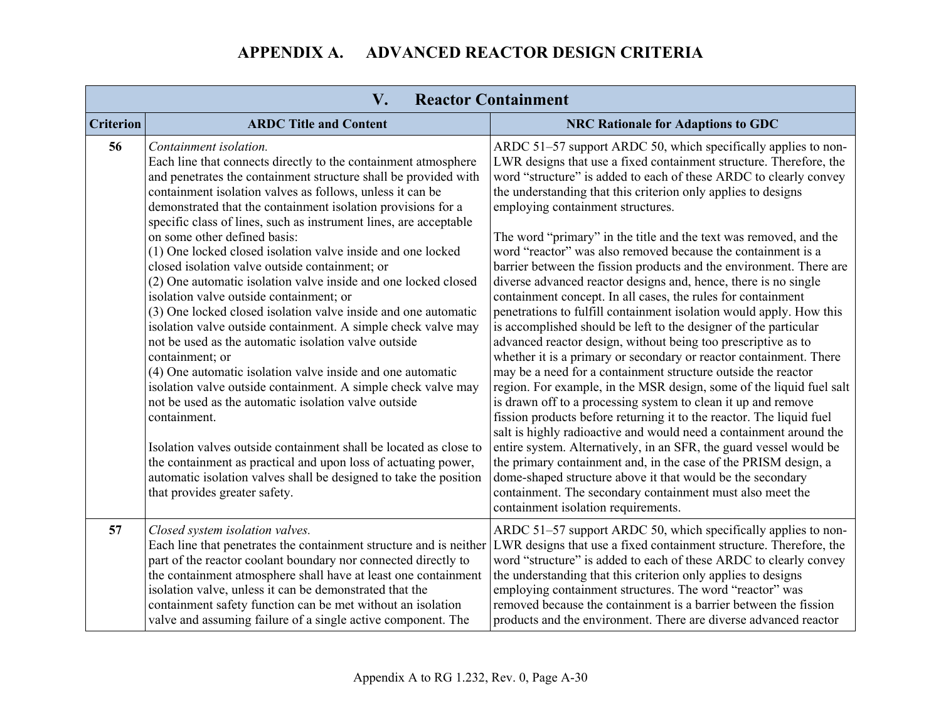| V.<br><b>Reactor Containment</b> |                                                                                                                                                                                                                                                                                                                                                                                                                                     |                                                                                                                                                                                                                                                                                                                                                                                                                                                                                |  |
|----------------------------------|-------------------------------------------------------------------------------------------------------------------------------------------------------------------------------------------------------------------------------------------------------------------------------------------------------------------------------------------------------------------------------------------------------------------------------------|--------------------------------------------------------------------------------------------------------------------------------------------------------------------------------------------------------------------------------------------------------------------------------------------------------------------------------------------------------------------------------------------------------------------------------------------------------------------------------|--|
| <b>Criterion</b>                 | <b>ARDC Title and Content</b>                                                                                                                                                                                                                                                                                                                                                                                                       | <b>NRC Rationale for Adaptions to GDC</b>                                                                                                                                                                                                                                                                                                                                                                                                                                      |  |
| 56                               | Containment isolation.<br>Each line that connects directly to the containment atmosphere<br>and penetrates the containment structure shall be provided with<br>containment isolation valves as follows, unless it can be<br>demonstrated that the containment isolation provisions for a<br>specific class of lines, such as instrument lines, are acceptable                                                                       | ARDC 51–57 support ARDC 50, which specifically applies to non-<br>LWR designs that use a fixed containment structure. Therefore, the<br>word "structure" is added to each of these ARDC to clearly convey<br>the understanding that this criterion only applies to designs<br>employing containment structures.                                                                                                                                                                |  |
|                                  | on some other defined basis:<br>(1) One locked closed isolation valve inside and one locked<br>closed isolation valve outside containment; or<br>(2) One automatic isolation valve inside and one locked closed                                                                                                                                                                                                                     | The word "primary" in the title and the text was removed, and the<br>word "reactor" was also removed because the containment is a<br>barrier between the fission products and the environment. There are<br>diverse advanced reactor designs and, hence, there is no single                                                                                                                                                                                                    |  |
|                                  | isolation valve outside containment; or<br>(3) One locked closed isolation valve inside and one automatic<br>isolation valve outside containment. A simple check valve may                                                                                                                                                                                                                                                          | containment concept. In all cases, the rules for containment<br>penetrations to fulfill containment isolation would apply. How this<br>is accomplished should be left to the designer of the particular                                                                                                                                                                                                                                                                        |  |
|                                  | not be used as the automatic isolation valve outside<br>containment; or<br>(4) One automatic isolation valve inside and one automatic<br>isolation valve outside containment. A simple check valve may<br>not be used as the automatic isolation valve outside<br>containment.                                                                                                                                                      | advanced reactor design, without being too prescriptive as to<br>whether it is a primary or secondary or reactor containment. There<br>may be a need for a containment structure outside the reactor<br>region. For example, in the MSR design, some of the liquid fuel salt<br>is drawn off to a processing system to clean it up and remove<br>fission products before returning it to the reactor. The liquid fuel                                                          |  |
|                                  | Isolation valves outside containment shall be located as close to<br>the containment as practical and upon loss of actuating power,<br>automatic isolation valves shall be designed to take the position<br>that provides greater safety.                                                                                                                                                                                           | salt is highly radioactive and would need a containment around the<br>entire system. Alternatively, in an SFR, the guard vessel would be<br>the primary containment and, in the case of the PRISM design, a<br>dome-shaped structure above it that would be the secondary<br>containment. The secondary containment must also meet the<br>containment isolation requirements.                                                                                                  |  |
| 57                               | Closed system isolation valves.<br>Each line that penetrates the containment structure and is neither<br>part of the reactor coolant boundary nor connected directly to<br>the containment atmosphere shall have at least one containment<br>isolation valve, unless it can be demonstrated that the<br>containment safety function can be met without an isolation<br>valve and assuming failure of a single active component. The | ARDC 51–57 support ARDC 50, which specifically applies to non-<br>LWR designs that use a fixed containment structure. Therefore, the<br>word "structure" is added to each of these ARDC to clearly convey<br>the understanding that this criterion only applies to designs<br>employing containment structures. The word "reactor" was<br>removed because the containment is a barrier between the fission<br>products and the environment. There are diverse advanced reactor |  |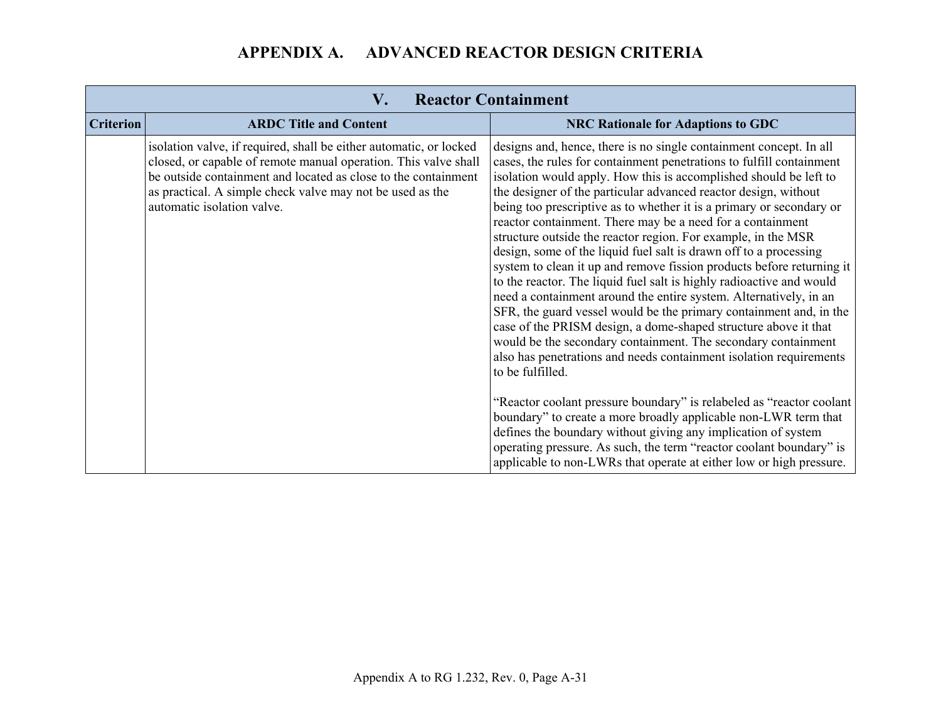$\sim$ 

|                  | $\mathbf{V}_{\bullet}$<br><b>Reactor Containment</b>                                                                                                                                                                                                                                               |                                                                                                                                                                                                                                                                                                                                                                                                                                                                                                                                                                                                                                                                                                                                                                                                                                                                                                                                                                                                                                                                                          |  |  |
|------------------|----------------------------------------------------------------------------------------------------------------------------------------------------------------------------------------------------------------------------------------------------------------------------------------------------|------------------------------------------------------------------------------------------------------------------------------------------------------------------------------------------------------------------------------------------------------------------------------------------------------------------------------------------------------------------------------------------------------------------------------------------------------------------------------------------------------------------------------------------------------------------------------------------------------------------------------------------------------------------------------------------------------------------------------------------------------------------------------------------------------------------------------------------------------------------------------------------------------------------------------------------------------------------------------------------------------------------------------------------------------------------------------------------|--|--|
| <b>Criterion</b> | <b>ARDC Title and Content</b>                                                                                                                                                                                                                                                                      | <b>NRC Rationale for Adaptions to GDC</b>                                                                                                                                                                                                                                                                                                                                                                                                                                                                                                                                                                                                                                                                                                                                                                                                                                                                                                                                                                                                                                                |  |  |
|                  | isolation valve, if required, shall be either automatic, or locked<br>closed, or capable of remote manual operation. This valve shall<br>be outside containment and located as close to the containment<br>as practical. A simple check valve may not be used as the<br>automatic isolation valve. | designs and, hence, there is no single containment concept. In all<br>cases, the rules for containment penetrations to fulfill containment<br>isolation would apply. How this is accomplished should be left to<br>the designer of the particular advanced reactor design, without<br>being too prescriptive as to whether it is a primary or secondary or<br>reactor containment. There may be a need for a containment<br>structure outside the reactor region. For example, in the MSR<br>design, some of the liquid fuel salt is drawn off to a processing<br>system to clean it up and remove fission products before returning it<br>to the reactor. The liquid fuel salt is highly radioactive and would<br>need a containment around the entire system. Alternatively, in an<br>SFR, the guard vessel would be the primary containment and, in the<br>case of the PRISM design, a dome-shaped structure above it that<br>would be the secondary containment. The secondary containment<br>also has penetrations and needs containment isolation requirements<br>to be fulfilled. |  |  |
|                  |                                                                                                                                                                                                                                                                                                    | "Reactor coolant pressure boundary" is relabeled as "reactor coolant"<br>boundary" to create a more broadly applicable non-LWR term that<br>defines the boundary without giving any implication of system<br>operating pressure. As such, the term "reactor coolant boundary" is<br>applicable to non-LWRs that operate at either low or high pressure.                                                                                                                                                                                                                                                                                                                                                                                                                                                                                                                                                                                                                                                                                                                                  |  |  |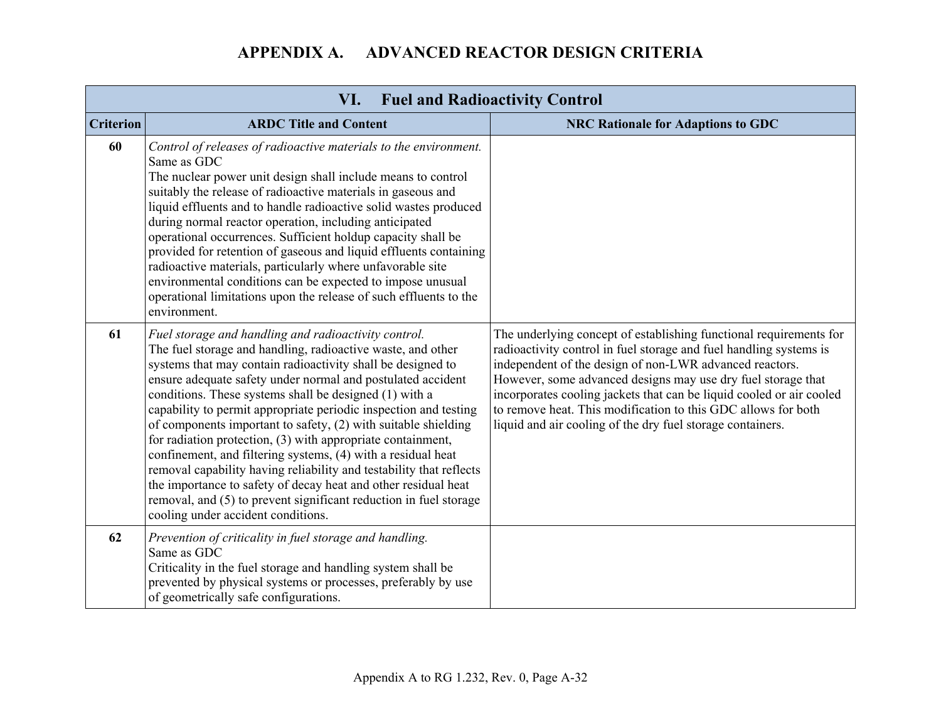| <b>Fuel and Radioactivity Control</b><br>VI. |                                                                                                                                                                                                                                                                                                                                                                                                                                                                                                                                                                                                                                                                                                                                                                                                                                      |                                                                                                                                                                                                                                                                                                                                                                                                                                                                            |
|----------------------------------------------|--------------------------------------------------------------------------------------------------------------------------------------------------------------------------------------------------------------------------------------------------------------------------------------------------------------------------------------------------------------------------------------------------------------------------------------------------------------------------------------------------------------------------------------------------------------------------------------------------------------------------------------------------------------------------------------------------------------------------------------------------------------------------------------------------------------------------------------|----------------------------------------------------------------------------------------------------------------------------------------------------------------------------------------------------------------------------------------------------------------------------------------------------------------------------------------------------------------------------------------------------------------------------------------------------------------------------|
| <b>Criterion</b>                             | <b>ARDC Title and Content</b>                                                                                                                                                                                                                                                                                                                                                                                                                                                                                                                                                                                                                                                                                                                                                                                                        | <b>NRC Rationale for Adaptions to GDC</b>                                                                                                                                                                                                                                                                                                                                                                                                                                  |
| 60                                           | Control of releases of radioactive materials to the environment.<br>Same as GDC<br>The nuclear power unit design shall include means to control<br>suitably the release of radioactive materials in gaseous and<br>liquid effluents and to handle radioactive solid wastes produced<br>during normal reactor operation, including anticipated<br>operational occurrences. Sufficient holdup capacity shall be<br>provided for retention of gaseous and liquid effluents containing<br>radioactive materials, particularly where unfavorable site<br>environmental conditions can be expected to impose unusual<br>operational limitations upon the release of such effluents to the<br>environment.                                                                                                                                  |                                                                                                                                                                                                                                                                                                                                                                                                                                                                            |
| 61                                           | Fuel storage and handling and radioactivity control.<br>The fuel storage and handling, radioactive waste, and other<br>systems that may contain radioactivity shall be designed to<br>ensure adequate safety under normal and postulated accident<br>conditions. These systems shall be designed (1) with a<br>capability to permit appropriate periodic inspection and testing<br>of components important to safety, (2) with suitable shielding<br>for radiation protection, (3) with appropriate containment,<br>confinement, and filtering systems, (4) with a residual heat<br>removal capability having reliability and testability that reflects<br>the importance to safety of decay heat and other residual heat<br>removal, and (5) to prevent significant reduction in fuel storage<br>cooling under accident conditions. | The underlying concept of establishing functional requirements for<br>radioactivity control in fuel storage and fuel handling systems is<br>independent of the design of non-LWR advanced reactors.<br>However, some advanced designs may use dry fuel storage that<br>incorporates cooling jackets that can be liquid cooled or air cooled<br>to remove heat. This modification to this GDC allows for both<br>liquid and air cooling of the dry fuel storage containers. |
| 62                                           | Prevention of criticality in fuel storage and handling.<br>Same as GDC<br>Criticality in the fuel storage and handling system shall be<br>prevented by physical systems or processes, preferably by use<br>of geometrically safe configurations.                                                                                                                                                                                                                                                                                                                                                                                                                                                                                                                                                                                     |                                                                                                                                                                                                                                                                                                                                                                                                                                                                            |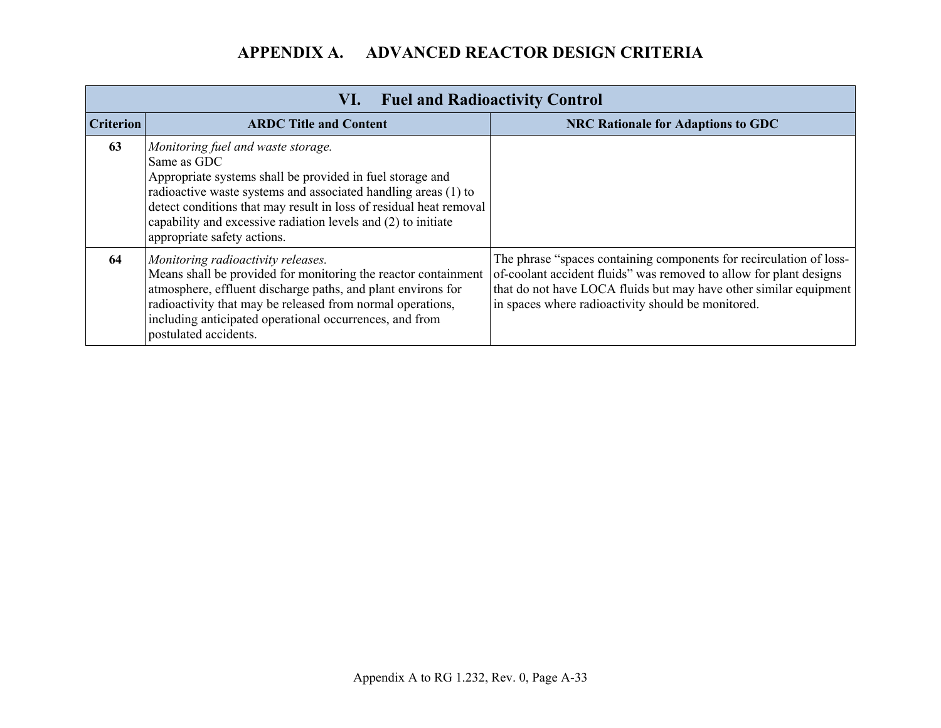|                  | <b>Fuel and Radioactivity Control</b><br>VI.                                                                                                                                                                                                                                                                                                           |                                                                                                                                                                                                                                                                      |  |
|------------------|--------------------------------------------------------------------------------------------------------------------------------------------------------------------------------------------------------------------------------------------------------------------------------------------------------------------------------------------------------|----------------------------------------------------------------------------------------------------------------------------------------------------------------------------------------------------------------------------------------------------------------------|--|
| <b>Criterion</b> | <b>ARDC Title and Content</b>                                                                                                                                                                                                                                                                                                                          | <b>NRC Rationale for Adaptions to GDC</b>                                                                                                                                                                                                                            |  |
| 63               | Monitoring fuel and waste storage.<br>Same as GDC<br>Appropriate systems shall be provided in fuel storage and<br>radioactive waste systems and associated handling areas (1) to<br>detect conditions that may result in loss of residual heat removal<br>capability and excessive radiation levels and (2) to initiate<br>appropriate safety actions. |                                                                                                                                                                                                                                                                      |  |
| 64               | Monitoring radioactivity releases.<br>Means shall be provided for monitoring the reactor containment<br>atmosphere, effluent discharge paths, and plant environs for<br>radioactivity that may be released from normal operations,<br>including anticipated operational occurrences, and from<br>postulated accidents.                                 | The phrase "spaces containing components for recirculation of loss-<br>of-coolant accident fluids" was removed to allow for plant designs<br>that do not have LOCA fluids but may have other similar equipment<br>in spaces where radioactivity should be monitored. |  |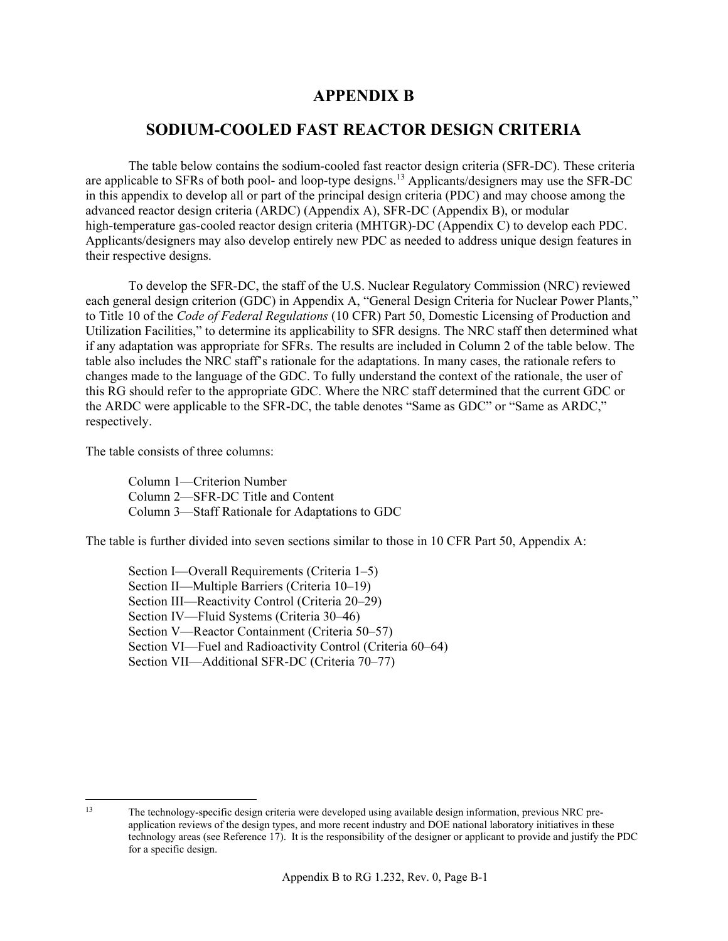### **APPENDIX B**

### **SODIUM-COOLED FAST REACTOR DESIGN CRITERIA**

 The table below contains the sodium-cooled fast reactor design criteria (SFR-DC). These criteria are applicable to SFRs of both pool- and loop-type designs.13 Applicants/designers may use the SFR-DC in this appendix to develop all or part of the principal design criteria (PDC) and may choose among the advanced reactor design criteria (ARDC) (Appendix A), SFR-DC (Appendix B), or modular high-temperature gas-cooled reactor design criteria (MHTGR)-DC (Appendix C) to develop each PDC. Applicants/designers may also develop entirely new PDC as needed to address unique design features in their respective designs.

 To develop the SFR-DC, the staff of the U.S. Nuclear Regulatory Commission (NRC) reviewed each general design criterion (GDC) in Appendix A, "General Design Criteria for Nuclear Power Plants," to Title 10 of the *Code of Federal Regulations* (10 CFR) Part 50, Domestic Licensing of Production and Utilization Facilities," to determine its applicability to SFR designs. The NRC staff then determined what if any adaptation was appropriate for SFRs. The results are included in Column 2 of the table below. The table also includes the NRC staff's rationale for the adaptations. In many cases, the rationale refers to changes made to the language of the GDC. To fully understand the context of the rationale, the user of this RG should refer to the appropriate GDC. Where the NRC staff determined that the current GDC or the ARDC were applicable to the SFR-DC, the table denotes "Same as GDC" or "Same as ARDC," respectively.

The table consists of three columns:

Column 1—Criterion Number Column 2—SFR-DC Title and Content Column 3—Staff Rationale for Adaptations to GDC

The table is further divided into seven sections similar to those in 10 CFR Part 50, Appendix A:

Section I—Overall Requirements (Criteria 1–5) Section II—Multiple Barriers (Criteria 10–19) Section III—Reactivity Control (Criteria 20–29) Section IV—Fluid Systems (Criteria 30–46) Section V—Reactor Containment (Criteria 50–57) Section VI—Fuel and Radioactivity Control (Criteria 60–64) Section VII—Additional SFR-DC (Criteria 70–77)

 $13$ 13 The technology-specific design criteria were developed using available design information, previous NRC preapplication reviews of the design types, and more recent industry and DOE national laboratory initiatives in these technology areas (see Reference 17). It is the responsibility of the designer or applicant to provide and justify the PDC for a specific design.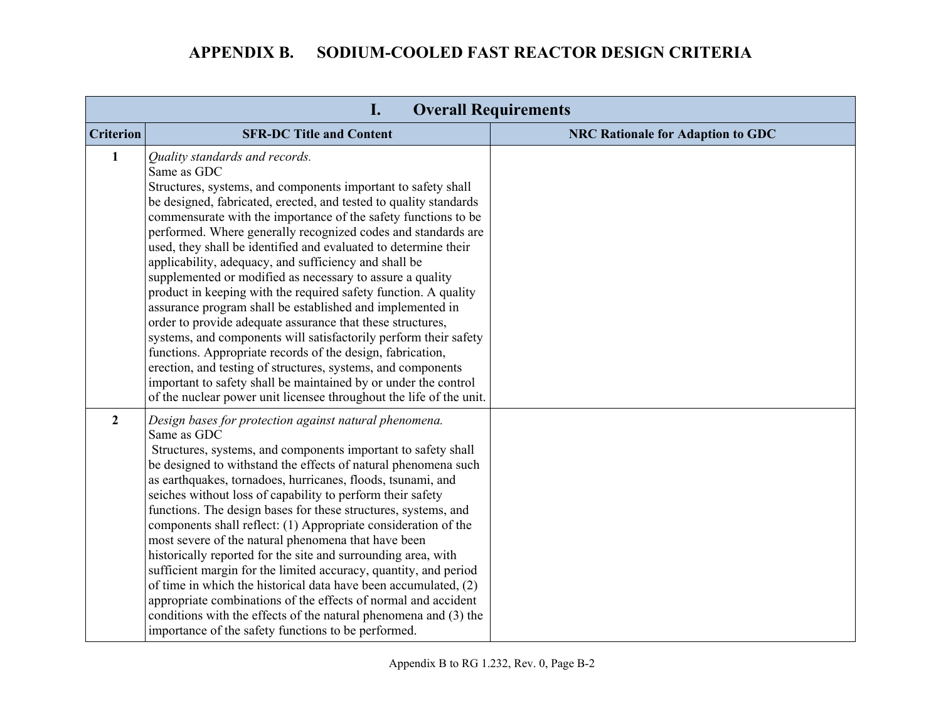|                  | I.                                                                                                                                                                                                                                                                                                                                                                                                                                                                                                                                                                                                                                                                                                                                                                                                                                                                                                                                                                                                                                                        | <b>Overall Requirements</b>              |
|------------------|-----------------------------------------------------------------------------------------------------------------------------------------------------------------------------------------------------------------------------------------------------------------------------------------------------------------------------------------------------------------------------------------------------------------------------------------------------------------------------------------------------------------------------------------------------------------------------------------------------------------------------------------------------------------------------------------------------------------------------------------------------------------------------------------------------------------------------------------------------------------------------------------------------------------------------------------------------------------------------------------------------------------------------------------------------------|------------------------------------------|
| <b>Criterion</b> | <b>SFR-DC Title and Content</b>                                                                                                                                                                                                                                                                                                                                                                                                                                                                                                                                                                                                                                                                                                                                                                                                                                                                                                                                                                                                                           | <b>NRC Rationale for Adaption to GDC</b> |
| $\mathbf{1}$     | Quality standards and records.<br>Same as GDC<br>Structures, systems, and components important to safety shall<br>be designed, fabricated, erected, and tested to quality standards<br>commensurate with the importance of the safety functions to be<br>performed. Where generally recognized codes and standards are<br>used, they shall be identified and evaluated to determine their<br>applicability, adequacy, and sufficiency and shall be<br>supplemented or modified as necessary to assure a quality<br>product in keeping with the required safety function. A quality<br>assurance program shall be established and implemented in<br>order to provide adequate assurance that these structures,<br>systems, and components will satisfactorily perform their safety<br>functions. Appropriate records of the design, fabrication,<br>erection, and testing of structures, systems, and components<br>important to safety shall be maintained by or under the control<br>of the nuclear power unit licensee throughout the life of the unit. |                                          |
| $\overline{2}$   | Design bases for protection against natural phenomena.<br>Same as GDC<br>Structures, systems, and components important to safety shall<br>be designed to withstand the effects of natural phenomena such<br>as earthquakes, tornadoes, hurricanes, floods, tsunami, and<br>seiches without loss of capability to perform their safety<br>functions. The design bases for these structures, systems, and<br>components shall reflect: (1) Appropriate consideration of the<br>most severe of the natural phenomena that have been<br>historically reported for the site and surrounding area, with<br>sufficient margin for the limited accuracy, quantity, and period<br>of time in which the historical data have been accumulated, (2)<br>appropriate combinations of the effects of normal and accident<br>conditions with the effects of the natural phenomena and (3) the<br>importance of the safety functions to be performed.                                                                                                                     |                                          |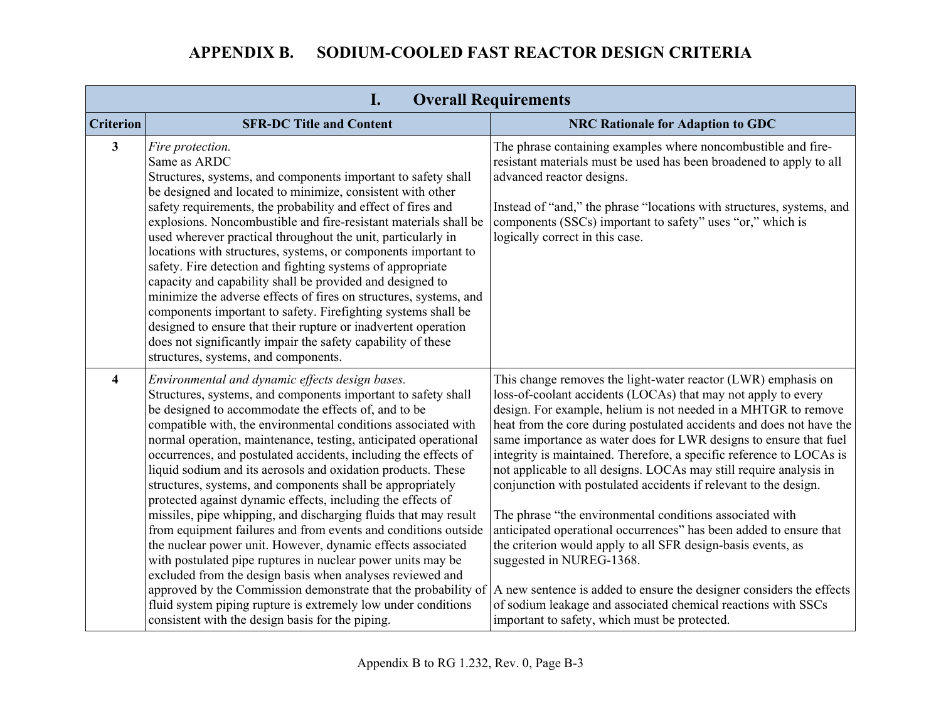|                  | <b>Overall Requirements</b><br>$\mathbf{I}$ .                                                                                                                                                                                                                                                                                                                                                                                                                                                                                                                                                                                                                                                                                                                                                                                                                                                                                                                                                                                                                                                       |                                                                                                                                                                                                                                                                                                                                                                                                                                                                                                                                                                                                                                                                                                                                                                                                                                                                                                                                                                                         |  |
|------------------|-----------------------------------------------------------------------------------------------------------------------------------------------------------------------------------------------------------------------------------------------------------------------------------------------------------------------------------------------------------------------------------------------------------------------------------------------------------------------------------------------------------------------------------------------------------------------------------------------------------------------------------------------------------------------------------------------------------------------------------------------------------------------------------------------------------------------------------------------------------------------------------------------------------------------------------------------------------------------------------------------------------------------------------------------------------------------------------------------------|-----------------------------------------------------------------------------------------------------------------------------------------------------------------------------------------------------------------------------------------------------------------------------------------------------------------------------------------------------------------------------------------------------------------------------------------------------------------------------------------------------------------------------------------------------------------------------------------------------------------------------------------------------------------------------------------------------------------------------------------------------------------------------------------------------------------------------------------------------------------------------------------------------------------------------------------------------------------------------------------|--|
| <b>Criterion</b> | <b>SFR-DC Title and Content</b>                                                                                                                                                                                                                                                                                                                                                                                                                                                                                                                                                                                                                                                                                                                                                                                                                                                                                                                                                                                                                                                                     | <b>NRC Rationale for Adaption to GDC</b>                                                                                                                                                                                                                                                                                                                                                                                                                                                                                                                                                                                                                                                                                                                                                                                                                                                                                                                                                |  |
| $\mathbf{3}$     | Fire protection.<br>Same as ARDC<br>Structures, systems, and components important to safety shall<br>be designed and located to minimize, consistent with other<br>safety requirements, the probability and effect of fires and<br>explosions. Noncombustible and fire-resistant materials shall be<br>used wherever practical throughout the unit, particularly in<br>locations with structures, systems, or components important to<br>safety. Fire detection and fighting systems of appropriate<br>capacity and capability shall be provided and designed to<br>minimize the adverse effects of fires on structures, systems, and<br>components important to safety. Firefighting systems shall be<br>designed to ensure that their rupture or inadvertent operation<br>does not significantly impair the safety capability of these<br>structures, systems, and components.                                                                                                                                                                                                                    | The phrase containing examples where noncombustible and fire-<br>resistant materials must be used has been broadened to apply to all<br>advanced reactor designs.<br>Instead of "and," the phrase "locations with structures, systems, and<br>components (SSCs) important to safety" uses "or," which is<br>logically correct in this case.                                                                                                                                                                                                                                                                                                                                                                                                                                                                                                                                                                                                                                             |  |
| 4                | Environmental and dynamic effects design bases.<br>Structures, systems, and components important to safety shall<br>be designed to accommodate the effects of, and to be<br>compatible with, the environmental conditions associated with<br>normal operation, maintenance, testing, anticipated operational<br>occurrences, and postulated accidents, including the effects of<br>liquid sodium and its aerosols and oxidation products. These<br>structures, systems, and components shall be appropriately<br>protected against dynamic effects, including the effects of<br>missiles, pipe whipping, and discharging fluids that may result<br>from equipment failures and from events and conditions outside<br>the nuclear power unit. However, dynamic effects associated<br>with postulated pipe ruptures in nuclear power units may be<br>excluded from the design basis when analyses reviewed and<br>approved by the Commission demonstrate that the probability of<br>fluid system piping rupture is extremely low under conditions<br>consistent with the design basis for the piping. | This change removes the light-water reactor (LWR) emphasis on<br>loss-of-coolant accidents (LOCAs) that may not apply to every<br>design. For example, helium is not needed in a MHTGR to remove<br>heat from the core during postulated accidents and does not have the<br>same importance as water does for LWR designs to ensure that fuel<br>integrity is maintained. Therefore, a specific reference to LOCAs is<br>not applicable to all designs. LOCAs may still require analysis in<br>conjunction with postulated accidents if relevant to the design.<br>The phrase "the environmental conditions associated with<br>anticipated operational occurrences" has been added to ensure that<br>the criterion would apply to all SFR design-basis events, as<br>suggested in NUREG-1368.<br>A new sentence is added to ensure the designer considers the effects<br>of sodium leakage and associated chemical reactions with SSCs<br>important to safety, which must be protected. |  |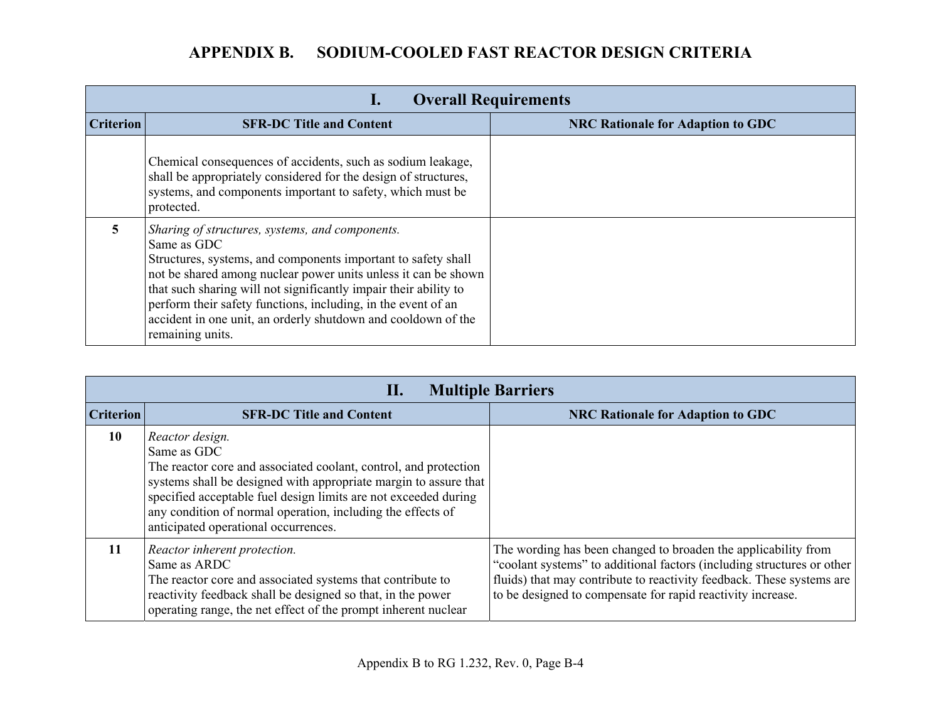|                  | <b>Overall Requirements</b><br>ı.                                                                                                                                                                                                                                                                                                                                                                                           |                                          |  |
|------------------|-----------------------------------------------------------------------------------------------------------------------------------------------------------------------------------------------------------------------------------------------------------------------------------------------------------------------------------------------------------------------------------------------------------------------------|------------------------------------------|--|
| <b>Criterion</b> | <b>SFR-DC Title and Content</b>                                                                                                                                                                                                                                                                                                                                                                                             | <b>NRC Rationale for Adaption to GDC</b> |  |
|                  | Chemical consequences of accidents, such as sodium leakage,<br>shall be appropriately considered for the design of structures,<br>systems, and components important to safety, which must be<br>protected.                                                                                                                                                                                                                  |                                          |  |
| 5.               | Sharing of structures, systems, and components.<br>Same as GDC<br>Structures, systems, and components important to safety shall<br>not be shared among nuclear power units unless it can be shown<br>that such sharing will not significantly impair their ability to<br>perform their safety functions, including, in the event of an<br>accident in one unit, an orderly shutdown and cooldown of the<br>remaining units. |                                          |  |

|                  | <b>Multiple Barriers</b><br>П.                                                                                                                                                                                                                                                                                                                   |                                                                                                                                                                                                                                                                                  |  |
|------------------|--------------------------------------------------------------------------------------------------------------------------------------------------------------------------------------------------------------------------------------------------------------------------------------------------------------------------------------------------|----------------------------------------------------------------------------------------------------------------------------------------------------------------------------------------------------------------------------------------------------------------------------------|--|
| <b>Criterion</b> | <b>SFR-DC Title and Content</b>                                                                                                                                                                                                                                                                                                                  | <b>NRC Rationale for Adaption to GDC</b>                                                                                                                                                                                                                                         |  |
| 10               | Reactor design.<br>Same as GDC<br>The reactor core and associated coolant, control, and protection<br>systems shall be designed with appropriate margin to assure that<br>specified acceptable fuel design limits are not exceeded during<br>any condition of normal operation, including the effects of<br>anticipated operational occurrences. |                                                                                                                                                                                                                                                                                  |  |
| 11               | Reactor inherent protection.<br>Same as ARDC<br>The reactor core and associated systems that contribute to<br>reactivity feedback shall be designed so that, in the power<br>operating range, the net effect of the prompt inherent nuclear                                                                                                      | The wording has been changed to broaden the applicability from<br>"coolant systems" to additional factors (including structures or other<br>fluids) that may contribute to reactivity feedback. These systems are<br>to be designed to compensate for rapid reactivity increase. |  |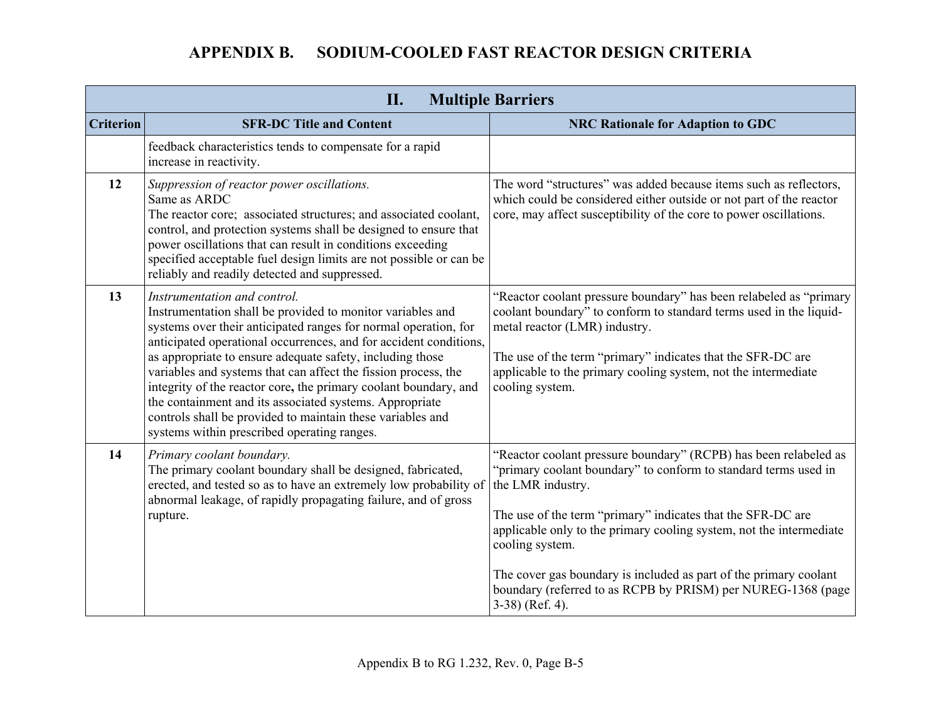| <b>Multiple Barriers</b><br>II. |                                                                                                                                                                                                                                                                                                                                                                                                                                                                                                                                                                                                               |                                                                                                                                                                                                                                                                                                                                                                                                                                                                              |
|---------------------------------|---------------------------------------------------------------------------------------------------------------------------------------------------------------------------------------------------------------------------------------------------------------------------------------------------------------------------------------------------------------------------------------------------------------------------------------------------------------------------------------------------------------------------------------------------------------------------------------------------------------|------------------------------------------------------------------------------------------------------------------------------------------------------------------------------------------------------------------------------------------------------------------------------------------------------------------------------------------------------------------------------------------------------------------------------------------------------------------------------|
| <b>Criterion</b>                | <b>SFR-DC Title and Content</b>                                                                                                                                                                                                                                                                                                                                                                                                                                                                                                                                                                               | <b>NRC Rationale for Adaption to GDC</b>                                                                                                                                                                                                                                                                                                                                                                                                                                     |
|                                 | feedback characteristics tends to compensate for a rapid<br>increase in reactivity.                                                                                                                                                                                                                                                                                                                                                                                                                                                                                                                           |                                                                                                                                                                                                                                                                                                                                                                                                                                                                              |
| 12                              | Suppression of reactor power oscillations.<br>Same as ARDC<br>The reactor core; associated structures; and associated coolant,<br>control, and protection systems shall be designed to ensure that<br>power oscillations that can result in conditions exceeding<br>specified acceptable fuel design limits are not possible or can be<br>reliably and readily detected and suppressed.                                                                                                                                                                                                                       | The word "structures" was added because items such as reflectors,<br>which could be considered either outside or not part of the reactor<br>core, may affect susceptibility of the core to power oscillations.                                                                                                                                                                                                                                                               |
| 13                              | Instrumentation and control.<br>Instrumentation shall be provided to monitor variables and<br>systems over their anticipated ranges for normal operation, for<br>anticipated operational occurrences, and for accident conditions,<br>as appropriate to ensure adequate safety, including those<br>variables and systems that can affect the fission process, the<br>integrity of the reactor core, the primary coolant boundary, and<br>the containment and its associated systems. Appropriate<br>controls shall be provided to maintain these variables and<br>systems within prescribed operating ranges. | "Reactor coolant pressure boundary" has been relabeled as "primary<br>coolant boundary" to conform to standard terms used in the liquid-<br>metal reactor (LMR) industry.<br>The use of the term "primary" indicates that the SFR-DC are<br>applicable to the primary cooling system, not the intermediate<br>cooling system.                                                                                                                                                |
| 14                              | Primary coolant boundary.<br>The primary coolant boundary shall be designed, fabricated,<br>erected, and tested so as to have an extremely low probability of<br>abnormal leakage, of rapidly propagating failure, and of gross<br>rupture.                                                                                                                                                                                                                                                                                                                                                                   | "Reactor coolant pressure boundary" (RCPB) has been relabeled as<br>"primary coolant boundary" to conform to standard terms used in<br>the LMR industry.<br>The use of the term "primary" indicates that the SFR-DC are<br>applicable only to the primary cooling system, not the intermediate<br>cooling system.<br>The cover gas boundary is included as part of the primary coolant<br>boundary (referred to as RCPB by PRISM) per NUREG-1368 (page<br>$3-38$ ) (Ref. 4). |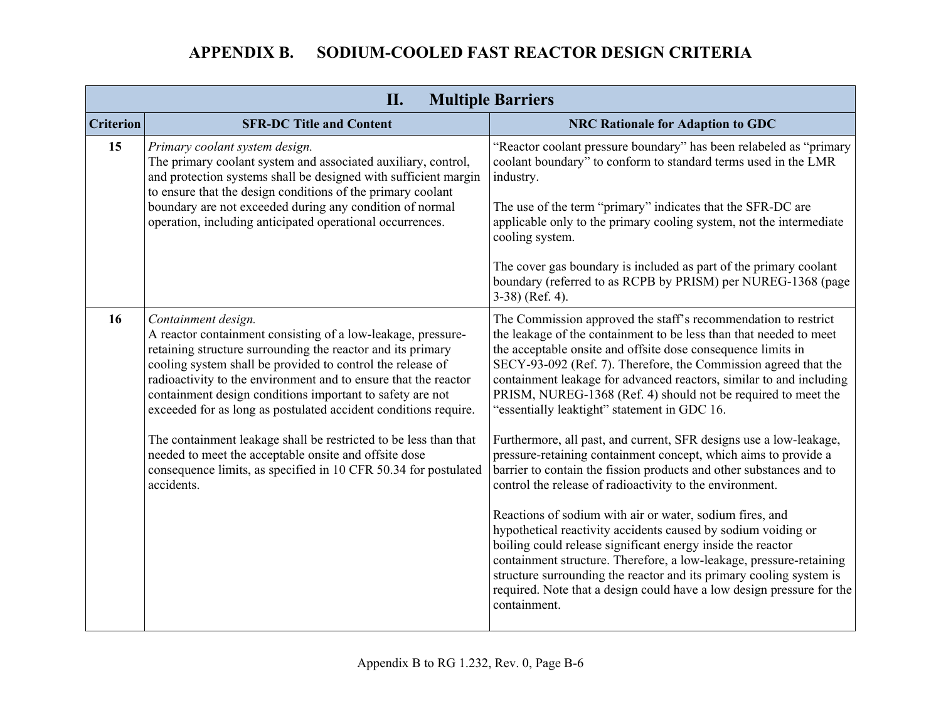|                  | II.<br><b>Multiple Barriers</b>                                                                                                                                                                                                                                                                                                                                                                                                                                                                                                                                                                                                   |                                                                                                                                                                                                                                                                                                                                                                                                                                                                                                                                                                                                                                                                                                                                                                                                                                                                                                                                                                                                                                                                                                                                                                                |  |
|------------------|-----------------------------------------------------------------------------------------------------------------------------------------------------------------------------------------------------------------------------------------------------------------------------------------------------------------------------------------------------------------------------------------------------------------------------------------------------------------------------------------------------------------------------------------------------------------------------------------------------------------------------------|--------------------------------------------------------------------------------------------------------------------------------------------------------------------------------------------------------------------------------------------------------------------------------------------------------------------------------------------------------------------------------------------------------------------------------------------------------------------------------------------------------------------------------------------------------------------------------------------------------------------------------------------------------------------------------------------------------------------------------------------------------------------------------------------------------------------------------------------------------------------------------------------------------------------------------------------------------------------------------------------------------------------------------------------------------------------------------------------------------------------------------------------------------------------------------|--|
| <b>Criterion</b> | <b>SFR-DC Title and Content</b>                                                                                                                                                                                                                                                                                                                                                                                                                                                                                                                                                                                                   | <b>NRC Rationale for Adaption to GDC</b>                                                                                                                                                                                                                                                                                                                                                                                                                                                                                                                                                                                                                                                                                                                                                                                                                                                                                                                                                                                                                                                                                                                                       |  |
| 15               | Primary coolant system design.<br>The primary coolant system and associated auxiliary, control,<br>and protection systems shall be designed with sufficient margin<br>to ensure that the design conditions of the primary coolant<br>boundary are not exceeded during any condition of normal<br>operation, including anticipated operational occurrences.                                                                                                                                                                                                                                                                        | "Reactor coolant pressure boundary" has been relabeled as "primary"<br>coolant boundary" to conform to standard terms used in the LMR<br>industry.<br>The use of the term "primary" indicates that the SFR-DC are<br>applicable only to the primary cooling system, not the intermediate<br>cooling system.<br>The cover gas boundary is included as part of the primary coolant<br>boundary (referred to as RCPB by PRISM) per NUREG-1368 (page<br>$3-38$ ) (Ref. 4).                                                                                                                                                                                                                                                                                                                                                                                                                                                                                                                                                                                                                                                                                                         |  |
| 16               | Containment design.<br>A reactor containment consisting of a low-leakage, pressure-<br>retaining structure surrounding the reactor and its primary<br>cooling system shall be provided to control the release of<br>radioactivity to the environment and to ensure that the reactor<br>containment design conditions important to safety are not<br>exceeded for as long as postulated accident conditions require.<br>The containment leakage shall be restricted to be less than that<br>needed to meet the acceptable onsite and offsite dose<br>consequence limits, as specified in 10 CFR 50.34 for postulated<br>accidents. | The Commission approved the staff's recommendation to restrict<br>the leakage of the containment to be less than that needed to meet<br>the acceptable onsite and offsite dose consequence limits in<br>SECY-93-092 (Ref. 7). Therefore, the Commission agreed that the<br>containment leakage for advanced reactors, similar to and including<br>PRISM, NUREG-1368 (Ref. 4) should not be required to meet the<br>"essentially leaktight" statement in GDC 16.<br>Furthermore, all past, and current, SFR designs use a low-leakage,<br>pressure-retaining containment concept, which aims to provide a<br>barrier to contain the fission products and other substances and to<br>control the release of radioactivity to the environment.<br>Reactions of sodium with air or water, sodium fires, and<br>hypothetical reactivity accidents caused by sodium voiding or<br>boiling could release significant energy inside the reactor<br>containment structure. Therefore, a low-leakage, pressure-retaining<br>structure surrounding the reactor and its primary cooling system is<br>required. Note that a design could have a low design pressure for the<br>containment. |  |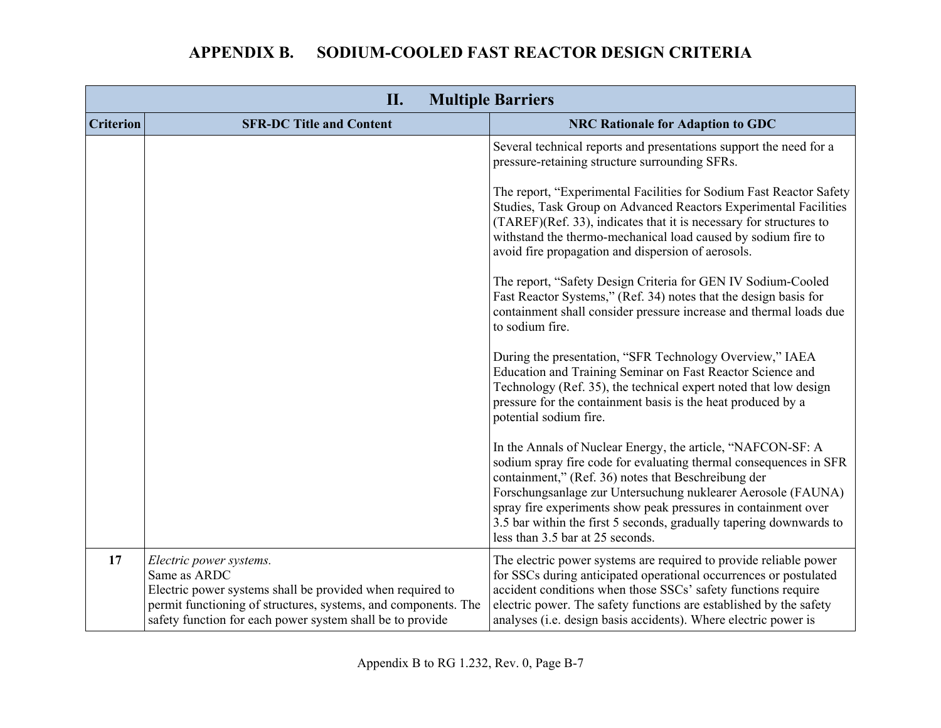| II.<br><b>Multiple Barriers</b> |                                                                                                                                                                                                                                     |                                                                                                                                                                                                                                                                                                                                                                                                                                      |
|---------------------------------|-------------------------------------------------------------------------------------------------------------------------------------------------------------------------------------------------------------------------------------|--------------------------------------------------------------------------------------------------------------------------------------------------------------------------------------------------------------------------------------------------------------------------------------------------------------------------------------------------------------------------------------------------------------------------------------|
| <b>Criterion</b>                | <b>SFR-DC Title and Content</b>                                                                                                                                                                                                     | <b>NRC Rationale for Adaption to GDC</b>                                                                                                                                                                                                                                                                                                                                                                                             |
|                                 |                                                                                                                                                                                                                                     | Several technical reports and presentations support the need for a<br>pressure-retaining structure surrounding SFRs.                                                                                                                                                                                                                                                                                                                 |
|                                 |                                                                                                                                                                                                                                     | The report, "Experimental Facilities for Sodium Fast Reactor Safety<br>Studies, Task Group on Advanced Reactors Experimental Facilities<br>(TAREF)(Ref. 33), indicates that it is necessary for structures to<br>withstand the thermo-mechanical load caused by sodium fire to<br>avoid fire propagation and dispersion of aerosols.                                                                                                 |
|                                 |                                                                                                                                                                                                                                     | The report, "Safety Design Criteria for GEN IV Sodium-Cooled<br>Fast Reactor Systems," (Ref. 34) notes that the design basis for<br>containment shall consider pressure increase and thermal loads due<br>to sodium fire.                                                                                                                                                                                                            |
|                                 |                                                                                                                                                                                                                                     | During the presentation, "SFR Technology Overview," IAEA<br>Education and Training Seminar on Fast Reactor Science and<br>Technology (Ref. 35), the technical expert noted that low design<br>pressure for the containment basis is the heat produced by a<br>potential sodium fire.                                                                                                                                                 |
|                                 |                                                                                                                                                                                                                                     | In the Annals of Nuclear Energy, the article, "NAFCON-SF: A<br>sodium spray fire code for evaluating thermal consequences in SFR<br>containment," (Ref. 36) notes that Beschreibung der<br>Forschungsanlage zur Untersuchung nuklearer Aerosole (FAUNA)<br>spray fire experiments show peak pressures in containment over<br>3.5 bar within the first 5 seconds, gradually tapering downwards to<br>less than 3.5 bar at 25 seconds. |
| 17                              | Electric power systems.<br>Same as ARDC<br>Electric power systems shall be provided when required to<br>permit functioning of structures, systems, and components. The<br>safety function for each power system shall be to provide | The electric power systems are required to provide reliable power<br>for SSCs during anticipated operational occurrences or postulated<br>accident conditions when those SSCs' safety functions require<br>electric power. The safety functions are established by the safety<br>analyses ( <i>i.e.</i> design basis accidents). Where electric power is                                                                             |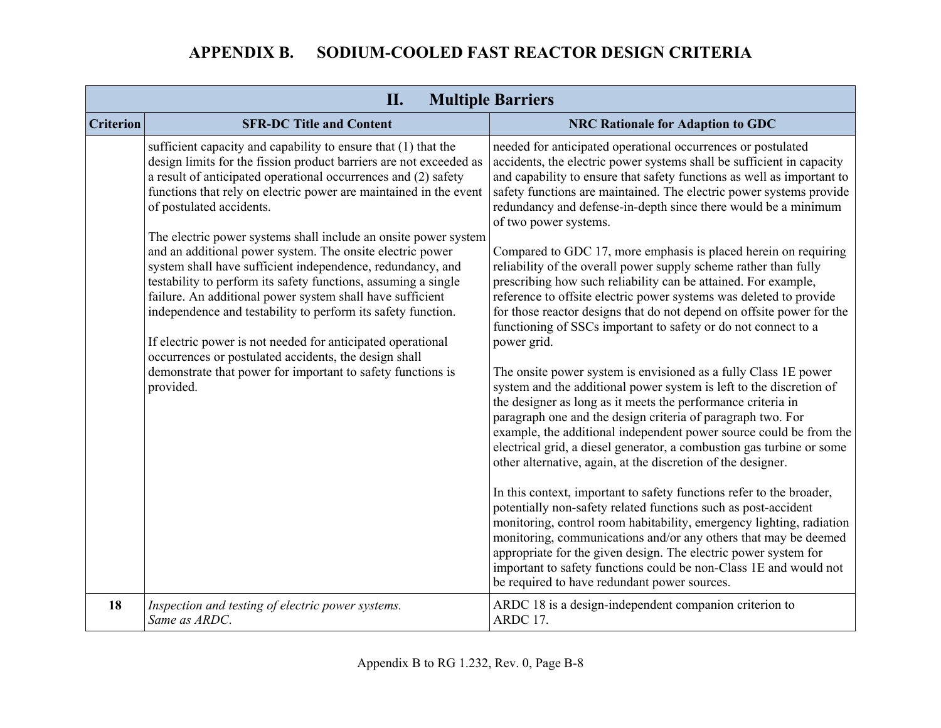|                  | II.<br><b>Multiple Barriers</b>                                                                                                                                                                                                                                                                                                                                                                                                                                                                                   |                                                                                                                                                                                                                                                                                                                                                                                                                                                                                                                                                              |  |
|------------------|-------------------------------------------------------------------------------------------------------------------------------------------------------------------------------------------------------------------------------------------------------------------------------------------------------------------------------------------------------------------------------------------------------------------------------------------------------------------------------------------------------------------|--------------------------------------------------------------------------------------------------------------------------------------------------------------------------------------------------------------------------------------------------------------------------------------------------------------------------------------------------------------------------------------------------------------------------------------------------------------------------------------------------------------------------------------------------------------|--|
| <b>Criterion</b> | <b>SFR-DC Title and Content</b>                                                                                                                                                                                                                                                                                                                                                                                                                                                                                   | <b>NRC Rationale for Adaption to GDC</b>                                                                                                                                                                                                                                                                                                                                                                                                                                                                                                                     |  |
|                  | sufficient capacity and capability to ensure that (1) that the<br>design limits for the fission product barriers are not exceeded as<br>a result of anticipated operational occurrences and (2) safety<br>functions that rely on electric power are maintained in the event<br>of postulated accidents.                                                                                                                                                                                                           | needed for anticipated operational occurrences or postulated<br>accidents, the electric power systems shall be sufficient in capacity<br>and capability to ensure that safety functions as well as important to<br>safety functions are maintained. The electric power systems provide<br>redundancy and defense-in-depth since there would be a minimum<br>of two power systems.                                                                                                                                                                            |  |
|                  | The electric power systems shall include an onsite power system<br>and an additional power system. The onsite electric power<br>system shall have sufficient independence, redundancy, and<br>testability to perform its safety functions, assuming a single<br>failure. An additional power system shall have sufficient<br>independence and testability to perform its safety function.<br>If electric power is not needed for anticipated operational<br>occurrences or postulated accidents, the design shall | Compared to GDC 17, more emphasis is placed herein on requiring<br>reliability of the overall power supply scheme rather than fully<br>prescribing how such reliability can be attained. For example,<br>reference to offsite electric power systems was deleted to provide<br>for those reactor designs that do not depend on offsite power for the<br>functioning of SSCs important to safety or do not connect to a<br>power grid.                                                                                                                        |  |
|                  | demonstrate that power for important to safety functions is<br>provided.                                                                                                                                                                                                                                                                                                                                                                                                                                          | The onsite power system is envisioned as a fully Class 1E power<br>system and the additional power system is left to the discretion of<br>the designer as long as it meets the performance criteria in<br>paragraph one and the design criteria of paragraph two. For<br>example, the additional independent power source could be from the<br>electrical grid, a diesel generator, a combustion gas turbine or some<br>other alternative, again, at the discretion of the designer.<br>In this context, important to safety functions refer to the broader, |  |
|                  |                                                                                                                                                                                                                                                                                                                                                                                                                                                                                                                   | potentially non-safety related functions such as post-accident<br>monitoring, control room habitability, emergency lighting, radiation<br>monitoring, communications and/or any others that may be deemed<br>appropriate for the given design. The electric power system for<br>important to safety functions could be non-Class 1E and would not<br>be required to have redundant power sources.                                                                                                                                                            |  |
| 18               | Inspection and testing of electric power systems.<br>Same as ARDC.                                                                                                                                                                                                                                                                                                                                                                                                                                                | ARDC 18 is a design-independent companion criterion to<br>ARDC 17.                                                                                                                                                                                                                                                                                                                                                                                                                                                                                           |  |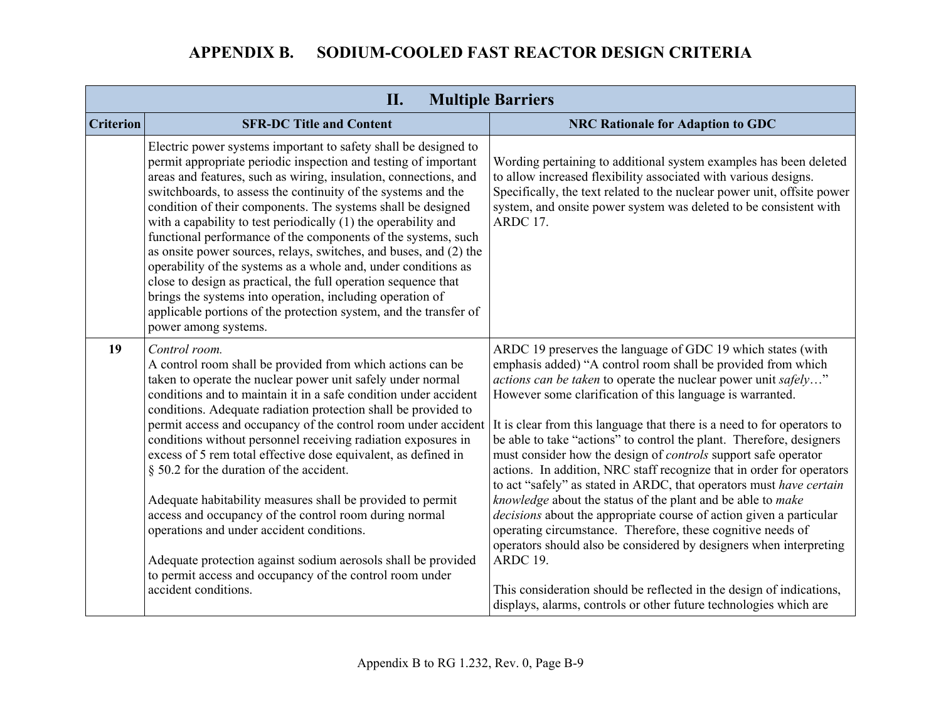|                  | II.<br><b>Multiple Barriers</b>                                                                                                                                                                                                                                                                                                                                                                                                                                                                                                                                                                                                                                                                                                                                                                                                                             |                                                                                                                                                                                                                                                                                                                                                                                                                                                                                                                                                                                                                                                                                                                                                                                                                                                                                                                                                                                                                                                                                          |  |
|------------------|-------------------------------------------------------------------------------------------------------------------------------------------------------------------------------------------------------------------------------------------------------------------------------------------------------------------------------------------------------------------------------------------------------------------------------------------------------------------------------------------------------------------------------------------------------------------------------------------------------------------------------------------------------------------------------------------------------------------------------------------------------------------------------------------------------------------------------------------------------------|------------------------------------------------------------------------------------------------------------------------------------------------------------------------------------------------------------------------------------------------------------------------------------------------------------------------------------------------------------------------------------------------------------------------------------------------------------------------------------------------------------------------------------------------------------------------------------------------------------------------------------------------------------------------------------------------------------------------------------------------------------------------------------------------------------------------------------------------------------------------------------------------------------------------------------------------------------------------------------------------------------------------------------------------------------------------------------------|--|
| <b>Criterion</b> | <b>SFR-DC Title and Content</b>                                                                                                                                                                                                                                                                                                                                                                                                                                                                                                                                                                                                                                                                                                                                                                                                                             | <b>NRC Rationale for Adaption to GDC</b>                                                                                                                                                                                                                                                                                                                                                                                                                                                                                                                                                                                                                                                                                                                                                                                                                                                                                                                                                                                                                                                 |  |
|                  | Electric power systems important to safety shall be designed to<br>permit appropriate periodic inspection and testing of important<br>areas and features, such as wiring, insulation, connections, and<br>switchboards, to assess the continuity of the systems and the<br>condition of their components. The systems shall be designed<br>with a capability to test periodically (1) the operability and<br>functional performance of the components of the systems, such<br>as onsite power sources, relays, switches, and buses, and (2) the<br>operability of the systems as a whole and, under conditions as<br>close to design as practical, the full operation sequence that<br>brings the systems into operation, including operation of<br>applicable portions of the protection system, and the transfer of<br>power among systems.               | Wording pertaining to additional system examples has been deleted<br>to allow increased flexibility associated with various designs.<br>Specifically, the text related to the nuclear power unit, offsite power<br>system, and onsite power system was deleted to be consistent with<br>ARDC 17.                                                                                                                                                                                                                                                                                                                                                                                                                                                                                                                                                                                                                                                                                                                                                                                         |  |
| 19               | Control room.<br>A control room shall be provided from which actions can be<br>taken to operate the nuclear power unit safely under normal<br>conditions and to maintain it in a safe condition under accident<br>conditions. Adequate radiation protection shall be provided to<br>permit access and occupancy of the control room under accident<br>conditions without personnel receiving radiation exposures in<br>excess of 5 rem total effective dose equivalent, as defined in<br>§ 50.2 for the duration of the accident.<br>Adequate habitability measures shall be provided to permit<br>access and occupancy of the control room during normal<br>operations and under accident conditions.<br>Adequate protection against sodium aerosols shall be provided<br>to permit access and occupancy of the control room under<br>accident conditions. | ARDC 19 preserves the language of GDC 19 which states (with<br>emphasis added) "A control room shall be provided from which<br><i>actions can be taken</i> to operate the nuclear power unit safely"<br>However some clarification of this language is warranted.<br>It is clear from this language that there is a need to for operators to<br>be able to take "actions" to control the plant. Therefore, designers<br>must consider how the design of <i>controls</i> support safe operator<br>actions. In addition, NRC staff recognize that in order for operators<br>to act "safely" as stated in ARDC, that operators must have certain<br>knowledge about the status of the plant and be able to make<br><i>decisions</i> about the appropriate course of action given a particular<br>operating circumstance. Therefore, these cognitive needs of<br>operators should also be considered by designers when interpreting<br>ARDC 19.<br>This consideration should be reflected in the design of indications,<br>displays, alarms, controls or other future technologies which are |  |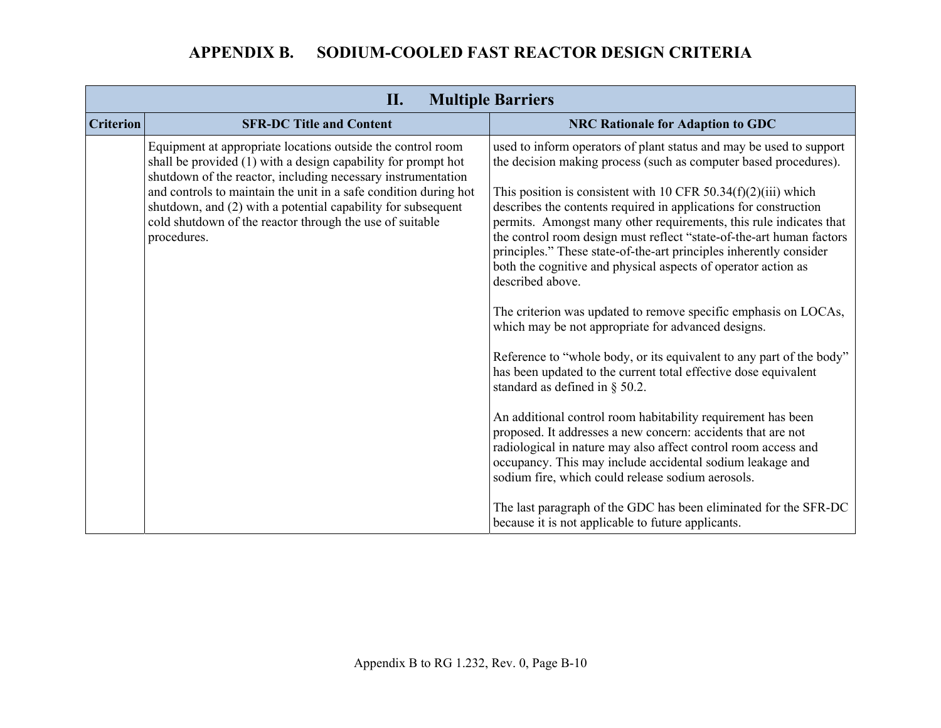|                  | <b>Multiple Barriers</b><br>П.                                                                                                                                                                              |                                                                                                                                                                                                                                                                                                                                                                                                                                               |  |
|------------------|-------------------------------------------------------------------------------------------------------------------------------------------------------------------------------------------------------------|-----------------------------------------------------------------------------------------------------------------------------------------------------------------------------------------------------------------------------------------------------------------------------------------------------------------------------------------------------------------------------------------------------------------------------------------------|--|
| <b>Criterion</b> | <b>SFR-DC Title and Content</b>                                                                                                                                                                             | <b>NRC Rationale for Adaption to GDC</b>                                                                                                                                                                                                                                                                                                                                                                                                      |  |
|                  | Equipment at appropriate locations outside the control room<br>shall be provided (1) with a design capability for prompt hot<br>shutdown of the reactor, including necessary instrumentation                | used to inform operators of plant status and may be used to support<br>the decision making process (such as computer based procedures).                                                                                                                                                                                                                                                                                                       |  |
|                  | and controls to maintain the unit in a safe condition during hot<br>shutdown, and (2) with a potential capability for subsequent<br>cold shutdown of the reactor through the use of suitable<br>procedures. | This position is consistent with 10 CFR $50.34(f)(2)(iii)$ which<br>describes the contents required in applications for construction<br>permits. Amongst many other requirements, this rule indicates that<br>the control room design must reflect "state-of-the-art human factors<br>principles." These state-of-the-art principles inherently consider<br>both the cognitive and physical aspects of operator action as<br>described above. |  |
|                  |                                                                                                                                                                                                             | The criterion was updated to remove specific emphasis on LOCAs,<br>which may be not appropriate for advanced designs.                                                                                                                                                                                                                                                                                                                         |  |
|                  |                                                                                                                                                                                                             | Reference to "whole body, or its equivalent to any part of the body"<br>has been updated to the current total effective dose equivalent<br>standard as defined in § 50.2.                                                                                                                                                                                                                                                                     |  |
|                  |                                                                                                                                                                                                             | An additional control room habitability requirement has been<br>proposed. It addresses a new concern: accidents that are not<br>radiological in nature may also affect control room access and<br>occupancy. This may include accidental sodium leakage and<br>sodium fire, which could release sodium aerosols.                                                                                                                              |  |
|                  |                                                                                                                                                                                                             | The last paragraph of the GDC has been eliminated for the SFR-DC<br>because it is not applicable to future applicants.                                                                                                                                                                                                                                                                                                                        |  |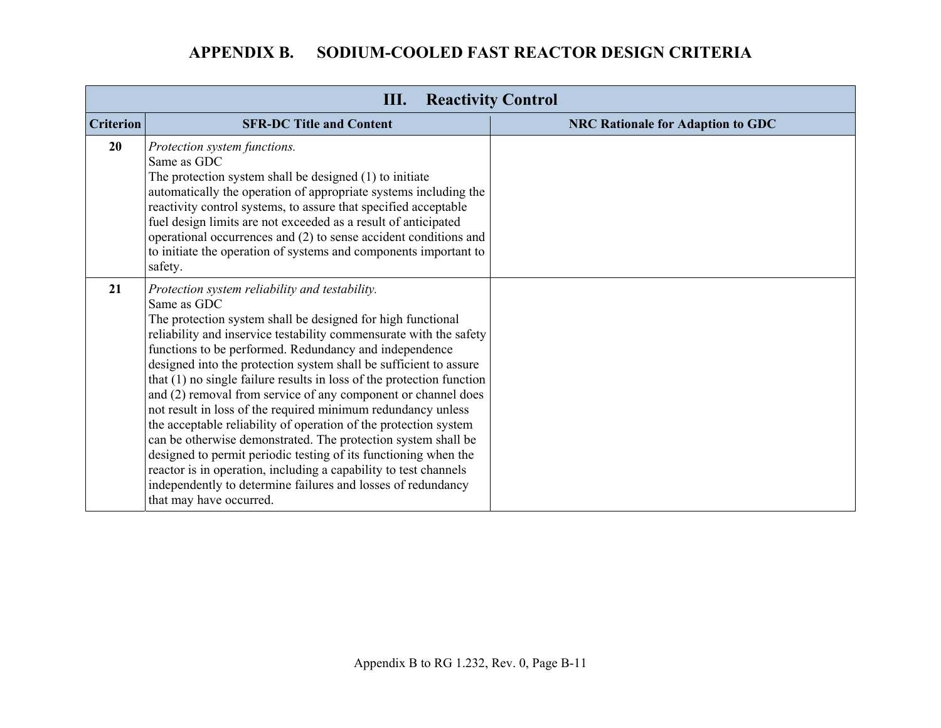| <b>Reactivity Control</b><br>Ш. |                                                                                                                                                                                                                                                                                                                                                                                                                                                                                                                                                                                                                                                                                                                                                                                                                                                                                                                    |                                          |
|---------------------------------|--------------------------------------------------------------------------------------------------------------------------------------------------------------------------------------------------------------------------------------------------------------------------------------------------------------------------------------------------------------------------------------------------------------------------------------------------------------------------------------------------------------------------------------------------------------------------------------------------------------------------------------------------------------------------------------------------------------------------------------------------------------------------------------------------------------------------------------------------------------------------------------------------------------------|------------------------------------------|
| <b>Criterion</b>                | <b>SFR-DC Title and Content</b>                                                                                                                                                                                                                                                                                                                                                                                                                                                                                                                                                                                                                                                                                                                                                                                                                                                                                    | <b>NRC Rationale for Adaption to GDC</b> |
| 20                              | Protection system functions.<br>Same as GDC<br>The protection system shall be designed (1) to initiate<br>automatically the operation of appropriate systems including the<br>reactivity control systems, to assure that specified acceptable<br>fuel design limits are not exceeded as a result of anticipated<br>operational occurrences and (2) to sense accident conditions and<br>to initiate the operation of systems and components important to<br>safety.                                                                                                                                                                                                                                                                                                                                                                                                                                                 |                                          |
| 21                              | Protection system reliability and testability.<br>Same as GDC<br>The protection system shall be designed for high functional<br>reliability and inservice testability commensurate with the safety<br>functions to be performed. Redundancy and independence<br>designed into the protection system shall be sufficient to assure<br>that (1) no single failure results in loss of the protection function<br>and (2) removal from service of any component or channel does<br>not result in loss of the required minimum redundancy unless<br>the acceptable reliability of operation of the protection system<br>can be otherwise demonstrated. The protection system shall be<br>designed to permit periodic testing of its functioning when the<br>reactor is in operation, including a capability to test channels<br>independently to determine failures and losses of redundancy<br>that may have occurred. |                                          |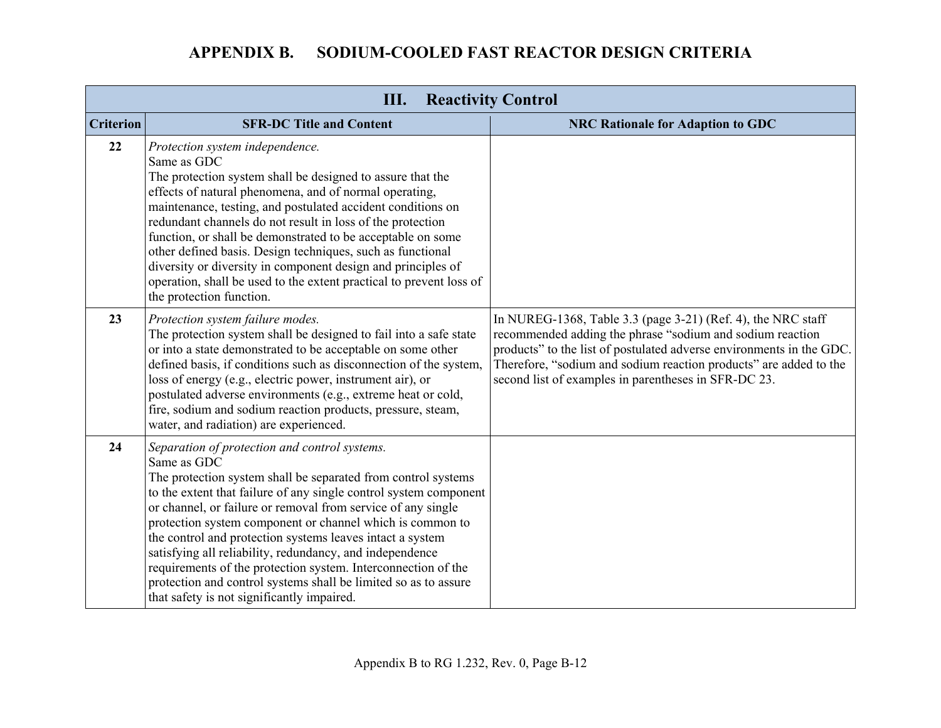|                  | <b>Reactivity Control</b>                                                                                                                                                                                                                                                                                                                                                                                                                                                                                                                                                                                                                  |                                                                                                                                                                                                                                                                                                                                |
|------------------|--------------------------------------------------------------------------------------------------------------------------------------------------------------------------------------------------------------------------------------------------------------------------------------------------------------------------------------------------------------------------------------------------------------------------------------------------------------------------------------------------------------------------------------------------------------------------------------------------------------------------------------------|--------------------------------------------------------------------------------------------------------------------------------------------------------------------------------------------------------------------------------------------------------------------------------------------------------------------------------|
| <b>Criterion</b> | <b>SFR-DC Title and Content</b>                                                                                                                                                                                                                                                                                                                                                                                                                                                                                                                                                                                                            | <b>NRC Rationale for Adaption to GDC</b>                                                                                                                                                                                                                                                                                       |
| 22               | Protection system independence.<br>Same as GDC<br>The protection system shall be designed to assure that the<br>effects of natural phenomena, and of normal operating,<br>maintenance, testing, and postulated accident conditions on<br>redundant channels do not result in loss of the protection<br>function, or shall be demonstrated to be acceptable on some<br>other defined basis. Design techniques, such as functional<br>diversity or diversity in component design and principles of<br>operation, shall be used to the extent practical to prevent loss of<br>the protection function.                                        |                                                                                                                                                                                                                                                                                                                                |
| 23               | Protection system failure modes.<br>The protection system shall be designed to fail into a safe state<br>or into a state demonstrated to be acceptable on some other<br>defined basis, if conditions such as disconnection of the system,<br>loss of energy (e.g., electric power, instrument air), or<br>postulated adverse environments (e.g., extreme heat or cold,<br>fire, sodium and sodium reaction products, pressure, steam,<br>water, and radiation) are experienced.                                                                                                                                                            | In NUREG-1368, Table 3.3 (page 3-21) (Ref. 4), the NRC staff<br>recommended adding the phrase "sodium and sodium reaction<br>products" to the list of postulated adverse environments in the GDC.<br>Therefore, "sodium and sodium reaction products" are added to the<br>second list of examples in parentheses in SFR-DC 23. |
| 24               | Separation of protection and control systems.<br>Same as GDC<br>The protection system shall be separated from control systems<br>to the extent that failure of any single control system component<br>or channel, or failure or removal from service of any single<br>protection system component or channel which is common to<br>the control and protection systems leaves intact a system<br>satisfying all reliability, redundancy, and independence<br>requirements of the protection system. Interconnection of the<br>protection and control systems shall be limited so as to assure<br>that safety is not significantly impaired. |                                                                                                                                                                                                                                                                                                                                |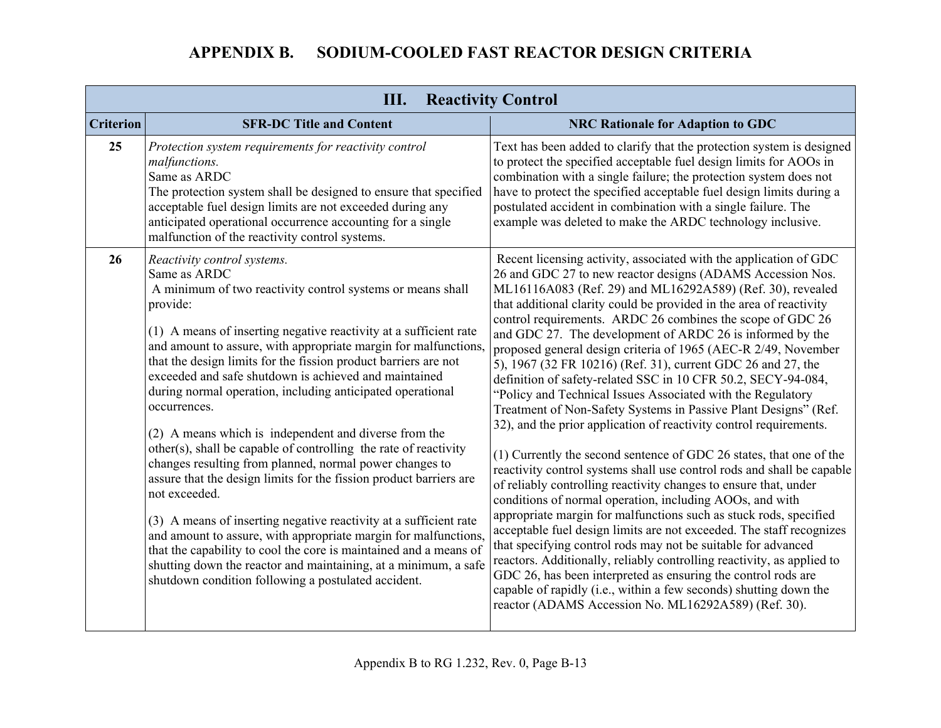| Ш.<br><b>Reactivity Control</b> |                                                                                                                                                                                                                                                                                                                                                                                                                                                                                                                                                                                                                                                                                                                                                                                                                                                                                                                                                                                                                                                                                               |                                                                                                                                                                                                                                                                                                                                                                                                                                                                                                                                                                                                                                                                                                                                                                                                                                                                                                                                                                                                                                                                                                                                                                                                                                                                                                                                                                                                                                                                                                                                                                                   |
|---------------------------------|-----------------------------------------------------------------------------------------------------------------------------------------------------------------------------------------------------------------------------------------------------------------------------------------------------------------------------------------------------------------------------------------------------------------------------------------------------------------------------------------------------------------------------------------------------------------------------------------------------------------------------------------------------------------------------------------------------------------------------------------------------------------------------------------------------------------------------------------------------------------------------------------------------------------------------------------------------------------------------------------------------------------------------------------------------------------------------------------------|-----------------------------------------------------------------------------------------------------------------------------------------------------------------------------------------------------------------------------------------------------------------------------------------------------------------------------------------------------------------------------------------------------------------------------------------------------------------------------------------------------------------------------------------------------------------------------------------------------------------------------------------------------------------------------------------------------------------------------------------------------------------------------------------------------------------------------------------------------------------------------------------------------------------------------------------------------------------------------------------------------------------------------------------------------------------------------------------------------------------------------------------------------------------------------------------------------------------------------------------------------------------------------------------------------------------------------------------------------------------------------------------------------------------------------------------------------------------------------------------------------------------------------------------------------------------------------------|
| <b>Criterion</b>                | <b>SFR-DC Title and Content</b>                                                                                                                                                                                                                                                                                                                                                                                                                                                                                                                                                                                                                                                                                                                                                                                                                                                                                                                                                                                                                                                               | <b>NRC Rationale for Adaption to GDC</b>                                                                                                                                                                                                                                                                                                                                                                                                                                                                                                                                                                                                                                                                                                                                                                                                                                                                                                                                                                                                                                                                                                                                                                                                                                                                                                                                                                                                                                                                                                                                          |
| 25                              | Protection system requirements for reactivity control<br>malfunctions.<br>Same as ARDC<br>The protection system shall be designed to ensure that specified<br>acceptable fuel design limits are not exceeded during any<br>anticipated operational occurrence accounting for a single<br>malfunction of the reactivity control systems.                                                                                                                                                                                                                                                                                                                                                                                                                                                                                                                                                                                                                                                                                                                                                       | Text has been added to clarify that the protection system is designed<br>to protect the specified acceptable fuel design limits for AOOs in<br>combination with a single failure; the protection system does not<br>have to protect the specified acceptable fuel design limits during a<br>postulated accident in combination with a single failure. The<br>example was deleted to make the ARDC technology inclusive.                                                                                                                                                                                                                                                                                                                                                                                                                                                                                                                                                                                                                                                                                                                                                                                                                                                                                                                                                                                                                                                                                                                                                           |
| 26                              | Reactivity control systems.<br>Same as ARDC<br>A minimum of two reactivity control systems or means shall<br>provide:<br>(1) A means of inserting negative reactivity at a sufficient rate<br>and amount to assure, with appropriate margin for malfunctions,<br>that the design limits for the fission product barriers are not<br>exceeded and safe shutdown is achieved and maintained<br>during normal operation, including anticipated operational<br>occurrences.<br>(2) A means which is independent and diverse from the<br>other(s), shall be capable of controlling the rate of reactivity<br>changes resulting from planned, normal power changes to<br>assure that the design limits for the fission product barriers are<br>not exceeded.<br>(3) A means of inserting negative reactivity at a sufficient rate<br>and amount to assure, with appropriate margin for malfunctions,<br>that the capability to cool the core is maintained and a means of<br>shutting down the reactor and maintaining, at a minimum, a safe<br>shutdown condition following a postulated accident. | Recent licensing activity, associated with the application of GDC<br>26 and GDC 27 to new reactor designs (ADAMS Accession Nos.<br>ML16116A083 (Ref. 29) and ML16292A589) (Ref. 30), revealed<br>that additional clarity could be provided in the area of reactivity<br>control requirements. ARDC 26 combines the scope of GDC 26<br>and GDC 27. The development of ARDC 26 is informed by the<br>proposed general design criteria of 1965 (AEC-R 2/49, November<br>5), 1967 (32 FR 10216) (Ref. 31), current GDC 26 and 27, the<br>definition of safety-related SSC in 10 CFR 50.2, SECY-94-084,<br>"Policy and Technical Issues Associated with the Regulatory<br>Treatment of Non-Safety Systems in Passive Plant Designs" (Ref.<br>32), and the prior application of reactivity control requirements.<br>(1) Currently the second sentence of GDC 26 states, that one of the<br>reactivity control systems shall use control rods and shall be capable<br>of reliably controlling reactivity changes to ensure that, under<br>conditions of normal operation, including AOOs, and with<br>appropriate margin for malfunctions such as stuck rods, specified<br>acceptable fuel design limits are not exceeded. The staff recognizes<br>that specifying control rods may not be suitable for advanced<br>reactors. Additionally, reliably controlling reactivity, as applied to<br>GDC 26, has been interpreted as ensuring the control rods are<br>capable of rapidly (i.e., within a few seconds) shutting down the<br>reactor (ADAMS Accession No. ML16292A589) (Ref. 30). |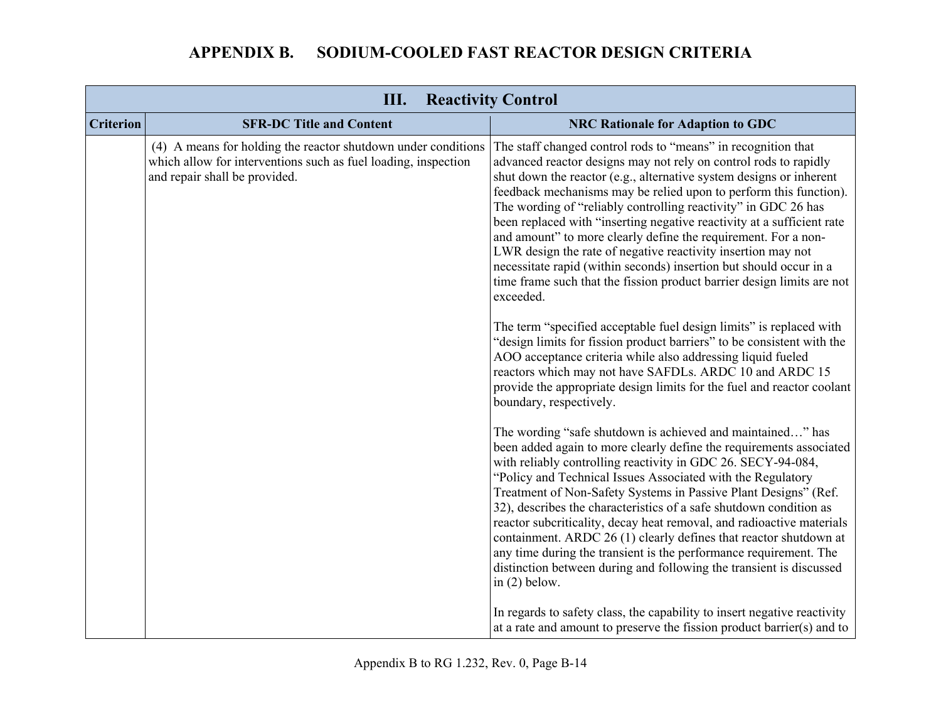| Ш.<br><b>Reactivity Control</b> |                                                                                                                                                                  |                                                                                                                                                                                                                                                                                                                                                                                                                                                                                                                                                                                                                                                                                                                          |
|---------------------------------|------------------------------------------------------------------------------------------------------------------------------------------------------------------|--------------------------------------------------------------------------------------------------------------------------------------------------------------------------------------------------------------------------------------------------------------------------------------------------------------------------------------------------------------------------------------------------------------------------------------------------------------------------------------------------------------------------------------------------------------------------------------------------------------------------------------------------------------------------------------------------------------------------|
| <b>Criterion</b>                | <b>SFR-DC Title and Content</b>                                                                                                                                  | <b>NRC Rationale for Adaption to GDC</b>                                                                                                                                                                                                                                                                                                                                                                                                                                                                                                                                                                                                                                                                                 |
|                                 | (4) A means for holding the reactor shutdown under conditions<br>which allow for interventions such as fuel loading, inspection<br>and repair shall be provided. | The staff changed control rods to "means" in recognition that<br>advanced reactor designs may not rely on control rods to rapidly<br>shut down the reactor (e.g., alternative system designs or inherent<br>feedback mechanisms may be relied upon to perform this function).<br>The wording of "reliably controlling reactivity" in GDC 26 has<br>been replaced with "inserting negative reactivity at a sufficient rate<br>and amount" to more clearly define the requirement. For a non-<br>LWR design the rate of negative reactivity insertion may not<br>necessitate rapid (within seconds) insertion but should occur in a<br>time frame such that the fission product barrier design limits are not<br>exceeded. |
|                                 |                                                                                                                                                                  | The term "specified acceptable fuel design limits" is replaced with<br>"design limits for fission product barriers" to be consistent with the<br>AOO acceptance criteria while also addressing liquid fueled<br>reactors which may not have SAFDLs. ARDC 10 and ARDC 15<br>provide the appropriate design limits for the fuel and reactor coolant<br>boundary, respectively.                                                                                                                                                                                                                                                                                                                                             |
|                                 |                                                                                                                                                                  | The wording "safe shutdown is achieved and maintained" has<br>been added again to more clearly define the requirements associated<br>with reliably controlling reactivity in GDC 26. SECY-94-084,<br>"Policy and Technical Issues Associated with the Regulatory<br>Treatment of Non-Safety Systems in Passive Plant Designs" (Ref.<br>32), describes the characteristics of a safe shutdown condition as<br>reactor subcriticality, decay heat removal, and radioactive materials<br>containment. ARDC 26 (1) clearly defines that reactor shutdown at<br>any time during the transient is the performance requirement. The<br>distinction between during and following the transient is discussed<br>in $(2)$ below.   |
|                                 |                                                                                                                                                                  | In regards to safety class, the capability to insert negative reactivity<br>at a rate and amount to preserve the fission product barrier(s) and to                                                                                                                                                                                                                                                                                                                                                                                                                                                                                                                                                                       |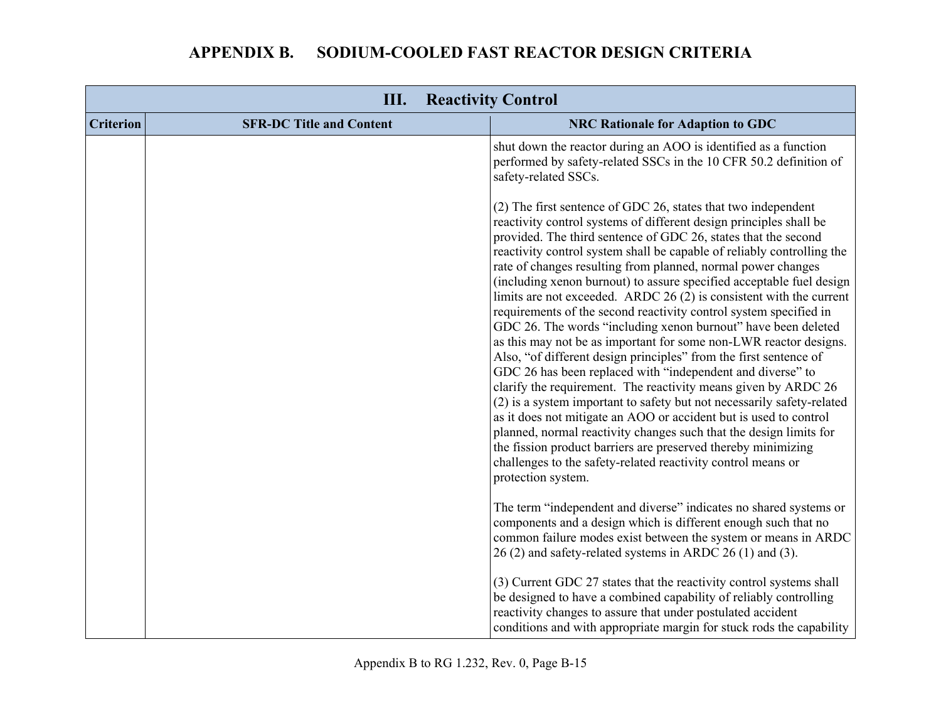| <b>APPENDIX B.</b> | SODIUM-COOLED FAST REACTOR DESIGN CRITERIA |
|--------------------|--------------------------------------------|
|--------------------|--------------------------------------------|

| Ш.<br><b>Reactivity Control</b> |                                 |                                                                                                                                                                                                                                                                                                                                                                                                                                                                                                                                                                                                                                                                                                                                                                                                                                                                                                                                                                                                                                                                                                                                                                                                                                                                                             |
|---------------------------------|---------------------------------|---------------------------------------------------------------------------------------------------------------------------------------------------------------------------------------------------------------------------------------------------------------------------------------------------------------------------------------------------------------------------------------------------------------------------------------------------------------------------------------------------------------------------------------------------------------------------------------------------------------------------------------------------------------------------------------------------------------------------------------------------------------------------------------------------------------------------------------------------------------------------------------------------------------------------------------------------------------------------------------------------------------------------------------------------------------------------------------------------------------------------------------------------------------------------------------------------------------------------------------------------------------------------------------------|
| <b>Criterion</b>                | <b>SFR-DC Title and Content</b> | <b>NRC Rationale for Adaption to GDC</b>                                                                                                                                                                                                                                                                                                                                                                                                                                                                                                                                                                                                                                                                                                                                                                                                                                                                                                                                                                                                                                                                                                                                                                                                                                                    |
|                                 |                                 | shut down the reactor during an AOO is identified as a function<br>performed by safety-related SSCs in the 10 CFR 50.2 definition of<br>safety-related SSCs.                                                                                                                                                                                                                                                                                                                                                                                                                                                                                                                                                                                                                                                                                                                                                                                                                                                                                                                                                                                                                                                                                                                                |
|                                 |                                 | (2) The first sentence of GDC 26, states that two independent<br>reactivity control systems of different design principles shall be<br>provided. The third sentence of GDC 26, states that the second<br>reactivity control system shall be capable of reliably controlling the<br>rate of changes resulting from planned, normal power changes<br>(including xenon burnout) to assure specified acceptable fuel design<br>limits are not exceeded. ARDC $26(2)$ is consistent with the current<br>requirements of the second reactivity control system specified in<br>GDC 26. The words "including xenon burnout" have been deleted<br>as this may not be as important for some non-LWR reactor designs.<br>Also, "of different design principles" from the first sentence of<br>GDC 26 has been replaced with "independent and diverse" to<br>clarify the requirement. The reactivity means given by ARDC 26<br>(2) is a system important to safety but not necessarily safety-related<br>as it does not mitigate an AOO or accident but is used to control<br>planned, normal reactivity changes such that the design limits for<br>the fission product barriers are preserved thereby minimizing<br>challenges to the safety-related reactivity control means or<br>protection system. |
|                                 |                                 | The term "independent and diverse" indicates no shared systems or<br>components and a design which is different enough such that no<br>common failure modes exist between the system or means in ARDC<br>26 (2) and safety-related systems in ARDC 26 (1) and (3).                                                                                                                                                                                                                                                                                                                                                                                                                                                                                                                                                                                                                                                                                                                                                                                                                                                                                                                                                                                                                          |
|                                 |                                 | (3) Current GDC 27 states that the reactivity control systems shall<br>be designed to have a combined capability of reliably controlling<br>reactivity changes to assure that under postulated accident<br>conditions and with appropriate margin for stuck rods the capability                                                                                                                                                                                                                                                                                                                                                                                                                                                                                                                                                                                                                                                                                                                                                                                                                                                                                                                                                                                                             |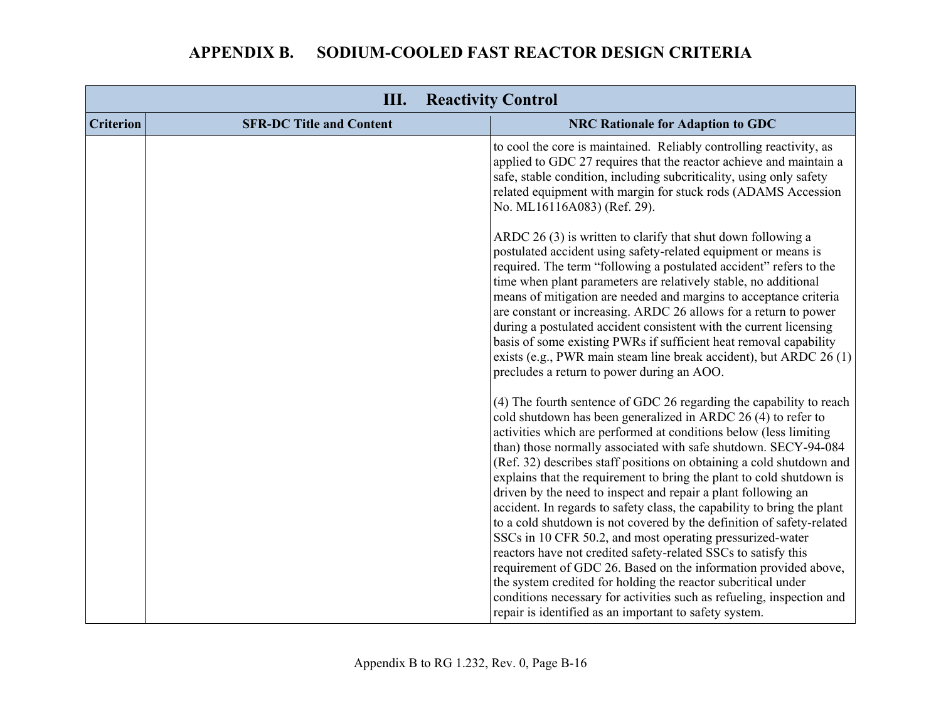| Ш.<br><b>Reactivity Control</b> |                                 |                                                                                                                                                                                                                                                                                                                                                                                                                                                                                                                                                                                                                                                                                                                                                                                                                                                                                                                                                                                                                                                         |
|---------------------------------|---------------------------------|---------------------------------------------------------------------------------------------------------------------------------------------------------------------------------------------------------------------------------------------------------------------------------------------------------------------------------------------------------------------------------------------------------------------------------------------------------------------------------------------------------------------------------------------------------------------------------------------------------------------------------------------------------------------------------------------------------------------------------------------------------------------------------------------------------------------------------------------------------------------------------------------------------------------------------------------------------------------------------------------------------------------------------------------------------|
| <b>Criterion</b>                | <b>SFR-DC Title and Content</b> | <b>NRC Rationale for Adaption to GDC</b>                                                                                                                                                                                                                                                                                                                                                                                                                                                                                                                                                                                                                                                                                                                                                                                                                                                                                                                                                                                                                |
|                                 |                                 | to cool the core is maintained. Reliably controlling reactivity, as<br>applied to GDC 27 requires that the reactor achieve and maintain a<br>safe, stable condition, including subcriticality, using only safety<br>related equipment with margin for stuck rods (ADAMS Accession<br>No. ML16116A083) (Ref. 29).                                                                                                                                                                                                                                                                                                                                                                                                                                                                                                                                                                                                                                                                                                                                        |
|                                 |                                 | ARDC 26 (3) is written to clarify that shut down following a<br>postulated accident using safety-related equipment or means is<br>required. The term "following a postulated accident" refers to the<br>time when plant parameters are relatively stable, no additional<br>means of mitigation are needed and margins to acceptance criteria<br>are constant or increasing. ARDC 26 allows for a return to power<br>during a postulated accident consistent with the current licensing<br>basis of some existing PWRs if sufficient heat removal capability<br>exists (e.g., PWR main steam line break accident), but ARDC 26 (1)<br>precludes a return to power during an AOO.                                                                                                                                                                                                                                                                                                                                                                         |
|                                 |                                 | (4) The fourth sentence of GDC 26 regarding the capability to reach<br>cold shutdown has been generalized in ARDC 26 (4) to refer to<br>activities which are performed at conditions below (less limiting<br>than) those normally associated with safe shutdown. SECY-94-084<br>(Ref. 32) describes staff positions on obtaining a cold shutdown and<br>explains that the requirement to bring the plant to cold shutdown is<br>driven by the need to inspect and repair a plant following an<br>accident. In regards to safety class, the capability to bring the plant<br>to a cold shutdown is not covered by the definition of safety-related<br>SSCs in 10 CFR 50.2, and most operating pressurized-water<br>reactors have not credited safety-related SSCs to satisfy this<br>requirement of GDC 26. Based on the information provided above,<br>the system credited for holding the reactor subcritical under<br>conditions necessary for activities such as refueling, inspection and<br>repair is identified as an important to safety system. |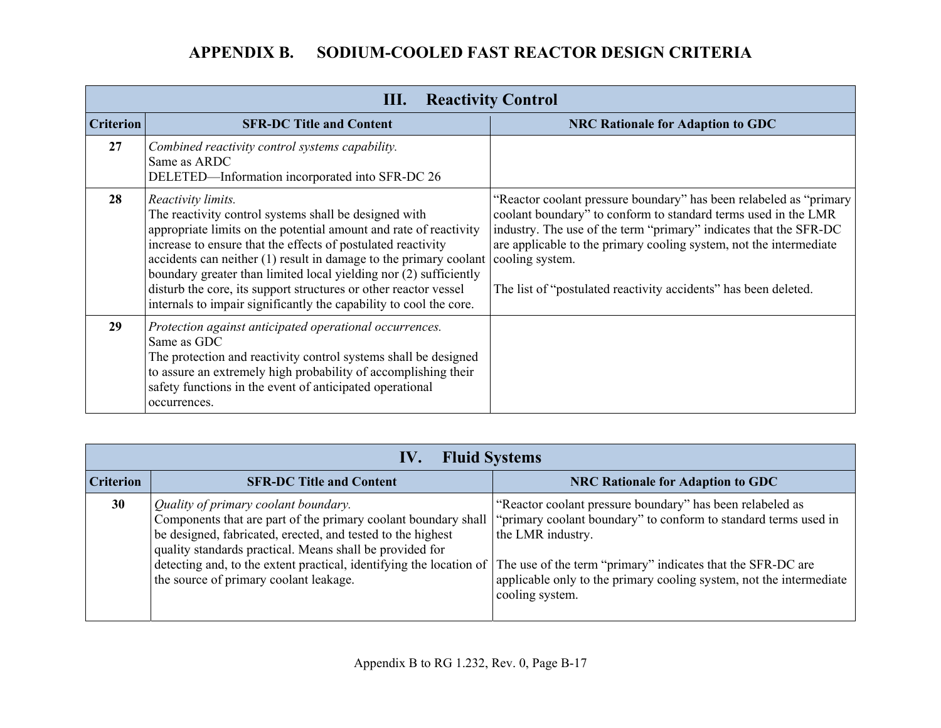|                  | Ш.<br><b>Reactivity Control</b>                                                                                                                                                                                                                                                                                                                                                                                                                                                                        |                                                                                                                                                                                                                                                                                                                                                                        |  |
|------------------|--------------------------------------------------------------------------------------------------------------------------------------------------------------------------------------------------------------------------------------------------------------------------------------------------------------------------------------------------------------------------------------------------------------------------------------------------------------------------------------------------------|------------------------------------------------------------------------------------------------------------------------------------------------------------------------------------------------------------------------------------------------------------------------------------------------------------------------------------------------------------------------|--|
| <b>Criterion</b> | <b>SFR-DC Title and Content</b>                                                                                                                                                                                                                                                                                                                                                                                                                                                                        | <b>NRC Rationale for Adaption to GDC</b>                                                                                                                                                                                                                                                                                                                               |  |
| 27               | Combined reactivity control systems capability.<br>Same as ARDC<br>DELETED—Information incorporated into SFR-DC 26                                                                                                                                                                                                                                                                                                                                                                                     |                                                                                                                                                                                                                                                                                                                                                                        |  |
| 28               | Reactivity limits.<br>The reactivity control systems shall be designed with<br>appropriate limits on the potential amount and rate of reactivity<br>increase to ensure that the effects of postulated reactivity<br>accidents can neither $(1)$ result in damage to the primary coolant<br>boundary greater than limited local yielding nor (2) sufficiently<br>disturb the core, its support structures or other reactor vessel<br>internals to impair significantly the capability to cool the core. | "Reactor coolant pressure boundary" has been relabeled as "primary"<br>coolant boundary" to conform to standard terms used in the LMR<br>industry. The use of the term "primary" indicates that the SFR-DC<br>are applicable to the primary cooling system, not the intermediate<br>cooling system.<br>The list of "postulated reactivity accidents" has been deleted. |  |
| 29               | Protection against anticipated operational occurrences.<br>Same as GDC<br>The protection and reactivity control systems shall be designed<br>to assure an extremely high probability of accomplishing their<br>safety functions in the event of anticipated operational<br>occurrences.                                                                                                                                                                                                                |                                                                                                                                                                                                                                                                                                                                                                        |  |

|                  | <b>Fluid Systems</b><br>IV.                                                                                                                                                                                                                                                      |                                                                                                                                                                                                                                                                                                                                                                             |  |
|------------------|----------------------------------------------------------------------------------------------------------------------------------------------------------------------------------------------------------------------------------------------------------------------------------|-----------------------------------------------------------------------------------------------------------------------------------------------------------------------------------------------------------------------------------------------------------------------------------------------------------------------------------------------------------------------------|--|
| <b>Criterion</b> | <b>SFR-DC Title and Content</b>                                                                                                                                                                                                                                                  | <b>NRC Rationale for Adaption to GDC</b>                                                                                                                                                                                                                                                                                                                                    |  |
| 30               | Quality of primary coolant boundary.<br>be designed, fabricated, erected, and tested to the highest<br>quality standards practical. Means shall be provided for<br>detecting and, to the extent practical, identifying the location of<br>the source of primary coolant leakage. | "Reactor coolant pressure boundary" has been relabeled as<br>Components that are part of the primary coolant boundary shall   "primary coolant boundary" to conform to standard terms used in<br>the LMR industry.<br>The use of the term "primary" indicates that the SFR-DC are<br>applicable only to the primary cooling system, not the intermediate<br>cooling system. |  |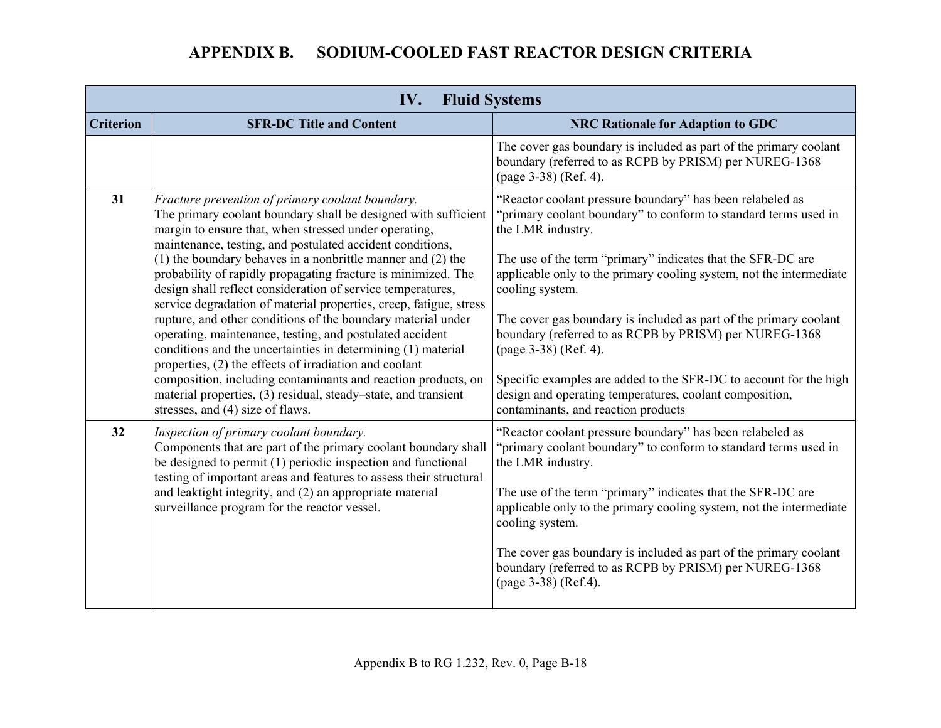| IV.<br><b>Fluid Systems</b> |                                                                                                                                                                                                                                                                                                                                                                                                                                                                                                                                                                                                                                                                                                                                                                                                                                          |                                                                                                                                                                                                                                                                                                                                                                                                                                                                                                                                         |
|-----------------------------|------------------------------------------------------------------------------------------------------------------------------------------------------------------------------------------------------------------------------------------------------------------------------------------------------------------------------------------------------------------------------------------------------------------------------------------------------------------------------------------------------------------------------------------------------------------------------------------------------------------------------------------------------------------------------------------------------------------------------------------------------------------------------------------------------------------------------------------|-----------------------------------------------------------------------------------------------------------------------------------------------------------------------------------------------------------------------------------------------------------------------------------------------------------------------------------------------------------------------------------------------------------------------------------------------------------------------------------------------------------------------------------------|
| <b>Criterion</b>            | <b>SFR-DC Title and Content</b>                                                                                                                                                                                                                                                                                                                                                                                                                                                                                                                                                                                                                                                                                                                                                                                                          | <b>NRC Rationale for Adaption to GDC</b>                                                                                                                                                                                                                                                                                                                                                                                                                                                                                                |
|                             |                                                                                                                                                                                                                                                                                                                                                                                                                                                                                                                                                                                                                                                                                                                                                                                                                                          | The cover gas boundary is included as part of the primary coolant<br>boundary (referred to as RCPB by PRISM) per NUREG-1368<br>(page 3-38) (Ref. 4).                                                                                                                                                                                                                                                                                                                                                                                    |
| 31                          | Fracture prevention of primary coolant boundary.<br>The primary coolant boundary shall be designed with sufficient<br>margin to ensure that, when stressed under operating,<br>maintenance, testing, and postulated accident conditions,<br>$(1)$ the boundary behaves in a nonbrittle manner and $(2)$ the<br>probability of rapidly propagating fracture is minimized. The<br>design shall reflect consideration of service temperatures,<br>service degradation of material properties, creep, fatigue, stress<br>rupture, and other conditions of the boundary material under<br>operating, maintenance, testing, and postulated accident<br>conditions and the uncertainties in determining (1) material<br>properties, (2) the effects of irradiation and coolant<br>composition, including contaminants and reaction products, on | "Reactor coolant pressure boundary" has been relabeled as<br>"primary coolant boundary" to conform to standard terms used in<br>the LMR industry.<br>The use of the term "primary" indicates that the SFR-DC are<br>applicable only to the primary cooling system, not the intermediate<br>cooling system.<br>The cover gas boundary is included as part of the primary coolant<br>boundary (referred to as RCPB by PRISM) per NUREG-1368<br>(page 3-38) (Ref. 4).<br>Specific examples are added to the SFR-DC to account for the high |
|                             | material properties, (3) residual, steady–state, and transient<br>stresses, and (4) size of flaws.                                                                                                                                                                                                                                                                                                                                                                                                                                                                                                                                                                                                                                                                                                                                       | design and operating temperatures, coolant composition,<br>contaminants, and reaction products                                                                                                                                                                                                                                                                                                                                                                                                                                          |
| 32                          | Inspection of primary coolant boundary.<br>Components that are part of the primary coolant boundary shall<br>be designed to permit (1) periodic inspection and functional<br>testing of important areas and features to assess their structural<br>and leaktight integrity, and (2) an appropriate material<br>surveillance program for the reactor vessel.                                                                                                                                                                                                                                                                                                                                                                                                                                                                              | "Reactor coolant pressure boundary" has been relabeled as<br>"primary coolant boundary" to conform to standard terms used in<br>the LMR industry.<br>The use of the term "primary" indicates that the SFR-DC are<br>applicable only to the primary cooling system, not the intermediate<br>cooling system.<br>The cover gas boundary is included as part of the primary coolant<br>boundary (referred to as RCPB by PRISM) per NUREG-1368                                                                                               |
|                             |                                                                                                                                                                                                                                                                                                                                                                                                                                                                                                                                                                                                                                                                                                                                                                                                                                          | (page 3-38) (Ref.4).                                                                                                                                                                                                                                                                                                                                                                                                                                                                                                                    |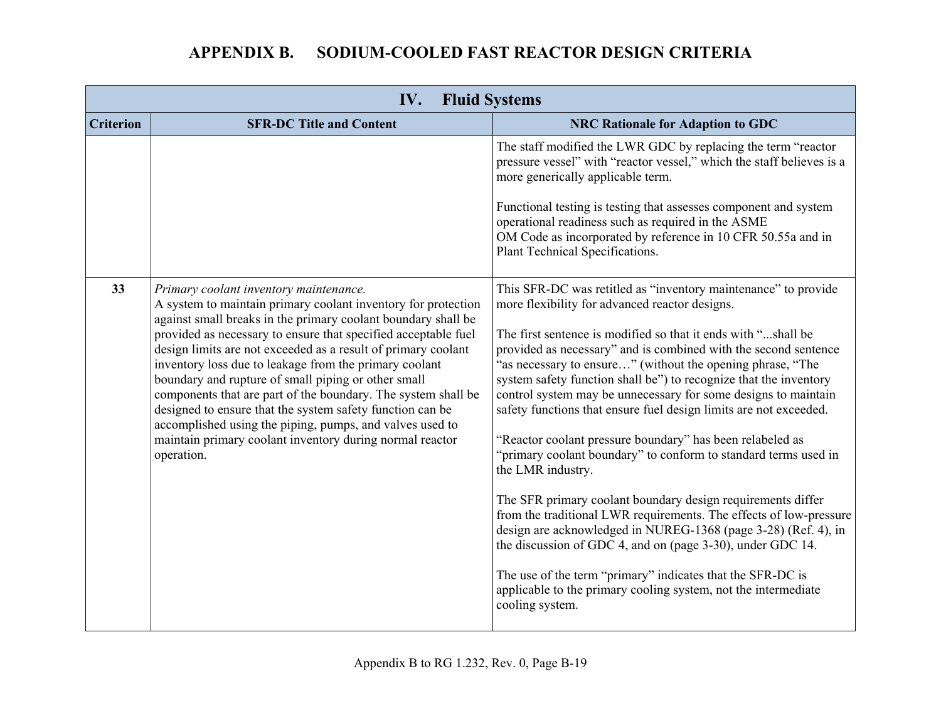| IV.<br><b>Fluid Systems</b> |                                                                                                                                                                                                                                                                                                                                                                                                                                                                                                                                                                                                                                                                                                  |                                                                                                                                                                                                                                                                                                                                                                                                                                                                                                                                                                                                                                                                                                                                                                                                                                                                                                                                                                                                                                                                                                             |
|-----------------------------|--------------------------------------------------------------------------------------------------------------------------------------------------------------------------------------------------------------------------------------------------------------------------------------------------------------------------------------------------------------------------------------------------------------------------------------------------------------------------------------------------------------------------------------------------------------------------------------------------------------------------------------------------------------------------------------------------|-------------------------------------------------------------------------------------------------------------------------------------------------------------------------------------------------------------------------------------------------------------------------------------------------------------------------------------------------------------------------------------------------------------------------------------------------------------------------------------------------------------------------------------------------------------------------------------------------------------------------------------------------------------------------------------------------------------------------------------------------------------------------------------------------------------------------------------------------------------------------------------------------------------------------------------------------------------------------------------------------------------------------------------------------------------------------------------------------------------|
| <b>Criterion</b>            | <b>SFR-DC Title and Content</b>                                                                                                                                                                                                                                                                                                                                                                                                                                                                                                                                                                                                                                                                  | <b>NRC Rationale for Adaption to GDC</b>                                                                                                                                                                                                                                                                                                                                                                                                                                                                                                                                                                                                                                                                                                                                                                                                                                                                                                                                                                                                                                                                    |
|                             |                                                                                                                                                                                                                                                                                                                                                                                                                                                                                                                                                                                                                                                                                                  | The staff modified the LWR GDC by replacing the term "reactor<br>pressure vessel" with "reactor vessel," which the staff believes is a<br>more generically applicable term.<br>Functional testing is testing that assesses component and system<br>operational readiness such as required in the ASME<br>OM Code as incorporated by reference in 10 CFR 50.55a and in<br>Plant Technical Specifications.                                                                                                                                                                                                                                                                                                                                                                                                                                                                                                                                                                                                                                                                                                    |
| 33                          | Primary coolant inventory maintenance.<br>A system to maintain primary coolant inventory for protection<br>against small breaks in the primary coolant boundary shall be<br>provided as necessary to ensure that specified acceptable fuel<br>design limits are not exceeded as a result of primary coolant<br>inventory loss due to leakage from the primary coolant<br>boundary and rupture of small piping or other small<br>components that are part of the boundary. The system shall be<br>designed to ensure that the system safety function can be<br>accomplished using the piping, pumps, and valves used to<br>maintain primary coolant inventory during normal reactor<br>operation. | This SFR-DC was retitled as "inventory maintenance" to provide<br>more flexibility for advanced reactor designs.<br>The first sentence is modified so that it ends with "shall be<br>provided as necessary" and is combined with the second sentence<br>"as necessary to ensure" (without the opening phrase, "The<br>system safety function shall be") to recognize that the inventory<br>control system may be unnecessary for some designs to maintain<br>safety functions that ensure fuel design limits are not exceeded.<br>"Reactor coolant pressure boundary" has been relabeled as<br>"primary coolant boundary" to conform to standard terms used in<br>the LMR industry.<br>The SFR primary coolant boundary design requirements differ<br>from the traditional LWR requirements. The effects of low-pressure<br>design are acknowledged in NUREG-1368 (page 3-28) (Ref. 4), in<br>the discussion of GDC 4, and on (page 3-30), under GDC 14.<br>The use of the term "primary" indicates that the SFR-DC is<br>applicable to the primary cooling system, not the intermediate<br>cooling system. |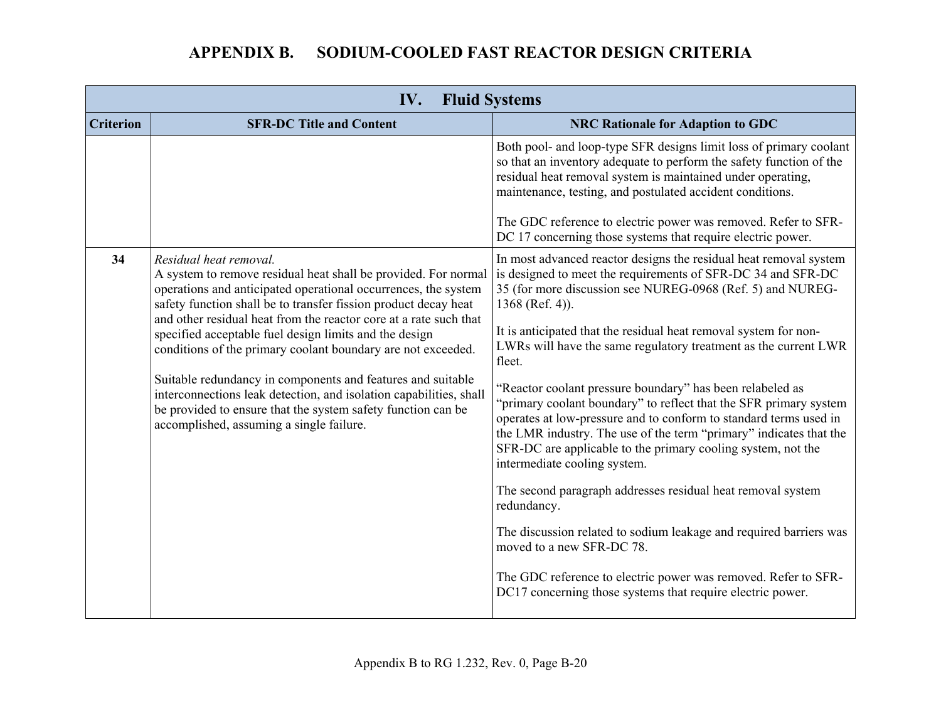| IV.<br><b>Fluid Systems</b> |                                                                                                                                                                                                                                                                                                                                                                                                                                                                                                                                                                                                                                                                               |                                                                                                                                                                                                                                                                                                                                                                                                                                                                                                                                                                                                                                                                                                                                                                                                                                                                                                      |
|-----------------------------|-------------------------------------------------------------------------------------------------------------------------------------------------------------------------------------------------------------------------------------------------------------------------------------------------------------------------------------------------------------------------------------------------------------------------------------------------------------------------------------------------------------------------------------------------------------------------------------------------------------------------------------------------------------------------------|------------------------------------------------------------------------------------------------------------------------------------------------------------------------------------------------------------------------------------------------------------------------------------------------------------------------------------------------------------------------------------------------------------------------------------------------------------------------------------------------------------------------------------------------------------------------------------------------------------------------------------------------------------------------------------------------------------------------------------------------------------------------------------------------------------------------------------------------------------------------------------------------------|
| <b>Criterion</b>            | <b>SFR-DC Title and Content</b>                                                                                                                                                                                                                                                                                                                                                                                                                                                                                                                                                                                                                                               | <b>NRC Rationale for Adaption to GDC</b>                                                                                                                                                                                                                                                                                                                                                                                                                                                                                                                                                                                                                                                                                                                                                                                                                                                             |
|                             |                                                                                                                                                                                                                                                                                                                                                                                                                                                                                                                                                                                                                                                                               | Both pool- and loop-type SFR designs limit loss of primary coolant<br>so that an inventory adequate to perform the safety function of the<br>residual heat removal system is maintained under operating,<br>maintenance, testing, and postulated accident conditions.<br>The GDC reference to electric power was removed. Refer to SFR-<br>DC 17 concerning those systems that require electric power.                                                                                                                                                                                                                                                                                                                                                                                                                                                                                               |
| 34                          | Residual heat removal.<br>A system to remove residual heat shall be provided. For normal<br>operations and anticipated operational occurrences, the system<br>safety function shall be to transfer fission product decay heat<br>and other residual heat from the reactor core at a rate such that<br>specified acceptable fuel design limits and the design<br>conditions of the primary coolant boundary are not exceeded.<br>Suitable redundancy in components and features and suitable<br>interconnections leak detection, and isolation capabilities, shall<br>be provided to ensure that the system safety function can be<br>accomplished, assuming a single failure. | In most advanced reactor designs the residual heat removal system<br>is designed to meet the requirements of SFR-DC 34 and SFR-DC<br>35 (for more discussion see NUREG-0968 (Ref. 5) and NUREG-<br>1368 (Ref. 4)).<br>It is anticipated that the residual heat removal system for non-<br>LWRs will have the same regulatory treatment as the current LWR<br>fleet.<br>"Reactor coolant pressure boundary" has been relabeled as<br>"primary coolant boundary" to reflect that the SFR primary system<br>operates at low-pressure and to conform to standard terms used in<br>the LMR industry. The use of the term "primary" indicates that the<br>SFR-DC are applicable to the primary cooling system, not the<br>intermediate cooling system.<br>The second paragraph addresses residual heat removal system<br>redundancy.<br>The discussion related to sodium leakage and required barriers was |
|                             |                                                                                                                                                                                                                                                                                                                                                                                                                                                                                                                                                                                                                                                                               | moved to a new SFR-DC 78.<br>The GDC reference to electric power was removed. Refer to SFR-<br>DC17 concerning those systems that require electric power.                                                                                                                                                                                                                                                                                                                                                                                                                                                                                                                                                                                                                                                                                                                                            |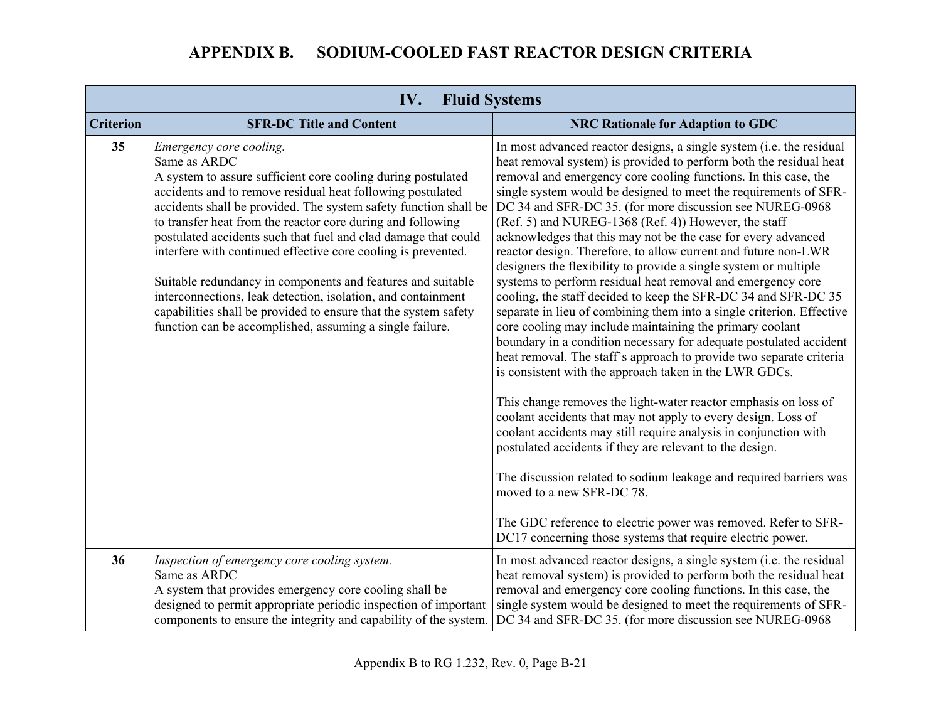| IV.<br><b>Fluid Systems</b> |                                                                                                                                                                                                                                                                                                                                                                                                                                                                                                                                                                                                                                                                                                           |                                                                                                                                                                                                                                                                                                                                                                                                                                                                                                                                                                                                                                                                                                                                                                                                                                                                                                                                                                                                                                                                                                                                                                                                                                                                                                                                                                                                                                                                                                                                                                                                   |  |
|-----------------------------|-----------------------------------------------------------------------------------------------------------------------------------------------------------------------------------------------------------------------------------------------------------------------------------------------------------------------------------------------------------------------------------------------------------------------------------------------------------------------------------------------------------------------------------------------------------------------------------------------------------------------------------------------------------------------------------------------------------|---------------------------------------------------------------------------------------------------------------------------------------------------------------------------------------------------------------------------------------------------------------------------------------------------------------------------------------------------------------------------------------------------------------------------------------------------------------------------------------------------------------------------------------------------------------------------------------------------------------------------------------------------------------------------------------------------------------------------------------------------------------------------------------------------------------------------------------------------------------------------------------------------------------------------------------------------------------------------------------------------------------------------------------------------------------------------------------------------------------------------------------------------------------------------------------------------------------------------------------------------------------------------------------------------------------------------------------------------------------------------------------------------------------------------------------------------------------------------------------------------------------------------------------------------------------------------------------------------|--|
| <b>Criterion</b>            | <b>SFR-DC Title and Content</b>                                                                                                                                                                                                                                                                                                                                                                                                                                                                                                                                                                                                                                                                           | <b>NRC Rationale for Adaption to GDC</b>                                                                                                                                                                                                                                                                                                                                                                                                                                                                                                                                                                                                                                                                                                                                                                                                                                                                                                                                                                                                                                                                                                                                                                                                                                                                                                                                                                                                                                                                                                                                                          |  |
| 35                          | Emergency core cooling.<br>Same as ARDC<br>A system to assure sufficient core cooling during postulated<br>accidents and to remove residual heat following postulated<br>accidents shall be provided. The system safety function shall be<br>to transfer heat from the reactor core during and following<br>postulated accidents such that fuel and clad damage that could<br>interfere with continued effective core cooling is prevented.<br>Suitable redundancy in components and features and suitable<br>interconnections, leak detection, isolation, and containment<br>capabilities shall be provided to ensure that the system safety<br>function can be accomplished, assuming a single failure. | In most advanced reactor designs, a single system (i.e. the residual<br>heat removal system) is provided to perform both the residual heat<br>removal and emergency core cooling functions. In this case, the<br>single system would be designed to meet the requirements of SFR-<br>DC 34 and SFR-DC 35. (for more discussion see NUREG-0968)<br>(Ref. 5) and NUREG-1368 (Ref. 4)) However, the staff<br>acknowledges that this may not be the case for every advanced<br>reactor design. Therefore, to allow current and future non-LWR<br>designers the flexibility to provide a single system or multiple<br>systems to perform residual heat removal and emergency core<br>cooling, the staff decided to keep the SFR-DC 34 and SFR-DC 35<br>separate in lieu of combining them into a single criterion. Effective<br>core cooling may include maintaining the primary coolant<br>boundary in a condition necessary for adequate postulated accident<br>heat removal. The staff's approach to provide two separate criteria<br>is consistent with the approach taken in the LWR GDCs.<br>This change removes the light-water reactor emphasis on loss of<br>coolant accidents that may not apply to every design. Loss of<br>coolant accidents may still require analysis in conjunction with<br>postulated accidents if they are relevant to the design.<br>The discussion related to sodium leakage and required barriers was<br>moved to a new SFR-DC 78.<br>The GDC reference to electric power was removed. Refer to SFR-<br>DC17 concerning those systems that require electric power. |  |
| 36                          | Inspection of emergency core cooling system.<br>Same as ARDC<br>A system that provides emergency core cooling shall be<br>designed to permit appropriate periodic inspection of important<br>components to ensure the integrity and capability of the system.                                                                                                                                                                                                                                                                                                                                                                                                                                             | In most advanced reactor designs, a single system (i.e. the residual<br>heat removal system) is provided to perform both the residual heat<br>removal and emergency core cooling functions. In this case, the<br>single system would be designed to meet the requirements of SFR-<br>DC 34 and SFR-DC 35. (for more discussion see NUREG-0968)                                                                                                                                                                                                                                                                                                                                                                                                                                                                                                                                                                                                                                                                                                                                                                                                                                                                                                                                                                                                                                                                                                                                                                                                                                                    |  |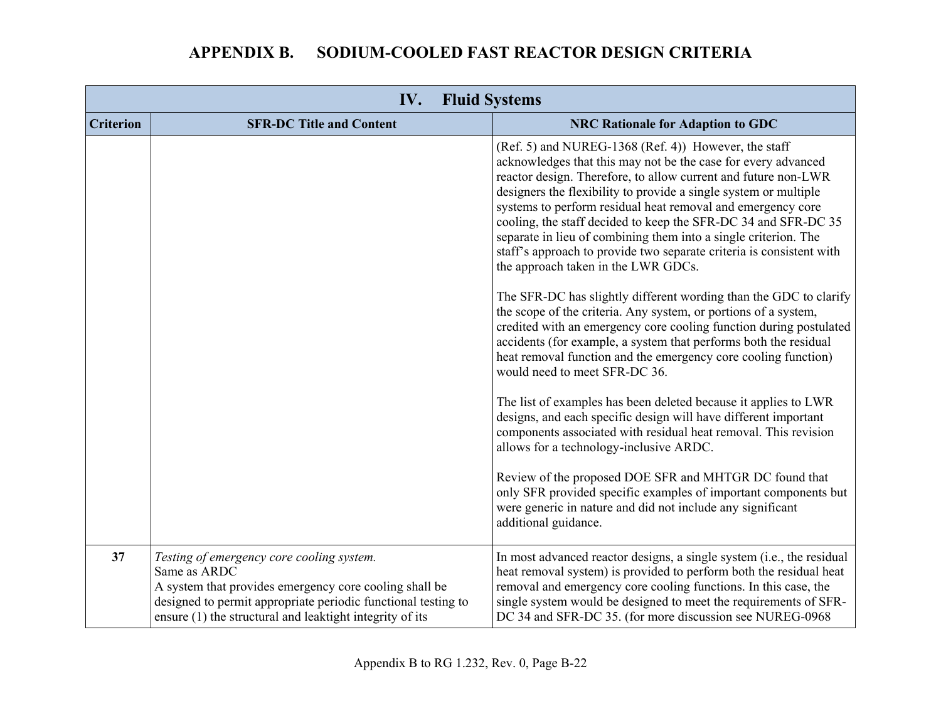| IV.<br><b>Fluid Systems</b> |                                                                                                                                                                                                                                                  |                                                                                                                                                                                                                                                                                                                                                                                                                                                                                                                                                                                |
|-----------------------------|--------------------------------------------------------------------------------------------------------------------------------------------------------------------------------------------------------------------------------------------------|--------------------------------------------------------------------------------------------------------------------------------------------------------------------------------------------------------------------------------------------------------------------------------------------------------------------------------------------------------------------------------------------------------------------------------------------------------------------------------------------------------------------------------------------------------------------------------|
| <b>Criterion</b>            | <b>SFR-DC Title and Content</b>                                                                                                                                                                                                                  | <b>NRC Rationale for Adaption to GDC</b>                                                                                                                                                                                                                                                                                                                                                                                                                                                                                                                                       |
|                             |                                                                                                                                                                                                                                                  | (Ref. 5) and NUREG-1368 (Ref. 4)) However, the staff<br>acknowledges that this may not be the case for every advanced<br>reactor design. Therefore, to allow current and future non-LWR<br>designers the flexibility to provide a single system or multiple<br>systems to perform residual heat removal and emergency core<br>cooling, the staff decided to keep the SFR-DC 34 and SFR-DC 35<br>separate in lieu of combining them into a single criterion. The<br>staff's approach to provide two separate criteria is consistent with<br>the approach taken in the LWR GDCs. |
|                             |                                                                                                                                                                                                                                                  | The SFR-DC has slightly different wording than the GDC to clarify<br>the scope of the criteria. Any system, or portions of a system,<br>credited with an emergency core cooling function during postulated<br>accidents (for example, a system that performs both the residual<br>heat removal function and the emergency core cooling function)<br>would need to meet SFR-DC 36.                                                                                                                                                                                              |
|                             |                                                                                                                                                                                                                                                  | The list of examples has been deleted because it applies to LWR<br>designs, and each specific design will have different important<br>components associated with residual heat removal. This revision<br>allows for a technology-inclusive ARDC.                                                                                                                                                                                                                                                                                                                               |
|                             |                                                                                                                                                                                                                                                  | Review of the proposed DOE SFR and MHTGR DC found that<br>only SFR provided specific examples of important components but<br>were generic in nature and did not include any significant<br>additional guidance.                                                                                                                                                                                                                                                                                                                                                                |
| 37                          | Testing of emergency core cooling system.<br>Same as ARDC<br>A system that provides emergency core cooling shall be<br>designed to permit appropriate periodic functional testing to<br>ensure (1) the structural and leaktight integrity of its | In most advanced reactor designs, a single system (i.e., the residual<br>heat removal system) is provided to perform both the residual heat<br>removal and emergency core cooling functions. In this case, the<br>single system would be designed to meet the requirements of SFR-<br>DC 34 and SFR-DC 35. (for more discussion see NUREG-0968)                                                                                                                                                                                                                                |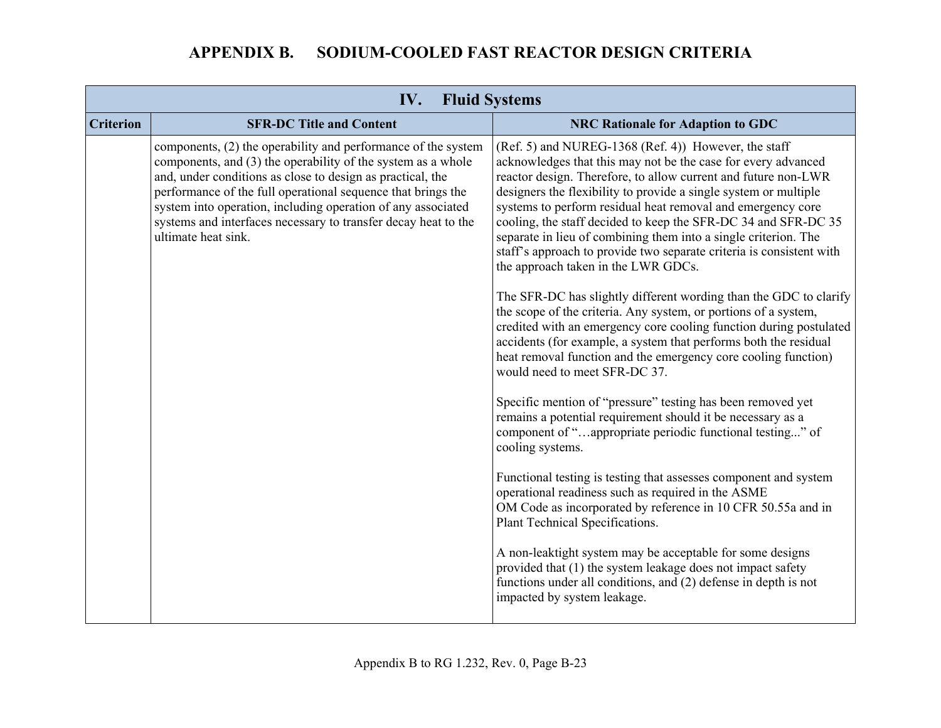| <b>Criterion</b><br><b>SFR-DC Title and Content</b><br><b>NRC Rationale for Adaption to GDC</b><br>components, (2) the operability and performance of the system<br>(Ref. 5) and NUREG-1368 (Ref. 4)) However, the staff<br>acknowledges that this may not be the case for every advanced<br>components, and (3) the operability of the system as a whole<br>and, under conditions as close to design as practical, the<br>reactor design. Therefore, to allow current and future non-LWR<br>performance of the full operational sequence that brings the<br>designers the flexibility to provide a single system or multiple<br>system into operation, including operation of any associated<br>systems to perform residual heat removal and emergency core<br>systems and interfaces necessary to transfer decay heat to the<br>cooling, the staff decided to keep the SFR-DC 34 and SFR-DC 35<br>ultimate heat sink.<br>separate in lieu of combining them into a single criterion. The<br>staff's approach to provide two separate criteria is consistent with<br>the approach taken in the LWR GDCs.<br>the scope of the criteria. Any system, or portions of a system,<br>accidents (for example, a system that performs both the residual<br>heat removal function and the emergency core cooling function)<br>would need to meet SFR-DC 37.<br>Specific mention of "pressure" testing has been removed yet<br>remains a potential requirement should it be necessary as a<br>component of "appropriate periodic functional testing" of<br>cooling systems.<br>Functional testing is testing that assesses component and system<br>operational readiness such as required in the ASME<br>OM Code as incorporated by reference in 10 CFR 50.55a and in<br>Plant Technical Specifications. |  | <b>Fluid Systems</b> |                                                                                                                                         |
|-------------------------------------------------------------------------------------------------------------------------------------------------------------------------------------------------------------------------------------------------------------------------------------------------------------------------------------------------------------------------------------------------------------------------------------------------------------------------------------------------------------------------------------------------------------------------------------------------------------------------------------------------------------------------------------------------------------------------------------------------------------------------------------------------------------------------------------------------------------------------------------------------------------------------------------------------------------------------------------------------------------------------------------------------------------------------------------------------------------------------------------------------------------------------------------------------------------------------------------------------------------------------------------------------------------------------------------------------------------------------------------------------------------------------------------------------------------------------------------------------------------------------------------------------------------------------------------------------------------------------------------------------------------------------------------------------------------------------------------------------------------------------------------------------|--|----------------------|-----------------------------------------------------------------------------------------------------------------------------------------|
|                                                                                                                                                                                                                                                                                                                                                                                                                                                                                                                                                                                                                                                                                                                                                                                                                                                                                                                                                                                                                                                                                                                                                                                                                                                                                                                                                                                                                                                                                                                                                                                                                                                                                                                                                                                                 |  |                      |                                                                                                                                         |
| A non-leaktight system may be acceptable for some designs<br>provided that (1) the system leakage does not impact safety<br>functions under all conditions, and (2) defense in depth is not<br>impacted by system leakage.                                                                                                                                                                                                                                                                                                                                                                                                                                                                                                                                                                                                                                                                                                                                                                                                                                                                                                                                                                                                                                                                                                                                                                                                                                                                                                                                                                                                                                                                                                                                                                      |  |                      | The SFR-DC has slightly different wording than the GDC to clarify<br>credited with an emergency core cooling function during postulated |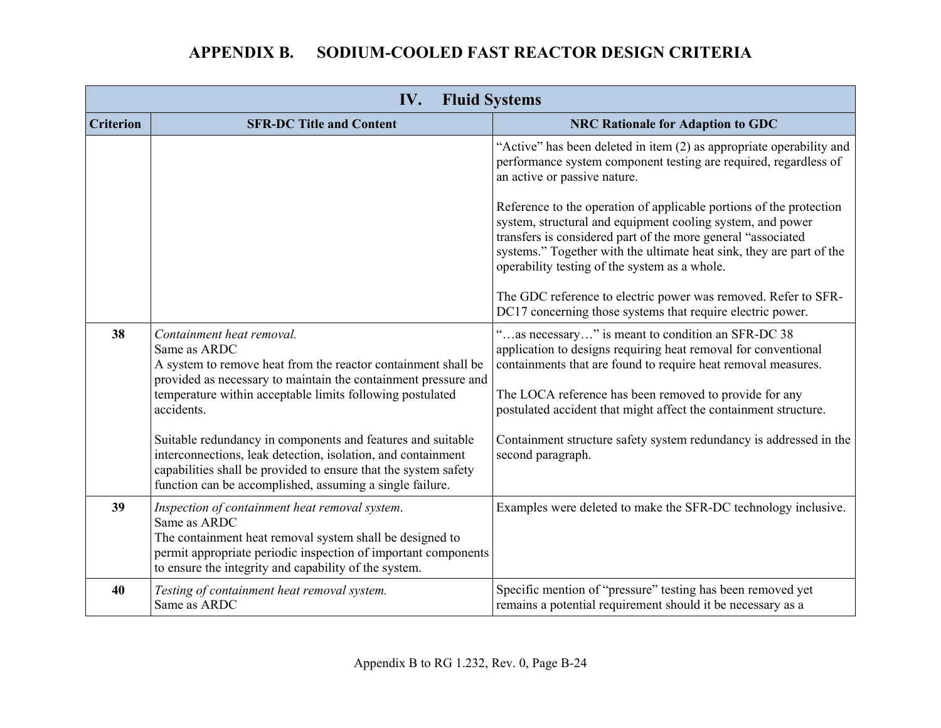| <b>Fluid Systems</b><br>IV. |                                                                                                                                                                                                                                                            |                                                                                                                                                                                                                                                                                                                            |
|-----------------------------|------------------------------------------------------------------------------------------------------------------------------------------------------------------------------------------------------------------------------------------------------------|----------------------------------------------------------------------------------------------------------------------------------------------------------------------------------------------------------------------------------------------------------------------------------------------------------------------------|
| <b>Criterion</b>            | <b>SFR-DC Title and Content</b>                                                                                                                                                                                                                            | <b>NRC Rationale for Adaption to GDC</b>                                                                                                                                                                                                                                                                                   |
|                             |                                                                                                                                                                                                                                                            | "Active" has been deleted in item (2) as appropriate operability and<br>performance system component testing are required, regardless of<br>an active or passive nature.                                                                                                                                                   |
|                             |                                                                                                                                                                                                                                                            | Reference to the operation of applicable portions of the protection<br>system, structural and equipment cooling system, and power<br>transfers is considered part of the more general "associated<br>systems." Together with the ultimate heat sink, they are part of the<br>operability testing of the system as a whole. |
|                             |                                                                                                                                                                                                                                                            | The GDC reference to electric power was removed. Refer to SFR-<br>DC17 concerning those systems that require electric power.                                                                                                                                                                                               |
| 38                          | Containment heat removal.<br>Same as ARDC<br>A system to remove heat from the reactor containment shall be<br>provided as necessary to maintain the containment pressure and                                                                               | "as necessary" is meant to condition an SFR-DC 38<br>application to designs requiring heat removal for conventional<br>containments that are found to require heat removal measures.                                                                                                                                       |
|                             | temperature within acceptable limits following postulated<br>accidents.                                                                                                                                                                                    | The LOCA reference has been removed to provide for any<br>postulated accident that might affect the containment structure.                                                                                                                                                                                                 |
|                             | Suitable redundancy in components and features and suitable<br>interconnections, leak detection, isolation, and containment<br>capabilities shall be provided to ensure that the system safety<br>function can be accomplished, assuming a single failure. | Containment structure safety system redundancy is addressed in the<br>second paragraph.                                                                                                                                                                                                                                    |
| 39                          | Inspection of containment heat removal system.<br>Same as ARDC<br>The containment heat removal system shall be designed to<br>permit appropriate periodic inspection of important components<br>to ensure the integrity and capability of the system.      | Examples were deleted to make the SFR-DC technology inclusive.                                                                                                                                                                                                                                                             |
| 40                          | Testing of containment heat removal system.<br>Same as ARDC                                                                                                                                                                                                | Specific mention of "pressure" testing has been removed yet<br>remains a potential requirement should it be necessary as a                                                                                                                                                                                                 |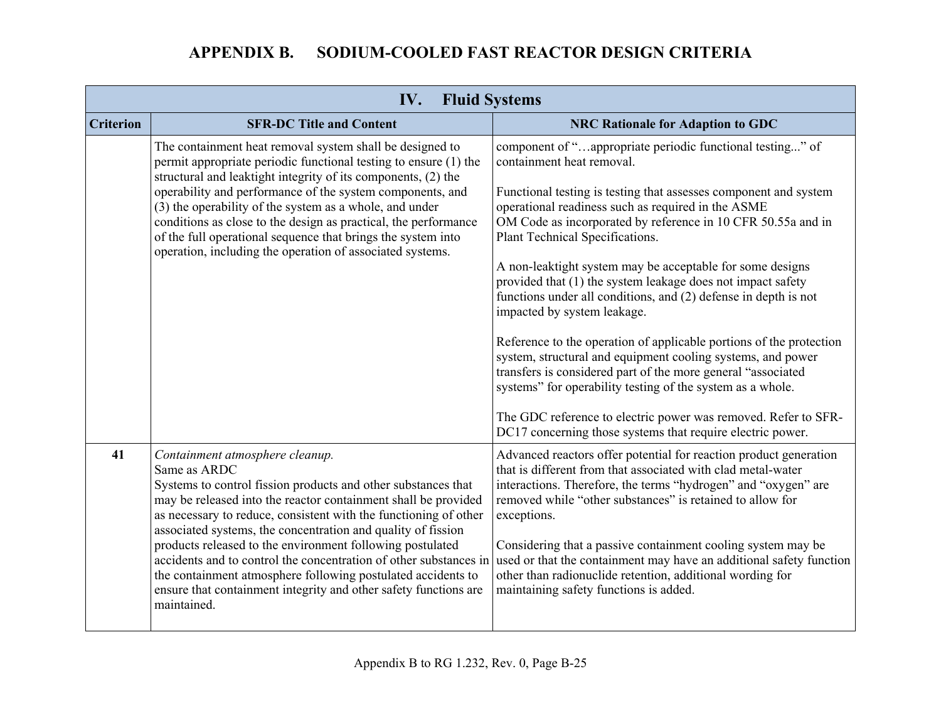| IV.<br><b>Fluid Systems</b> |                                                                                                                                                                                                                                                                                                                                                                                                                                                                                                                                                                                                             |                                                                                                                                                                                                                                                                                                                                                                                                                                                                                                                                                                                                                                                                                                                                                                                                                                                                                                                                                       |
|-----------------------------|-------------------------------------------------------------------------------------------------------------------------------------------------------------------------------------------------------------------------------------------------------------------------------------------------------------------------------------------------------------------------------------------------------------------------------------------------------------------------------------------------------------------------------------------------------------------------------------------------------------|-------------------------------------------------------------------------------------------------------------------------------------------------------------------------------------------------------------------------------------------------------------------------------------------------------------------------------------------------------------------------------------------------------------------------------------------------------------------------------------------------------------------------------------------------------------------------------------------------------------------------------------------------------------------------------------------------------------------------------------------------------------------------------------------------------------------------------------------------------------------------------------------------------------------------------------------------------|
| <b>Criterion</b>            | <b>SFR-DC Title and Content</b>                                                                                                                                                                                                                                                                                                                                                                                                                                                                                                                                                                             | <b>NRC Rationale for Adaption to GDC</b>                                                                                                                                                                                                                                                                                                                                                                                                                                                                                                                                                                                                                                                                                                                                                                                                                                                                                                              |
|                             | The containment heat removal system shall be designed to<br>permit appropriate periodic functional testing to ensure (1) the<br>structural and leaktight integrity of its components, (2) the<br>operability and performance of the system components, and<br>(3) the operability of the system as a whole, and under<br>conditions as close to the design as practical, the performance<br>of the full operational sequence that brings the system into<br>operation, including the operation of associated systems.                                                                                       | component of "appropriate periodic functional testing" of<br>containment heat removal.<br>Functional testing is testing that assesses component and system<br>operational readiness such as required in the ASME<br>OM Code as incorporated by reference in 10 CFR 50.55a and in<br>Plant Technical Specifications.<br>A non-leaktight system may be acceptable for some designs<br>provided that (1) the system leakage does not impact safety<br>functions under all conditions, and (2) defense in depth is not<br>impacted by system leakage.<br>Reference to the operation of applicable portions of the protection<br>system, structural and equipment cooling systems, and power<br>transfers is considered part of the more general "associated<br>systems" for operability testing of the system as a whole.<br>The GDC reference to electric power was removed. Refer to SFR-<br>DC17 concerning those systems that require electric power. |
| 41                          | Containment atmosphere cleanup.<br>Same as ARDC<br>Systems to control fission products and other substances that<br>may be released into the reactor containment shall be provided<br>as necessary to reduce, consistent with the functioning of other<br>associated systems, the concentration and quality of fission<br>products released to the environment following postulated<br>accidents and to control the concentration of other substances in<br>the containment atmosphere following postulated accidents to<br>ensure that containment integrity and other safety functions are<br>maintained. | Advanced reactors offer potential for reaction product generation<br>that is different from that associated with clad metal-water<br>interactions. Therefore, the terms "hydrogen" and "oxygen" are<br>removed while "other substances" is retained to allow for<br>exceptions.<br>Considering that a passive containment cooling system may be<br>used or that the containment may have an additional safety function<br>other than radionuclide retention, additional wording for<br>maintaining safety functions is added.                                                                                                                                                                                                                                                                                                                                                                                                                         |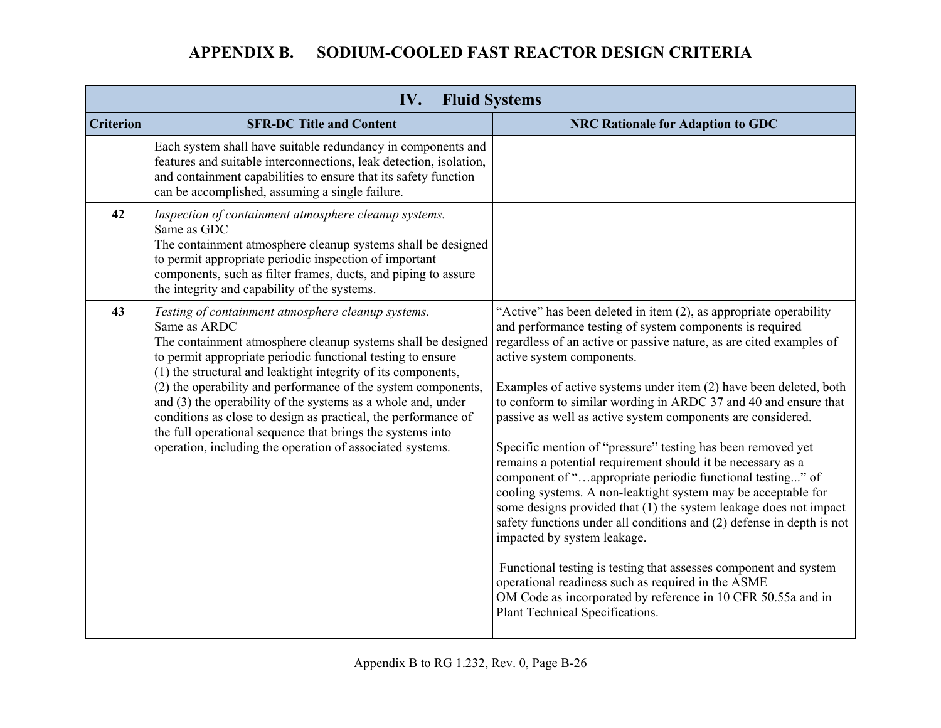|                  | IV.                                                                                                                                                                                                                                                                                                                                                                                                                                                                                                                                                                                              | <b>Fluid Systems</b>                                                                                                                                                                                                                                                                                                                                                                                                                                                                                                                                                                                                                                                                                                                                                                                                                                                                                                                                                                                                                                                                                           |
|------------------|--------------------------------------------------------------------------------------------------------------------------------------------------------------------------------------------------------------------------------------------------------------------------------------------------------------------------------------------------------------------------------------------------------------------------------------------------------------------------------------------------------------------------------------------------------------------------------------------------|----------------------------------------------------------------------------------------------------------------------------------------------------------------------------------------------------------------------------------------------------------------------------------------------------------------------------------------------------------------------------------------------------------------------------------------------------------------------------------------------------------------------------------------------------------------------------------------------------------------------------------------------------------------------------------------------------------------------------------------------------------------------------------------------------------------------------------------------------------------------------------------------------------------------------------------------------------------------------------------------------------------------------------------------------------------------------------------------------------------|
| <b>Criterion</b> | <b>SFR-DC Title and Content</b>                                                                                                                                                                                                                                                                                                                                                                                                                                                                                                                                                                  | <b>NRC Rationale for Adaption to GDC</b>                                                                                                                                                                                                                                                                                                                                                                                                                                                                                                                                                                                                                                                                                                                                                                                                                                                                                                                                                                                                                                                                       |
|                  | Each system shall have suitable redundancy in components and<br>features and suitable interconnections, leak detection, isolation,<br>and containment capabilities to ensure that its safety function<br>can be accomplished, assuming a single failure.                                                                                                                                                                                                                                                                                                                                         |                                                                                                                                                                                                                                                                                                                                                                                                                                                                                                                                                                                                                                                                                                                                                                                                                                                                                                                                                                                                                                                                                                                |
| 42               | Inspection of containment atmosphere cleanup systems.<br>Same as GDC<br>The containment atmosphere cleanup systems shall be designed<br>to permit appropriate periodic inspection of important<br>components, such as filter frames, ducts, and piping to assure<br>the integrity and capability of the systems.                                                                                                                                                                                                                                                                                 |                                                                                                                                                                                                                                                                                                                                                                                                                                                                                                                                                                                                                                                                                                                                                                                                                                                                                                                                                                                                                                                                                                                |
| 43               | Testing of containment atmosphere cleanup systems.<br>Same as ARDC<br>The containment atmosphere cleanup systems shall be designed<br>to permit appropriate periodic functional testing to ensure<br>(1) the structural and leaktight integrity of its components,<br>(2) the operability and performance of the system components,<br>and (3) the operability of the systems as a whole and, under<br>conditions as close to design as practical, the performance of<br>the full operational sequence that brings the systems into<br>operation, including the operation of associated systems. | "Active" has been deleted in item (2), as appropriate operability<br>and performance testing of system components is required<br>regardless of an active or passive nature, as are cited examples of<br>active system components.<br>Examples of active systems under item (2) have been deleted, both<br>to conform to similar wording in ARDC 37 and 40 and ensure that<br>passive as well as active system components are considered.<br>Specific mention of "pressure" testing has been removed yet<br>remains a potential requirement should it be necessary as a<br>component of "appropriate periodic functional testing" of<br>cooling systems. A non-leaktight system may be acceptable for<br>some designs provided that (1) the system leakage does not impact<br>safety functions under all conditions and (2) defense in depth is not<br>impacted by system leakage.<br>Functional testing is testing that assesses component and system<br>operational readiness such as required in the ASME<br>OM Code as incorporated by reference in 10 CFR 50.55a and in<br>Plant Technical Specifications. |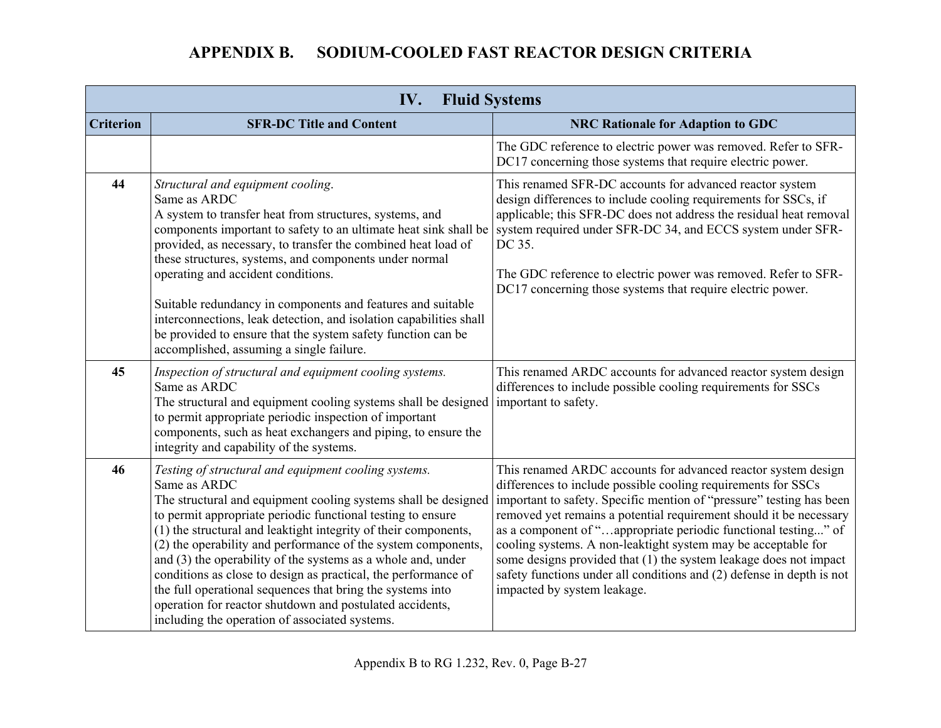| IV.<br><b>Fluid Systems</b> |                                                                                                                                                                                                                                                                                                                                                                                                                                                                                                                                                                                                                                                           |                                                                                                                                                                                                                                                                                                                                                                                                                                                                                                                                                                                              |
|-----------------------------|-----------------------------------------------------------------------------------------------------------------------------------------------------------------------------------------------------------------------------------------------------------------------------------------------------------------------------------------------------------------------------------------------------------------------------------------------------------------------------------------------------------------------------------------------------------------------------------------------------------------------------------------------------------|----------------------------------------------------------------------------------------------------------------------------------------------------------------------------------------------------------------------------------------------------------------------------------------------------------------------------------------------------------------------------------------------------------------------------------------------------------------------------------------------------------------------------------------------------------------------------------------------|
| <b>Criterion</b>            | <b>SFR-DC Title and Content</b>                                                                                                                                                                                                                                                                                                                                                                                                                                                                                                                                                                                                                           | <b>NRC Rationale for Adaption to GDC</b>                                                                                                                                                                                                                                                                                                                                                                                                                                                                                                                                                     |
|                             |                                                                                                                                                                                                                                                                                                                                                                                                                                                                                                                                                                                                                                                           | The GDC reference to electric power was removed. Refer to SFR-<br>DC17 concerning those systems that require electric power.                                                                                                                                                                                                                                                                                                                                                                                                                                                                 |
| 44                          | Structural and equipment cooling.<br>Same as ARDC<br>A system to transfer heat from structures, systems, and<br>components important to safety to an ultimate heat sink shall be<br>provided, as necessary, to transfer the combined heat load of<br>these structures, systems, and components under normal<br>operating and accident conditions.<br>Suitable redundancy in components and features and suitable<br>interconnections, leak detection, and isolation capabilities shall<br>be provided to ensure that the system safety function can be<br>accomplished, assuming a single failure.                                                        | This renamed SFR-DC accounts for advanced reactor system<br>design differences to include cooling requirements for SSCs, if<br>applicable; this SFR-DC does not address the residual heat removal<br>system required under SFR-DC 34, and ECCS system under SFR-<br>DC 35.<br>The GDC reference to electric power was removed. Refer to SFR-<br>DC17 concerning those systems that require electric power.                                                                                                                                                                                   |
| 45                          | Inspection of structural and equipment cooling systems.<br>Same as ARDC<br>The structural and equipment cooling systems shall be designed<br>to permit appropriate periodic inspection of important<br>components, such as heat exchangers and piping, to ensure the<br>integrity and capability of the systems.                                                                                                                                                                                                                                                                                                                                          | This renamed ARDC accounts for advanced reactor system design<br>differences to include possible cooling requirements for SSCs<br>important to safety.                                                                                                                                                                                                                                                                                                                                                                                                                                       |
| 46                          | Testing of structural and equipment cooling systems.<br>Same as ARDC<br>The structural and equipment cooling systems shall be designed<br>to permit appropriate periodic functional testing to ensure<br>(1) the structural and leaktight integrity of their components,<br>(2) the operability and performance of the system components,<br>and $(3)$ the operability of the systems as a whole and, under<br>conditions as close to design as practical, the performance of<br>the full operational sequences that bring the systems into<br>operation for reactor shutdown and postulated accidents,<br>including the operation of associated systems. | This renamed ARDC accounts for advanced reactor system design<br>differences to include possible cooling requirements for SSCs<br>important to safety. Specific mention of "pressure" testing has been<br>removed yet remains a potential requirement should it be necessary<br>as a component of "appropriate periodic functional testing" of<br>cooling systems. A non-leaktight system may be acceptable for<br>some designs provided that (1) the system leakage does not impact<br>safety functions under all conditions and (2) defense in depth is not<br>impacted by system leakage. |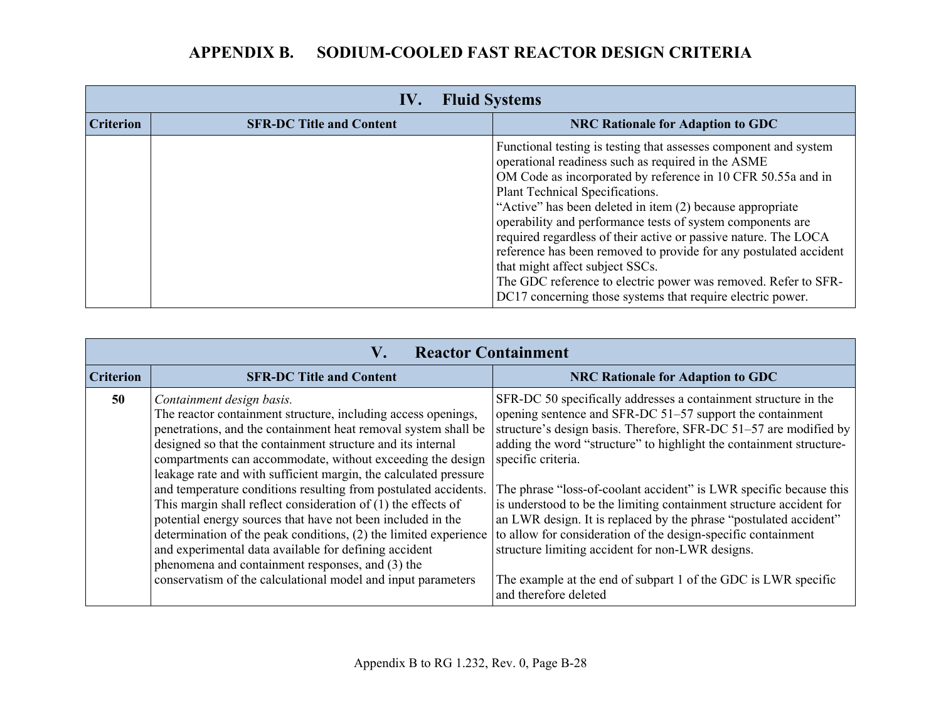| <b>Fluid Systems</b><br>IV. |                                 |                                                                                                                                                                                                                                                                                                                                                                                                                                                                                                                                                                                                                                                                 |
|-----------------------------|---------------------------------|-----------------------------------------------------------------------------------------------------------------------------------------------------------------------------------------------------------------------------------------------------------------------------------------------------------------------------------------------------------------------------------------------------------------------------------------------------------------------------------------------------------------------------------------------------------------------------------------------------------------------------------------------------------------|
| <b>Criterion</b>            | <b>SFR-DC Title and Content</b> | <b>NRC Rationale for Adaption to GDC</b>                                                                                                                                                                                                                                                                                                                                                                                                                                                                                                                                                                                                                        |
|                             |                                 | Functional testing is testing that assesses component and system<br>operational readiness such as required in the ASME<br>OM Code as incorporated by reference in 10 CFR 50.55a and in<br>Plant Technical Specifications.<br>"Active" has been deleted in item (2) because appropriate<br>operability and performance tests of system components are<br>required regardless of their active or passive nature. The LOCA<br>reference has been removed to provide for any postulated accident<br>that might affect subject SSCs.<br>The GDC reference to electric power was removed. Refer to SFR-<br>DC17 concerning those systems that require electric power. |

| <b>Reactor Containment</b><br>V. |                                                                                                                                                                                                                                                                                                                                                                                                                                                                                                                                                                                                                                                                                                                                                                                                                     |                                                                                                                                                                                                                                                                                                                                                                                                                                                                                                                                                                                                                                                                                                                                  |  |
|----------------------------------|---------------------------------------------------------------------------------------------------------------------------------------------------------------------------------------------------------------------------------------------------------------------------------------------------------------------------------------------------------------------------------------------------------------------------------------------------------------------------------------------------------------------------------------------------------------------------------------------------------------------------------------------------------------------------------------------------------------------------------------------------------------------------------------------------------------------|----------------------------------------------------------------------------------------------------------------------------------------------------------------------------------------------------------------------------------------------------------------------------------------------------------------------------------------------------------------------------------------------------------------------------------------------------------------------------------------------------------------------------------------------------------------------------------------------------------------------------------------------------------------------------------------------------------------------------------|--|
| <b>Criterion</b>                 | <b>SFR-DC Title and Content</b>                                                                                                                                                                                                                                                                                                                                                                                                                                                                                                                                                                                                                                                                                                                                                                                     | <b>NRC Rationale for Adaption to GDC</b>                                                                                                                                                                                                                                                                                                                                                                                                                                                                                                                                                                                                                                                                                         |  |
| 50                               | Containment design basis.<br>The reactor containment structure, including access openings,<br>penetrations, and the containment heat removal system shall be<br>designed so that the containment structure and its internal<br>compartments can accommodate, without exceeding the design<br>leakage rate and with sufficient margin, the calculated pressure<br>and temperature conditions resulting from postulated accidents.<br>This margin shall reflect consideration of $(1)$ the effects of<br>potential energy sources that have not been included in the<br>determination of the peak conditions, (2) the limited experience<br>and experimental data available for defining accident<br>phenomena and containment responses, and (3) the<br>conservatism of the calculational model and input parameters | SFR-DC 50 specifically addresses a containment structure in the<br>opening sentence and SFR-DC 51–57 support the containment<br>structure's design basis. Therefore, SFR-DC 51–57 are modified by<br>adding the word "structure" to highlight the containment structure-<br>specific criteria.<br>The phrase "loss-of-coolant accident" is LWR specific because this<br>is understood to be the limiting containment structure accident for<br>an LWR design. It is replaced by the phrase "postulated accident"<br>to allow for consideration of the design-specific containment<br>structure limiting accident for non-LWR designs.<br>The example at the end of subpart 1 of the GDC is LWR specific<br>and therefore deleted |  |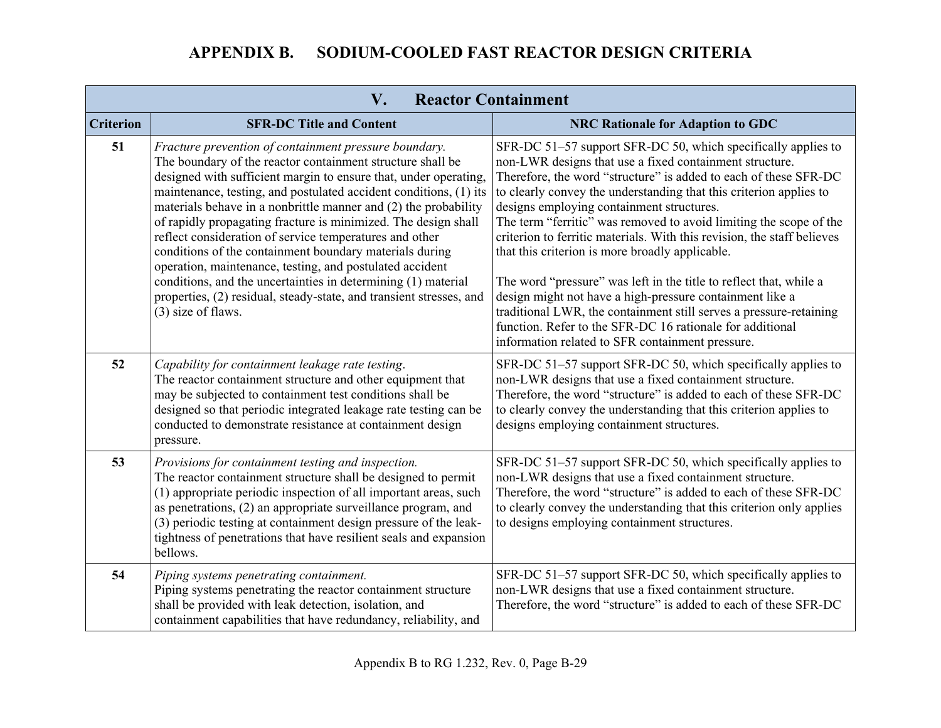| V.<br><b>Reactor Containment</b> |                                                                                                                                                                                                                                                                                                                                                                                                                                                                                                                                                                                                                                                                                                                             |                                                                                                                                                                                                                                                                                                                                                                                                                                                                                                                                                                                                                                                       |  |
|----------------------------------|-----------------------------------------------------------------------------------------------------------------------------------------------------------------------------------------------------------------------------------------------------------------------------------------------------------------------------------------------------------------------------------------------------------------------------------------------------------------------------------------------------------------------------------------------------------------------------------------------------------------------------------------------------------------------------------------------------------------------------|-------------------------------------------------------------------------------------------------------------------------------------------------------------------------------------------------------------------------------------------------------------------------------------------------------------------------------------------------------------------------------------------------------------------------------------------------------------------------------------------------------------------------------------------------------------------------------------------------------------------------------------------------------|--|
| <b>Criterion</b>                 | <b>SFR-DC Title and Content</b>                                                                                                                                                                                                                                                                                                                                                                                                                                                                                                                                                                                                                                                                                             | <b>NRC Rationale for Adaption to GDC</b>                                                                                                                                                                                                                                                                                                                                                                                                                                                                                                                                                                                                              |  |
| 51                               | Fracture prevention of containment pressure boundary.<br>The boundary of the reactor containment structure shall be<br>designed with sufficient margin to ensure that, under operating,<br>maintenance, testing, and postulated accident conditions, (1) its<br>materials behave in a nonbrittle manner and (2) the probability<br>of rapidly propagating fracture is minimized. The design shall<br>reflect consideration of service temperatures and other<br>conditions of the containment boundary materials during<br>operation, maintenance, testing, and postulated accident<br>conditions, and the uncertainties in determining (1) material<br>properties, (2) residual, steady-state, and transient stresses, and | SFR-DC 51–57 support SFR-DC 50, which specifically applies to<br>non-LWR designs that use a fixed containment structure.<br>Therefore, the word "structure" is added to each of these SFR-DC<br>to clearly convey the understanding that this criterion applies to<br>designs employing containment structures.<br>The term "ferritic" was removed to avoid limiting the scope of the<br>criterion to ferritic materials. With this revision, the staff believes<br>that this criterion is more broadly applicable.<br>The word "pressure" was left in the title to reflect that, while a<br>design might not have a high-pressure containment like a |  |
|                                  | $(3)$ size of flaws.                                                                                                                                                                                                                                                                                                                                                                                                                                                                                                                                                                                                                                                                                                        | traditional LWR, the containment still serves a pressure-retaining<br>function. Refer to the SFR-DC 16 rationale for additional<br>information related to SFR containment pressure.                                                                                                                                                                                                                                                                                                                                                                                                                                                                   |  |
| 52                               | Capability for containment leakage rate testing.<br>The reactor containment structure and other equipment that<br>may be subjected to containment test conditions shall be<br>designed so that periodic integrated leakage rate testing can be<br>conducted to demonstrate resistance at containment design<br>pressure.                                                                                                                                                                                                                                                                                                                                                                                                    | SFR-DC 51-57 support SFR-DC 50, which specifically applies to<br>non-LWR designs that use a fixed containment structure.<br>Therefore, the word "structure" is added to each of these SFR-DC<br>to clearly convey the understanding that this criterion applies to<br>designs employing containment structures.                                                                                                                                                                                                                                                                                                                                       |  |
| 53                               | Provisions for containment testing and inspection.<br>The reactor containment structure shall be designed to permit<br>(1) appropriate periodic inspection of all important areas, such<br>as penetrations, (2) an appropriate surveillance program, and<br>(3) periodic testing at containment design pressure of the leak-<br>tightness of penetrations that have resilient seals and expansion<br>bellows.                                                                                                                                                                                                                                                                                                               | SFR-DC 51–57 support SFR-DC 50, which specifically applies to<br>non-LWR designs that use a fixed containment structure.<br>Therefore, the word "structure" is added to each of these SFR-DC<br>to clearly convey the understanding that this criterion only applies<br>to designs employing containment structures.                                                                                                                                                                                                                                                                                                                                  |  |
| 54                               | Piping systems penetrating containment.<br>Piping systems penetrating the reactor containment structure<br>shall be provided with leak detection, isolation, and<br>containment capabilities that have redundancy, reliability, and                                                                                                                                                                                                                                                                                                                                                                                                                                                                                         | SFR-DC 51–57 support SFR-DC 50, which specifically applies to<br>non-LWR designs that use a fixed containment structure.<br>Therefore, the word "structure" is added to each of these SFR-DC                                                                                                                                                                                                                                                                                                                                                                                                                                                          |  |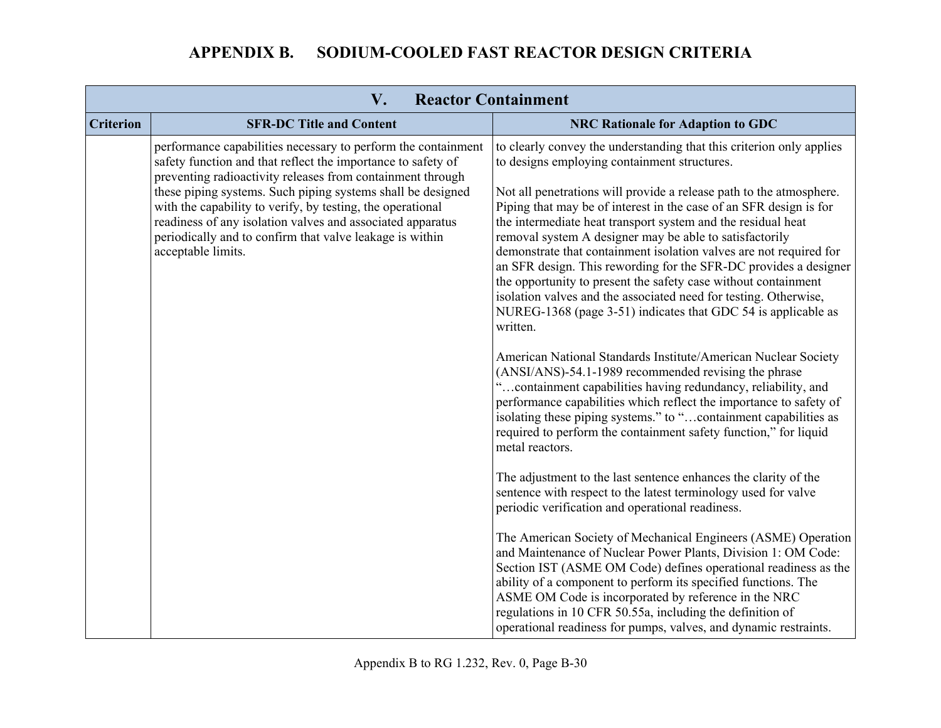| <b>Reactor Containment</b><br>V. |                                                                                                                                                                                                                                                                                                                                                                                                                                                                          |                                                                                                                                                                                                                                                                                                                                                                                                                                                                                                                                                                                                                                                                                                                                                                                                                                                                                                                                                                                                                                                                                                                                                                                                                                                                                                                                                                                                                                                 |
|----------------------------------|--------------------------------------------------------------------------------------------------------------------------------------------------------------------------------------------------------------------------------------------------------------------------------------------------------------------------------------------------------------------------------------------------------------------------------------------------------------------------|-------------------------------------------------------------------------------------------------------------------------------------------------------------------------------------------------------------------------------------------------------------------------------------------------------------------------------------------------------------------------------------------------------------------------------------------------------------------------------------------------------------------------------------------------------------------------------------------------------------------------------------------------------------------------------------------------------------------------------------------------------------------------------------------------------------------------------------------------------------------------------------------------------------------------------------------------------------------------------------------------------------------------------------------------------------------------------------------------------------------------------------------------------------------------------------------------------------------------------------------------------------------------------------------------------------------------------------------------------------------------------------------------------------------------------------------------|
| <b>Criterion</b>                 | <b>SFR-DC Title and Content</b>                                                                                                                                                                                                                                                                                                                                                                                                                                          | <b>NRC Rationale for Adaption to GDC</b>                                                                                                                                                                                                                                                                                                                                                                                                                                                                                                                                                                                                                                                                                                                                                                                                                                                                                                                                                                                                                                                                                                                                                                                                                                                                                                                                                                                                        |
|                                  | performance capabilities necessary to perform the containment<br>safety function and that reflect the importance to safety of<br>preventing radioactivity releases from containment through<br>these piping systems. Such piping systems shall be designed<br>with the capability to verify, by testing, the operational<br>readiness of any isolation valves and associated apparatus<br>periodically and to confirm that valve leakage is within<br>acceptable limits. | to clearly convey the understanding that this criterion only applies<br>to designs employing containment structures.<br>Not all penetrations will provide a release path to the atmosphere.<br>Piping that may be of interest in the case of an SFR design is for<br>the intermediate heat transport system and the residual heat<br>removal system A designer may be able to satisfactorily<br>demonstrate that containment isolation valves are not required for<br>an SFR design. This rewording for the SFR-DC provides a designer<br>the opportunity to present the safety case without containment<br>isolation valves and the associated need for testing. Otherwise,<br>NUREG-1368 (page 3-51) indicates that GDC 54 is applicable as<br>written.<br>American National Standards Institute/American Nuclear Society<br>(ANSI/ANS)-54.1-1989 recommended revising the phrase<br>"containment capabilities having redundancy, reliability, and<br>performance capabilities which reflect the importance to safety of<br>isolating these piping systems." to "containment capabilities as<br>required to perform the containment safety function," for liquid<br>metal reactors.<br>The adjustment to the last sentence enhances the clarity of the<br>sentence with respect to the latest terminology used for valve<br>periodic verification and operational readiness.<br>The American Society of Mechanical Engineers (ASME) Operation |
|                                  |                                                                                                                                                                                                                                                                                                                                                                                                                                                                          | and Maintenance of Nuclear Power Plants, Division 1: OM Code:<br>Section IST (ASME OM Code) defines operational readiness as the<br>ability of a component to perform its specified functions. The<br>ASME OM Code is incorporated by reference in the NRC<br>regulations in 10 CFR 50.55a, including the definition of<br>operational readiness for pumps, valves, and dynamic restraints.                                                                                                                                                                                                                                                                                                                                                                                                                                                                                                                                                                                                                                                                                                                                                                                                                                                                                                                                                                                                                                                     |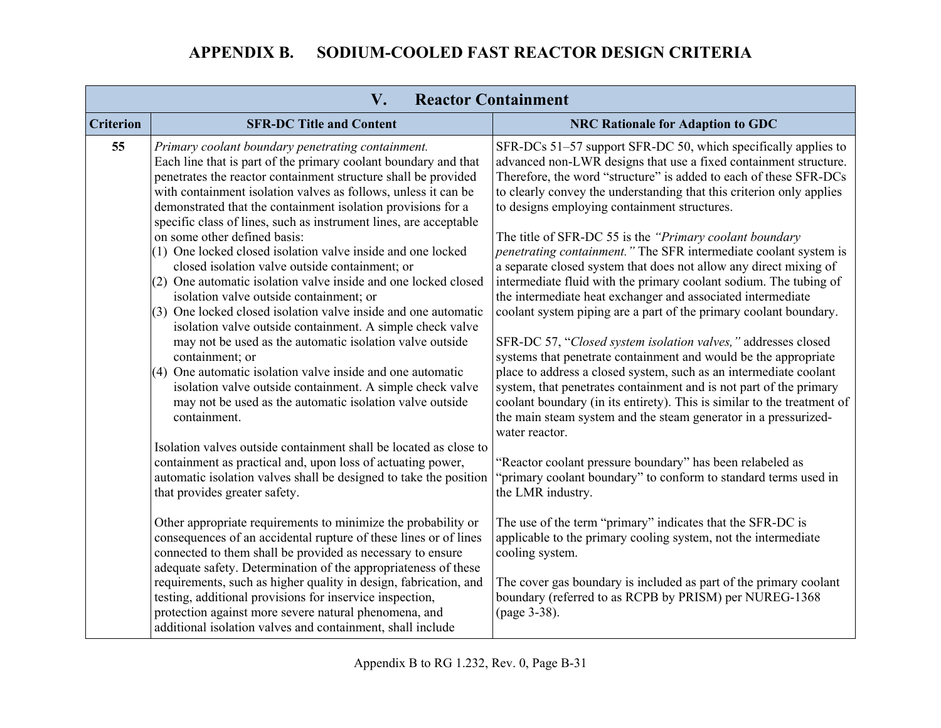|                  | V.                                                                                                                                                                                                                                                                                                                                                                                                                                                                                                                       | <b>Reactor Containment</b>                                                                                                                                                                                                                                                                                                                                                                                                                  |
|------------------|--------------------------------------------------------------------------------------------------------------------------------------------------------------------------------------------------------------------------------------------------------------------------------------------------------------------------------------------------------------------------------------------------------------------------------------------------------------------------------------------------------------------------|---------------------------------------------------------------------------------------------------------------------------------------------------------------------------------------------------------------------------------------------------------------------------------------------------------------------------------------------------------------------------------------------------------------------------------------------|
| <b>Criterion</b> | <b>SFR-DC Title and Content</b>                                                                                                                                                                                                                                                                                                                                                                                                                                                                                          | <b>NRC Rationale for Adaption to GDC</b>                                                                                                                                                                                                                                                                                                                                                                                                    |
| 55               | Primary coolant boundary penetrating containment.<br>Each line that is part of the primary coolant boundary and that<br>penetrates the reactor containment structure shall be provided<br>with containment isolation valves as follows, unless it can be<br>demonstrated that the containment isolation provisions for a<br>specific class of lines, such as instrument lines, are acceptable                                                                                                                            | SFR-DCs 51–57 support SFR-DC 50, which specifically applies to<br>advanced non-LWR designs that use a fixed containment structure.<br>Therefore, the word "structure" is added to each of these SFR-DCs<br>to clearly convey the understanding that this criterion only applies<br>to designs employing containment structures.                                                                                                             |
|                  | on some other defined basis:<br>(1) One locked closed isolation valve inside and one locked<br>closed isolation valve outside containment; or<br>$(2)$ One automatic isolation valve inside and one locked closed<br>isolation valve outside containment; or<br>(3) One locked closed isolation valve inside and one automatic<br>isolation valve outside containment. A simple check valve                                                                                                                              | The title of SFR-DC 55 is the "Primary coolant boundary"<br>penetrating containment." The SFR intermediate coolant system is<br>a separate closed system that does not allow any direct mixing of<br>intermediate fluid with the primary coolant sodium. The tubing of<br>the intermediate heat exchanger and associated intermediate<br>coolant system piping are a part of the primary coolant boundary.                                  |
|                  | may not be used as the automatic isolation valve outside<br>containment; or<br>(4) One automatic isolation valve inside and one automatic<br>isolation valve outside containment. A simple check valve<br>may not be used as the automatic isolation valve outside<br>containment.                                                                                                                                                                                                                                       | SFR-DC 57, "Closed system isolation valves," addresses closed<br>systems that penetrate containment and would be the appropriate<br>place to address a closed system, such as an intermediate coolant<br>system, that penetrates containment and is not part of the primary<br>coolant boundary (in its entirety). This is similar to the treatment of<br>the main steam system and the steam generator in a pressurized-<br>water reactor. |
|                  | Isolation valves outside containment shall be located as close to<br>containment as practical and, upon loss of actuating power,<br>automatic isolation valves shall be designed to take the position<br>that provides greater safety.                                                                                                                                                                                                                                                                                   | 'Reactor coolant pressure boundary" has been relabeled as<br>'primary coolant boundary" to conform to standard terms used in<br>the LMR industry.                                                                                                                                                                                                                                                                                           |
|                  | Other appropriate requirements to minimize the probability or<br>consequences of an accidental rupture of these lines or of lines<br>connected to them shall be provided as necessary to ensure<br>adequate safety. Determination of the appropriateness of these<br>requirements, such as higher quality in design, fabrication, and<br>testing, additional provisions for inservice inspection,<br>protection against more severe natural phenomena, and<br>additional isolation valves and containment, shall include | The use of the term "primary" indicates that the SFR-DC is<br>applicable to the primary cooling system, not the intermediate<br>cooling system.<br>The cover gas boundary is included as part of the primary coolant<br>boundary (referred to as RCPB by PRISM) per NUREG-1368<br>(page 3-38).                                                                                                                                              |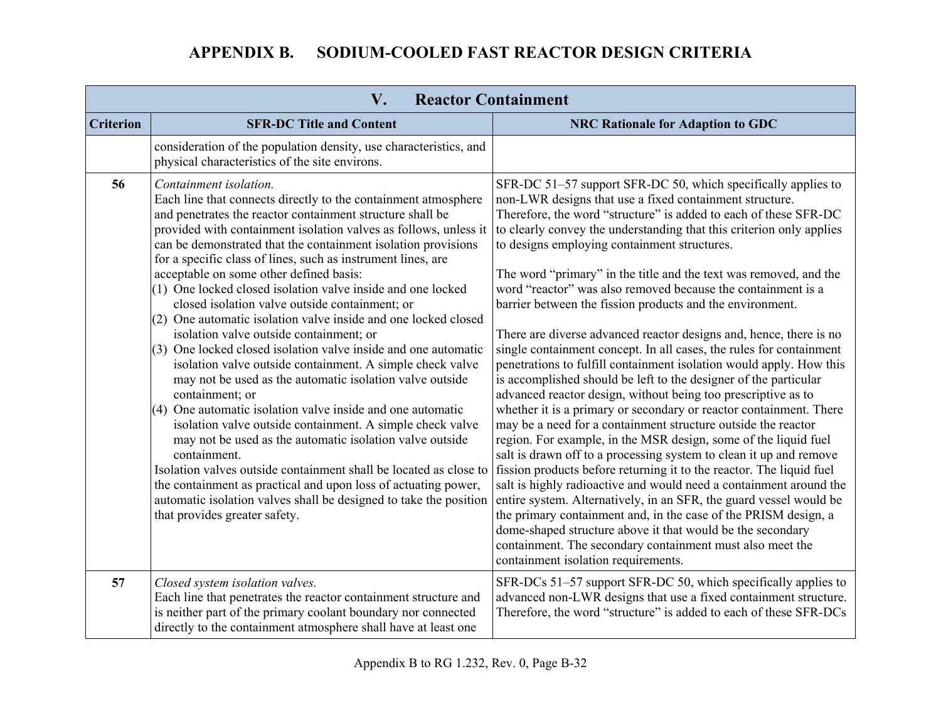| $V_{\bullet}$<br><b>Reactor Containment</b> |                                                                                                                                                                                                                                                                                                                                                                                                                                                                                                                                                                                                                                                                                                                                                                                                                                                                                                                                                                                                                                                                                                                                                                                                                                                                                                         |                                                                                                                                                                                                                                                                                                                                                                                                                                                                                                                                                                                                                                                                                                                                                                                                                                                                                                                                                                                                                                                                                                                                                                                                                                                                                                                                                                                                                                                                                                                                                                                                                          |
|---------------------------------------------|---------------------------------------------------------------------------------------------------------------------------------------------------------------------------------------------------------------------------------------------------------------------------------------------------------------------------------------------------------------------------------------------------------------------------------------------------------------------------------------------------------------------------------------------------------------------------------------------------------------------------------------------------------------------------------------------------------------------------------------------------------------------------------------------------------------------------------------------------------------------------------------------------------------------------------------------------------------------------------------------------------------------------------------------------------------------------------------------------------------------------------------------------------------------------------------------------------------------------------------------------------------------------------------------------------|--------------------------------------------------------------------------------------------------------------------------------------------------------------------------------------------------------------------------------------------------------------------------------------------------------------------------------------------------------------------------------------------------------------------------------------------------------------------------------------------------------------------------------------------------------------------------------------------------------------------------------------------------------------------------------------------------------------------------------------------------------------------------------------------------------------------------------------------------------------------------------------------------------------------------------------------------------------------------------------------------------------------------------------------------------------------------------------------------------------------------------------------------------------------------------------------------------------------------------------------------------------------------------------------------------------------------------------------------------------------------------------------------------------------------------------------------------------------------------------------------------------------------------------------------------------------------------------------------------------------------|
| <b>Criterion</b>                            | <b>SFR-DC Title and Content</b>                                                                                                                                                                                                                                                                                                                                                                                                                                                                                                                                                                                                                                                                                                                                                                                                                                                                                                                                                                                                                                                                                                                                                                                                                                                                         | <b>NRC Rationale for Adaption to GDC</b>                                                                                                                                                                                                                                                                                                                                                                                                                                                                                                                                                                                                                                                                                                                                                                                                                                                                                                                                                                                                                                                                                                                                                                                                                                                                                                                                                                                                                                                                                                                                                                                 |
|                                             | consideration of the population density, use characteristics, and<br>physical characteristics of the site environs.                                                                                                                                                                                                                                                                                                                                                                                                                                                                                                                                                                                                                                                                                                                                                                                                                                                                                                                                                                                                                                                                                                                                                                                     |                                                                                                                                                                                                                                                                                                                                                                                                                                                                                                                                                                                                                                                                                                                                                                                                                                                                                                                                                                                                                                                                                                                                                                                                                                                                                                                                                                                                                                                                                                                                                                                                                          |
| 56                                          | Containment isolation.<br>Each line that connects directly to the containment atmosphere<br>and penetrates the reactor containment structure shall be<br>provided with containment isolation valves as follows, unless it<br>can be demonstrated that the containment isolation provisions<br>for a specific class of lines, such as instrument lines, are<br>acceptable on some other defined basis:<br>(1) One locked closed isolation valve inside and one locked<br>closed isolation valve outside containment; or<br>(2) One automatic isolation valve inside and one locked closed<br>isolation valve outside containment; or<br>(3) One locked closed isolation valve inside and one automatic<br>isolation valve outside containment. A simple check valve<br>may not be used as the automatic isolation valve outside<br>containment; or<br>$(4)$ One automatic isolation valve inside and one automatic<br>isolation valve outside containment. A simple check valve<br>may not be used as the automatic isolation valve outside<br>containment.<br>Isolation valves outside containment shall be located as close to<br>the containment as practical and upon loss of actuating power,<br>automatic isolation valves shall be designed to take the position<br>that provides greater safety. | SFR-DC 51–57 support SFR-DC 50, which specifically applies to<br>non-LWR designs that use a fixed containment structure.<br>Therefore, the word "structure" is added to each of these SFR-DC<br>to clearly convey the understanding that this criterion only applies<br>to designs employing containment structures.<br>The word "primary" in the title and the text was removed, and the<br>word "reactor" was also removed because the containment is a<br>barrier between the fission products and the environment.<br>There are diverse advanced reactor designs and, hence, there is no<br>single containment concept. In all cases, the rules for containment<br>penetrations to fulfill containment isolation would apply. How this<br>is accomplished should be left to the designer of the particular<br>advanced reactor design, without being too prescriptive as to<br>whether it is a primary or secondary or reactor containment. There<br>may be a need for a containment structure outside the reactor<br>region. For example, in the MSR design, some of the liquid fuel<br>salt is drawn off to a processing system to clean it up and remove<br>fission products before returning it to the reactor. The liquid fuel<br>salt is highly radioactive and would need a containment around the<br>entire system. Alternatively, in an SFR, the guard vessel would be<br>the primary containment and, in the case of the PRISM design, a<br>dome-shaped structure above it that would be the secondary<br>containment. The secondary containment must also meet the<br>containment isolation requirements. |
| 57                                          | Closed system isolation valves.<br>Each line that penetrates the reactor containment structure and<br>is neither part of the primary coolant boundary nor connected<br>directly to the containment atmosphere shall have at least one                                                                                                                                                                                                                                                                                                                                                                                                                                                                                                                                                                                                                                                                                                                                                                                                                                                                                                                                                                                                                                                                   | SFR-DCs 51–57 support SFR-DC 50, which specifically applies to<br>advanced non-LWR designs that use a fixed containment structure.<br>Therefore, the word "structure" is added to each of these SFR-DCs                                                                                                                                                                                                                                                                                                                                                                                                                                                                                                                                                                                                                                                                                                                                                                                                                                                                                                                                                                                                                                                                                                                                                                                                                                                                                                                                                                                                                  |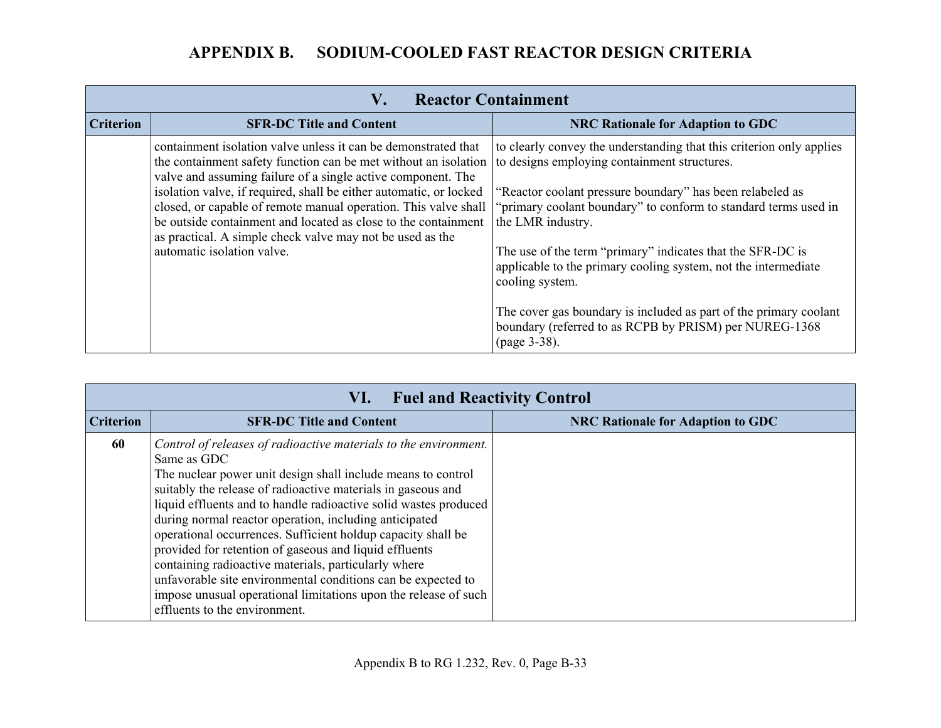|                  | V.<br><b>Reactor Containment</b>                                                                                                                                                                                                                                     |                                                                                                                                                   |
|------------------|----------------------------------------------------------------------------------------------------------------------------------------------------------------------------------------------------------------------------------------------------------------------|---------------------------------------------------------------------------------------------------------------------------------------------------|
| <b>Criterion</b> | <b>SFR-DC Title and Content</b>                                                                                                                                                                                                                                      | <b>NRC Rationale for Adaption to GDC</b>                                                                                                          |
|                  | containment isolation valve unless it can be demonstrated that<br>the containment safety function can be met without an isolation<br>valve and assuming failure of a single active component. The                                                                    | to clearly convey the understanding that this criterion only applies<br>to designs employing containment structures.                              |
|                  | isolation valve, if required, shall be either automatic, or locked<br>closed, or capable of remote manual operation. This valve shall<br>be outside containment and located as close to the containment<br>as practical. A simple check valve may not be used as the | "Reactor coolant pressure boundary" has been relabeled as<br>'primary coolant boundary" to conform to standard terms used in<br>the LMR industry. |
|                  | automatic isolation valve.                                                                                                                                                                                                                                           | The use of the term "primary" indicates that the SFR-DC is<br>applicable to the primary cooling system, not the intermediate<br>cooling system.   |
|                  |                                                                                                                                                                                                                                                                      | The cover gas boundary is included as part of the primary coolant<br>boundary (referred to as RCPB by PRISM) per NUREG-1368<br>(page 3-38).       |

| <b>Fuel and Reactivity Control</b><br>VI. |                                                                                                                                                                                                                                                                                                                                                                                                                                                                                                                                                                                                                                                                                                     |                                          |
|-------------------------------------------|-----------------------------------------------------------------------------------------------------------------------------------------------------------------------------------------------------------------------------------------------------------------------------------------------------------------------------------------------------------------------------------------------------------------------------------------------------------------------------------------------------------------------------------------------------------------------------------------------------------------------------------------------------------------------------------------------------|------------------------------------------|
| <b>Criterion</b>                          | <b>SFR-DC Title and Content</b>                                                                                                                                                                                                                                                                                                                                                                                                                                                                                                                                                                                                                                                                     | <b>NRC Rationale for Adaption to GDC</b> |
| 60                                        | Control of releases of radioactive materials to the environment.<br>Same as GDC<br>The nuclear power unit design shall include means to control<br>suitably the release of radioactive materials in gaseous and<br>liquid effluents and to handle radioactive solid wastes produced<br>during normal reactor operation, including anticipated<br>operational occurrences. Sufficient holdup capacity shall be<br>provided for retention of gaseous and liquid effluents<br>containing radioactive materials, particularly where<br>unfavorable site environmental conditions can be expected to<br>impose unusual operational limitations upon the release of such<br>effluents to the environment. |                                          |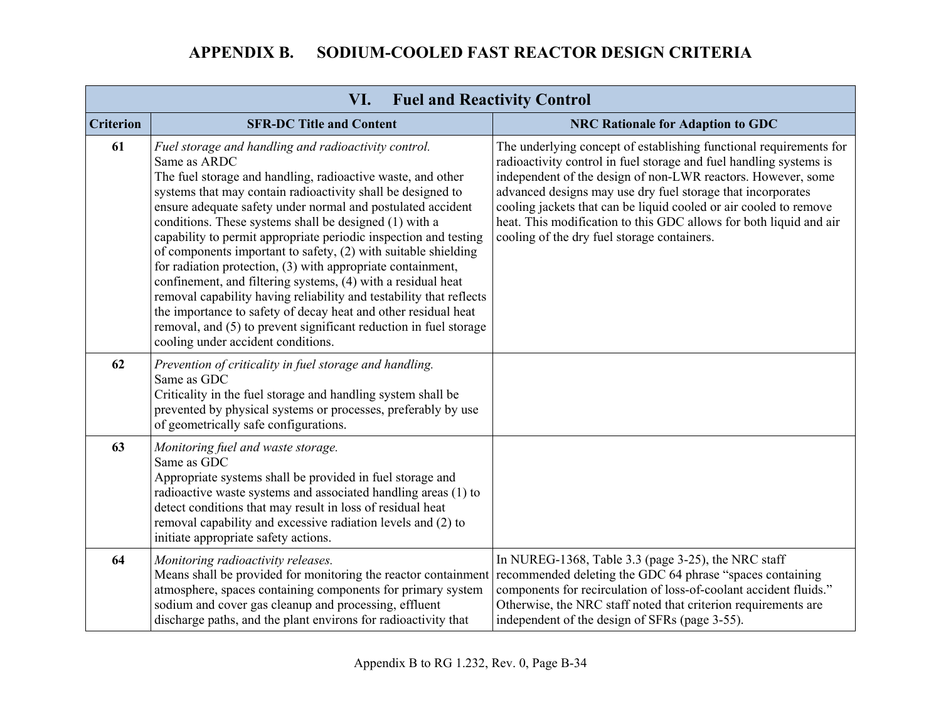| <b>Fuel and Reactivity Control</b><br>VI. |                                                                                                                                                                                                                                                                                                                                                                                                                                                                                                                                                                                                                                                                                                                                                                                                                                                      |                                                                                                                                                                                                                                                                                                                                                                                                                                                                   |
|-------------------------------------------|------------------------------------------------------------------------------------------------------------------------------------------------------------------------------------------------------------------------------------------------------------------------------------------------------------------------------------------------------------------------------------------------------------------------------------------------------------------------------------------------------------------------------------------------------------------------------------------------------------------------------------------------------------------------------------------------------------------------------------------------------------------------------------------------------------------------------------------------------|-------------------------------------------------------------------------------------------------------------------------------------------------------------------------------------------------------------------------------------------------------------------------------------------------------------------------------------------------------------------------------------------------------------------------------------------------------------------|
| <b>Criterion</b>                          | <b>SFR-DC Title and Content</b>                                                                                                                                                                                                                                                                                                                                                                                                                                                                                                                                                                                                                                                                                                                                                                                                                      | <b>NRC Rationale for Adaption to GDC</b>                                                                                                                                                                                                                                                                                                                                                                                                                          |
| 61                                        | Fuel storage and handling and radioactivity control.<br>Same as ARDC<br>The fuel storage and handling, radioactive waste, and other<br>systems that may contain radioactivity shall be designed to<br>ensure adequate safety under normal and postulated accident<br>conditions. These systems shall be designed (1) with a<br>capability to permit appropriate periodic inspection and testing<br>of components important to safety, (2) with suitable shielding<br>for radiation protection, (3) with appropriate containment,<br>confinement, and filtering systems, (4) with a residual heat<br>removal capability having reliability and testability that reflects<br>the importance to safety of decay heat and other residual heat<br>removal, and (5) to prevent significant reduction in fuel storage<br>cooling under accident conditions. | The underlying concept of establishing functional requirements for<br>radioactivity control in fuel storage and fuel handling systems is<br>independent of the design of non-LWR reactors. However, some<br>advanced designs may use dry fuel storage that incorporates<br>cooling jackets that can be liquid cooled or air cooled to remove<br>heat. This modification to this GDC allows for both liquid and air<br>cooling of the dry fuel storage containers. |
| 62                                        | Prevention of criticality in fuel storage and handling.<br>Same as GDC<br>Criticality in the fuel storage and handling system shall be<br>prevented by physical systems or processes, preferably by use<br>of geometrically safe configurations.                                                                                                                                                                                                                                                                                                                                                                                                                                                                                                                                                                                                     |                                                                                                                                                                                                                                                                                                                                                                                                                                                                   |
| 63                                        | Monitoring fuel and waste storage.<br>Same as GDC<br>Appropriate systems shall be provided in fuel storage and<br>radioactive waste systems and associated handling areas (1) to<br>detect conditions that may result in loss of residual heat<br>removal capability and excessive radiation levels and (2) to<br>initiate appropriate safety actions.                                                                                                                                                                                                                                                                                                                                                                                                                                                                                               |                                                                                                                                                                                                                                                                                                                                                                                                                                                                   |
| 64                                        | Monitoring radioactivity releases.<br>Means shall be provided for monitoring the reactor containment<br>atmosphere, spaces containing components for primary system<br>sodium and cover gas cleanup and processing, effluent<br>discharge paths, and the plant environs for radioactivity that                                                                                                                                                                                                                                                                                                                                                                                                                                                                                                                                                       | In NUREG-1368, Table 3.3 (page 3-25), the NRC staff<br>recommended deleting the GDC 64 phrase "spaces containing<br>components for recirculation of loss-of-coolant accident fluids."<br>Otherwise, the NRC staff noted that criterion requirements are<br>independent of the design of SFRs (page 3-55).                                                                                                                                                         |

## Appendix B to RG 1.232, Rev. 0, Page B-34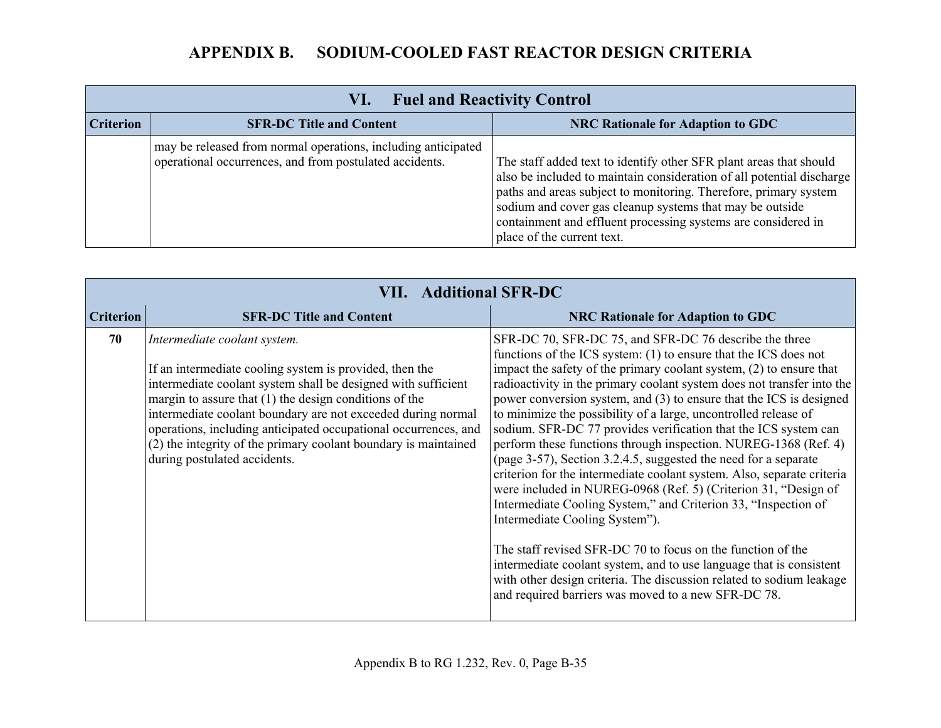| <b>Fuel and Reactivity Control</b><br>VI. |                                                                                                                          |                                                                                                                                                                                                                                                                                                                                                                            |
|-------------------------------------------|--------------------------------------------------------------------------------------------------------------------------|----------------------------------------------------------------------------------------------------------------------------------------------------------------------------------------------------------------------------------------------------------------------------------------------------------------------------------------------------------------------------|
| <b>Criterion</b>                          | <b>SFR-DC Title and Content</b>                                                                                          | <b>NRC Rationale for Adaption to GDC</b>                                                                                                                                                                                                                                                                                                                                   |
|                                           | may be released from normal operations, including anticipated<br>operational occurrences, and from postulated accidents. | The staff added text to identify other SFR plant areas that should<br>also be included to maintain consideration of all potential discharge<br>paths and areas subject to monitoring. Therefore, primary system<br>sodium and cover gas cleanup systems that may be outside<br>containment and effluent processing systems are considered in<br>place of the current text. |

|                  | <b>VII. Additional SFR-DC</b>                                                                                                                                                                                                                                                                                                                                                                                                                              |                                                                                                                                                                                                                                                                                                                                                                                                                                                                                                                                                                                                                                                                                                                                                                                                                                                                                                                                                                                                                                                                                                                                                         |  |
|------------------|------------------------------------------------------------------------------------------------------------------------------------------------------------------------------------------------------------------------------------------------------------------------------------------------------------------------------------------------------------------------------------------------------------------------------------------------------------|---------------------------------------------------------------------------------------------------------------------------------------------------------------------------------------------------------------------------------------------------------------------------------------------------------------------------------------------------------------------------------------------------------------------------------------------------------------------------------------------------------------------------------------------------------------------------------------------------------------------------------------------------------------------------------------------------------------------------------------------------------------------------------------------------------------------------------------------------------------------------------------------------------------------------------------------------------------------------------------------------------------------------------------------------------------------------------------------------------------------------------------------------------|--|
| <b>Criterion</b> | <b>SFR-DC Title and Content</b>                                                                                                                                                                                                                                                                                                                                                                                                                            | <b>NRC Rationale for Adaption to GDC</b>                                                                                                                                                                                                                                                                                                                                                                                                                                                                                                                                                                                                                                                                                                                                                                                                                                                                                                                                                                                                                                                                                                                |  |
| 70               | Intermediate coolant system.<br>If an intermediate cooling system is provided, then the<br>intermediate coolant system shall be designed with sufficient<br>margin to assure that $(1)$ the design conditions of the<br>intermediate coolant boundary are not exceeded during normal<br>operations, including anticipated occupational occurrences, and<br>(2) the integrity of the primary coolant boundary is maintained<br>during postulated accidents. | SFR-DC 70, SFR-DC 75, and SFR-DC 76 describe the three<br>functions of the ICS system: $(1)$ to ensure that the ICS does not<br>impact the safety of the primary coolant system, $(2)$ to ensure that<br>radioactivity in the primary coolant system does not transfer into the<br>power conversion system, and (3) to ensure that the ICS is designed<br>to minimize the possibility of a large, uncontrolled release of<br>sodium. SFR-DC 77 provides verification that the ICS system can<br>perform these functions through inspection. NUREG-1368 (Ref. 4)<br>(page 3-57), Section 3.2.4.5, suggested the need for a separate<br>criterion for the intermediate coolant system. Also, separate criteria<br>were included in NUREG-0968 (Ref. 5) (Criterion 31, "Design of<br>Intermediate Cooling System," and Criterion 33, "Inspection of<br>Intermediate Cooling System").<br>The staff revised SFR-DC 70 to focus on the function of the<br>intermediate coolant system, and to use language that is consistent<br>with other design criteria. The discussion related to sodium leakage<br>and required barriers was moved to a new SFR-DC 78. |  |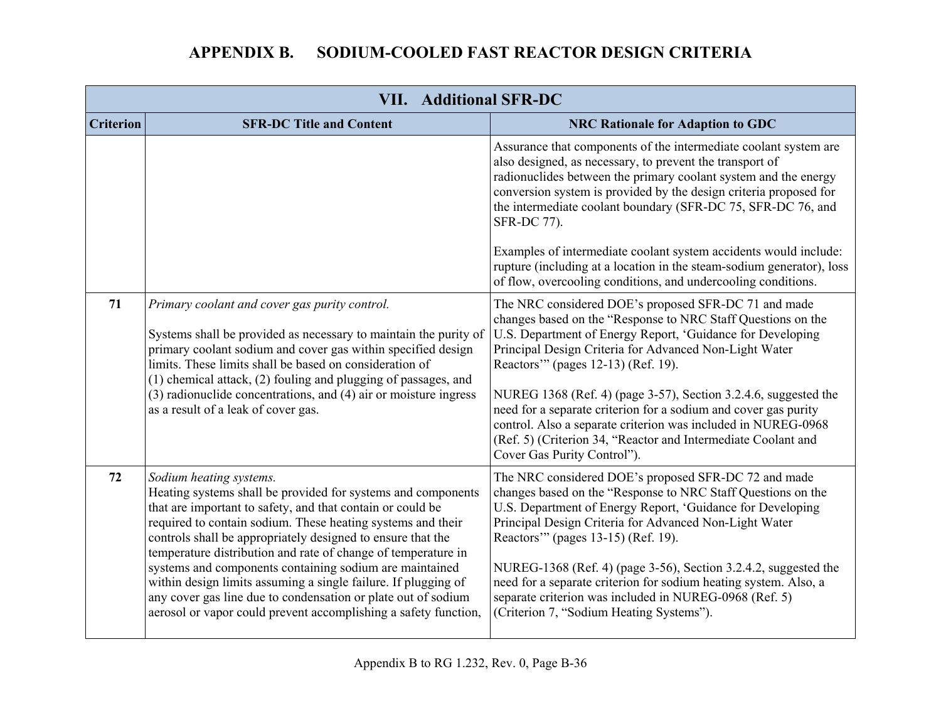| <b>VII. Additional SFR-DC</b> |                                                                                                                                                                                                                                                                                                                                                                                                                                                                                                                                                                                                                       |                                                                                                                                                                                                                                                                                                                                                                                                                                                                                                                                                                                           |
|-------------------------------|-----------------------------------------------------------------------------------------------------------------------------------------------------------------------------------------------------------------------------------------------------------------------------------------------------------------------------------------------------------------------------------------------------------------------------------------------------------------------------------------------------------------------------------------------------------------------------------------------------------------------|-------------------------------------------------------------------------------------------------------------------------------------------------------------------------------------------------------------------------------------------------------------------------------------------------------------------------------------------------------------------------------------------------------------------------------------------------------------------------------------------------------------------------------------------------------------------------------------------|
| <b>Criterion</b>              | <b>SFR-DC Title and Content</b>                                                                                                                                                                                                                                                                                                                                                                                                                                                                                                                                                                                       | <b>NRC Rationale for Adaption to GDC</b>                                                                                                                                                                                                                                                                                                                                                                                                                                                                                                                                                  |
|                               |                                                                                                                                                                                                                                                                                                                                                                                                                                                                                                                                                                                                                       | Assurance that components of the intermediate coolant system are<br>also designed, as necessary, to prevent the transport of<br>radionuclides between the primary coolant system and the energy<br>conversion system is provided by the design criteria proposed for<br>the intermediate coolant boundary (SFR-DC 75, SFR-DC 76, and<br>SFR-DC 77).                                                                                                                                                                                                                                       |
|                               |                                                                                                                                                                                                                                                                                                                                                                                                                                                                                                                                                                                                                       | Examples of intermediate coolant system accidents would include:<br>rupture (including at a location in the steam-sodium generator), loss<br>of flow, overcooling conditions, and undercooling conditions.                                                                                                                                                                                                                                                                                                                                                                                |
| 71                            | Primary coolant and cover gas purity control.<br>Systems shall be provided as necessary to maintain the purity of<br>primary coolant sodium and cover gas within specified design<br>limits. These limits shall be based on consideration of<br>(1) chemical attack, (2) fouling and plugging of passages, and<br>(3) radionuclide concentrations, and (4) air or moisture ingress<br>as a result of a leak of cover gas.                                                                                                                                                                                             | The NRC considered DOE's proposed SFR-DC 71 and made<br>changes based on the "Response to NRC Staff Questions on the<br>U.S. Department of Energy Report, 'Guidance for Developing<br>Principal Design Criteria for Advanced Non-Light Water<br>Reactors" (pages 12-13) (Ref. 19).<br>NUREG 1368 (Ref. 4) (page 3-57), Section 3.2.4.6, suggested the<br>need for a separate criterion for a sodium and cover gas purity<br>control. Also a separate criterion was included in NUREG-0968<br>(Ref. 5) (Criterion 34, "Reactor and Intermediate Coolant and<br>Cover Gas Purity Control"). |
| 72                            | Sodium heating systems.<br>Heating systems shall be provided for systems and components<br>that are important to safety, and that contain or could be<br>required to contain sodium. These heating systems and their<br>controls shall be appropriately designed to ensure that the<br>temperature distribution and rate of change of temperature in<br>systems and components containing sodium are maintained<br>within design limits assuming a single failure. If plugging of<br>any cover gas line due to condensation or plate out of sodium<br>aerosol or vapor could prevent accomplishing a safety function, | The NRC considered DOE's proposed SFR-DC 72 and made<br>changes based on the "Response to NRC Staff Questions on the<br>U.S. Department of Energy Report, 'Guidance for Developing<br>Principal Design Criteria for Advanced Non-Light Water<br>Reactors" (pages 13-15) (Ref. 19).<br>NUREG-1368 (Ref. 4) (page 3-56), Section 3.2.4.2, suggested the<br>need for a separate criterion for sodium heating system. Also, a<br>separate criterion was included in NUREG-0968 (Ref. 5)<br>(Criterion 7, "Sodium Heating Systems").                                                           |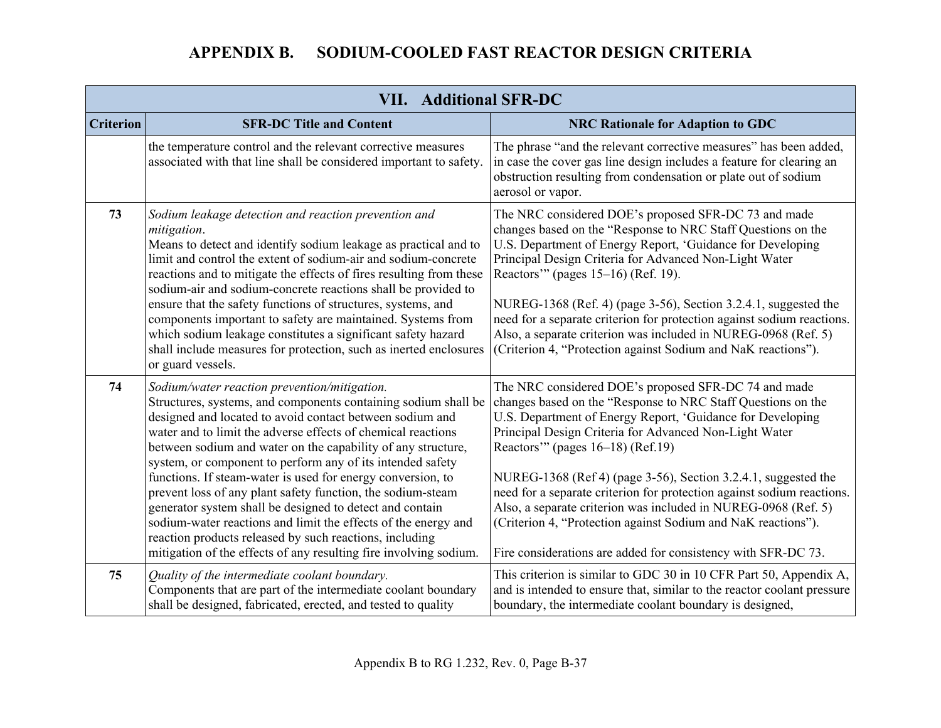|                  | <b>VII. Additional SFR-DC</b>                                                                                                                                                                                                                                                                                                                                                                                                                                                                                                                                                                                                                                                                                                                                        |                                                                                                                                                                                                                                                                                                                                                                                                                                                                                                                                                                                                                                     |  |
|------------------|----------------------------------------------------------------------------------------------------------------------------------------------------------------------------------------------------------------------------------------------------------------------------------------------------------------------------------------------------------------------------------------------------------------------------------------------------------------------------------------------------------------------------------------------------------------------------------------------------------------------------------------------------------------------------------------------------------------------------------------------------------------------|-------------------------------------------------------------------------------------------------------------------------------------------------------------------------------------------------------------------------------------------------------------------------------------------------------------------------------------------------------------------------------------------------------------------------------------------------------------------------------------------------------------------------------------------------------------------------------------------------------------------------------------|--|
| <b>Criterion</b> | <b>SFR-DC Title and Content</b>                                                                                                                                                                                                                                                                                                                                                                                                                                                                                                                                                                                                                                                                                                                                      | <b>NRC Rationale for Adaption to GDC</b>                                                                                                                                                                                                                                                                                                                                                                                                                                                                                                                                                                                            |  |
|                  | the temperature control and the relevant corrective measures<br>associated with that line shall be considered important to safety.                                                                                                                                                                                                                                                                                                                                                                                                                                                                                                                                                                                                                                   | The phrase "and the relevant corrective measures" has been added,<br>in case the cover gas line design includes a feature for clearing an<br>obstruction resulting from condensation or plate out of sodium<br>aerosol or vapor.                                                                                                                                                                                                                                                                                                                                                                                                    |  |
| 73               | Sodium leakage detection and reaction prevention and<br>mitigation.<br>Means to detect and identify sodium leakage as practical and to<br>limit and control the extent of sodium-air and sodium-concrete<br>reactions and to mitigate the effects of fires resulting from these<br>sodium-air and sodium-concrete reactions shall be provided to<br>ensure that the safety functions of structures, systems, and<br>components important to safety are maintained. Systems from<br>which sodium leakage constitutes a significant safety hazard<br>shall include measures for protection, such as inerted enclosures<br>or guard vessels.                                                                                                                            | The NRC considered DOE's proposed SFR-DC 73 and made<br>changes based on the "Response to NRC Staff Questions on the<br>U.S. Department of Energy Report, 'Guidance for Developing<br>Principal Design Criteria for Advanced Non-Light Water<br>Reactors" (pages 15–16) (Ref. 19).<br>NUREG-1368 (Ref. 4) (page 3-56), Section 3.2.4.1, suggested the<br>need for a separate criterion for protection against sodium reactions.<br>Also, a separate criterion was included in NUREG-0968 (Ref. 5)<br>(Criterion 4, "Protection against Sodium and NaK reactions").                                                                  |  |
| 74               | Sodium/water reaction prevention/mitigation.<br>Structures, systems, and components containing sodium shall be<br>designed and located to avoid contact between sodium and<br>water and to limit the adverse effects of chemical reactions<br>between sodium and water on the capability of any structure,<br>system, or component to perform any of its intended safety<br>functions. If steam-water is used for energy conversion, to<br>prevent loss of any plant safety function, the sodium-steam<br>generator system shall be designed to detect and contain<br>sodium-water reactions and limit the effects of the energy and<br>reaction products released by such reactions, including<br>mitigation of the effects of any resulting fire involving sodium. | The NRC considered DOE's proposed SFR-DC 74 and made<br>changes based on the "Response to NRC Staff Questions on the<br>U.S. Department of Energy Report, 'Guidance for Developing<br>Principal Design Criteria for Advanced Non-Light Water<br>Reactors" (pages $16-18$ ) (Ref.19)<br>NUREG-1368 (Ref 4) (page 3-56), Section 3.2.4.1, suggested the<br>need for a separate criterion for protection against sodium reactions.<br>Also, a separate criterion was included in NUREG-0968 (Ref. 5)<br>(Criterion 4, "Protection against Sodium and NaK reactions").<br>Fire considerations are added for consistency with SFR-DC 73. |  |
| 75               | Quality of the intermediate coolant boundary.<br>Components that are part of the intermediate coolant boundary<br>shall be designed, fabricated, erected, and tested to quality                                                                                                                                                                                                                                                                                                                                                                                                                                                                                                                                                                                      | This criterion is similar to GDC 30 in 10 CFR Part 50, Appendix A,<br>and is intended to ensure that, similar to the reactor coolant pressure<br>boundary, the intermediate coolant boundary is designed,                                                                                                                                                                                                                                                                                                                                                                                                                           |  |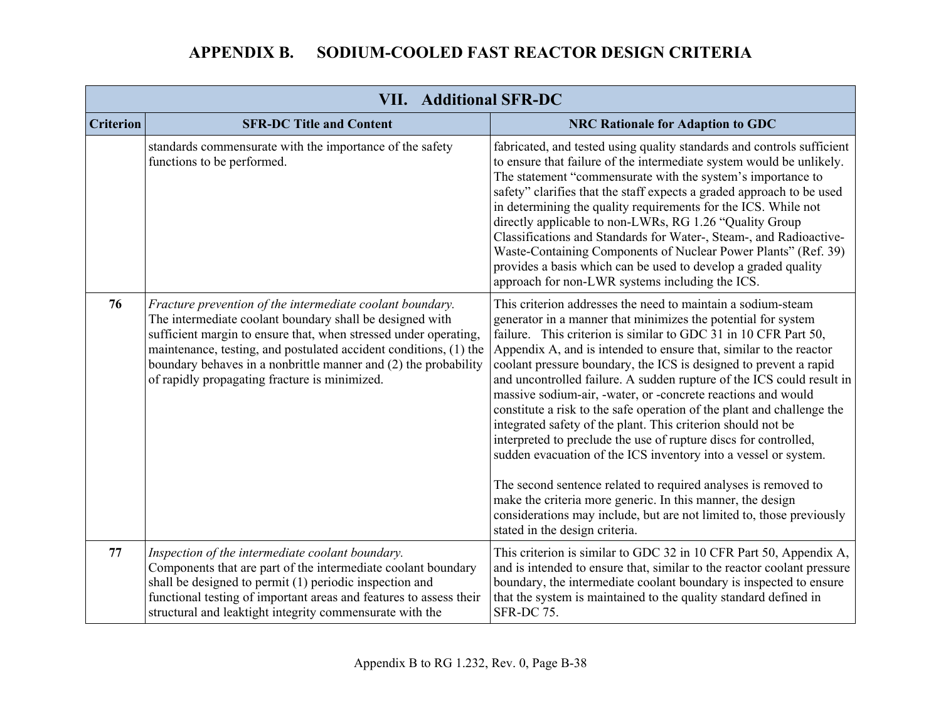|                  | <b>VII. Additional SFR-DC</b>                                                                                                                                                                                                                                                                                                                                                      |                                                                                                                                                                                                                                                                                                                                                                                                                                                                                                                                                                                                                                                                                                                                                                                                                                                                                                                                                                                                                 |  |
|------------------|------------------------------------------------------------------------------------------------------------------------------------------------------------------------------------------------------------------------------------------------------------------------------------------------------------------------------------------------------------------------------------|-----------------------------------------------------------------------------------------------------------------------------------------------------------------------------------------------------------------------------------------------------------------------------------------------------------------------------------------------------------------------------------------------------------------------------------------------------------------------------------------------------------------------------------------------------------------------------------------------------------------------------------------------------------------------------------------------------------------------------------------------------------------------------------------------------------------------------------------------------------------------------------------------------------------------------------------------------------------------------------------------------------------|--|
| <b>Criterion</b> | <b>SFR-DC Title and Content</b>                                                                                                                                                                                                                                                                                                                                                    | <b>NRC Rationale for Adaption to GDC</b>                                                                                                                                                                                                                                                                                                                                                                                                                                                                                                                                                                                                                                                                                                                                                                                                                                                                                                                                                                        |  |
|                  | standards commensurate with the importance of the safety<br>functions to be performed.                                                                                                                                                                                                                                                                                             | fabricated, and tested using quality standards and controls sufficient<br>to ensure that failure of the intermediate system would be unlikely.<br>The statement "commensurate with the system's importance to<br>safety" clarifies that the staff expects a graded approach to be used<br>in determining the quality requirements for the ICS. While not<br>directly applicable to non-LWRs, RG 1.26 "Quality Group<br>Classifications and Standards for Water-, Steam-, and Radioactive-<br>Waste-Containing Components of Nuclear Power Plants" (Ref. 39)<br>provides a basis which can be used to develop a graded quality<br>approach for non-LWR systems including the ICS.                                                                                                                                                                                                                                                                                                                                |  |
| 76               | Fracture prevention of the intermediate coolant boundary.<br>The intermediate coolant boundary shall be designed with<br>sufficient margin to ensure that, when stressed under operating,<br>maintenance, testing, and postulated accident conditions, (1) the<br>boundary behaves in a nonbrittle manner and (2) the probability<br>of rapidly propagating fracture is minimized. | This criterion addresses the need to maintain a sodium-steam<br>generator in a manner that minimizes the potential for system<br>failure. This criterion is similar to GDC 31 in 10 CFR Part 50,<br>Appendix A, and is intended to ensure that, similar to the reactor<br>coolant pressure boundary, the ICS is designed to prevent a rapid<br>and uncontrolled failure. A sudden rupture of the ICS could result in<br>massive sodium-air, -water, or -concrete reactions and would<br>constitute a risk to the safe operation of the plant and challenge the<br>integrated safety of the plant. This criterion should not be<br>interpreted to preclude the use of rupture discs for controlled,<br>sudden evacuation of the ICS inventory into a vessel or system.<br>The second sentence related to required analyses is removed to<br>make the criteria more generic. In this manner, the design<br>considerations may include, but are not limited to, those previously<br>stated in the design criteria. |  |
| 77               | Inspection of the intermediate coolant boundary.<br>Components that are part of the intermediate coolant boundary<br>shall be designed to permit (1) periodic inspection and<br>functional testing of important areas and features to assess their<br>structural and leaktight integrity commensurate with the                                                                     | This criterion is similar to GDC 32 in 10 CFR Part 50, Appendix A,<br>and is intended to ensure that, similar to the reactor coolant pressure<br>boundary, the intermediate coolant boundary is inspected to ensure<br>that the system is maintained to the quality standard defined in<br>SFR-DC 75.                                                                                                                                                                                                                                                                                                                                                                                                                                                                                                                                                                                                                                                                                                           |  |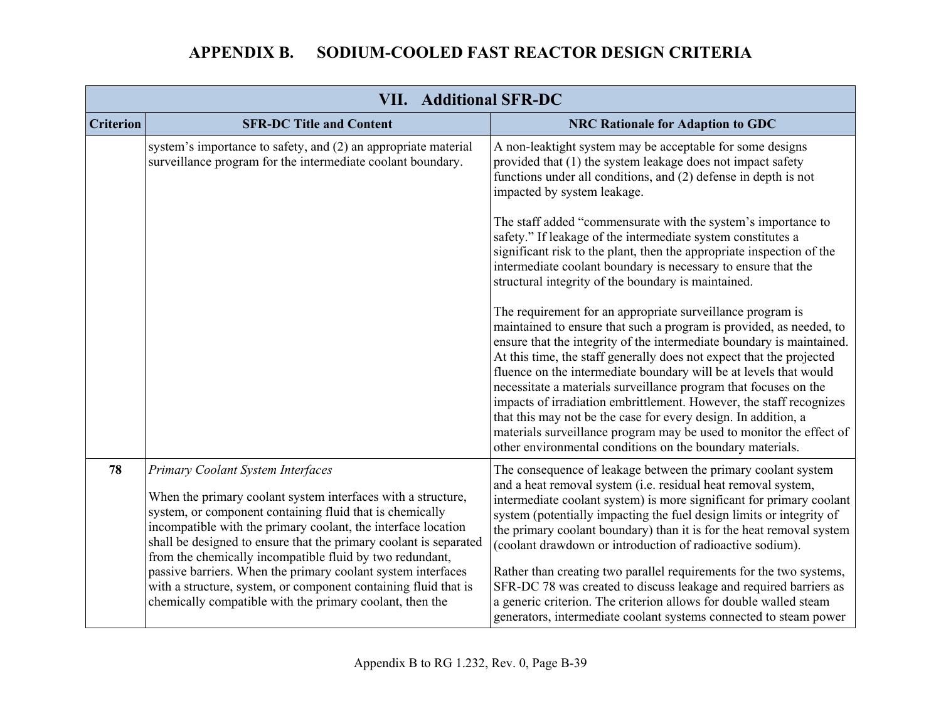|                  | <b>VII. Additional SFR-DC</b>                                                                                                                                                                                                                                                                                                                                                                                                                                                                                                                                  |                                                                                                                                                                                                                                                                                                                                                                                                                                                                                                                                                                                                                                                                                                           |  |
|------------------|----------------------------------------------------------------------------------------------------------------------------------------------------------------------------------------------------------------------------------------------------------------------------------------------------------------------------------------------------------------------------------------------------------------------------------------------------------------------------------------------------------------------------------------------------------------|-----------------------------------------------------------------------------------------------------------------------------------------------------------------------------------------------------------------------------------------------------------------------------------------------------------------------------------------------------------------------------------------------------------------------------------------------------------------------------------------------------------------------------------------------------------------------------------------------------------------------------------------------------------------------------------------------------------|--|
| <b>Criterion</b> | <b>SFR-DC Title and Content</b>                                                                                                                                                                                                                                                                                                                                                                                                                                                                                                                                | <b>NRC Rationale for Adaption to GDC</b>                                                                                                                                                                                                                                                                                                                                                                                                                                                                                                                                                                                                                                                                  |  |
|                  | system's importance to safety, and (2) an appropriate material<br>surveillance program for the intermediate coolant boundary.                                                                                                                                                                                                                                                                                                                                                                                                                                  | A non-leaktight system may be acceptable for some designs<br>provided that (1) the system leakage does not impact safety<br>functions under all conditions, and (2) defense in depth is not<br>impacted by system leakage.                                                                                                                                                                                                                                                                                                                                                                                                                                                                                |  |
|                  |                                                                                                                                                                                                                                                                                                                                                                                                                                                                                                                                                                | The staff added "commensurate with the system's importance to<br>safety." If leakage of the intermediate system constitutes a<br>significant risk to the plant, then the appropriate inspection of the<br>intermediate coolant boundary is necessary to ensure that the<br>structural integrity of the boundary is maintained.                                                                                                                                                                                                                                                                                                                                                                            |  |
|                  |                                                                                                                                                                                                                                                                                                                                                                                                                                                                                                                                                                | The requirement for an appropriate surveillance program is<br>maintained to ensure that such a program is provided, as needed, to<br>ensure that the integrity of the intermediate boundary is maintained.<br>At this time, the staff generally does not expect that the projected<br>fluence on the intermediate boundary will be at levels that would<br>necessitate a materials surveillance program that focuses on the<br>impacts of irradiation embrittlement. However, the staff recognizes<br>that this may not be the case for every design. In addition, a<br>materials surveillance program may be used to monitor the effect of<br>other environmental conditions on the boundary materials.  |  |
| 78               | Primary Coolant System Interfaces<br>When the primary coolant system interfaces with a structure,<br>system, or component containing fluid that is chemically<br>incompatible with the primary coolant, the interface location<br>shall be designed to ensure that the primary coolant is separated<br>from the chemically incompatible fluid by two redundant,<br>passive barriers. When the primary coolant system interfaces<br>with a structure, system, or component containing fluid that is<br>chemically compatible with the primary coolant, then the | The consequence of leakage between the primary coolant system<br>and a heat removal system (i.e. residual heat removal system,<br>intermediate coolant system) is more significant for primary coolant<br>system (potentially impacting the fuel design limits or integrity of<br>the primary coolant boundary) than it is for the heat removal system<br>(coolant drawdown or introduction of radioactive sodium).<br>Rather than creating two parallel requirements for the two systems,<br>SFR-DC 78 was created to discuss leakage and required barriers as<br>a generic criterion. The criterion allows for double walled steam<br>generators, intermediate coolant systems connected to steam power |  |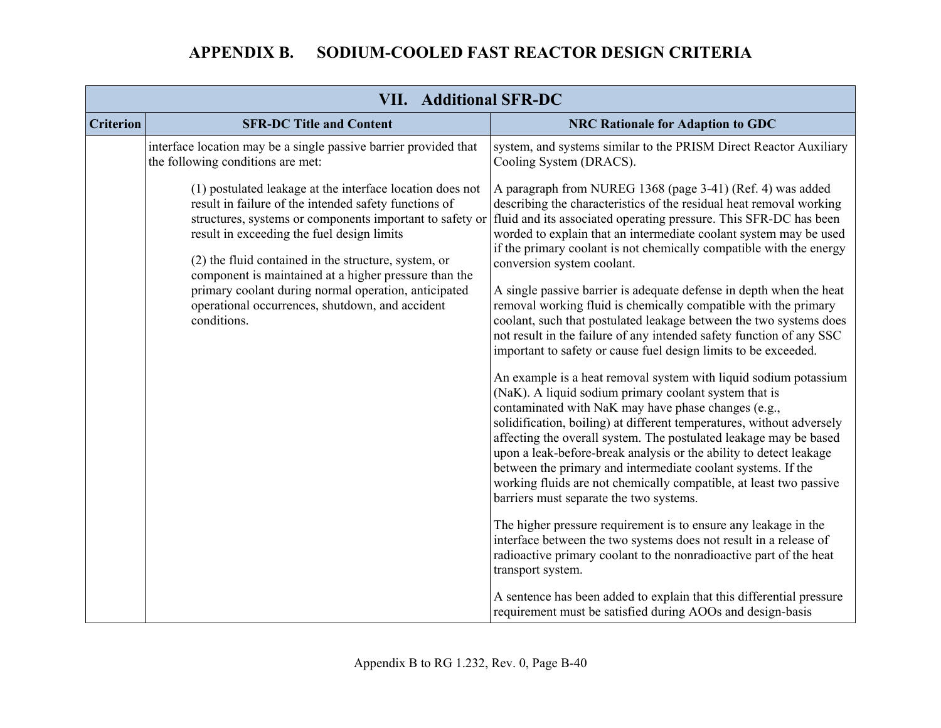| <b>VII. Additional SFR-DC</b> |                                                                                                                                                                                                                                                                                                                                                                                                                                                                         |                                                                                                                                                                                                                                                                                                                                                                                                                                                                                                                                                                                                                                                                                                                                                                                                                                                                                                                                                                                                                                                                                                                                                                                                                                                                                                                                      |
|-------------------------------|-------------------------------------------------------------------------------------------------------------------------------------------------------------------------------------------------------------------------------------------------------------------------------------------------------------------------------------------------------------------------------------------------------------------------------------------------------------------------|--------------------------------------------------------------------------------------------------------------------------------------------------------------------------------------------------------------------------------------------------------------------------------------------------------------------------------------------------------------------------------------------------------------------------------------------------------------------------------------------------------------------------------------------------------------------------------------------------------------------------------------------------------------------------------------------------------------------------------------------------------------------------------------------------------------------------------------------------------------------------------------------------------------------------------------------------------------------------------------------------------------------------------------------------------------------------------------------------------------------------------------------------------------------------------------------------------------------------------------------------------------------------------------------------------------------------------------|
| <b>Criterion</b>              | <b>SFR-DC Title and Content</b>                                                                                                                                                                                                                                                                                                                                                                                                                                         | <b>NRC Rationale for Adaption to GDC</b>                                                                                                                                                                                                                                                                                                                                                                                                                                                                                                                                                                                                                                                                                                                                                                                                                                                                                                                                                                                                                                                                                                                                                                                                                                                                                             |
|                               | interface location may be a single passive barrier provided that<br>the following conditions are met:                                                                                                                                                                                                                                                                                                                                                                   | system, and systems similar to the PRISM Direct Reactor Auxiliary<br>Cooling System (DRACS).                                                                                                                                                                                                                                                                                                                                                                                                                                                                                                                                                                                                                                                                                                                                                                                                                                                                                                                                                                                                                                                                                                                                                                                                                                         |
|                               | (1) postulated leakage at the interface location does not<br>result in failure of the intended safety functions of<br>structures, systems or components important to safety or<br>result in exceeding the fuel design limits<br>(2) the fluid contained in the structure, system, or<br>component is maintained at a higher pressure than the<br>primary coolant during normal operation, anticipated<br>operational occurrences, shutdown, and accident<br>conditions. | A paragraph from NUREG 1368 (page 3-41) (Ref. 4) was added<br>describing the characteristics of the residual heat removal working<br>fluid and its associated operating pressure. This SFR-DC has been<br>worded to explain that an intermediate coolant system may be used<br>if the primary coolant is not chemically compatible with the energy<br>conversion system coolant.<br>A single passive barrier is adequate defense in depth when the heat<br>removal working fluid is chemically compatible with the primary<br>coolant, such that postulated leakage between the two systems does<br>not result in the failure of any intended safety function of any SSC<br>important to safety or cause fuel design limits to be exceeded.<br>An example is a heat removal system with liquid sodium potassium<br>(NaK). A liquid sodium primary coolant system that is<br>contaminated with NaK may have phase changes (e.g.,<br>solidification, boiling) at different temperatures, without adversely<br>affecting the overall system. The postulated leakage may be based<br>upon a leak-before-break analysis or the ability to detect leakage<br>between the primary and intermediate coolant systems. If the<br>working fluids are not chemically compatible, at least two passive<br>barriers must separate the two systems. |
|                               |                                                                                                                                                                                                                                                                                                                                                                                                                                                                         | The higher pressure requirement is to ensure any leakage in the<br>interface between the two systems does not result in a release of<br>radioactive primary coolant to the nonradioactive part of the heat<br>transport system.                                                                                                                                                                                                                                                                                                                                                                                                                                                                                                                                                                                                                                                                                                                                                                                                                                                                                                                                                                                                                                                                                                      |
|                               |                                                                                                                                                                                                                                                                                                                                                                                                                                                                         | A sentence has been added to explain that this differential pressure<br>requirement must be satisfied during AOOs and design-basis                                                                                                                                                                                                                                                                                                                                                                                                                                                                                                                                                                                                                                                                                                                                                                                                                                                                                                                                                                                                                                                                                                                                                                                                   |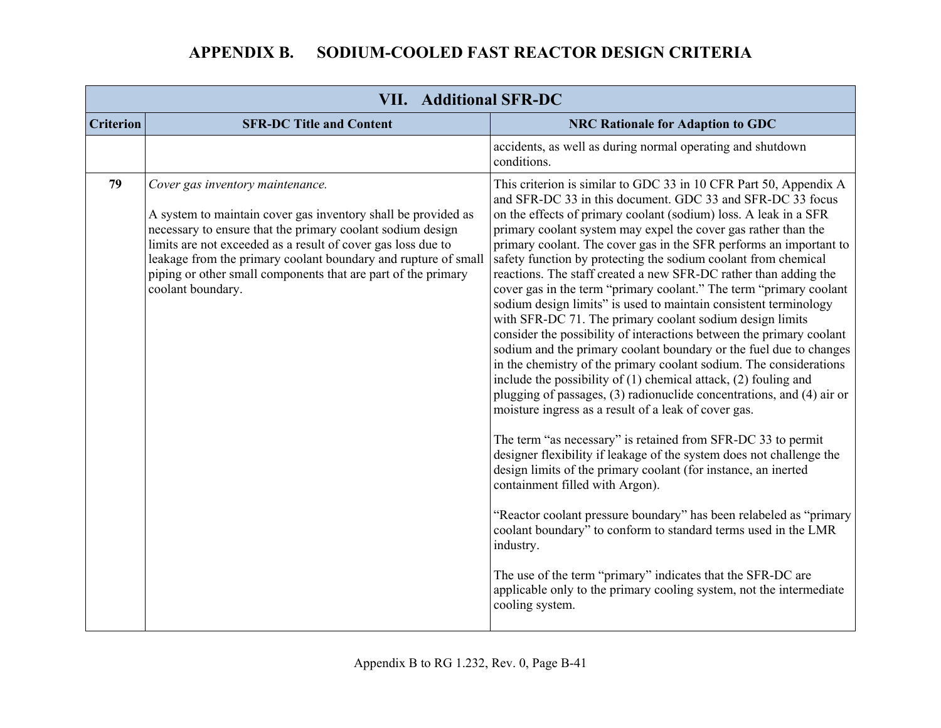| <b>VII. Additional SFR-DC</b> |                                                                                                                                                                                                                                                                                                                                                                                         |                                                                                                                                                                                                                                                                                                                                                                                                                                                                                                                                                                                                                                                                                                                                                                                                                                                                                                                                                                                                                                                                                                                                                                                                                                                                                                                                                                                                                                                                                                                                                                                                                                                                            |
|-------------------------------|-----------------------------------------------------------------------------------------------------------------------------------------------------------------------------------------------------------------------------------------------------------------------------------------------------------------------------------------------------------------------------------------|----------------------------------------------------------------------------------------------------------------------------------------------------------------------------------------------------------------------------------------------------------------------------------------------------------------------------------------------------------------------------------------------------------------------------------------------------------------------------------------------------------------------------------------------------------------------------------------------------------------------------------------------------------------------------------------------------------------------------------------------------------------------------------------------------------------------------------------------------------------------------------------------------------------------------------------------------------------------------------------------------------------------------------------------------------------------------------------------------------------------------------------------------------------------------------------------------------------------------------------------------------------------------------------------------------------------------------------------------------------------------------------------------------------------------------------------------------------------------------------------------------------------------------------------------------------------------------------------------------------------------------------------------------------------------|
| <b>Criterion</b>              | <b>SFR-DC Title and Content</b>                                                                                                                                                                                                                                                                                                                                                         | <b>NRC Rationale for Adaption to GDC</b>                                                                                                                                                                                                                                                                                                                                                                                                                                                                                                                                                                                                                                                                                                                                                                                                                                                                                                                                                                                                                                                                                                                                                                                                                                                                                                                                                                                                                                                                                                                                                                                                                                   |
|                               |                                                                                                                                                                                                                                                                                                                                                                                         | accidents, as well as during normal operating and shutdown<br>conditions.                                                                                                                                                                                                                                                                                                                                                                                                                                                                                                                                                                                                                                                                                                                                                                                                                                                                                                                                                                                                                                                                                                                                                                                                                                                                                                                                                                                                                                                                                                                                                                                                  |
| 79                            | Cover gas inventory maintenance.<br>A system to maintain cover gas inventory shall be provided as<br>necessary to ensure that the primary coolant sodium design<br>limits are not exceeded as a result of cover gas loss due to<br>leakage from the primary coolant boundary and rupture of small<br>piping or other small components that are part of the primary<br>coolant boundary. | This criterion is similar to GDC 33 in 10 CFR Part 50, Appendix A<br>and SFR-DC 33 in this document. GDC 33 and SFR-DC 33 focus<br>on the effects of primary coolant (sodium) loss. A leak in a SFR<br>primary coolant system may expel the cover gas rather than the<br>primary coolant. The cover gas in the SFR performs an important to<br>safety function by protecting the sodium coolant from chemical<br>reactions. The staff created a new SFR-DC rather than adding the<br>cover gas in the term "primary coolant." The term "primary coolant<br>sodium design limits" is used to maintain consistent terminology<br>with SFR-DC 71. The primary coolant sodium design limits<br>consider the possibility of interactions between the primary coolant<br>sodium and the primary coolant boundary or the fuel due to changes<br>in the chemistry of the primary coolant sodium. The considerations<br>include the possibility of (1) chemical attack, (2) fouling and<br>plugging of passages, (3) radionuclide concentrations, and (4) air or<br>moisture ingress as a result of a leak of cover gas.<br>The term "as necessary" is retained from SFR-DC 33 to permit<br>designer flexibility if leakage of the system does not challenge the<br>design limits of the primary coolant (for instance, an inerted<br>containment filled with Argon).<br>"Reactor coolant pressure boundary" has been relabeled as "primary<br>coolant boundary" to conform to standard terms used in the LMR<br>industry.<br>The use of the term "primary" indicates that the SFR-DC are<br>applicable only to the primary cooling system, not the intermediate<br>cooling system. |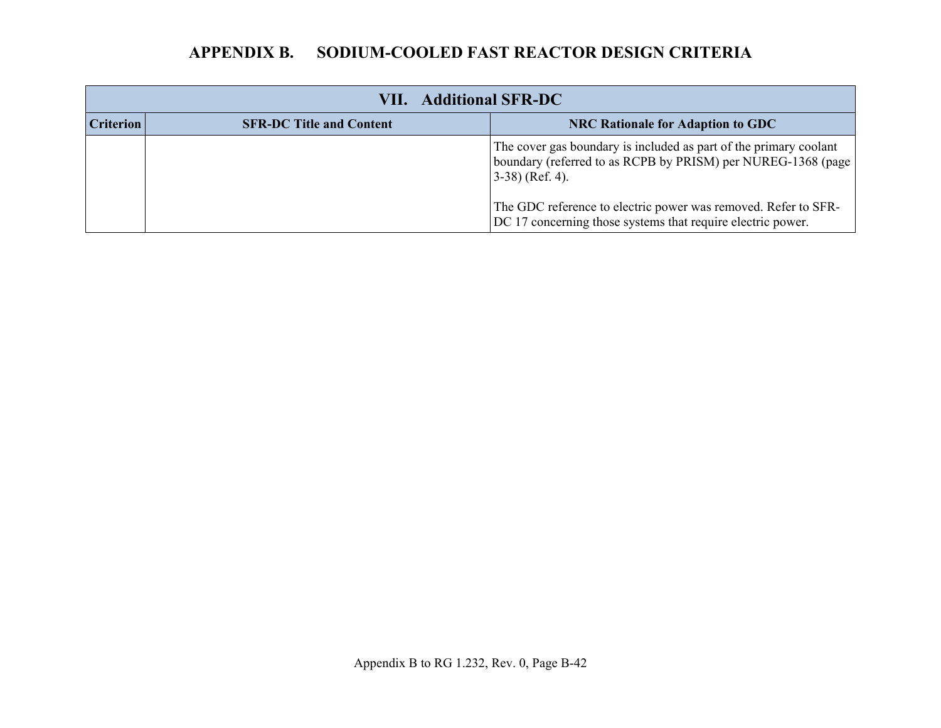| <b>VII.</b> Additional SFR-DC |                                 |                                                                                                                                                         |
|-------------------------------|---------------------------------|---------------------------------------------------------------------------------------------------------------------------------------------------------|
| <b>Criterion</b>              | <b>SFR-DC Title and Content</b> | <b>NRC Rationale for Adaption to GDC</b>                                                                                                                |
|                               |                                 | The cover gas boundary is included as part of the primary coolant<br>boundary (referred to as RCPB by PRISM) per NUREG-1368 (page<br>$(3-38)$ (Ref. 4). |
|                               |                                 | The GDC reference to electric power was removed. Refer to SFR-<br>DC 17 concerning those systems that require electric power.                           |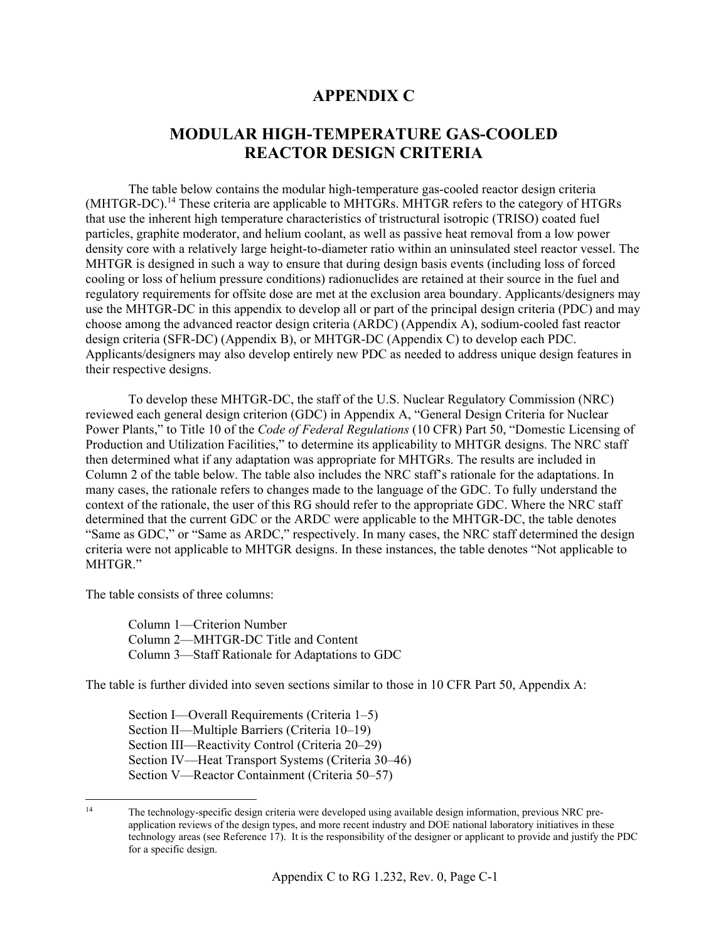#### **APPENDIX C**

#### **MODULAR HIGH-TEMPERATURE GAS-COOLED REACTOR DESIGN CRITERIA**

The table below contains the modular high-temperature gas-cooled reactor design criteria (MHTGR-DC).<sup>14</sup> These criteria are applicable to MHTGRs. MHTGR refers to the category of HTGRs that use the inherent high temperature characteristics of tristructural isotropic (TRISO) coated fuel particles, graphite moderator, and helium coolant, as well as passive heat removal from a low power density core with a relatively large height-to-diameter ratio within an uninsulated steel reactor vessel. The MHTGR is designed in such a way to ensure that during design basis events (including loss of forced cooling or loss of helium pressure conditions) radionuclides are retained at their source in the fuel and regulatory requirements for offsite dose are met at the exclusion area boundary. Applicants/designers may use the MHTGR-DC in this appendix to develop all or part of the principal design criteria (PDC) and may choose among the advanced reactor design criteria (ARDC) (Appendix A), sodium-cooled fast reactor design criteria (SFR-DC) (Appendix B), or MHTGR-DC (Appendix C) to develop each PDC. Applicants/designers may also develop entirely new PDC as needed to address unique design features in their respective designs.

To develop these MHTGR-DC, the staff of the U.S. Nuclear Regulatory Commission (NRC) reviewed each general design criterion (GDC) in Appendix A, "General Design Criteria for Nuclear Power Plants," to Title 10 of the *Code of Federal Regulations* (10 CFR) Part 50, "Domestic Licensing of Production and Utilization Facilities," to determine its applicability to MHTGR designs. The NRC staff then determined what if any adaptation was appropriate for MHTGRs. The results are included in Column 2 of the table below. The table also includes the NRC staff's rationale for the adaptations. In many cases, the rationale refers to changes made to the language of the GDC. To fully understand the context of the rationale, the user of this RG should refer to the appropriate GDC. Where the NRC staff determined that the current GDC or the ARDC were applicable to the MHTGR-DC, the table denotes "Same as GDC," or "Same as ARDC," respectively. In many cases, the NRC staff determined the design criteria were not applicable to MHTGR designs. In these instances, the table denotes "Not applicable to MHTGR."

The table consists of three columns:

Column 1—Criterion Number Column 2—MHTGR-DC Title and Content Column 3—Staff Rationale for Adaptations to GDC

The table is further divided into seven sections similar to those in 10 CFR Part 50, Appendix A:

Section I—Overall Requirements (Criteria 1–5) Section II—Multiple Barriers (Criteria 10–19) Section III—Reactivity Control (Criteria 20–29) Section IV—Heat Transport Systems (Criteria 30–46) Section V—Reactor Containment (Criteria 50–57)

 $14$ The technology-specific design criteria were developed using available design information, previous NRC preapplication reviews of the design types, and more recent industry and DOE national laboratory initiatives in these technology areas (see Reference 17). It is the responsibility of the designer or applicant to provide and justify the PDC for a specific design.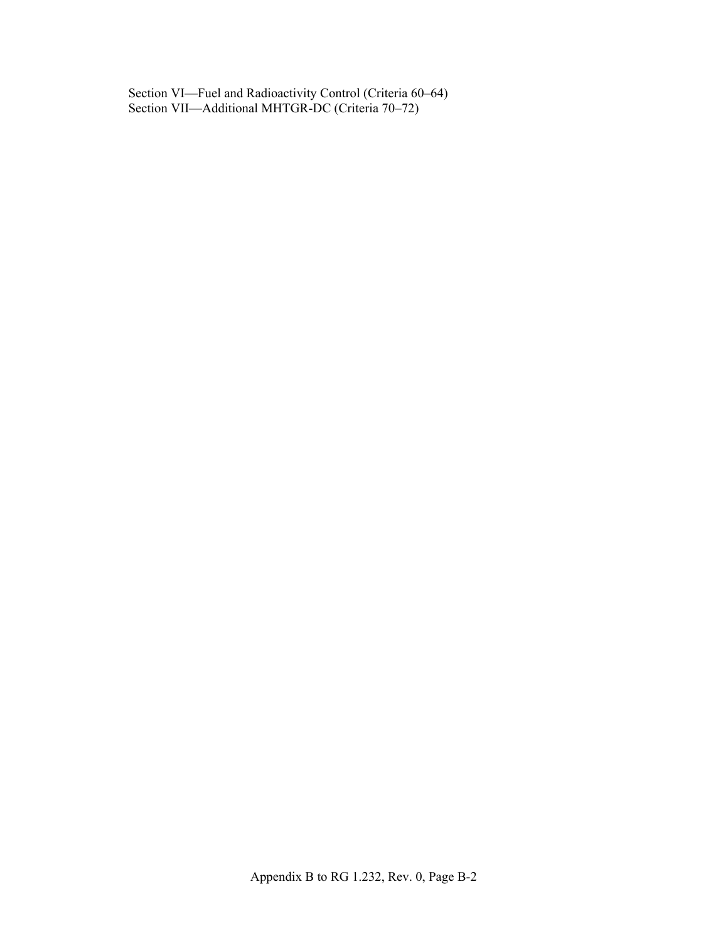Section VI—Fuel and Radioactivity Control (Criteria 60–64) Section VII—Additional MHTGR-DC (Criteria 70–72)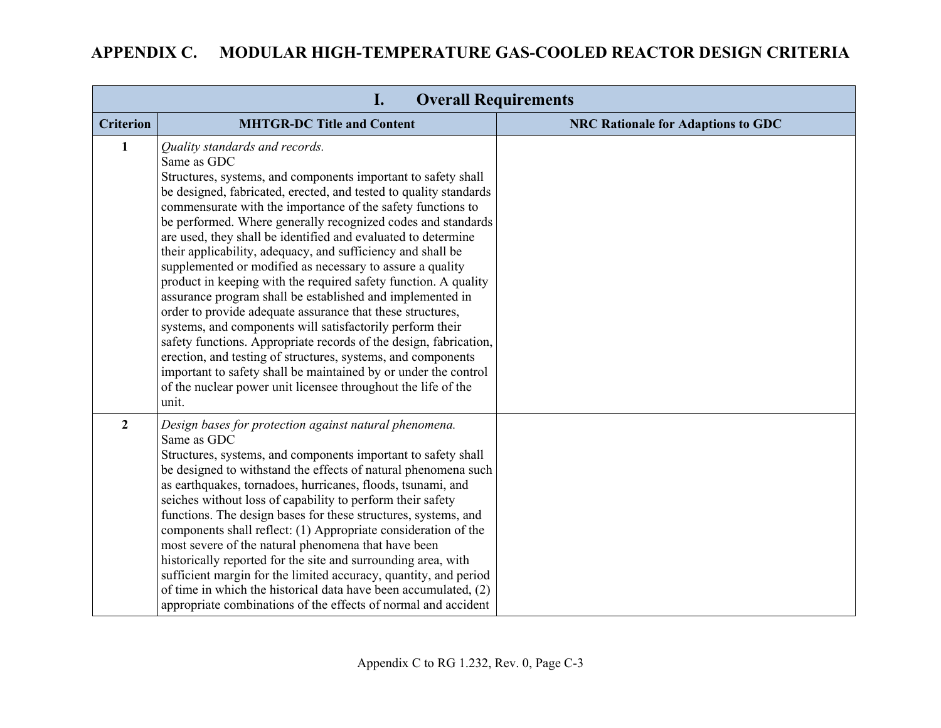#### **APPENDIX C. MODULAR HIGH-TEMPERATURE GAS-COOLED REACTOR DESIGN CRITERIA**

| <b>Overall Requirements</b><br>$\mathbf{l}$ . |                                                                                                                                                                                                                                                                                                                                                                                                                                                                                                                                                                                                                                                                                                                                                                                                                                                                                                                                                                                                                                                              |                                           |  |  |
|-----------------------------------------------|--------------------------------------------------------------------------------------------------------------------------------------------------------------------------------------------------------------------------------------------------------------------------------------------------------------------------------------------------------------------------------------------------------------------------------------------------------------------------------------------------------------------------------------------------------------------------------------------------------------------------------------------------------------------------------------------------------------------------------------------------------------------------------------------------------------------------------------------------------------------------------------------------------------------------------------------------------------------------------------------------------------------------------------------------------------|-------------------------------------------|--|--|
| <b>Criterion</b>                              | <b>MHTGR-DC Title and Content</b>                                                                                                                                                                                                                                                                                                                                                                                                                                                                                                                                                                                                                                                                                                                                                                                                                                                                                                                                                                                                                            | <b>NRC Rationale for Adaptions to GDC</b> |  |  |
| $\mathbf{1}$                                  | Quality standards and records.<br>Same as GDC<br>Structures, systems, and components important to safety shall<br>be designed, fabricated, erected, and tested to quality standards<br>commensurate with the importance of the safety functions to<br>be performed. Where generally recognized codes and standards<br>are used, they shall be identified and evaluated to determine<br>their applicability, adequacy, and sufficiency and shall be<br>supplemented or modified as necessary to assure a quality<br>product in keeping with the required safety function. A quality<br>assurance program shall be established and implemented in<br>order to provide adequate assurance that these structures,<br>systems, and components will satisfactorily perform their<br>safety functions. Appropriate records of the design, fabrication,<br>erection, and testing of structures, systems, and components<br>important to safety shall be maintained by or under the control<br>of the nuclear power unit licensee throughout the life of the<br>unit. |                                           |  |  |
| $\overline{2}$                                | Design bases for protection against natural phenomena.<br>Same as GDC<br>Structures, systems, and components important to safety shall<br>be designed to withstand the effects of natural phenomena such<br>as earthquakes, tornadoes, hurricanes, floods, tsunami, and<br>seiches without loss of capability to perform their safety<br>functions. The design bases for these structures, systems, and<br>components shall reflect: (1) Appropriate consideration of the<br>most severe of the natural phenomena that have been<br>historically reported for the site and surrounding area, with<br>sufficient margin for the limited accuracy, quantity, and period<br>of time in which the historical data have been accumulated, (2)<br>appropriate combinations of the effects of normal and accident                                                                                                                                                                                                                                                   |                                           |  |  |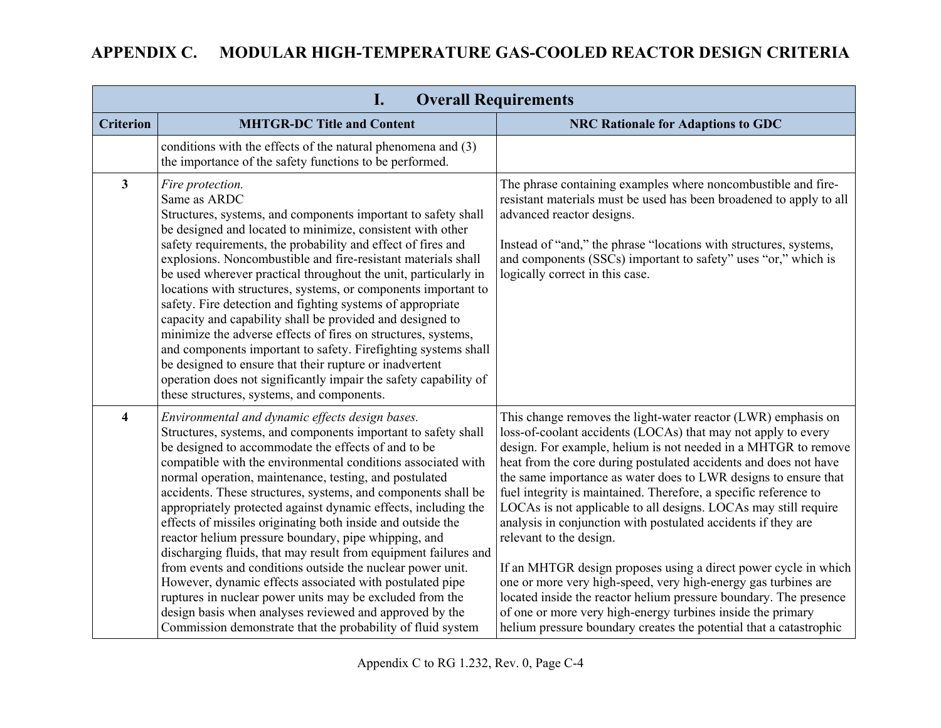# **APPENDIX C. MODULAR HIGH-TEMPERATURE GAS-COOLED REACTOR DESIGN CRITERIA**

| <b>Overall Requirements</b><br>I. |                                                                                                                                                                                                                                                                                                                                                                                                                                                                                                                                                                                                                                                                                                                                                                                                                                                                                                                                                |                                                                                                                                                                                                                                                                                                                                                                                                                                                                                                                                                                                                                                                                                                                                                                                                                                                                                                                           |  |  |  |
|-----------------------------------|------------------------------------------------------------------------------------------------------------------------------------------------------------------------------------------------------------------------------------------------------------------------------------------------------------------------------------------------------------------------------------------------------------------------------------------------------------------------------------------------------------------------------------------------------------------------------------------------------------------------------------------------------------------------------------------------------------------------------------------------------------------------------------------------------------------------------------------------------------------------------------------------------------------------------------------------|---------------------------------------------------------------------------------------------------------------------------------------------------------------------------------------------------------------------------------------------------------------------------------------------------------------------------------------------------------------------------------------------------------------------------------------------------------------------------------------------------------------------------------------------------------------------------------------------------------------------------------------------------------------------------------------------------------------------------------------------------------------------------------------------------------------------------------------------------------------------------------------------------------------------------|--|--|--|
| <b>Criterion</b>                  | <b>MHTGR-DC Title and Content</b>                                                                                                                                                                                                                                                                                                                                                                                                                                                                                                                                                                                                                                                                                                                                                                                                                                                                                                              | <b>NRC Rationale for Adaptions to GDC</b>                                                                                                                                                                                                                                                                                                                                                                                                                                                                                                                                                                                                                                                                                                                                                                                                                                                                                 |  |  |  |
|                                   | conditions with the effects of the natural phenomena and (3)<br>the importance of the safety functions to be performed.                                                                                                                                                                                                                                                                                                                                                                                                                                                                                                                                                                                                                                                                                                                                                                                                                        |                                                                                                                                                                                                                                                                                                                                                                                                                                                                                                                                                                                                                                                                                                                                                                                                                                                                                                                           |  |  |  |
| $\mathbf{3}$                      | Fire protection.<br>Same as ARDC<br>Structures, systems, and components important to safety shall<br>be designed and located to minimize, consistent with other<br>safety requirements, the probability and effect of fires and<br>explosions. Noncombustible and fire-resistant materials shall<br>be used wherever practical throughout the unit, particularly in<br>locations with structures, systems, or components important to<br>safety. Fire detection and fighting systems of appropriate<br>capacity and capability shall be provided and designed to<br>minimize the adverse effects of fires on structures, systems,<br>and components important to safety. Firefighting systems shall<br>be designed to ensure that their rupture or inadvertent<br>operation does not significantly impair the safety capability of<br>these structures, systems, and components.                                                               | The phrase containing examples where noncombustible and fire-<br>resistant materials must be used has been broadened to apply to all<br>advanced reactor designs.<br>Instead of "and," the phrase "locations with structures, systems,<br>and components (SSCs) important to safety" uses "or," which is<br>logically correct in this case.                                                                                                                                                                                                                                                                                                                                                                                                                                                                                                                                                                               |  |  |  |
| $\overline{\mathbf{4}}$           | Environmental and dynamic effects design bases.<br>Structures, systems, and components important to safety shall<br>be designed to accommodate the effects of and to be<br>compatible with the environmental conditions associated with<br>normal operation, maintenance, testing, and postulated<br>accidents. These structures, systems, and components shall be<br>appropriately protected against dynamic effects, including the<br>effects of missiles originating both inside and outside the<br>reactor helium pressure boundary, pipe whipping, and<br>discharging fluids, that may result from equipment failures and<br>from events and conditions outside the nuclear power unit.<br>However, dynamic effects associated with postulated pipe<br>ruptures in nuclear power units may be excluded from the<br>design basis when analyses reviewed and approved by the<br>Commission demonstrate that the probability of fluid system | This change removes the light-water reactor (LWR) emphasis on<br>loss-of-coolant accidents (LOCAs) that may not apply to every<br>design. For example, helium is not needed in a MHTGR to remove<br>heat from the core during postulated accidents and does not have<br>the same importance as water does to LWR designs to ensure that<br>fuel integrity is maintained. Therefore, a specific reference to<br>LOCAs is not applicable to all designs. LOCAs may still require<br>analysis in conjunction with postulated accidents if they are<br>relevant to the design.<br>If an MHTGR design proposes using a direct power cycle in which<br>one or more very high-speed, very high-energy gas turbines are<br>located inside the reactor helium pressure boundary. The presence<br>of one or more very high-energy turbines inside the primary<br>helium pressure boundary creates the potential that a catastrophic |  |  |  |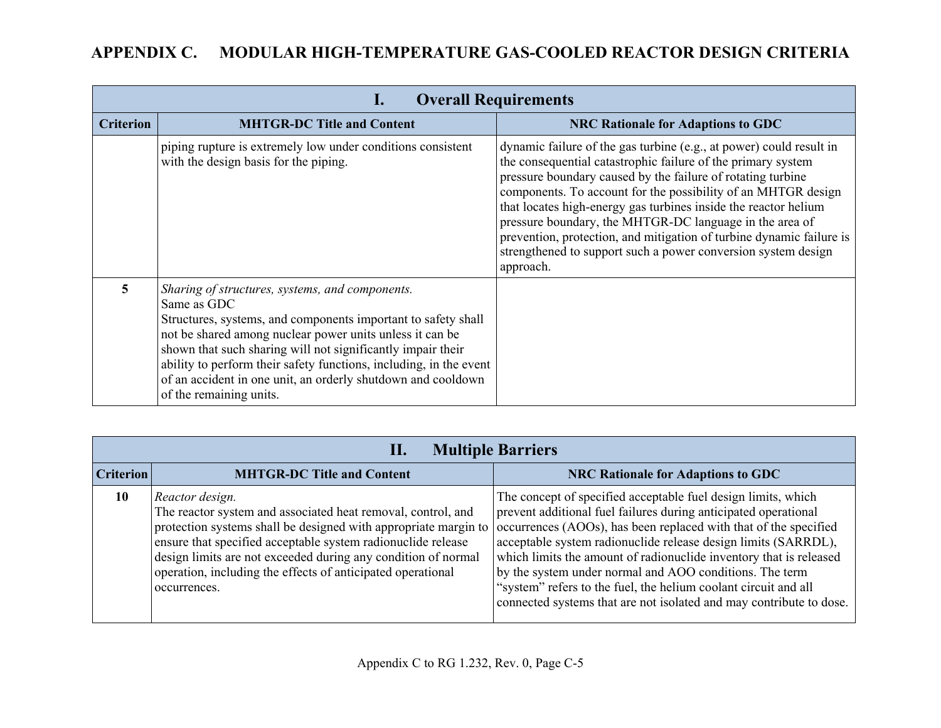# **APPENDIX C. MODULAR HIGH-TEMPERATURE GAS-COOLED REACTOR DESIGN CRITERIA**

| <b>Overall Requirements</b><br>ı. |                                                                                                                                                                                                                                                                                                                                                                                                                             |                                                                                                                                                                                                                                                                                                                                                                                                                                                                                                                                                         |  |  |
|-----------------------------------|-----------------------------------------------------------------------------------------------------------------------------------------------------------------------------------------------------------------------------------------------------------------------------------------------------------------------------------------------------------------------------------------------------------------------------|---------------------------------------------------------------------------------------------------------------------------------------------------------------------------------------------------------------------------------------------------------------------------------------------------------------------------------------------------------------------------------------------------------------------------------------------------------------------------------------------------------------------------------------------------------|--|--|
| <b>Criterion</b>                  | <b>MHTGR-DC Title and Content</b>                                                                                                                                                                                                                                                                                                                                                                                           | <b>NRC Rationale for Adaptions to GDC</b>                                                                                                                                                                                                                                                                                                                                                                                                                                                                                                               |  |  |
|                                   | piping rupture is extremely low under conditions consistent<br>with the design basis for the piping.                                                                                                                                                                                                                                                                                                                        | dynamic failure of the gas turbine (e.g., at power) could result in<br>the consequential catastrophic failure of the primary system<br>pressure boundary caused by the failure of rotating turbine<br>components. To account for the possibility of an MHTGR design<br>that locates high-energy gas turbines inside the reactor helium<br>pressure boundary, the MHTGR-DC language in the area of<br>prevention, protection, and mitigation of turbine dynamic failure is<br>strengthened to support such a power conversion system design<br>approach. |  |  |
| 5                                 | Sharing of structures, systems, and components.<br>Same as GDC<br>Structures, systems, and components important to safety shall<br>not be shared among nuclear power units unless it can be<br>shown that such sharing will not significantly impair their<br>ability to perform their safety functions, including, in the event<br>of an accident in one unit, an orderly shutdown and cooldown<br>of the remaining units. |                                                                                                                                                                                                                                                                                                                                                                                                                                                                                                                                                         |  |  |

| <b>Multiple Barriers</b> |                                                                                                                                                                                                                                                                                                                                                                    |                                                                                                                                                                                                                                                                                                                                                                                                                                                                                                                                                   |  |  |
|--------------------------|--------------------------------------------------------------------------------------------------------------------------------------------------------------------------------------------------------------------------------------------------------------------------------------------------------------------------------------------------------------------|---------------------------------------------------------------------------------------------------------------------------------------------------------------------------------------------------------------------------------------------------------------------------------------------------------------------------------------------------------------------------------------------------------------------------------------------------------------------------------------------------------------------------------------------------|--|--|
| <b>Criterion</b>         | <b>MHTGR-DC Title and Content</b>                                                                                                                                                                                                                                                                                                                                  | <b>NRC Rationale for Adaptions to GDC</b>                                                                                                                                                                                                                                                                                                                                                                                                                                                                                                         |  |  |
| 10                       | Reactor design.<br>The reactor system and associated heat removal, control, and<br>protection systems shall be designed with appropriate margin to<br>ensure that specified acceptable system radionuclide release<br>design limits are not exceeded during any condition of normal<br>operation, including the effects of anticipated operational<br>occurrences. | The concept of specified acceptable fuel design limits, which<br>prevent additional fuel failures during anticipated operational<br>occurrences (AOOs), has been replaced with that of the specified<br>acceptable system radionuclide release design limits (SARRDL),<br>which limits the amount of radionuclide inventory that is released<br>by the system under normal and AOO conditions. The term<br>"system" refers to the fuel, the helium coolant circuit and all<br>connected systems that are not isolated and may contribute to dose. |  |  |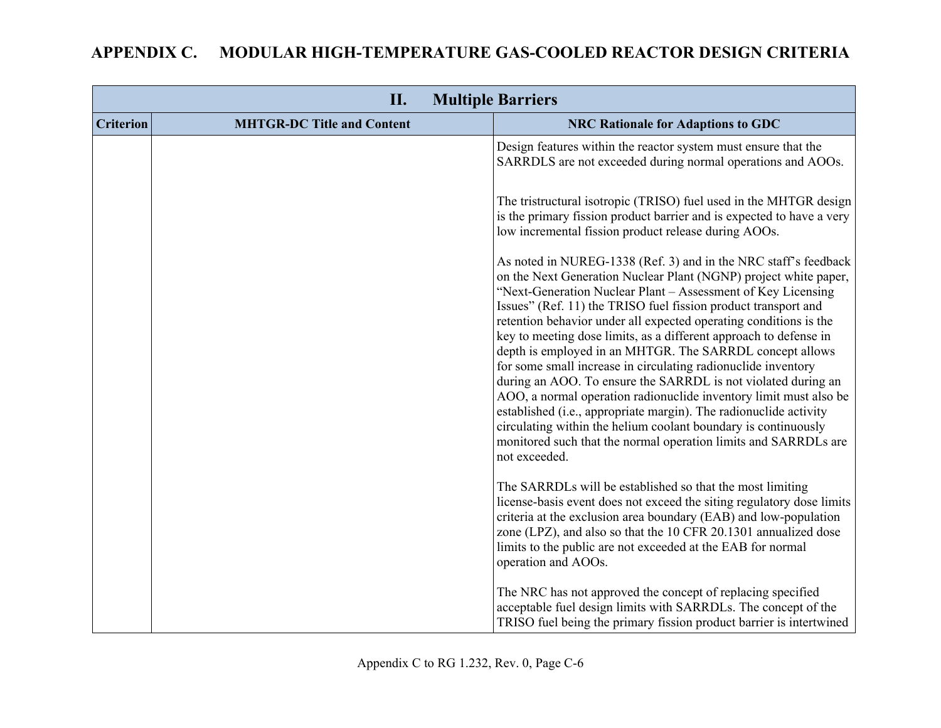|                  | II.                               | <b>Multiple Barriers</b>                                                                                                                                                                                                                                                                                                                                                                                                                                                                                                                                                                                                                                                                                                                                                                                                                                                                                      |
|------------------|-----------------------------------|---------------------------------------------------------------------------------------------------------------------------------------------------------------------------------------------------------------------------------------------------------------------------------------------------------------------------------------------------------------------------------------------------------------------------------------------------------------------------------------------------------------------------------------------------------------------------------------------------------------------------------------------------------------------------------------------------------------------------------------------------------------------------------------------------------------------------------------------------------------------------------------------------------------|
| <b>Criterion</b> | <b>MHTGR-DC Title and Content</b> | <b>NRC Rationale for Adaptions to GDC</b>                                                                                                                                                                                                                                                                                                                                                                                                                                                                                                                                                                                                                                                                                                                                                                                                                                                                     |
|                  |                                   | Design features within the reactor system must ensure that the<br>SARRDLS are not exceeded during normal operations and AOOs.                                                                                                                                                                                                                                                                                                                                                                                                                                                                                                                                                                                                                                                                                                                                                                                 |
|                  |                                   | The tristructural isotropic (TRISO) fuel used in the MHTGR design<br>is the primary fission product barrier and is expected to have a very<br>low incremental fission product release during AOOs.                                                                                                                                                                                                                                                                                                                                                                                                                                                                                                                                                                                                                                                                                                            |
|                  |                                   | As noted in NUREG-1338 (Ref. 3) and in the NRC staff's feedback<br>on the Next Generation Nuclear Plant (NGNP) project white paper,<br>"Next-Generation Nuclear Plant - Assessment of Key Licensing<br>Issues" (Ref. 11) the TRISO fuel fission product transport and<br>retention behavior under all expected operating conditions is the<br>key to meeting dose limits, as a different approach to defense in<br>depth is employed in an MHTGR. The SARRDL concept allows<br>for some small increase in circulating radionuclide inventory<br>during an AOO. To ensure the SARRDL is not violated during an<br>AOO, a normal operation radionuclide inventory limit must also be<br>established (i.e., appropriate margin). The radionuclide activity<br>circulating within the helium coolant boundary is continuously<br>monitored such that the normal operation limits and SARRDLs are<br>not exceeded. |
|                  |                                   | The SARRDLs will be established so that the most limiting<br>license-basis event does not exceed the siting regulatory dose limits<br>criteria at the exclusion area boundary (EAB) and low-population<br>zone (LPZ), and also so that the 10 CFR 20.1301 annualized dose<br>limits to the public are not exceeded at the EAB for normal<br>operation and AOOs.                                                                                                                                                                                                                                                                                                                                                                                                                                                                                                                                               |
|                  |                                   | The NRC has not approved the concept of replacing specified<br>acceptable fuel design limits with SARRDLs. The concept of the<br>TRISO fuel being the primary fission product barrier is intertwined                                                                                                                                                                                                                                                                                                                                                                                                                                                                                                                                                                                                                                                                                                          |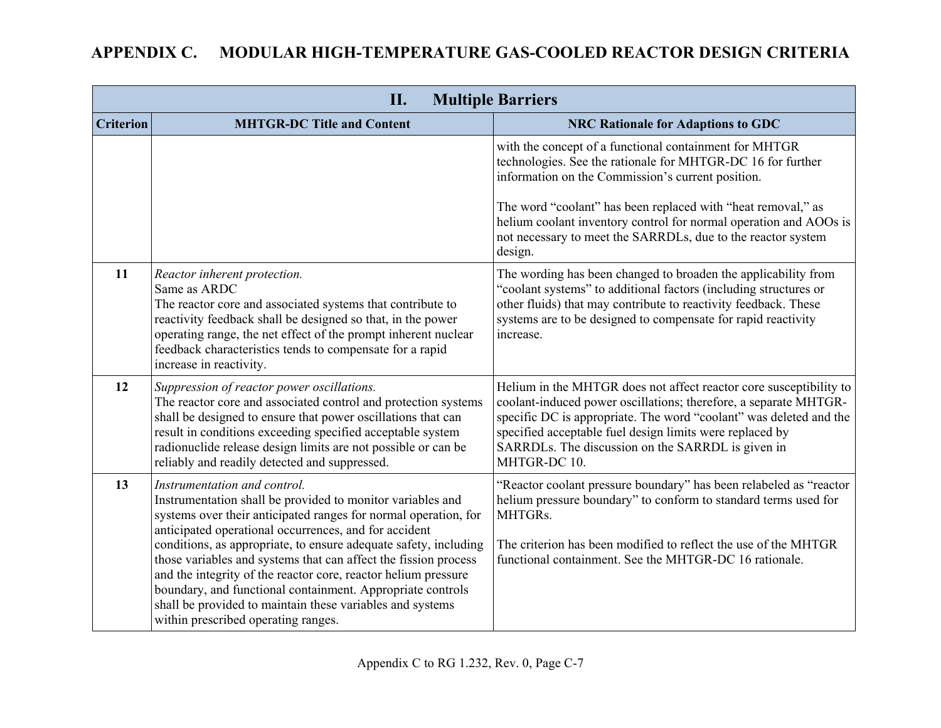#### **II. Multiple Barriers Criterion MHTGR-DC Title and Content NRC Rationale for Adaptions to GDC**  with the concept of a functional containment for MHTGR technologies. See the rationale for MHTGR-DC 16 for further information on the Commission's current position. The word "coolant" has been replaced with "heat removal," as helium coolant inventory control for normal operation and AOOs is not necessary to meet the SARRDLs, due to the reactor system design. **11** *Reactor inherent protection.*  Same as ARDC The reactor core and associated systems that contribute to reactivity feedback shall be designed so that, in the power operating range, the net effect of the prompt inherent nuclear feedback characteristics tends to compensate for a rapid increase in reactivity. The wording has been changed to broaden the applicability from "coolant systems" to additional factors (including structures or other fluids) that may contribute to reactivity feedback. These systems are to be designed to compensate for rapid reactivity increase. **12** *Suppression of reactor power oscillations.* The reactor core and associated control and protection systems shall be designed to ensure that power oscillations that can result in conditions exceeding specified acceptable system radionuclide release design limits are not possible or can be reliably and readily detected and suppressed. Helium in the MHTGR does not affect reactor core susceptibility to coolant-induced power oscillations; therefore, a separate MHTGRspecific DC is appropriate. The word "coolant" was deleted and the specified acceptable fuel design limits were replaced by SARRDLs. The discussion on the SARRDL is given in MHTGR-DC 10 **13** *Instrumentation and control.*  Instrumentation shall be provided to monitor variables and systems over their anticipated ranges for normal operation, for anticipated operational occurrences, and for accident conditions, as appropriate, to ensure adequate safety, including those variables and systems that can affect the fission process and the integrity of the reactor core, reactor helium pressure boundary, and functional containment. Appropriate controls shall be provided to maintain these variables and systems within prescribed operating ranges. "Reactor coolant pressure boundary" has been relabeled as "reactor helium pressure boundary" to conform to standard terms used for MHTGRs. The criterion has been modified to reflect the use of the MHTGR functional containment. See the MHTGR-DC 16 rationale.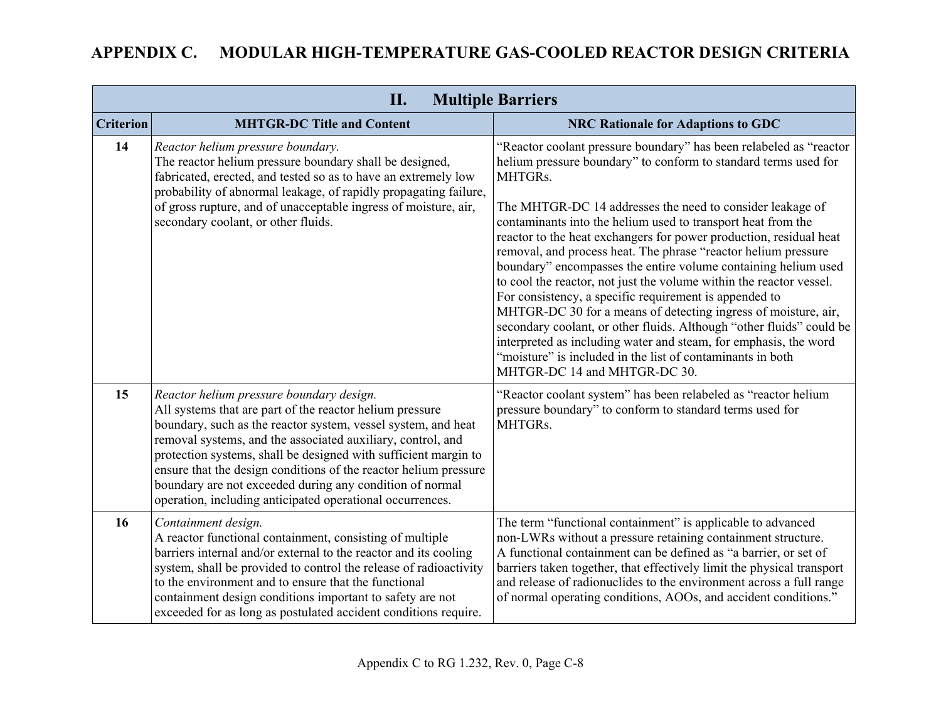|                  | <b>Multiple Barriers</b><br>П.                                                                                                                                                                                                                                                                                                                                                                                                                                                                       |                                                                                                                                                                                                                                                                                                                                                                                                                                                                                                                                                                                                                                                                                                                                                                                                                                                                                                                                       |  |
|------------------|------------------------------------------------------------------------------------------------------------------------------------------------------------------------------------------------------------------------------------------------------------------------------------------------------------------------------------------------------------------------------------------------------------------------------------------------------------------------------------------------------|---------------------------------------------------------------------------------------------------------------------------------------------------------------------------------------------------------------------------------------------------------------------------------------------------------------------------------------------------------------------------------------------------------------------------------------------------------------------------------------------------------------------------------------------------------------------------------------------------------------------------------------------------------------------------------------------------------------------------------------------------------------------------------------------------------------------------------------------------------------------------------------------------------------------------------------|--|
| <b>Criterion</b> | <b>MHTGR-DC Title and Content</b>                                                                                                                                                                                                                                                                                                                                                                                                                                                                    | <b>NRC Rationale for Adaptions to GDC</b>                                                                                                                                                                                                                                                                                                                                                                                                                                                                                                                                                                                                                                                                                                                                                                                                                                                                                             |  |
| 14               | Reactor helium pressure boundary.<br>The reactor helium pressure boundary shall be designed,<br>fabricated, erected, and tested so as to have an extremely low<br>probability of abnormal leakage, of rapidly propagating failure,<br>of gross rupture, and of unacceptable ingress of moisture, air,<br>secondary coolant, or other fluids.                                                                                                                                                         | "Reactor coolant pressure boundary" has been relabeled as "reactor"<br>helium pressure boundary" to conform to standard terms used for<br>MHTGRs.<br>The MHTGR-DC 14 addresses the need to consider leakage of<br>contaminants into the helium used to transport heat from the<br>reactor to the heat exchangers for power production, residual heat<br>removal, and process heat. The phrase "reactor helium pressure<br>boundary" encompasses the entire volume containing helium used<br>to cool the reactor, not just the volume within the reactor vessel.<br>For consistency, a specific requirement is appended to<br>MHTGR-DC 30 for a means of detecting ingress of moisture, air,<br>secondary coolant, or other fluids. Although "other fluids" could be<br>interpreted as including water and steam, for emphasis, the word<br>"moisture" is included in the list of contaminants in both<br>MHTGR-DC 14 and MHTGR-DC 30. |  |
| 15               | Reactor helium pressure boundary design.<br>All systems that are part of the reactor helium pressure<br>boundary, such as the reactor system, vessel system, and heat<br>removal systems, and the associated auxiliary, control, and<br>protection systems, shall be designed with sufficient margin to<br>ensure that the design conditions of the reactor helium pressure<br>boundary are not exceeded during any condition of normal<br>operation, including anticipated operational occurrences. | "Reactor coolant system" has been relabeled as "reactor helium<br>pressure boundary" to conform to standard terms used for<br>MHTGRs.                                                                                                                                                                                                                                                                                                                                                                                                                                                                                                                                                                                                                                                                                                                                                                                                 |  |
| 16               | Containment design.<br>A reactor functional containment, consisting of multiple<br>barriers internal and/or external to the reactor and its cooling<br>system, shall be provided to control the release of radioactivity<br>to the environment and to ensure that the functional<br>containment design conditions important to safety are not<br>exceeded for as long as postulated accident conditions require.                                                                                     | The term "functional containment" is applicable to advanced<br>non-LWRs without a pressure retaining containment structure.<br>A functional containment can be defined as "a barrier, or set of<br>barriers taken together, that effectively limit the physical transport<br>and release of radionuclides to the environment across a full range<br>of normal operating conditions, AOOs, and accident conditions."                                                                                                                                                                                                                                                                                                                                                                                                                                                                                                                   |  |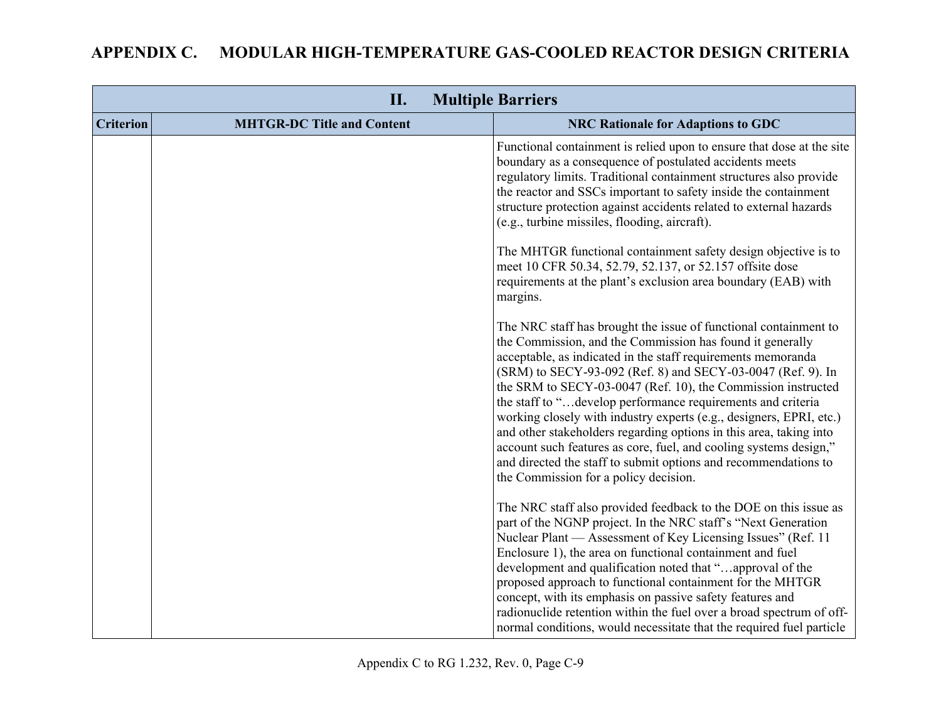|                  | II.                               | <b>Multiple Barriers</b>                                                                                                                                                                                                                                                                                                                                                                                                                                                                                                                                                                                                                                                                                                  |
|------------------|-----------------------------------|---------------------------------------------------------------------------------------------------------------------------------------------------------------------------------------------------------------------------------------------------------------------------------------------------------------------------------------------------------------------------------------------------------------------------------------------------------------------------------------------------------------------------------------------------------------------------------------------------------------------------------------------------------------------------------------------------------------------------|
| <b>Criterion</b> | <b>MHTGR-DC Title and Content</b> | <b>NRC Rationale for Adaptions to GDC</b>                                                                                                                                                                                                                                                                                                                                                                                                                                                                                                                                                                                                                                                                                 |
|                  |                                   | Functional containment is relied upon to ensure that dose at the site<br>boundary as a consequence of postulated accidents meets<br>regulatory limits. Traditional containment structures also provide<br>the reactor and SSCs important to safety inside the containment<br>structure protection against accidents related to external hazards<br>(e.g., turbine missiles, flooding, aircraft).                                                                                                                                                                                                                                                                                                                          |
|                  |                                   | The MHTGR functional containment safety design objective is to<br>meet 10 CFR 50.34, 52.79, 52.137, or 52.157 offsite dose<br>requirements at the plant's exclusion area boundary (EAB) with<br>margins.                                                                                                                                                                                                                                                                                                                                                                                                                                                                                                                  |
|                  |                                   | The NRC staff has brought the issue of functional containment to<br>the Commission, and the Commission has found it generally<br>acceptable, as indicated in the staff requirements memoranda<br>(SRM) to SECY-93-092 (Ref. 8) and SECY-03-0047 (Ref. 9). In<br>the SRM to SECY-03-0047 (Ref. 10), the Commission instructed<br>the staff to "develop performance requirements and criteria<br>working closely with industry experts (e.g., designers, EPRI, etc.)<br>and other stakeholders regarding options in this area, taking into<br>account such features as core, fuel, and cooling systems design,"<br>and directed the staff to submit options and recommendations to<br>the Commission for a policy decision. |
|                  |                                   | The NRC staff also provided feedback to the DOE on this issue as<br>part of the NGNP project. In the NRC staff's "Next Generation<br>Nuclear Plant — Assessment of Key Licensing Issues" (Ref. 11)<br>Enclosure 1), the area on functional containment and fuel<br>development and qualification noted that "approval of the<br>proposed approach to functional containment for the MHTGR<br>concept, with its emphasis on passive safety features and<br>radionuclide retention within the fuel over a broad spectrum of off-<br>normal conditions, would necessitate that the required fuel particle                                                                                                                    |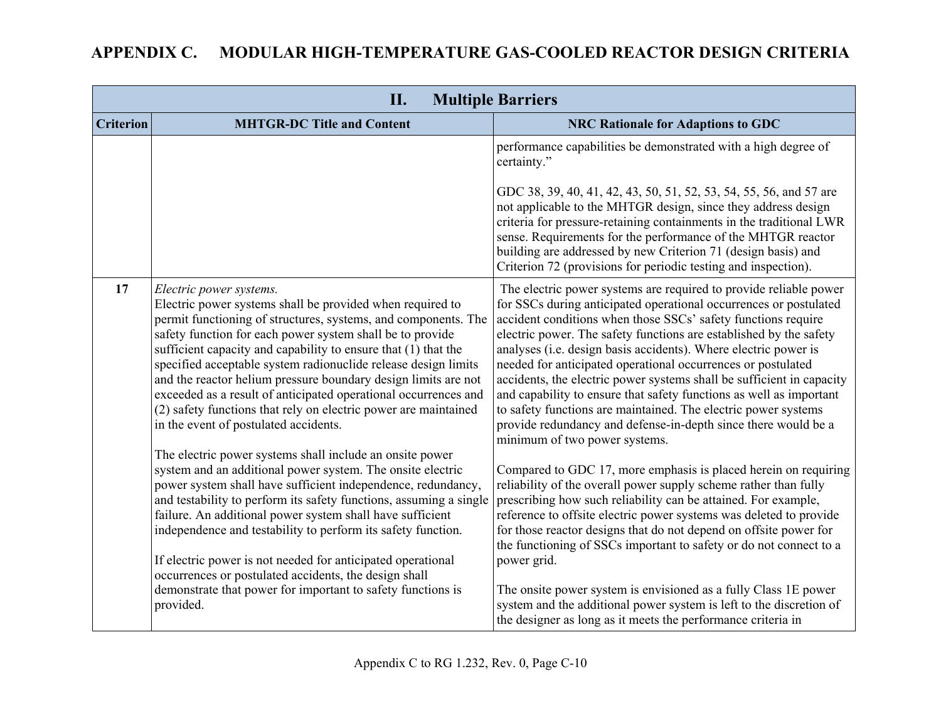| <b>Multiple Barriers</b><br>П. |                                                                                                                                                                                                                                                                                                                                                                                                                                                                                                                                                                                                          |                                                                                                                                                                                                                                                                                                                                                                                                                                                                                                                                                                                                                                                                                                                                       |
|--------------------------------|----------------------------------------------------------------------------------------------------------------------------------------------------------------------------------------------------------------------------------------------------------------------------------------------------------------------------------------------------------------------------------------------------------------------------------------------------------------------------------------------------------------------------------------------------------------------------------------------------------|---------------------------------------------------------------------------------------------------------------------------------------------------------------------------------------------------------------------------------------------------------------------------------------------------------------------------------------------------------------------------------------------------------------------------------------------------------------------------------------------------------------------------------------------------------------------------------------------------------------------------------------------------------------------------------------------------------------------------------------|
| <b>Criterion</b>               | <b>MHTGR-DC Title and Content</b>                                                                                                                                                                                                                                                                                                                                                                                                                                                                                                                                                                        | <b>NRC Rationale for Adaptions to GDC</b>                                                                                                                                                                                                                                                                                                                                                                                                                                                                                                                                                                                                                                                                                             |
|                                |                                                                                                                                                                                                                                                                                                                                                                                                                                                                                                                                                                                                          | performance capabilities be demonstrated with a high degree of<br>certainty."                                                                                                                                                                                                                                                                                                                                                                                                                                                                                                                                                                                                                                                         |
|                                |                                                                                                                                                                                                                                                                                                                                                                                                                                                                                                                                                                                                          | GDC 38, 39, 40, 41, 42, 43, 50, 51, 52, 53, 54, 55, 56, and 57 are<br>not applicable to the MHTGR design, since they address design<br>criteria for pressure-retaining containments in the traditional LWR<br>sense. Requirements for the performance of the MHTGR reactor<br>building are addressed by new Criterion 71 (design basis) and<br>Criterion 72 (provisions for periodic testing and inspection).                                                                                                                                                                                                                                                                                                                         |
| 17                             | Electric power systems.<br>Electric power systems shall be provided when required to<br>permit functioning of structures, systems, and components. The<br>safety function for each power system shall be to provide<br>sufficient capacity and capability to ensure that (1) that the<br>specified acceptable system radionuclide release design limits<br>and the reactor helium pressure boundary design limits are not<br>exceeded as a result of anticipated operational occurrences and<br>(2) safety functions that rely on electric power are maintained<br>in the event of postulated accidents. | The electric power systems are required to provide reliable power<br>for SSCs during anticipated operational occurrences or postulated<br>accident conditions when those SSCs' safety functions require<br>electric power. The safety functions are established by the safety<br>analyses (i.e. design basis accidents). Where electric power is<br>needed for anticipated operational occurrences or postulated<br>accidents, the electric power systems shall be sufficient in capacity<br>and capability to ensure that safety functions as well as important<br>to safety functions are maintained. The electric power systems<br>provide redundancy and defense-in-depth since there would be a<br>minimum of two power systems. |
|                                | The electric power systems shall include an onsite power<br>system and an additional power system. The onsite electric<br>power system shall have sufficient independence, redundancy,<br>and testability to perform its safety functions, assuming a single<br>failure. An additional power system shall have sufficient<br>independence and testability to perform its safety function.                                                                                                                                                                                                                | Compared to GDC 17, more emphasis is placed herein on requiring<br>reliability of the overall power supply scheme rather than fully<br>prescribing how such reliability can be attained. For example,<br>reference to offsite electric power systems was deleted to provide<br>for those reactor designs that do not depend on offsite power for<br>the functioning of SSCs important to safety or do not connect to a                                                                                                                                                                                                                                                                                                                |
|                                | If electric power is not needed for anticipated operational<br>occurrences or postulated accidents, the design shall<br>demonstrate that power for important to safety functions is<br>provided.                                                                                                                                                                                                                                                                                                                                                                                                         | power grid.<br>The onsite power system is envisioned as a fully Class 1E power<br>system and the additional power system is left to the discretion of<br>the designer as long as it meets the performance criteria in                                                                                                                                                                                                                                                                                                                                                                                                                                                                                                                 |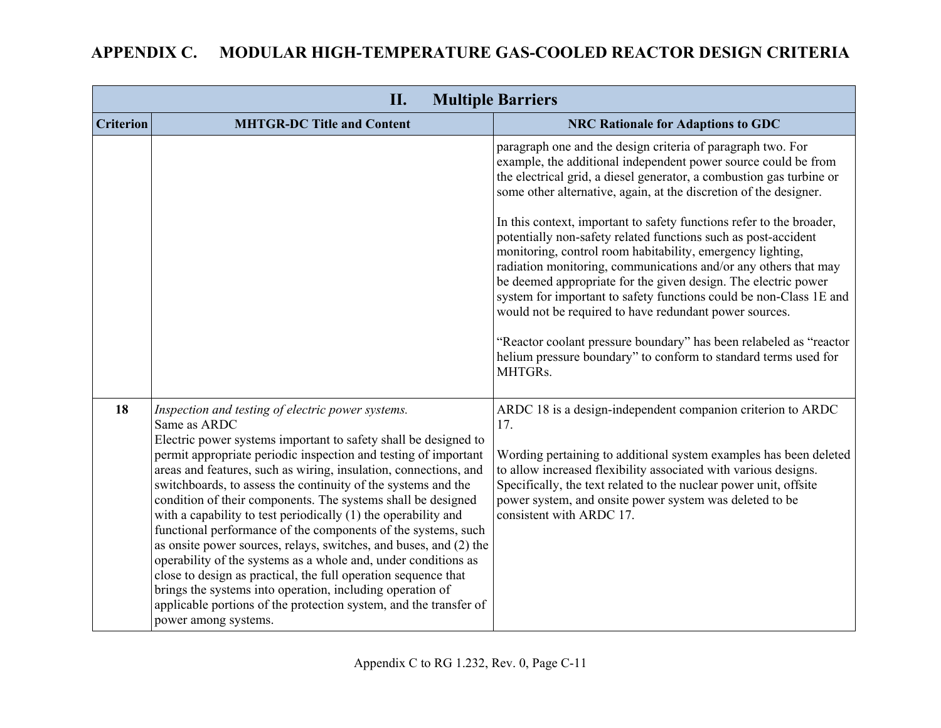|                  | II.                                                                                                                                                                                                                                                                                                                                                                                                                                                                                                                                                                                                                                                                                                                                                                                                                                                                                                                | <b>Multiple Barriers</b>                                                                                                                                                                                                                                                                                                                                                                                                                                                                                                                                                                                                                                                                                                                                                                                                                                                                                     |
|------------------|--------------------------------------------------------------------------------------------------------------------------------------------------------------------------------------------------------------------------------------------------------------------------------------------------------------------------------------------------------------------------------------------------------------------------------------------------------------------------------------------------------------------------------------------------------------------------------------------------------------------------------------------------------------------------------------------------------------------------------------------------------------------------------------------------------------------------------------------------------------------------------------------------------------------|--------------------------------------------------------------------------------------------------------------------------------------------------------------------------------------------------------------------------------------------------------------------------------------------------------------------------------------------------------------------------------------------------------------------------------------------------------------------------------------------------------------------------------------------------------------------------------------------------------------------------------------------------------------------------------------------------------------------------------------------------------------------------------------------------------------------------------------------------------------------------------------------------------------|
| <b>Criterion</b> | <b>MHTGR-DC Title and Content</b>                                                                                                                                                                                                                                                                                                                                                                                                                                                                                                                                                                                                                                                                                                                                                                                                                                                                                  | <b>NRC Rationale for Adaptions to GDC</b>                                                                                                                                                                                                                                                                                                                                                                                                                                                                                                                                                                                                                                                                                                                                                                                                                                                                    |
|                  |                                                                                                                                                                                                                                                                                                                                                                                                                                                                                                                                                                                                                                                                                                                                                                                                                                                                                                                    | paragraph one and the design criteria of paragraph two. For<br>example, the additional independent power source could be from<br>the electrical grid, a diesel generator, a combustion gas turbine or<br>some other alternative, again, at the discretion of the designer.<br>In this context, important to safety functions refer to the broader,<br>potentially non-safety related functions such as post-accident<br>monitoring, control room habitability, emergency lighting,<br>radiation monitoring, communications and/or any others that may<br>be deemed appropriate for the given design. The electric power<br>system for important to safety functions could be non-Class 1E and<br>would not be required to have redundant power sources.<br>"Reactor coolant pressure boundary" has been relabeled as "reactor"<br>helium pressure boundary" to conform to standard terms used for<br>MHTGRs. |
| 18               | Inspection and testing of electric power systems.<br>Same as ARDC<br>Electric power systems important to safety shall be designed to<br>permit appropriate periodic inspection and testing of important<br>areas and features, such as wiring, insulation, connections, and<br>switchboards, to assess the continuity of the systems and the<br>condition of their components. The systems shall be designed<br>with a capability to test periodically (1) the operability and<br>functional performance of the components of the systems, such<br>as onsite power sources, relays, switches, and buses, and (2) the<br>operability of the systems as a whole and, under conditions as<br>close to design as practical, the full operation sequence that<br>brings the systems into operation, including operation of<br>applicable portions of the protection system, and the transfer of<br>power among systems. | ARDC 18 is a design-independent companion criterion to ARDC<br>17.<br>Wording pertaining to additional system examples has been deleted<br>to allow increased flexibility associated with various designs.<br>Specifically, the text related to the nuclear power unit, offsite<br>power system, and onsite power system was deleted to be<br>consistent with ARDC 17.                                                                                                                                                                                                                                                                                                                                                                                                                                                                                                                                       |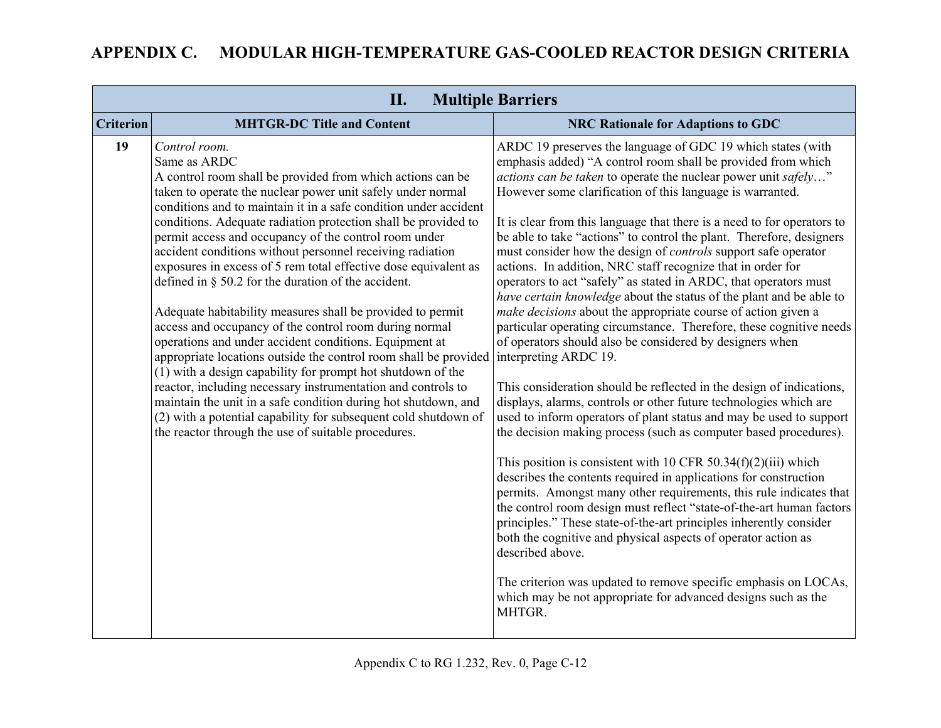| <b>Multiple Barriers</b><br>II. |                                                                                                                                                                                                                                                                                                                                                                                                                                                                                                                                                                                                                                                                                                                                                                                                                                                                                                                                                                                                                                                                                                                                      |                                                                                                                                                                                                                                                                                                                                                                                                                                                                                                                                                                                                                                                                                                                                                                                                                                                                                                                                                                                                                                                                                                                                                                                                                                                                                                                                                                                                                                                                                                                                                                                                                                                                                                                                                                                                                              |
|---------------------------------|--------------------------------------------------------------------------------------------------------------------------------------------------------------------------------------------------------------------------------------------------------------------------------------------------------------------------------------------------------------------------------------------------------------------------------------------------------------------------------------------------------------------------------------------------------------------------------------------------------------------------------------------------------------------------------------------------------------------------------------------------------------------------------------------------------------------------------------------------------------------------------------------------------------------------------------------------------------------------------------------------------------------------------------------------------------------------------------------------------------------------------------|------------------------------------------------------------------------------------------------------------------------------------------------------------------------------------------------------------------------------------------------------------------------------------------------------------------------------------------------------------------------------------------------------------------------------------------------------------------------------------------------------------------------------------------------------------------------------------------------------------------------------------------------------------------------------------------------------------------------------------------------------------------------------------------------------------------------------------------------------------------------------------------------------------------------------------------------------------------------------------------------------------------------------------------------------------------------------------------------------------------------------------------------------------------------------------------------------------------------------------------------------------------------------------------------------------------------------------------------------------------------------------------------------------------------------------------------------------------------------------------------------------------------------------------------------------------------------------------------------------------------------------------------------------------------------------------------------------------------------------------------------------------------------------------------------------------------------|
| <b>Criterion</b>                | <b>MHTGR-DC Title and Content</b>                                                                                                                                                                                                                                                                                                                                                                                                                                                                                                                                                                                                                                                                                                                                                                                                                                                                                                                                                                                                                                                                                                    | <b>NRC Rationale for Adaptions to GDC</b>                                                                                                                                                                                                                                                                                                                                                                                                                                                                                                                                                                                                                                                                                                                                                                                                                                                                                                                                                                                                                                                                                                                                                                                                                                                                                                                                                                                                                                                                                                                                                                                                                                                                                                                                                                                    |
| 19                              | Control room.<br>Same as ARDC<br>A control room shall be provided from which actions can be<br>taken to operate the nuclear power unit safely under normal<br>conditions and to maintain it in a safe condition under accident<br>conditions. Adequate radiation protection shall be provided to<br>permit access and occupancy of the control room under<br>accident conditions without personnel receiving radiation<br>exposures in excess of 5 rem total effective dose equivalent as<br>defined in $\S$ 50.2 for the duration of the accident.<br>Adequate habitability measures shall be provided to permit<br>access and occupancy of the control room during normal<br>operations and under accident conditions. Equipment at<br>appropriate locations outside the control room shall be provided<br>(1) with a design capability for prompt hot shutdown of the<br>reactor, including necessary instrumentation and controls to<br>maintain the unit in a safe condition during hot shutdown, and<br>(2) with a potential capability for subsequent cold shutdown of<br>the reactor through the use of suitable procedures. | ARDC 19 preserves the language of GDC 19 which states (with<br>emphasis added) "A control room shall be provided from which<br><i>actions can be taken</i> to operate the nuclear power unit safely"<br>However some clarification of this language is warranted.<br>It is clear from this language that there is a need to for operators to<br>be able to take "actions" to control the plant. Therefore, designers<br>must consider how the design of <i>controls</i> support safe operator<br>actions. In addition, NRC staff recognize that in order for<br>operators to act "safely" as stated in ARDC, that operators must<br>have certain knowledge about the status of the plant and be able to<br>make decisions about the appropriate course of action given a<br>particular operating circumstance. Therefore, these cognitive needs<br>of operators should also be considered by designers when<br>interpreting ARDC 19.<br>This consideration should be reflected in the design of indications,<br>displays, alarms, controls or other future technologies which are<br>used to inform operators of plant status and may be used to support<br>the decision making process (such as computer based procedures).<br>This position is consistent with 10 CFR $50.34(f)(2)(iii)$ which<br>describes the contents required in applications for construction<br>permits. Amongst many other requirements, this rule indicates that<br>the control room design must reflect "state-of-the-art human factors"<br>principles." These state-of-the-art principles inherently consider<br>both the cognitive and physical aspects of operator action as<br>described above.<br>The criterion was updated to remove specific emphasis on LOCAs,<br>which may be not appropriate for advanced designs such as the<br>MHTGR. |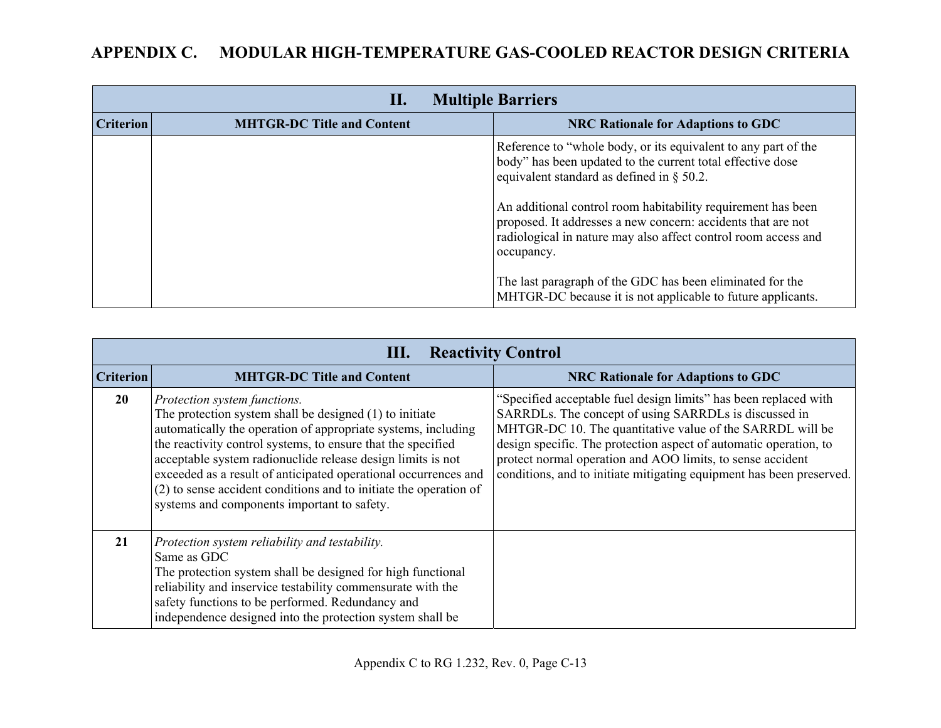| <b>Multiple Barriers</b><br>П. |                                   |                                                                                                                                                                                                              |
|--------------------------------|-----------------------------------|--------------------------------------------------------------------------------------------------------------------------------------------------------------------------------------------------------------|
| <b>Criterion</b>               | <b>MHTGR-DC Title and Content</b> | <b>NRC Rationale for Adaptions to GDC</b>                                                                                                                                                                    |
|                                |                                   | Reference to "whole body, or its equivalent to any part of the<br>body" has been updated to the current total effective dose<br>equivalent standard as defined in $\S$ 50.2.                                 |
|                                |                                   | An additional control room habitability requirement has been<br>proposed. It addresses a new concern: accidents that are not<br>radiological in nature may also affect control room access and<br>occupancy. |
|                                |                                   | The last paragraph of the GDC has been eliminated for the<br>MHTGR-DC because it is not applicable to future applicants.                                                                                     |

|                  | <b>Reactivity Control</b><br>Ш.                                                                                                                                                                                                                                                                                                                                                                                                                                                  |                                                                                                                                                                                                                                                                                                                                                                                                   |  |
|------------------|----------------------------------------------------------------------------------------------------------------------------------------------------------------------------------------------------------------------------------------------------------------------------------------------------------------------------------------------------------------------------------------------------------------------------------------------------------------------------------|---------------------------------------------------------------------------------------------------------------------------------------------------------------------------------------------------------------------------------------------------------------------------------------------------------------------------------------------------------------------------------------------------|--|
| <b>Criterion</b> | <b>MHTGR-DC Title and Content</b>                                                                                                                                                                                                                                                                                                                                                                                                                                                | <b>NRC Rationale for Adaptions to GDC</b>                                                                                                                                                                                                                                                                                                                                                         |  |
| <b>20</b>        | Protection system functions.<br>The protection system shall be designed (1) to initiate<br>automatically the operation of appropriate systems, including<br>the reactivity control systems, to ensure that the specified<br>acceptable system radionuclide release design limits is not<br>exceeded as a result of anticipated operational occurrences and<br>$(2)$ to sense accident conditions and to initiate the operation of<br>systems and components important to safety. | "Specified acceptable fuel design limits" has been replaced with<br>SARRDLs. The concept of using SARRDLs is discussed in<br>MHTGR-DC 10. The quantitative value of the SARRDL will be<br>design specific. The protection aspect of automatic operation, to<br>protect normal operation and AOO limits, to sense accident<br>conditions, and to initiate mitigating equipment has been preserved. |  |
| 21               | Protection system reliability and testability.<br>Same as GDC<br>The protection system shall be designed for high functional<br>reliability and inservice testability commensurate with the<br>safety functions to be performed. Redundancy and<br>independence designed into the protection system shall be                                                                                                                                                                     |                                                                                                                                                                                                                                                                                                                                                                                                   |  |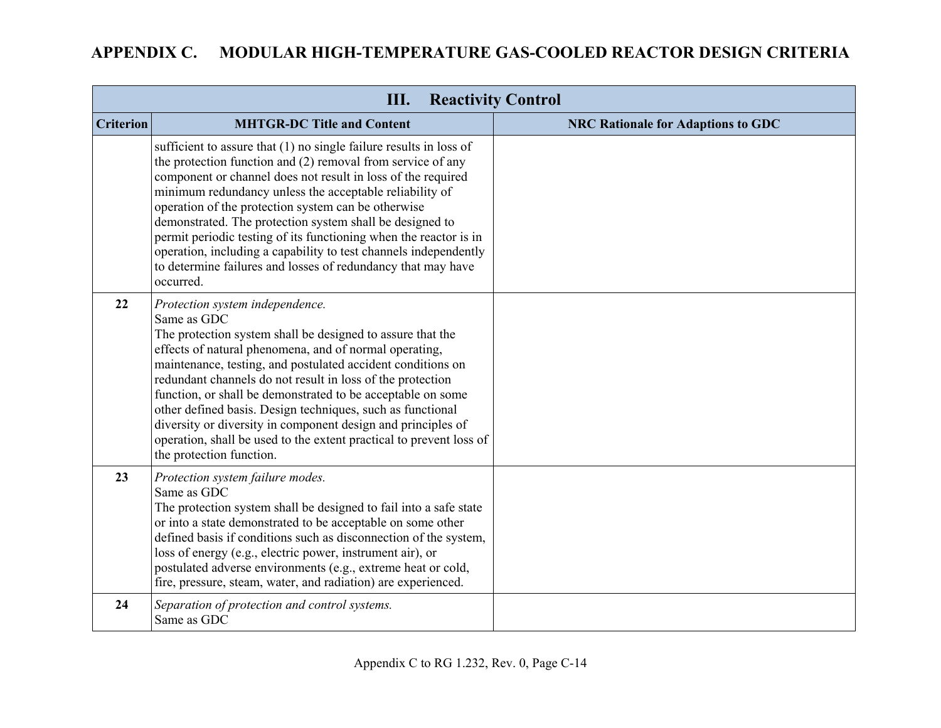|                  | <b>Reactivity Control</b><br>Ш.                                                                                                                                                                                                                                                                                                                                                                                                                                                                                                                                                                         |                                           |  |
|------------------|---------------------------------------------------------------------------------------------------------------------------------------------------------------------------------------------------------------------------------------------------------------------------------------------------------------------------------------------------------------------------------------------------------------------------------------------------------------------------------------------------------------------------------------------------------------------------------------------------------|-------------------------------------------|--|
| <b>Criterion</b> | <b>MHTGR-DC Title and Content</b>                                                                                                                                                                                                                                                                                                                                                                                                                                                                                                                                                                       | <b>NRC Rationale for Adaptions to GDC</b> |  |
|                  | sufficient to assure that $(1)$ no single failure results in loss of<br>the protection function and (2) removal from service of any<br>component or channel does not result in loss of the required<br>minimum redundancy unless the acceptable reliability of<br>operation of the protection system can be otherwise<br>demonstrated. The protection system shall be designed to<br>permit periodic testing of its functioning when the reactor is in<br>operation, including a capability to test channels independently<br>to determine failures and losses of redundancy that may have<br>occurred. |                                           |  |
| 22               | Protection system independence.<br>Same as GDC<br>The protection system shall be designed to assure that the<br>effects of natural phenomena, and of normal operating,<br>maintenance, testing, and postulated accident conditions on<br>redundant channels do not result in loss of the protection<br>function, or shall be demonstrated to be acceptable on some<br>other defined basis. Design techniques, such as functional<br>diversity or diversity in component design and principles of<br>operation, shall be used to the extent practical to prevent loss of<br>the protection function.     |                                           |  |
| 23               | Protection system failure modes.<br>Same as GDC<br>The protection system shall be designed to fail into a safe state<br>or into a state demonstrated to be acceptable on some other<br>defined basis if conditions such as disconnection of the system,<br>loss of energy (e.g., electric power, instrument air), or<br>postulated adverse environments (e.g., extreme heat or cold,<br>fire, pressure, steam, water, and radiation) are experienced.                                                                                                                                                   |                                           |  |
| 24               | Separation of protection and control systems.<br>Same as GDC                                                                                                                                                                                                                                                                                                                                                                                                                                                                                                                                            |                                           |  |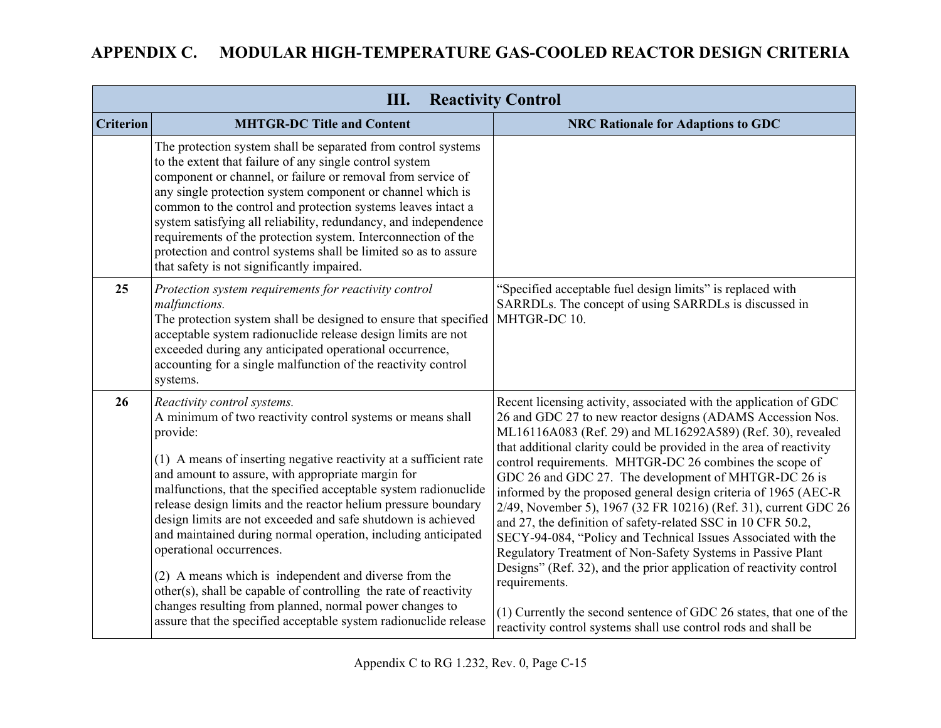| <b>Reactivity Control</b><br>Ш. |                                                                                                                                                                                                                                                                                                                                                                                                                                                                                                                                                                                                                                                                                                                                                                                               |                                                                                                                                                                                                                                                                                                                                                                                                                                                                                                                                                                                                                                                                                                                                                                                                                                                                                                                                                                 |
|---------------------------------|-----------------------------------------------------------------------------------------------------------------------------------------------------------------------------------------------------------------------------------------------------------------------------------------------------------------------------------------------------------------------------------------------------------------------------------------------------------------------------------------------------------------------------------------------------------------------------------------------------------------------------------------------------------------------------------------------------------------------------------------------------------------------------------------------|-----------------------------------------------------------------------------------------------------------------------------------------------------------------------------------------------------------------------------------------------------------------------------------------------------------------------------------------------------------------------------------------------------------------------------------------------------------------------------------------------------------------------------------------------------------------------------------------------------------------------------------------------------------------------------------------------------------------------------------------------------------------------------------------------------------------------------------------------------------------------------------------------------------------------------------------------------------------|
| <b>Criterion</b>                | <b>MHTGR-DC Title and Content</b>                                                                                                                                                                                                                                                                                                                                                                                                                                                                                                                                                                                                                                                                                                                                                             | <b>NRC Rationale for Adaptions to GDC</b>                                                                                                                                                                                                                                                                                                                                                                                                                                                                                                                                                                                                                                                                                                                                                                                                                                                                                                                       |
|                                 | The protection system shall be separated from control systems<br>to the extent that failure of any single control system<br>component or channel, or failure or removal from service of<br>any single protection system component or channel which is<br>common to the control and protection systems leaves intact a<br>system satisfying all reliability, redundancy, and independence<br>requirements of the protection system. Interconnection of the<br>protection and control systems shall be limited so as to assure<br>that safety is not significantly impaired.                                                                                                                                                                                                                    |                                                                                                                                                                                                                                                                                                                                                                                                                                                                                                                                                                                                                                                                                                                                                                                                                                                                                                                                                                 |
| 25                              | Protection system requirements for reactivity control<br>malfunctions.<br>The protection system shall be designed to ensure that specified<br>acceptable system radionuclide release design limits are not<br>exceeded during any anticipated operational occurrence,<br>accounting for a single malfunction of the reactivity control<br>systems.                                                                                                                                                                                                                                                                                                                                                                                                                                            | "Specified acceptable fuel design limits" is replaced with<br>SARRDLs. The concept of using SARRDLs is discussed in<br>MHTGR-DC 10.                                                                                                                                                                                                                                                                                                                                                                                                                                                                                                                                                                                                                                                                                                                                                                                                                             |
| 26                              | Reactivity control systems.<br>A minimum of two reactivity control systems or means shall<br>provide:<br>(1) A means of inserting negative reactivity at a sufficient rate<br>and amount to assure, with appropriate margin for<br>malfunctions, that the specified acceptable system radionuclide<br>release design limits and the reactor helium pressure boundary<br>design limits are not exceeded and safe shutdown is achieved<br>and maintained during normal operation, including anticipated<br>operational occurrences.<br>(2) A means which is independent and diverse from the<br>other(s), shall be capable of controlling the rate of reactivity<br>changes resulting from planned, normal power changes to<br>assure that the specified acceptable system radionuclide release | Recent licensing activity, associated with the application of GDC<br>26 and GDC 27 to new reactor designs (ADAMS Accession Nos.<br>ML16116A083 (Ref. 29) and ML16292A589) (Ref. 30), revealed<br>that additional clarity could be provided in the area of reactivity<br>control requirements. MHTGR-DC 26 combines the scope of<br>GDC 26 and GDC 27. The development of MHTGR-DC 26 is<br>informed by the proposed general design criteria of 1965 (AEC-R)<br>2/49, November 5), 1967 (32 FR 10216) (Ref. 31), current GDC 26<br>and 27, the definition of safety-related SSC in 10 CFR 50.2,<br>SECY-94-084, "Policy and Technical Issues Associated with the<br>Regulatory Treatment of Non-Safety Systems in Passive Plant<br>Designs" (Ref. 32), and the prior application of reactivity control<br>requirements.<br>(1) Currently the second sentence of GDC 26 states, that one of the<br>reactivity control systems shall use control rods and shall be |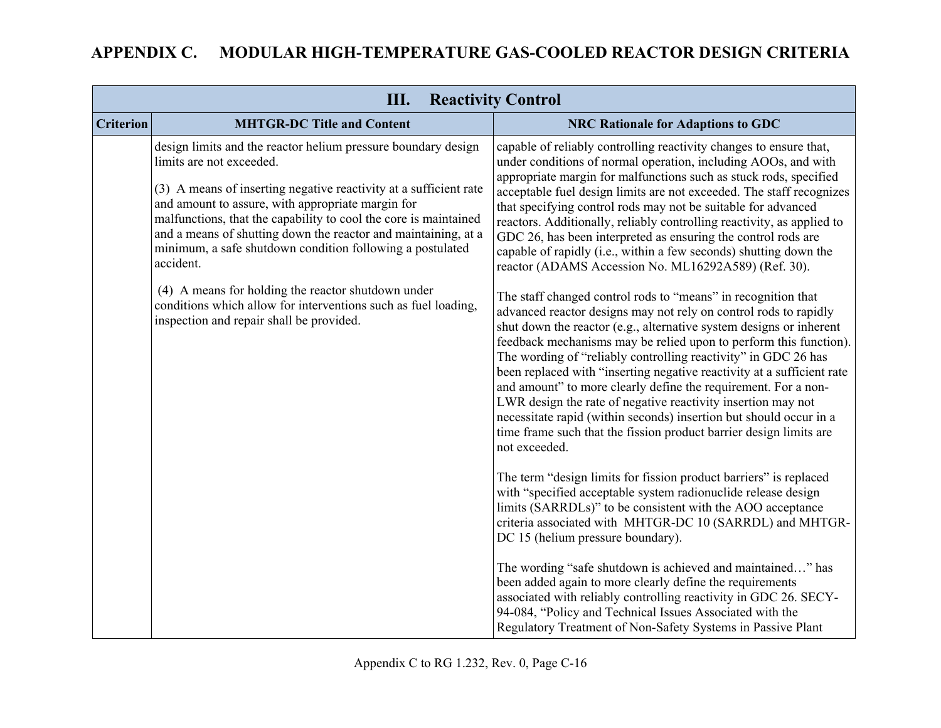|                  | <b>Reactivity Control</b><br>Ш.                                                                                                                                                                                                                                                                                                                                                                                                     |                                                                                                                                                                                                                                                                                                                                                                                                                                                                                                                                                                                                                                                                                                                          |  |
|------------------|-------------------------------------------------------------------------------------------------------------------------------------------------------------------------------------------------------------------------------------------------------------------------------------------------------------------------------------------------------------------------------------------------------------------------------------|--------------------------------------------------------------------------------------------------------------------------------------------------------------------------------------------------------------------------------------------------------------------------------------------------------------------------------------------------------------------------------------------------------------------------------------------------------------------------------------------------------------------------------------------------------------------------------------------------------------------------------------------------------------------------------------------------------------------------|--|
| <b>Criterion</b> | <b>MHTGR-DC Title and Content</b>                                                                                                                                                                                                                                                                                                                                                                                                   | <b>NRC Rationale for Adaptions to GDC</b>                                                                                                                                                                                                                                                                                                                                                                                                                                                                                                                                                                                                                                                                                |  |
|                  | design limits and the reactor helium pressure boundary design<br>limits are not exceeded.<br>(3) A means of inserting negative reactivity at a sufficient rate<br>and amount to assure, with appropriate margin for<br>malfunctions, that the capability to cool the core is maintained<br>and a means of shutting down the reactor and maintaining, at a<br>minimum, a safe shutdown condition following a postulated<br>accident. | capable of reliably controlling reactivity changes to ensure that,<br>under conditions of normal operation, including AOOs, and with<br>appropriate margin for malfunctions such as stuck rods, specified<br>acceptable fuel design limits are not exceeded. The staff recognizes<br>that specifying control rods may not be suitable for advanced<br>reactors. Additionally, reliably controlling reactivity, as applied to<br>GDC 26, has been interpreted as ensuring the control rods are<br>capable of rapidly (i.e., within a few seconds) shutting down the<br>reactor (ADAMS Accession No. ML16292A589) (Ref. 30).                                                                                               |  |
|                  | (4) A means for holding the reactor shutdown under<br>conditions which allow for interventions such as fuel loading,<br>inspection and repair shall be provided.                                                                                                                                                                                                                                                                    | The staff changed control rods to "means" in recognition that<br>advanced reactor designs may not rely on control rods to rapidly<br>shut down the reactor (e.g., alternative system designs or inherent<br>feedback mechanisms may be relied upon to perform this function).<br>The wording of "reliably controlling reactivity" in GDC 26 has<br>been replaced with "inserting negative reactivity at a sufficient rate<br>and amount" to more clearly define the requirement. For a non-<br>LWR design the rate of negative reactivity insertion may not<br>necessitate rapid (within seconds) insertion but should occur in a<br>time frame such that the fission product barrier design limits are<br>not exceeded. |  |
|                  |                                                                                                                                                                                                                                                                                                                                                                                                                                     | The term "design limits for fission product barriers" is replaced<br>with "specified acceptable system radionuclide release design<br>limits (SARRDLs)" to be consistent with the AOO acceptance<br>criteria associated with MHTGR-DC 10 (SARRDL) and MHTGR-<br>DC 15 (helium pressure boundary).                                                                                                                                                                                                                                                                                                                                                                                                                        |  |
|                  |                                                                                                                                                                                                                                                                                                                                                                                                                                     | The wording "safe shutdown is achieved and maintained" has<br>been added again to more clearly define the requirements<br>associated with reliably controlling reactivity in GDC 26. SECY-<br>94-084, "Policy and Technical Issues Associated with the<br>Regulatory Treatment of Non-Safety Systems in Passive Plant                                                                                                                                                                                                                                                                                                                                                                                                    |  |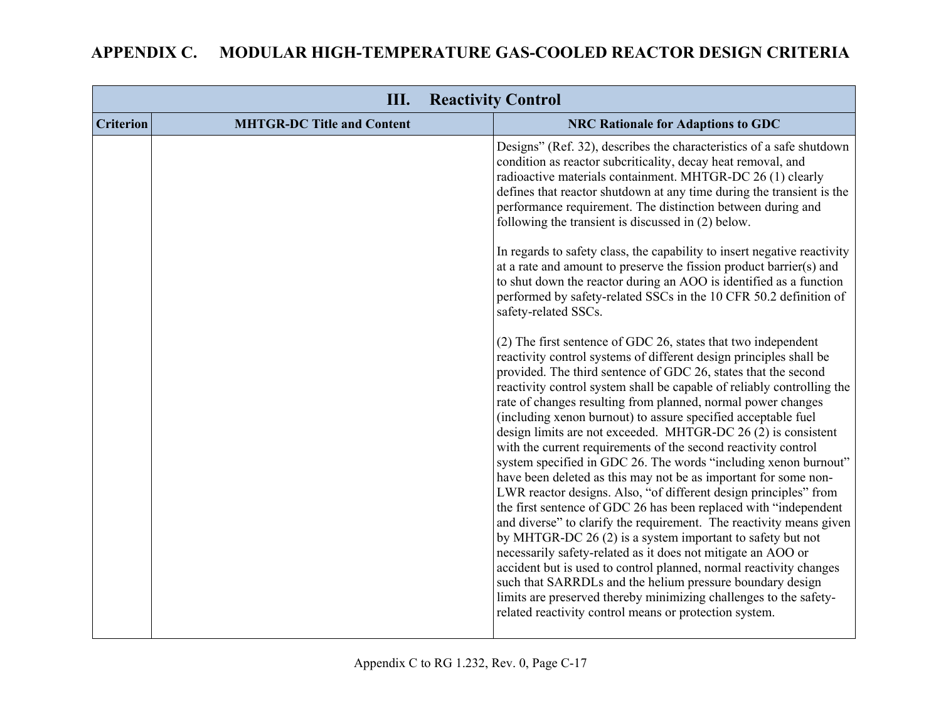| III.<br><b>Reactivity Control</b> |                                   |                                                                                                                                                                                                                                                                                                                                                                                                                                                                                                                                                                                                                                                                                                                                                                                                                                                                                                                                                                                                                                                                                                                                                                                                                                                                                                                                                                                                                                                                                                                                                                                                                                                                                                                                                                                                                                                                                                                                                                                                                                     |
|-----------------------------------|-----------------------------------|-------------------------------------------------------------------------------------------------------------------------------------------------------------------------------------------------------------------------------------------------------------------------------------------------------------------------------------------------------------------------------------------------------------------------------------------------------------------------------------------------------------------------------------------------------------------------------------------------------------------------------------------------------------------------------------------------------------------------------------------------------------------------------------------------------------------------------------------------------------------------------------------------------------------------------------------------------------------------------------------------------------------------------------------------------------------------------------------------------------------------------------------------------------------------------------------------------------------------------------------------------------------------------------------------------------------------------------------------------------------------------------------------------------------------------------------------------------------------------------------------------------------------------------------------------------------------------------------------------------------------------------------------------------------------------------------------------------------------------------------------------------------------------------------------------------------------------------------------------------------------------------------------------------------------------------------------------------------------------------------------------------------------------------|
| <b>Criterion</b>                  | <b>MHTGR-DC Title and Content</b> | <b>NRC Rationale for Adaptions to GDC</b>                                                                                                                                                                                                                                                                                                                                                                                                                                                                                                                                                                                                                                                                                                                                                                                                                                                                                                                                                                                                                                                                                                                                                                                                                                                                                                                                                                                                                                                                                                                                                                                                                                                                                                                                                                                                                                                                                                                                                                                           |
|                                   |                                   | Designs" (Ref. 32), describes the characteristics of a safe shutdown<br>condition as reactor subcriticality, decay heat removal, and<br>radioactive materials containment. MHTGR-DC 26 (1) clearly<br>defines that reactor shutdown at any time during the transient is the<br>performance requirement. The distinction between during and<br>following the transient is discussed in (2) below.<br>In regards to safety class, the capability to insert negative reactivity<br>at a rate and amount to preserve the fission product barrier(s) and<br>to shut down the reactor during an AOO is identified as a function<br>performed by safety-related SSCs in the 10 CFR 50.2 definition of<br>safety-related SSCs.<br>(2) The first sentence of GDC 26, states that two independent<br>reactivity control systems of different design principles shall be<br>provided. The third sentence of GDC 26, states that the second<br>reactivity control system shall be capable of reliably controlling the<br>rate of changes resulting from planned, normal power changes<br>(including xenon burnout) to assure specified acceptable fuel<br>design limits are not exceeded. MHTGR-DC 26 (2) is consistent<br>with the current requirements of the second reactivity control<br>system specified in GDC 26. The words "including xenon burnout"<br>have been deleted as this may not be as important for some non-<br>LWR reactor designs. Also, "of different design principles" from<br>the first sentence of GDC 26 has been replaced with "independent"<br>and diverse" to clarify the requirement. The reactivity means given<br>by MHTGR-DC 26 (2) is a system important to safety but not<br>necessarily safety-related as it does not mitigate an AOO or<br>accident but is used to control planned, normal reactivity changes<br>such that SARRDLs and the helium pressure boundary design<br>limits are preserved thereby minimizing challenges to the safety-<br>related reactivity control means or protection system. |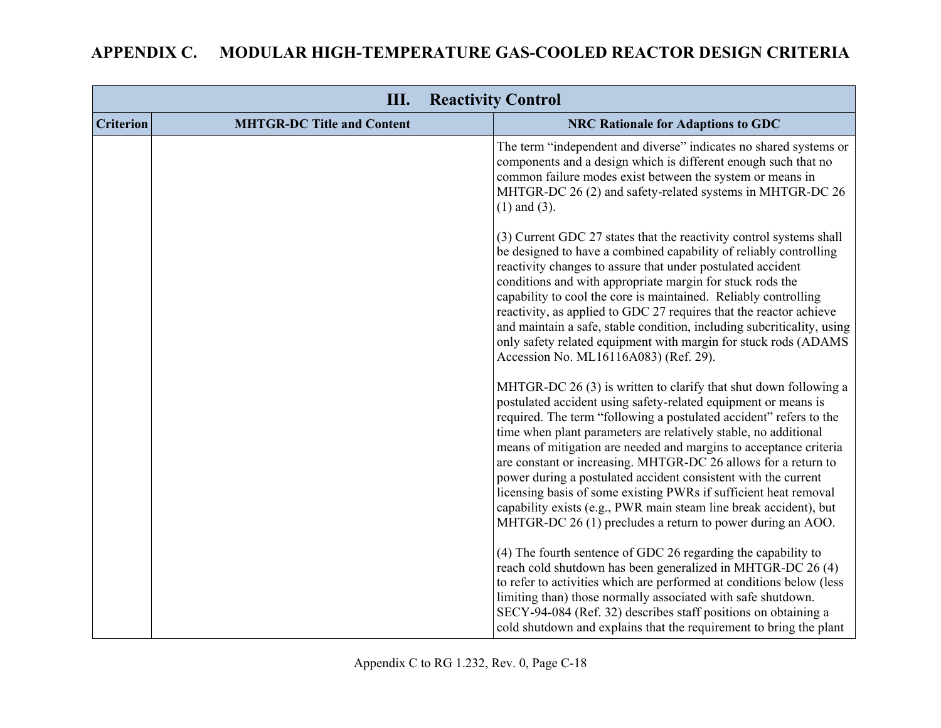|                  | III.                              | <b>Reactivity Control</b>                                                                                                                                                                                                                                                                                                                                                                                                                                                                                                                                                                                                                                                                   |
|------------------|-----------------------------------|---------------------------------------------------------------------------------------------------------------------------------------------------------------------------------------------------------------------------------------------------------------------------------------------------------------------------------------------------------------------------------------------------------------------------------------------------------------------------------------------------------------------------------------------------------------------------------------------------------------------------------------------------------------------------------------------|
| <b>Criterion</b> | <b>MHTGR-DC Title and Content</b> | <b>NRC Rationale for Adaptions to GDC</b>                                                                                                                                                                                                                                                                                                                                                                                                                                                                                                                                                                                                                                                   |
|                  |                                   | The term "independent and diverse" indicates no shared systems or<br>components and a design which is different enough such that no<br>common failure modes exist between the system or means in<br>MHTGR-DC 26 (2) and safety-related systems in MHTGR-DC 26<br>$(1)$ and $(3)$ .                                                                                                                                                                                                                                                                                                                                                                                                          |
|                  |                                   | (3) Current GDC 27 states that the reactivity control systems shall<br>be designed to have a combined capability of reliably controlling<br>reactivity changes to assure that under postulated accident<br>conditions and with appropriate margin for stuck rods the<br>capability to cool the core is maintained. Reliably controlling<br>reactivity, as applied to GDC 27 requires that the reactor achieve<br>and maintain a safe, stable condition, including subcriticality, using<br>only safety related equipment with margin for stuck rods (ADAMS<br>Accession No. ML16116A083) (Ref. 29).                                                                                         |
|                  |                                   | MHTGR-DC 26 (3) is written to clarify that shut down following a<br>postulated accident using safety-related equipment or means is<br>required. The term "following a postulated accident" refers to the<br>time when plant parameters are relatively stable, no additional<br>means of mitigation are needed and margins to acceptance criteria<br>are constant or increasing. MHTGR-DC 26 allows for a return to<br>power during a postulated accident consistent with the current<br>licensing basis of some existing PWRs if sufficient heat removal<br>capability exists (e.g., PWR main steam line break accident), but<br>MHTGR-DC 26 (1) precludes a return to power during an AOO. |
|                  |                                   | (4) The fourth sentence of GDC 26 regarding the capability to<br>reach cold shutdown has been generalized in MHTGR-DC 26 (4)<br>to refer to activities which are performed at conditions below (less<br>limiting than) those normally associated with safe shutdown.<br>SECY-94-084 (Ref. 32) describes staff positions on obtaining a<br>cold shutdown and explains that the requirement to bring the plant                                                                                                                                                                                                                                                                                |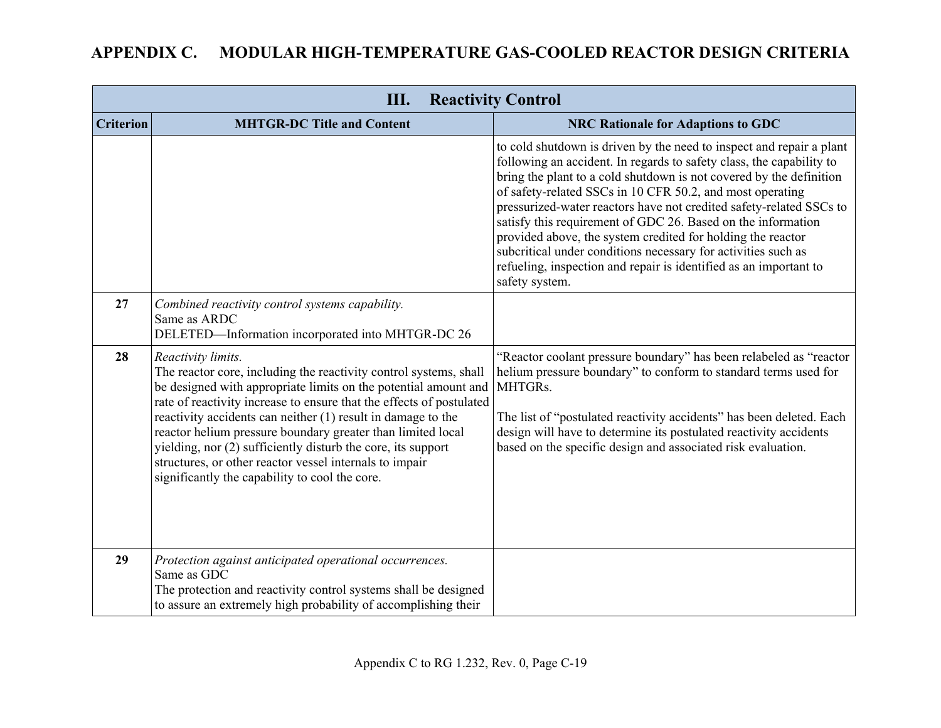| III.<br><b>Reactivity Control</b> |                                                                                                                                                                                                                                                                                                                                                                                                                                                                                                                                                |                                                                                                                                                                                                                                                                                                                                                                                                                                                                                                                                                                                                                                                |
|-----------------------------------|------------------------------------------------------------------------------------------------------------------------------------------------------------------------------------------------------------------------------------------------------------------------------------------------------------------------------------------------------------------------------------------------------------------------------------------------------------------------------------------------------------------------------------------------|------------------------------------------------------------------------------------------------------------------------------------------------------------------------------------------------------------------------------------------------------------------------------------------------------------------------------------------------------------------------------------------------------------------------------------------------------------------------------------------------------------------------------------------------------------------------------------------------------------------------------------------------|
| <b>Criterion</b>                  | <b>MHTGR-DC Title and Content</b>                                                                                                                                                                                                                                                                                                                                                                                                                                                                                                              | <b>NRC Rationale for Adaptions to GDC</b>                                                                                                                                                                                                                                                                                                                                                                                                                                                                                                                                                                                                      |
|                                   |                                                                                                                                                                                                                                                                                                                                                                                                                                                                                                                                                | to cold shutdown is driven by the need to inspect and repair a plant<br>following an accident. In regards to safety class, the capability to<br>bring the plant to a cold shutdown is not covered by the definition<br>of safety-related SSCs in 10 CFR 50.2, and most operating<br>pressurized-water reactors have not credited safety-related SSCs to<br>satisfy this requirement of GDC 26. Based on the information<br>provided above, the system credited for holding the reactor<br>subcritical under conditions necessary for activities such as<br>refueling, inspection and repair is identified as an important to<br>safety system. |
| 27                                | Combined reactivity control systems capability.<br>Same as ARDC<br>DELETED-Information incorporated into MHTGR-DC 26                                                                                                                                                                                                                                                                                                                                                                                                                           |                                                                                                                                                                                                                                                                                                                                                                                                                                                                                                                                                                                                                                                |
| 28                                | Reactivity limits.<br>The reactor core, including the reactivity control systems, shall<br>be designed with appropriate limits on the potential amount and<br>rate of reactivity increase to ensure that the effects of postulated<br>reactivity accidents can neither (1) result in damage to the<br>reactor helium pressure boundary greater than limited local<br>yielding, nor (2) sufficiently disturb the core, its support<br>structures, or other reactor vessel internals to impair<br>significantly the capability to cool the core. | "Reactor coolant pressure boundary" has been relabeled as "reactor<br>helium pressure boundary" to conform to standard terms used for<br>MHTGRs.<br>The list of "postulated reactivity accidents" has been deleted. Each<br>design will have to determine its postulated reactivity accidents<br>based on the specific design and associated risk evaluation.                                                                                                                                                                                                                                                                                  |
| 29                                | Protection against anticipated operational occurrences.<br>Same as GDC<br>The protection and reactivity control systems shall be designed<br>to assure an extremely high probability of accomplishing their                                                                                                                                                                                                                                                                                                                                    |                                                                                                                                                                                                                                                                                                                                                                                                                                                                                                                                                                                                                                                |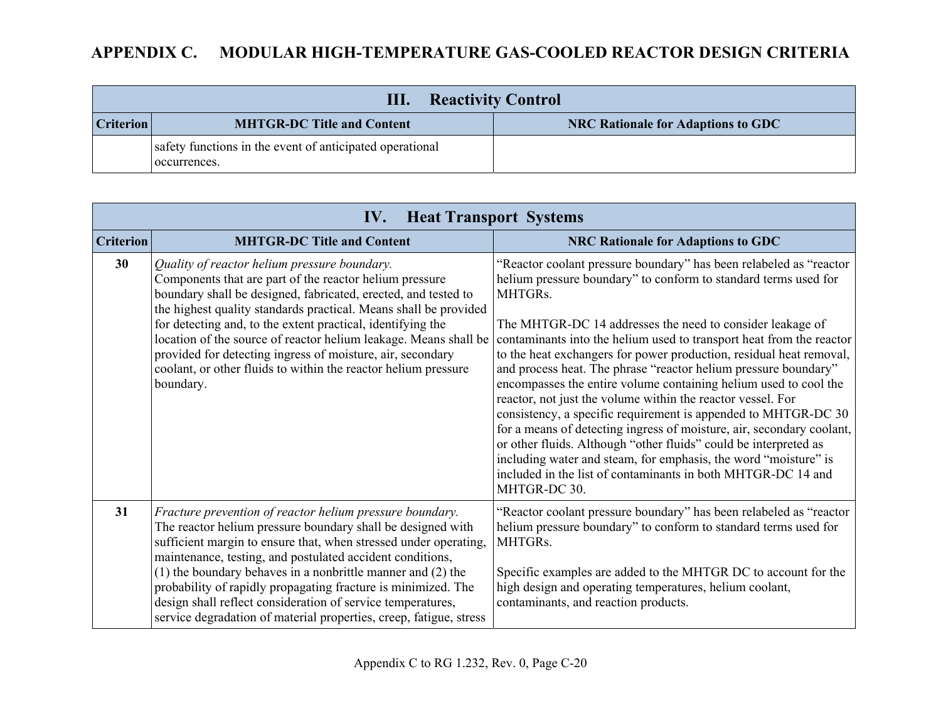| <b>Reactivity Control</b><br>Ш. |                                                                          |                                           |
|---------------------------------|--------------------------------------------------------------------------|-------------------------------------------|
| <b>Criterion</b>                | <b>MHTGR-DC Title and Content</b>                                        | <b>NRC Rationale for Adaptions to GDC</b> |
|                                 | safety functions in the event of anticipated operational<br>occurrences. |                                           |

|                  | <b>Heat Transport Systems</b><br>IV.                                                                                                                                                                                                                                                                                                                                                                                                                                                                                              |                                                                                                                                                                                                                                                                                                                                                                                                                                                                                                                                                                                                                                                                                                                                                                                                                                                                                                                                      |  |
|------------------|-----------------------------------------------------------------------------------------------------------------------------------------------------------------------------------------------------------------------------------------------------------------------------------------------------------------------------------------------------------------------------------------------------------------------------------------------------------------------------------------------------------------------------------|--------------------------------------------------------------------------------------------------------------------------------------------------------------------------------------------------------------------------------------------------------------------------------------------------------------------------------------------------------------------------------------------------------------------------------------------------------------------------------------------------------------------------------------------------------------------------------------------------------------------------------------------------------------------------------------------------------------------------------------------------------------------------------------------------------------------------------------------------------------------------------------------------------------------------------------|--|
| <b>Criterion</b> | <b>MHTGR-DC Title and Content</b>                                                                                                                                                                                                                                                                                                                                                                                                                                                                                                 | <b>NRC Rationale for Adaptions to GDC</b>                                                                                                                                                                                                                                                                                                                                                                                                                                                                                                                                                                                                                                                                                                                                                                                                                                                                                            |  |
| 30               | Quality of reactor helium pressure boundary.<br>Components that are part of the reactor helium pressure<br>boundary shall be designed, fabricated, erected, and tested to<br>the highest quality standards practical. Means shall be provided<br>for detecting and, to the extent practical, identifying the<br>location of the source of reactor helium leakage. Means shall be<br>provided for detecting ingress of moisture, air, secondary<br>coolant, or other fluids to within the reactor helium pressure<br>boundary.     | "Reactor coolant pressure boundary" has been relabeled as "reactor<br>helium pressure boundary" to conform to standard terms used for<br>MHTGRs.<br>The MHTGR-DC 14 addresses the need to consider leakage of<br>contaminants into the helium used to transport heat from the reactor<br>to the heat exchangers for power production, residual heat removal,<br>and process heat. The phrase "reactor helium pressure boundary"<br>encompasses the entire volume containing helium used to cool the<br>reactor, not just the volume within the reactor vessel. For<br>consistency, a specific requirement is appended to MHTGR-DC 30<br>for a means of detecting ingress of moisture, air, secondary coolant,<br>or other fluids. Although "other fluids" could be interpreted as<br>including water and steam, for emphasis, the word "moisture" is<br>included in the list of contaminants in both MHTGR-DC 14 and<br>MHTGR-DC 30. |  |
| 31               | Fracture prevention of reactor helium pressure boundary.<br>The reactor helium pressure boundary shall be designed with<br>sufficient margin to ensure that, when stressed under operating,<br>maintenance, testing, and postulated accident conditions,<br>$(1)$ the boundary behaves in a nonbrittle manner and $(2)$ the<br>probability of rapidly propagating fracture is minimized. The<br>design shall reflect consideration of service temperatures,<br>service degradation of material properties, creep, fatigue, stress | "Reactor coolant pressure boundary" has been relabeled as "reactor"<br>helium pressure boundary" to conform to standard terms used for<br>MHTGRs.<br>Specific examples are added to the MHTGR DC to account for the<br>high design and operating temperatures, helium coolant,<br>contaminants, and reaction products.                                                                                                                                                                                                                                                                                                                                                                                                                                                                                                                                                                                                               |  |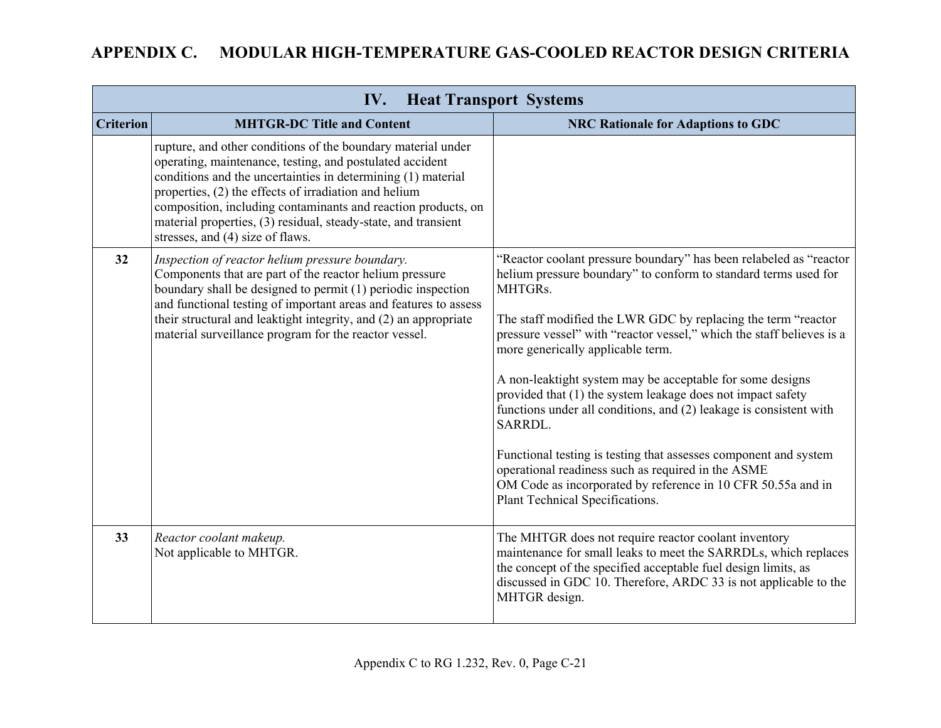| <b>Heat Transport Systems</b><br>IV. |                                                                                                                                                                                                                                                                                                                                                                                                                          |                                                                                                                                                                                                                                                                                                                                                                                                                                                                                                                                                                                                                                                                                                                                                                           |
|--------------------------------------|--------------------------------------------------------------------------------------------------------------------------------------------------------------------------------------------------------------------------------------------------------------------------------------------------------------------------------------------------------------------------------------------------------------------------|---------------------------------------------------------------------------------------------------------------------------------------------------------------------------------------------------------------------------------------------------------------------------------------------------------------------------------------------------------------------------------------------------------------------------------------------------------------------------------------------------------------------------------------------------------------------------------------------------------------------------------------------------------------------------------------------------------------------------------------------------------------------------|
| <b>Criterion</b>                     | <b>MHTGR-DC Title and Content</b>                                                                                                                                                                                                                                                                                                                                                                                        | <b>NRC Rationale for Adaptions to GDC</b>                                                                                                                                                                                                                                                                                                                                                                                                                                                                                                                                                                                                                                                                                                                                 |
|                                      | rupture, and other conditions of the boundary material under<br>operating, maintenance, testing, and postulated accident<br>conditions and the uncertainties in determining (1) material<br>properties, (2) the effects of irradiation and helium<br>composition, including contaminants and reaction products, on<br>material properties, (3) residual, steady-state, and transient<br>stresses, and (4) size of flaws. |                                                                                                                                                                                                                                                                                                                                                                                                                                                                                                                                                                                                                                                                                                                                                                           |
| 32                                   | Inspection of reactor helium pressure boundary.<br>Components that are part of the reactor helium pressure<br>boundary shall be designed to permit (1) periodic inspection<br>and functional testing of important areas and features to assess<br>their structural and leaktight integrity, and (2) an appropriate<br>material surveillance program for the reactor vessel.                                              | "Reactor coolant pressure boundary" has been relabeled as "reactor<br>helium pressure boundary" to conform to standard terms used for<br>MHTGRs.<br>The staff modified the LWR GDC by replacing the term "reactor<br>pressure vessel" with "reactor vessel," which the staff believes is a<br>more generically applicable term.<br>A non-leaktight system may be acceptable for some designs<br>provided that (1) the system leakage does not impact safety<br>functions under all conditions, and (2) leakage is consistent with<br>SARRDL.<br>Functional testing is testing that assesses component and system<br>operational readiness such as required in the ASME<br>OM Code as incorporated by reference in 10 CFR 50.55a and in<br>Plant Technical Specifications. |
| 33                                   | Reactor coolant makeup.<br>Not applicable to MHTGR.                                                                                                                                                                                                                                                                                                                                                                      | The MHTGR does not require reactor coolant inventory<br>maintenance for small leaks to meet the SARRDLs, which replaces<br>the concept of the specified acceptable fuel design limits, as<br>discussed in GDC 10. Therefore, ARDC 33 is not applicable to the<br>MHTGR design.                                                                                                                                                                                                                                                                                                                                                                                                                                                                                            |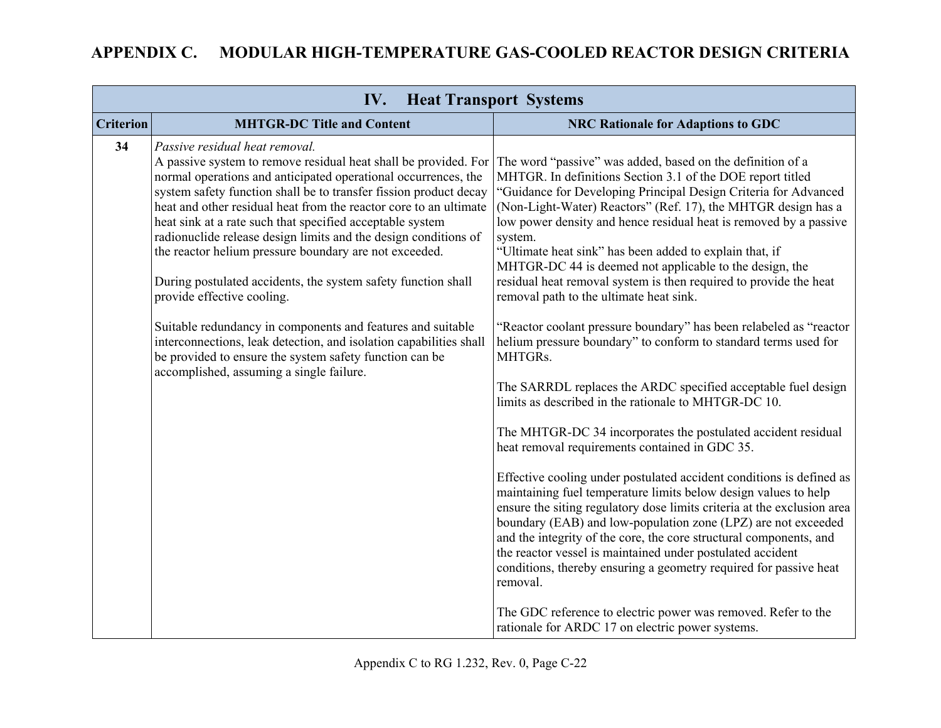|                  | IV.                                                                                                                                                                                                                                                                                                                                                                                                                                                                                                                                                                                                                                                                                                                                                                                                                                                | <b>Heat Transport Systems</b>                                                                                                                                                                                                                                                                                                                                                                                                                                                                                                                                                                                                                                                                                                                                                                                                                                                                                                                                                                                                                                                                                                                                                                                                                                                                                                                                                                                                                                                                                                                                   |
|------------------|----------------------------------------------------------------------------------------------------------------------------------------------------------------------------------------------------------------------------------------------------------------------------------------------------------------------------------------------------------------------------------------------------------------------------------------------------------------------------------------------------------------------------------------------------------------------------------------------------------------------------------------------------------------------------------------------------------------------------------------------------------------------------------------------------------------------------------------------------|-----------------------------------------------------------------------------------------------------------------------------------------------------------------------------------------------------------------------------------------------------------------------------------------------------------------------------------------------------------------------------------------------------------------------------------------------------------------------------------------------------------------------------------------------------------------------------------------------------------------------------------------------------------------------------------------------------------------------------------------------------------------------------------------------------------------------------------------------------------------------------------------------------------------------------------------------------------------------------------------------------------------------------------------------------------------------------------------------------------------------------------------------------------------------------------------------------------------------------------------------------------------------------------------------------------------------------------------------------------------------------------------------------------------------------------------------------------------------------------------------------------------------------------------------------------------|
| <b>Criterion</b> | <b>MHTGR-DC Title and Content</b>                                                                                                                                                                                                                                                                                                                                                                                                                                                                                                                                                                                                                                                                                                                                                                                                                  | <b>NRC Rationale for Adaptions to GDC</b>                                                                                                                                                                                                                                                                                                                                                                                                                                                                                                                                                                                                                                                                                                                                                                                                                                                                                                                                                                                                                                                                                                                                                                                                                                                                                                                                                                                                                                                                                                                       |
| 34               | Passive residual heat removal.<br>A passive system to remove residual heat shall be provided. For<br>normal operations and anticipated operational occurrences, the<br>system safety function shall be to transfer fission product decay<br>heat and other residual heat from the reactor core to an ultimate<br>heat sink at a rate such that specified acceptable system<br>radionuclide release design limits and the design conditions of<br>the reactor helium pressure boundary are not exceeded.<br>During postulated accidents, the system safety function shall<br>provide effective cooling.<br>Suitable redundancy in components and features and suitable<br>interconnections, leak detection, and isolation capabilities shall<br>be provided to ensure the system safety function can be<br>accomplished, assuming a single failure. | The word "passive" was added, based on the definition of a<br>MHTGR. In definitions Section 3.1 of the DOE report titled<br>"Guidance for Developing Principal Design Criteria for Advanced<br>(Non-Light-Water) Reactors" (Ref. 17), the MHTGR design has a<br>low power density and hence residual heat is removed by a passive<br>system.<br>"Ultimate heat sink" has been added to explain that, if<br>MHTGR-DC 44 is deemed not applicable to the design, the<br>residual heat removal system is then required to provide the heat<br>removal path to the ultimate heat sink.<br>"Reactor coolant pressure boundary" has been relabeled as "reactor<br>helium pressure boundary" to conform to standard terms used for<br>MHTGRs.<br>The SARRDL replaces the ARDC specified acceptable fuel design<br>limits as described in the rationale to MHTGR-DC 10.<br>The MHTGR-DC 34 incorporates the postulated accident residual<br>heat removal requirements contained in GDC 35.<br>Effective cooling under postulated accident conditions is defined as<br>maintaining fuel temperature limits below design values to help<br>ensure the siting regulatory dose limits criteria at the exclusion area<br>boundary (EAB) and low-population zone (LPZ) are not exceeded<br>and the integrity of the core, the core structural components, and<br>the reactor vessel is maintained under postulated accident<br>conditions, thereby ensuring a geometry required for passive heat<br>removal.<br>The GDC reference to electric power was removed. Refer to the |
|                  |                                                                                                                                                                                                                                                                                                                                                                                                                                                                                                                                                                                                                                                                                                                                                                                                                                                    | rationale for ARDC 17 on electric power systems.                                                                                                                                                                                                                                                                                                                                                                                                                                                                                                                                                                                                                                                                                                                                                                                                                                                                                                                                                                                                                                                                                                                                                                                                                                                                                                                                                                                                                                                                                                                |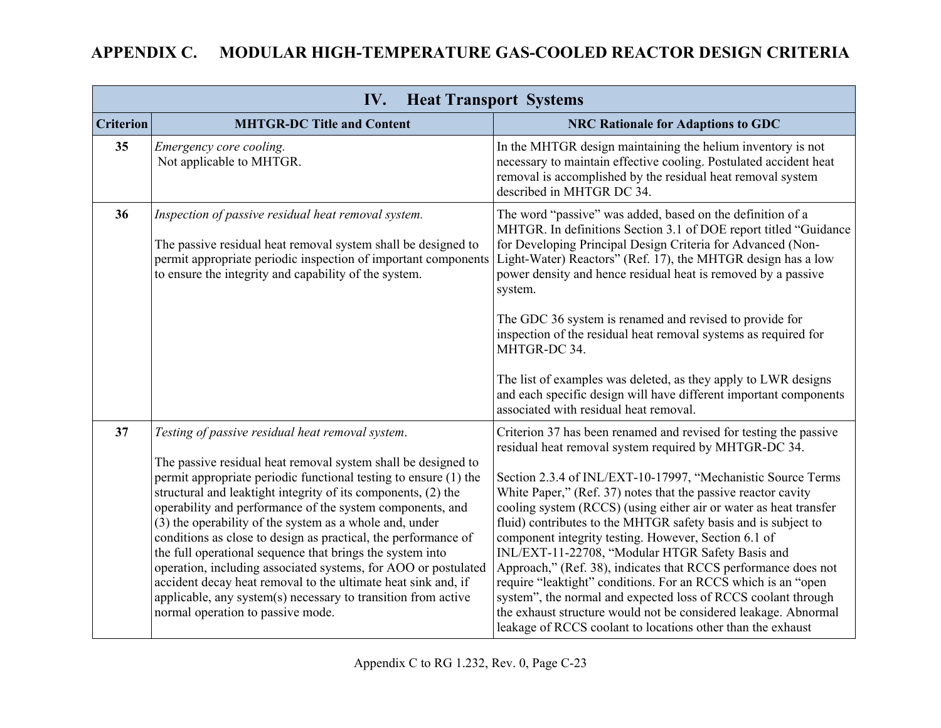| IV.<br><b>Heat Transport Systems</b> |                                                                                                                                                                                                                                                                                                                                                                                                                                                                                                                                                                                                                                                                                                                                                        |                                                                                                                                                                                                                                                                                                                                                                                                                                                                                                                                                                                                                                                                                                                                                                                                                                                      |
|--------------------------------------|--------------------------------------------------------------------------------------------------------------------------------------------------------------------------------------------------------------------------------------------------------------------------------------------------------------------------------------------------------------------------------------------------------------------------------------------------------------------------------------------------------------------------------------------------------------------------------------------------------------------------------------------------------------------------------------------------------------------------------------------------------|------------------------------------------------------------------------------------------------------------------------------------------------------------------------------------------------------------------------------------------------------------------------------------------------------------------------------------------------------------------------------------------------------------------------------------------------------------------------------------------------------------------------------------------------------------------------------------------------------------------------------------------------------------------------------------------------------------------------------------------------------------------------------------------------------------------------------------------------------|
| <b>Criterion</b>                     | <b>MHTGR-DC Title and Content</b>                                                                                                                                                                                                                                                                                                                                                                                                                                                                                                                                                                                                                                                                                                                      | <b>NRC Rationale for Adaptions to GDC</b>                                                                                                                                                                                                                                                                                                                                                                                                                                                                                                                                                                                                                                                                                                                                                                                                            |
| 35                                   | Emergency core cooling.<br>Not applicable to MHTGR.                                                                                                                                                                                                                                                                                                                                                                                                                                                                                                                                                                                                                                                                                                    | In the MHTGR design maintaining the helium inventory is not<br>necessary to maintain effective cooling. Postulated accident heat<br>removal is accomplished by the residual heat removal system<br>described in MHTGR DC 34.                                                                                                                                                                                                                                                                                                                                                                                                                                                                                                                                                                                                                         |
| 36                                   | Inspection of passive residual heat removal system.<br>The passive residual heat removal system shall be designed to<br>permit appropriate periodic inspection of important components<br>to ensure the integrity and capability of the system.                                                                                                                                                                                                                                                                                                                                                                                                                                                                                                        | The word "passive" was added, based on the definition of a<br>MHTGR. In definitions Section 3.1 of DOE report titled "Guidance<br>for Developing Principal Design Criteria for Advanced (Non-<br>Light-Water) Reactors" (Ref. 17), the MHTGR design has a low<br>power density and hence residual heat is removed by a passive<br>system.<br>The GDC 36 system is renamed and revised to provide for<br>inspection of the residual heat removal systems as required for<br>MHTGR-DC 34.<br>The list of examples was deleted, as they apply to LWR designs<br>and each specific design will have different important components<br>associated with residual heat removal.                                                                                                                                                                             |
| 37                                   | Testing of passive residual heat removal system.<br>The passive residual heat removal system shall be designed to<br>permit appropriate periodic functional testing to ensure (1) the<br>structural and leaktight integrity of its components, (2) the<br>operability and performance of the system components, and<br>(3) the operability of the system as a whole and, under<br>conditions as close to design as practical, the performance of<br>the full operational sequence that brings the system into<br>operation, including associated systems, for AOO or postulated<br>accident decay heat removal to the ultimate heat sink and, if<br>applicable, any system(s) necessary to transition from active<br>normal operation to passive mode. | Criterion 37 has been renamed and revised for testing the passive<br>residual heat removal system required by MHTGR-DC 34.<br>Section 2.3.4 of INL/EXT-10-17997, "Mechanistic Source Terms<br>White Paper," (Ref. 37) notes that the passive reactor cavity<br>cooling system (RCCS) (using either air or water as heat transfer<br>fluid) contributes to the MHTGR safety basis and is subject to<br>component integrity testing. However, Section 6.1 of<br>INL/EXT-11-22708, "Modular HTGR Safety Basis and<br>Approach," (Ref. 38), indicates that RCCS performance does not<br>require "leaktight" conditions. For an RCCS which is an "open<br>system", the normal and expected loss of RCCS coolant through<br>the exhaust structure would not be considered leakage. Abnormal<br>leakage of RCCS coolant to locations other than the exhaust |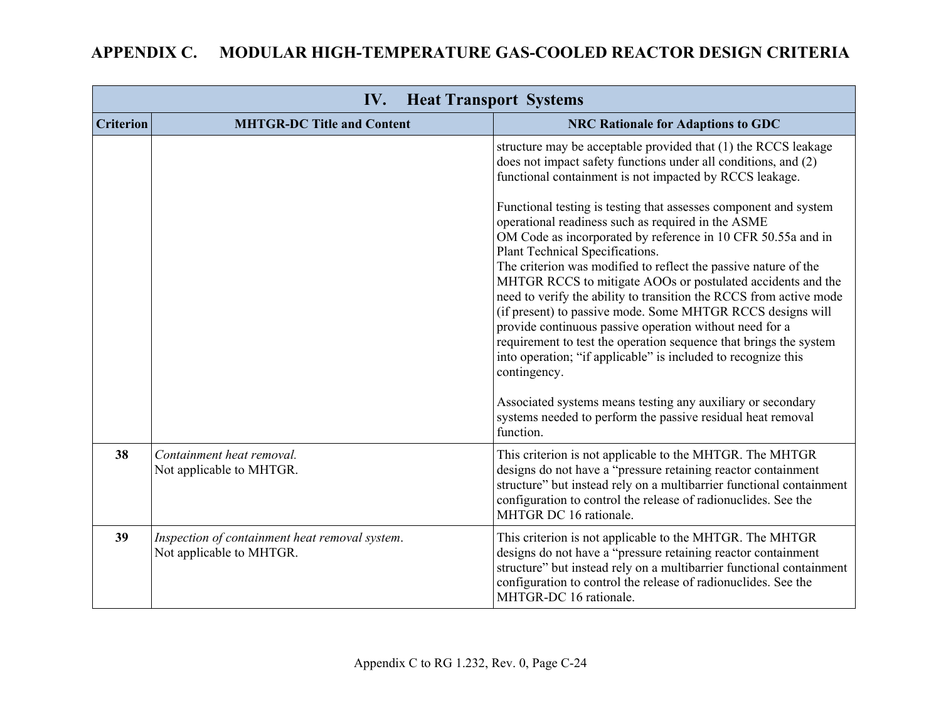| <b>Heat Transport Systems</b><br>IV. |                                                                            |                                                                                                                                                                                                                                                                                                                                                                                                                                                                                                                                                                                                                                                                                                                                                                                                                                                                                                                 |
|--------------------------------------|----------------------------------------------------------------------------|-----------------------------------------------------------------------------------------------------------------------------------------------------------------------------------------------------------------------------------------------------------------------------------------------------------------------------------------------------------------------------------------------------------------------------------------------------------------------------------------------------------------------------------------------------------------------------------------------------------------------------------------------------------------------------------------------------------------------------------------------------------------------------------------------------------------------------------------------------------------------------------------------------------------|
| <b>Criterion</b>                     | <b>MHTGR-DC Title and Content</b>                                          | <b>NRC Rationale for Adaptions to GDC</b>                                                                                                                                                                                                                                                                                                                                                                                                                                                                                                                                                                                                                                                                                                                                                                                                                                                                       |
|                                      |                                                                            | structure may be acceptable provided that (1) the RCCS leakage<br>does not impact safety functions under all conditions, and (2)<br>functional containment is not impacted by RCCS leakage.<br>Functional testing is testing that assesses component and system<br>operational readiness such as required in the ASME<br>OM Code as incorporated by reference in 10 CFR 50.55a and in<br>Plant Technical Specifications.<br>The criterion was modified to reflect the passive nature of the<br>MHTGR RCCS to mitigate AOOs or postulated accidents and the<br>need to verify the ability to transition the RCCS from active mode<br>(if present) to passive mode. Some MHTGR RCCS designs will<br>provide continuous passive operation without need for a<br>requirement to test the operation sequence that brings the system<br>into operation; "if applicable" is included to recognize this<br>contingency. |
|                                      |                                                                            | Associated systems means testing any auxiliary or secondary<br>systems needed to perform the passive residual heat removal<br>function.                                                                                                                                                                                                                                                                                                                                                                                                                                                                                                                                                                                                                                                                                                                                                                         |
| 38                                   | Containment heat removal.<br>Not applicable to MHTGR.                      | This criterion is not applicable to the MHTGR. The MHTGR<br>designs do not have a "pressure retaining reactor containment<br>structure" but instead rely on a multibarrier functional containment<br>configuration to control the release of radionuclides. See the<br>MHTGR DC 16 rationale.                                                                                                                                                                                                                                                                                                                                                                                                                                                                                                                                                                                                                   |
| 39                                   | Inspection of containment heat removal system.<br>Not applicable to MHTGR. | This criterion is not applicable to the MHTGR. The MHTGR<br>designs do not have a "pressure retaining reactor containment<br>structure" but instead rely on a multibarrier functional containment<br>configuration to control the release of radionuclides. See the<br>MHTGR-DC 16 rationale.                                                                                                                                                                                                                                                                                                                                                                                                                                                                                                                                                                                                                   |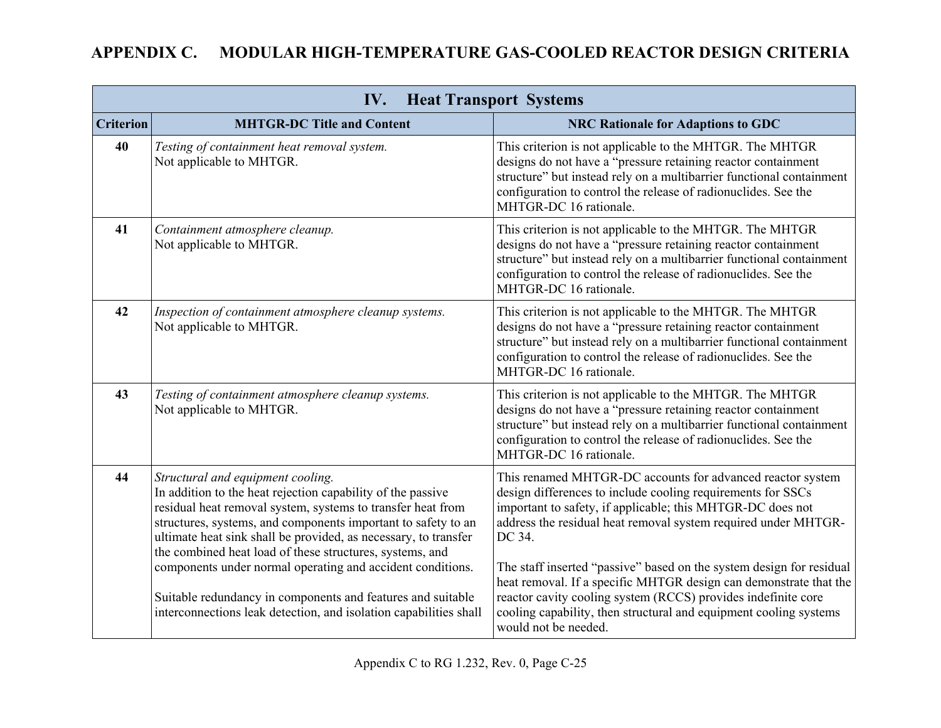| IV.<br><b>Heat Transport Systems</b> |                                                                                                                                                                                                                                                                                                                                                                 |                                                                                                                                                                                                                                                                                                         |
|--------------------------------------|-----------------------------------------------------------------------------------------------------------------------------------------------------------------------------------------------------------------------------------------------------------------------------------------------------------------------------------------------------------------|---------------------------------------------------------------------------------------------------------------------------------------------------------------------------------------------------------------------------------------------------------------------------------------------------------|
| <b>Criterion</b>                     | <b>MHTGR-DC Title and Content</b>                                                                                                                                                                                                                                                                                                                               | <b>NRC Rationale for Adaptions to GDC</b>                                                                                                                                                                                                                                                               |
| 40                                   | Testing of containment heat removal system.<br>Not applicable to MHTGR.                                                                                                                                                                                                                                                                                         | This criterion is not applicable to the MHTGR. The MHTGR<br>designs do not have a "pressure retaining reactor containment<br>structure" but instead rely on a multibarrier functional containment<br>configuration to control the release of radionuclides. See the<br>MHTGR-DC 16 rationale.           |
| 41                                   | Containment atmosphere cleanup.<br>Not applicable to MHTGR.                                                                                                                                                                                                                                                                                                     | This criterion is not applicable to the MHTGR. The MHTGR<br>designs do not have a "pressure retaining reactor containment<br>structure" but instead rely on a multibarrier functional containment<br>configuration to control the release of radionuclides. See the<br>MHTGR-DC 16 rationale.           |
| 42                                   | Inspection of containment atmosphere cleanup systems.<br>Not applicable to MHTGR.                                                                                                                                                                                                                                                                               | This criterion is not applicable to the MHTGR. The MHTGR<br>designs do not have a "pressure retaining reactor containment<br>structure" but instead rely on a multibarrier functional containment<br>configuration to control the release of radionuclides. See the<br>MHTGR-DC 16 rationale.           |
| 43                                   | Testing of containment atmosphere cleanup systems.<br>Not applicable to MHTGR.                                                                                                                                                                                                                                                                                  | This criterion is not applicable to the MHTGR. The MHTGR<br>designs do not have a "pressure retaining reactor containment<br>structure" but instead rely on a multibarrier functional containment<br>configuration to control the release of radionuclides. See the<br>MHTGR-DC 16 rationale.           |
| 44                                   | Structural and equipment cooling.<br>In addition to the heat rejection capability of the passive<br>residual heat removal system, systems to transfer heat from<br>structures, systems, and components important to safety to an<br>ultimate heat sink shall be provided, as necessary, to transfer<br>the combined heat load of these structures, systems, and | This renamed MHTGR-DC accounts for advanced reactor system<br>design differences to include cooling requirements for SSCs<br>important to safety, if applicable; this MHTGR-DC does not<br>address the residual heat removal system required under MHTGR-<br>DC 34.                                     |
|                                      | components under normal operating and accident conditions.<br>Suitable redundancy in components and features and suitable<br>interconnections leak detection, and isolation capabilities shall                                                                                                                                                                  | The staff inserted "passive" based on the system design for residual<br>heat removal. If a specific MHTGR design can demonstrate that the<br>reactor cavity cooling system (RCCS) provides indefinite core<br>cooling capability, then structural and equipment cooling systems<br>would not be needed. |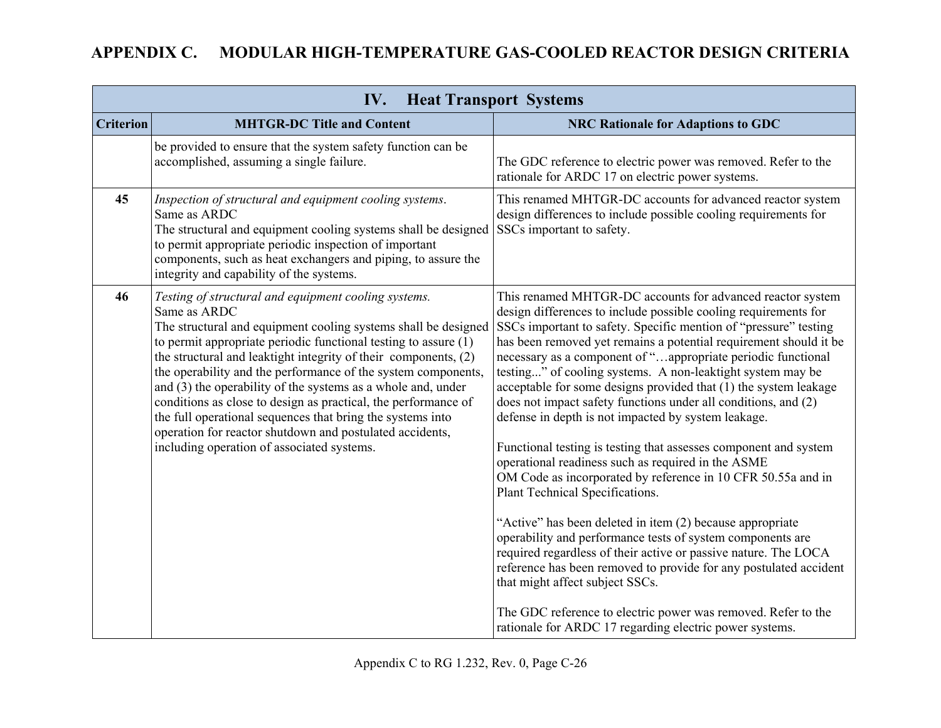| <b>Criterion</b><br><b>NRC Rationale for Adaptions to GDC</b><br><b>MHTGR-DC Title and Content</b><br>be provided to ensure that the system safety function can be<br>accomplished, assuming a single failure.<br>rationale for ARDC 17 on electric power systems.<br>45<br>Inspection of structural and equipment cooling systems.<br>Same as ARDC<br>SSCs important to safety.<br>The structural and equipment cooling systems shall be designed<br>to permit appropriate periodic inspection of important<br>components, such as heat exchangers and piping, to assure the<br>integrity and capability of the systems.<br>46<br>Testing of structural and equipment cooling systems.<br>Same as ARDC<br>The structural and equipment cooling systems shall be designed<br>to permit appropriate periodic functional testing to assure (1)<br>the structural and leaktight integrity of their components, (2)<br>the operability and the performance of the system components,<br>and (3) the operability of the systems as a whole and, under<br>conditions as close to design as practical, the performance of<br>defense in depth is not impacted by system leakage.<br>the full operational sequences that bring the systems into<br>operation for reactor shutdown and postulated accidents,<br>including operation of associated systems.<br>operational readiness such as required in the ASME<br>Plant Technical Specifications. | IV.<br><b>Heat Transport Systems</b> |  |                                                                                                                                                                                                                                                                                                                                                                                                                                                                                                                                                                                                                                                                                                                                                                                                                                                                                                                                                                                                                                                                                |
|--------------------------------------------------------------------------------------------------------------------------------------------------------------------------------------------------------------------------------------------------------------------------------------------------------------------------------------------------------------------------------------------------------------------------------------------------------------------------------------------------------------------------------------------------------------------------------------------------------------------------------------------------------------------------------------------------------------------------------------------------------------------------------------------------------------------------------------------------------------------------------------------------------------------------------------------------------------------------------------------------------------------------------------------------------------------------------------------------------------------------------------------------------------------------------------------------------------------------------------------------------------------------------------------------------------------------------------------------------------------------------------------------------------------------------------------|--------------------------------------|--|--------------------------------------------------------------------------------------------------------------------------------------------------------------------------------------------------------------------------------------------------------------------------------------------------------------------------------------------------------------------------------------------------------------------------------------------------------------------------------------------------------------------------------------------------------------------------------------------------------------------------------------------------------------------------------------------------------------------------------------------------------------------------------------------------------------------------------------------------------------------------------------------------------------------------------------------------------------------------------------------------------------------------------------------------------------------------------|
|                                                                                                                                                                                                                                                                                                                                                                                                                                                                                                                                                                                                                                                                                                                                                                                                                                                                                                                                                                                                                                                                                                                                                                                                                                                                                                                                                                                                                                            |                                      |  |                                                                                                                                                                                                                                                                                                                                                                                                                                                                                                                                                                                                                                                                                                                                                                                                                                                                                                                                                                                                                                                                                |
|                                                                                                                                                                                                                                                                                                                                                                                                                                                                                                                                                                                                                                                                                                                                                                                                                                                                                                                                                                                                                                                                                                                                                                                                                                                                                                                                                                                                                                            |                                      |  | The GDC reference to electric power was removed. Refer to the                                                                                                                                                                                                                                                                                                                                                                                                                                                                                                                                                                                                                                                                                                                                                                                                                                                                                                                                                                                                                  |
|                                                                                                                                                                                                                                                                                                                                                                                                                                                                                                                                                                                                                                                                                                                                                                                                                                                                                                                                                                                                                                                                                                                                                                                                                                                                                                                                                                                                                                            |                                      |  | This renamed MHTGR-DC accounts for advanced reactor system<br>design differences to include possible cooling requirements for                                                                                                                                                                                                                                                                                                                                                                                                                                                                                                                                                                                                                                                                                                                                                                                                                                                                                                                                                  |
| that might affect subject SSCs.                                                                                                                                                                                                                                                                                                                                                                                                                                                                                                                                                                                                                                                                                                                                                                                                                                                                                                                                                                                                                                                                                                                                                                                                                                                                                                                                                                                                            |                                      |  | This renamed MHTGR-DC accounts for advanced reactor system<br>design differences to include possible cooling requirements for<br>SSCs important to safety. Specific mention of "pressure" testing<br>has been removed yet remains a potential requirement should it be<br>necessary as a component of " appropriate periodic functional<br>testing" of cooling systems. A non-leaktight system may be<br>acceptable for some designs provided that (1) the system leakage<br>does not impact safety functions under all conditions, and (2)<br>Functional testing is testing that assesses component and system<br>OM Code as incorporated by reference in 10 CFR 50.55a and in<br>"Active" has been deleted in item (2) because appropriate<br>operability and performance tests of system components are<br>required regardless of their active or passive nature. The LOCA<br>reference has been removed to provide for any postulated accident<br>The GDC reference to electric power was removed. Refer to the<br>rationale for ARDC 17 regarding electric power systems. |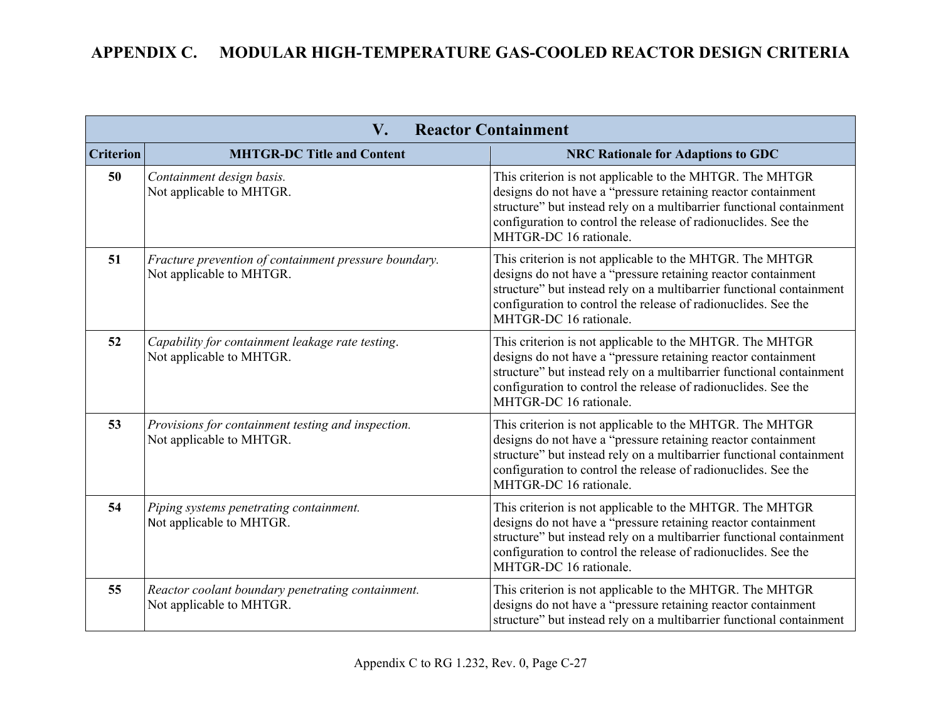| <b>Reactor Containment</b><br>$\mathbf{V}_{\bullet}$ |                                                                                   |                                                                                                                                                                                                                                                                                               |
|------------------------------------------------------|-----------------------------------------------------------------------------------|-----------------------------------------------------------------------------------------------------------------------------------------------------------------------------------------------------------------------------------------------------------------------------------------------|
| <b>Criterion</b>                                     | <b>MHTGR-DC Title and Content</b>                                                 | <b>NRC Rationale for Adaptions to GDC</b>                                                                                                                                                                                                                                                     |
| 50                                                   | Containment design basis.<br>Not applicable to MHTGR.                             | This criterion is not applicable to the MHTGR. The MHTGR<br>designs do not have a "pressure retaining reactor containment<br>structure" but instead rely on a multibarrier functional containment<br>configuration to control the release of radionuclides. See the<br>MHTGR-DC 16 rationale. |
| 51                                                   | Fracture prevention of containment pressure boundary.<br>Not applicable to MHTGR. | This criterion is not applicable to the MHTGR. The MHTGR<br>designs do not have a "pressure retaining reactor containment<br>structure" but instead rely on a multibarrier functional containment<br>configuration to control the release of radionuclides. See the<br>MHTGR-DC 16 rationale. |
| 52                                                   | Capability for containment leakage rate testing.<br>Not applicable to MHTGR.      | This criterion is not applicable to the MHTGR. The MHTGR<br>designs do not have a "pressure retaining reactor containment<br>structure" but instead rely on a multibarrier functional containment<br>configuration to control the release of radionuclides. See the<br>MHTGR-DC 16 rationale. |
| 53                                                   | Provisions for containment testing and inspection.<br>Not applicable to MHTGR.    | This criterion is not applicable to the MHTGR. The MHTGR<br>designs do not have a "pressure retaining reactor containment<br>structure" but instead rely on a multibarrier functional containment<br>configuration to control the release of radionuclides. See the<br>MHTGR-DC 16 rationale. |
| 54                                                   | Piping systems penetrating containment.<br>Not applicable to MHTGR.               | This criterion is not applicable to the MHTGR. The MHTGR<br>designs do not have a "pressure retaining reactor containment<br>structure" but instead rely on a multibarrier functional containment<br>configuration to control the release of radionuclides. See the<br>MHTGR-DC 16 rationale. |
| 55                                                   | Reactor coolant boundary penetrating containment.<br>Not applicable to MHTGR.     | This criterion is not applicable to the MHTGR. The MHTGR<br>designs do not have a "pressure retaining reactor containment<br>structure" but instead rely on a multibarrier functional containment                                                                                             |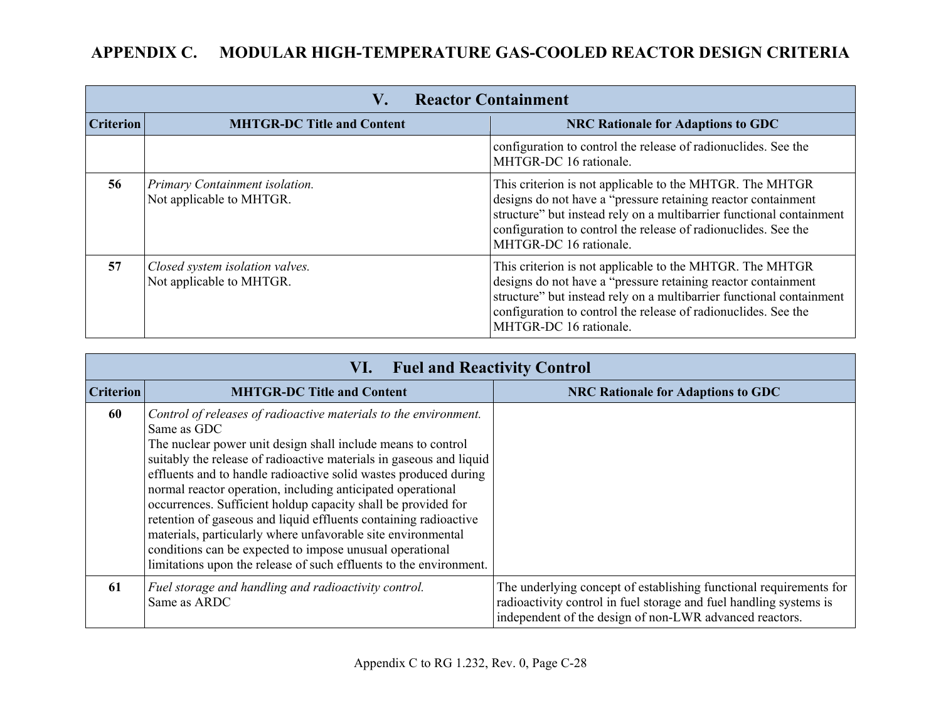| <b>Reactor Containment</b><br>V. |                                                             |                                                                                                                                                                                                                                                                                                |
|----------------------------------|-------------------------------------------------------------|------------------------------------------------------------------------------------------------------------------------------------------------------------------------------------------------------------------------------------------------------------------------------------------------|
| <b>Criterion</b>                 | <b>MHTGR-DC Title and Content</b>                           | <b>NRC Rationale for Adaptions to GDC</b>                                                                                                                                                                                                                                                      |
|                                  |                                                             | configuration to control the release of radionuclides. See the<br>MHTGR-DC 16 rationale.                                                                                                                                                                                                       |
| 56                               | Primary Containment isolation.<br>Not applicable to MHTGR.  | This criterion is not applicable to the MHTGR. The MHTGR<br>designs do not have a "pressure retaining reactor containment"<br>structure" but instead rely on a multibarrier functional containment<br>configuration to control the release of radionuclides. See the<br>MHTGR-DC 16 rationale. |
| 57                               | Closed system isolation valves.<br>Not applicable to MHTGR. | This criterion is not applicable to the MHTGR. The MHTGR<br>designs do not have a "pressure retaining reactor containment<br>structure" but instead rely on a multibarrier functional containment<br>configuration to control the release of radionuclides. See the<br>MHTGR-DC 16 rationale.  |

| VI. Fuel and Reactivity Control |                                                                                                                                                                                                                                                                                                                                                                                                                                                                                                                                                                                                                                                                                                  |                                                                                                                                                                                                     |  |  |
|---------------------------------|--------------------------------------------------------------------------------------------------------------------------------------------------------------------------------------------------------------------------------------------------------------------------------------------------------------------------------------------------------------------------------------------------------------------------------------------------------------------------------------------------------------------------------------------------------------------------------------------------------------------------------------------------------------------------------------------------|-----------------------------------------------------------------------------------------------------------------------------------------------------------------------------------------------------|--|--|
| <b>Criterion</b>                | <b>MHTGR-DC Title and Content</b>                                                                                                                                                                                                                                                                                                                                                                                                                                                                                                                                                                                                                                                                | <b>NRC Rationale for Adaptions to GDC</b>                                                                                                                                                           |  |  |
| 60                              | Control of releases of radioactive materials to the environment.<br>Same as GDC<br>The nuclear power unit design shall include means to control<br>suitably the release of radioactive materials in gaseous and liquid<br>effluents and to handle radioactive solid wastes produced during<br>normal reactor operation, including anticipated operational<br>occurrences. Sufficient holdup capacity shall be provided for<br>retention of gaseous and liquid effluents containing radioactive<br>materials, particularly where unfavorable site environmental<br>conditions can be expected to impose unusual operational<br>limitations upon the release of such effluents to the environment. |                                                                                                                                                                                                     |  |  |
| -61                             | Fuel storage and handling and radioactivity control.<br>Same as ARDC                                                                                                                                                                                                                                                                                                                                                                                                                                                                                                                                                                                                                             | The underlying concept of establishing functional requirements for<br>radioactivity control in fuel storage and fuel handling systems is<br>independent of the design of non-LWR advanced reactors. |  |  |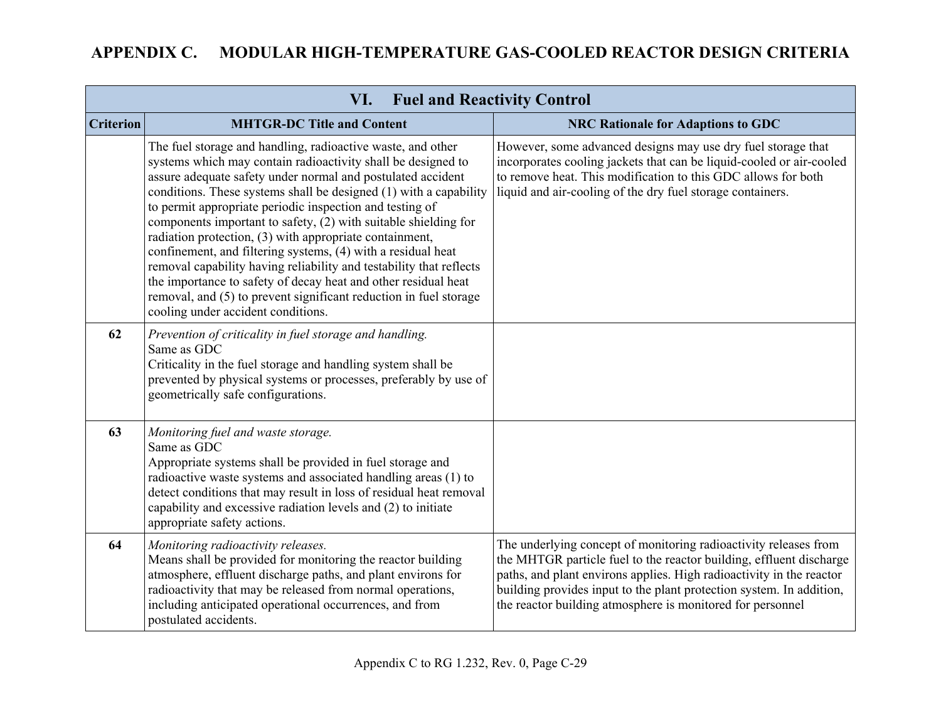| <b>Fuel and Reactivity Control</b><br>VI. |                                                                                                                                                                                                                                                                                                                                                                                                                                                                                                                                                                                                                                                                                                                                                                               |                                                                                                                                                                                                                                                                                                                                                       |  |  |
|-------------------------------------------|-------------------------------------------------------------------------------------------------------------------------------------------------------------------------------------------------------------------------------------------------------------------------------------------------------------------------------------------------------------------------------------------------------------------------------------------------------------------------------------------------------------------------------------------------------------------------------------------------------------------------------------------------------------------------------------------------------------------------------------------------------------------------------|-------------------------------------------------------------------------------------------------------------------------------------------------------------------------------------------------------------------------------------------------------------------------------------------------------------------------------------------------------|--|--|
| <b>Criterion</b>                          | <b>MHTGR-DC Title and Content</b>                                                                                                                                                                                                                                                                                                                                                                                                                                                                                                                                                                                                                                                                                                                                             | <b>NRC Rationale for Adaptions to GDC</b>                                                                                                                                                                                                                                                                                                             |  |  |
|                                           | The fuel storage and handling, radioactive waste, and other<br>systems which may contain radioactivity shall be designed to<br>assure adequate safety under normal and postulated accident<br>conditions. These systems shall be designed (1) with a capability<br>to permit appropriate periodic inspection and testing of<br>components important to safety, (2) with suitable shielding for<br>radiation protection, (3) with appropriate containment,<br>confinement, and filtering systems, (4) with a residual heat<br>removal capability having reliability and testability that reflects<br>the importance to safety of decay heat and other residual heat<br>removal, and (5) to prevent significant reduction in fuel storage<br>cooling under accident conditions. | However, some advanced designs may use dry fuel storage that<br>incorporates cooling jackets that can be liquid-cooled or air-cooled<br>to remove heat. This modification to this GDC allows for both<br>liquid and air-cooling of the dry fuel storage containers.                                                                                   |  |  |
| 62                                        | Prevention of criticality in fuel storage and handling.<br>Same as GDC<br>Criticality in the fuel storage and handling system shall be<br>prevented by physical systems or processes, preferably by use of<br>geometrically safe configurations.                                                                                                                                                                                                                                                                                                                                                                                                                                                                                                                              |                                                                                                                                                                                                                                                                                                                                                       |  |  |
| 63                                        | Monitoring fuel and waste storage.<br>Same as GDC<br>Appropriate systems shall be provided in fuel storage and<br>radioactive waste systems and associated handling areas (1) to<br>detect conditions that may result in loss of residual heat removal<br>capability and excessive radiation levels and (2) to initiate<br>appropriate safety actions.                                                                                                                                                                                                                                                                                                                                                                                                                        |                                                                                                                                                                                                                                                                                                                                                       |  |  |
| 64                                        | Monitoring radioactivity releases.<br>Means shall be provided for monitoring the reactor building<br>atmosphere, effluent discharge paths, and plant environs for<br>radioactivity that may be released from normal operations,<br>including anticipated operational occurrences, and from<br>postulated accidents.                                                                                                                                                                                                                                                                                                                                                                                                                                                           | The underlying concept of monitoring radioactivity releases from<br>the MHTGR particle fuel to the reactor building, effluent discharge<br>paths, and plant environs applies. High radioactivity in the reactor<br>building provides input to the plant protection system. In addition,<br>the reactor building atmosphere is monitored for personnel |  |  |